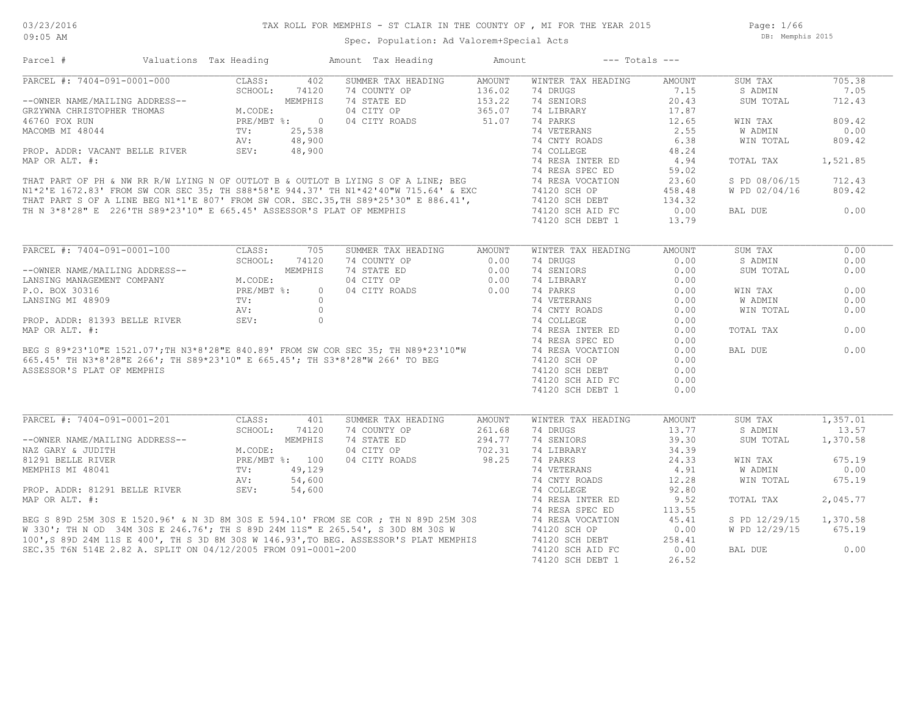Page: 1/66 DB: Memphis 2015

| Parcel #                                                                                                                       | Valuations Tax Heading    |              | Amount Tax Heading                                                                                                                                                                                                                     | Amount          | $---$ Totals $---$           |        |               |          |
|--------------------------------------------------------------------------------------------------------------------------------|---------------------------|--------------|----------------------------------------------------------------------------------------------------------------------------------------------------------------------------------------------------------------------------------------|-----------------|------------------------------|--------|---------------|----------|
| PARCEL #: 7404-091-0001-000                                                                                                    | CLASS:                    | 402          | SUMMER TAX HEADING                                                                                                                                                                                                                     | AMOUNT          | WINTER TAX HEADING           | AMOUNT | SUM TAX       | 705.38   |
| CLASS:<br>--OWNER NAME/MAILING ADDRESS--<br>GRZYWNA CHRISTOPHER THOMAS<br>46760 FOX RUN PRE/MBT<br>MACOMB MI 48044 TV:<br>PRE- |                           | 74120        | 74 COUNTY OP                                                                                                                                                                                                                           | 136.02          | 74 DRUGS                     | 7.15   | S ADMIN       | 7.05     |
|                                                                                                                                |                           | MEMPHIS      | 74 STATE ED                                                                                                                                                                                                                            | 153.22          | 74 SENIORS                   | 20.43  | SUM TOTAL     | 712.43   |
|                                                                                                                                |                           |              | 04 CITY OP                                                                                                                                                                                                                             | 365.07          | 74 LIBRARY                   | 17.87  |               |          |
|                                                                                                                                |                           | PRE/MBT %: 0 | 04 CITY ROADS                                                                                                                                                                                                                          | 365.07<br>51.07 | 74 PARKS                     | 12.65  | WIN TAX       | 809.42   |
|                                                                                                                                |                           |              |                                                                                                                                                                                                                                        |                 | 74 VETERANS                  | 2.55   | W ADMIN       | 0.00     |
|                                                                                                                                |                           |              |                                                                                                                                                                                                                                        |                 | 74 CNTY ROADS                | 6.38   | WIN TOTAL     | 809.42   |
|                                                                                                                                |                           |              |                                                                                                                                                                                                                                        |                 | 74 COLLEGE                   | 48.24  |               |          |
|                                                                                                                                |                           |              |                                                                                                                                                                                                                                        |                 |                              |        |               |          |
|                                                                                                                                |                           |              |                                                                                                                                                                                                                                        |                 | 74 RESA INTER ED             | 4.94   | TOTAL TAX     | 1,521.85 |
|                                                                                                                                |                           |              |                                                                                                                                                                                                                                        |                 | 74 RESA SPEC ED              | 59.02  |               |          |
|                                                                                                                                |                           |              |                                                                                                                                                                                                                                        |                 | 74 RESA VOCATION             | 23.60  | S PD 08/06/15 | 712.43   |
|                                                                                                                                |                           |              |                                                                                                                                                                                                                                        |                 | 74120 SCH OP                 | 458.48 | W PD 02/04/16 | 809.42   |
|                                                                                                                                |                           |              |                                                                                                                                                                                                                                        |                 | 74120 SCH DEBT               | 134.32 |               |          |
|                                                                                                                                |                           |              |                                                                                                                                                                                                                                        |                 | 74120 SCH AID FC             | 0.00   | BAL DUE       | 0.00     |
|                                                                                                                                |                           |              |                                                                                                                                                                                                                                        |                 | 74120 SCH DEBT 1             | 13.79  |               |          |
|                                                                                                                                |                           |              | ROP. ADDR: VACANT BELLE RIVER<br>MAP OR ALT. #:<br>THAT PART OF PH & NW RR R/W LYING N OF OUTLOT B & OUTLOT B LYING S OF A LINE; BEG<br>N1*2'E 1672.83' FROM SW COR SEC 35; TH S88*58'E 944.37' TH N1*42'40"W 715.64' & EXC<br>THAT PA |                 |                              |        |               |          |
| PARCEL #: 7404-091-0001-100                                                                                                    | CLASS:                    | 705          | SUMMER TAX HEADING                                                                                                                                                                                                                     | AMOUNT          | WINTER TAX HEADING           | AMOUNT | SUM TAX       | 0.00     |
|                                                                                                                                | SCHOOL:                   | 74120        | 74 COUNTY OP                                                                                                                                                                                                                           | 0.00            | 74 DRUGS                     | 0.00   | S ADMIN       | 0.00     |
|                                                                                                                                |                           |              |                                                                                                                                                                                                                                        |                 | 74 SENIORS                   | 0.00   | SUM TOTAL     | 0.00     |
|                                                                                                                                |                           |              |                                                                                                                                                                                                                                        |                 | 74 LIBRARY                   | 0.00   |               |          |
|                                                                                                                                |                           |              |                                                                                                                                                                                                                                        |                 | 74 PARKS                     | 0.00   | WIN TAX       | 0.00     |
|                                                                                                                                |                           |              |                                                                                                                                                                                                                                        |                 |                              | 0.00   | W ADMIN       | 0.00     |
|                                                                                                                                |                           |              |                                                                                                                                                                                                                                        |                 | 74 VETERANS<br>74 CNTY ROADS |        |               |          |
|                                                                                                                                |                           |              |                                                                                                                                                                                                                                        |                 |                              | 0.00   | WIN TOTAL     | 0.00     |
|                                                                                                                                |                           |              |                                                                                                                                                                                                                                        |                 | 74 COLLEGE                   | 0.00   |               |          |
|                                                                                                                                |                           |              |                                                                                                                                                                                                                                        |                 | 74 RESA INTER ED             | 0.00   | TOTAL TAX     | 0.00     |
|                                                                                                                                |                           |              |                                                                                                                                                                                                                                        |                 | 74 RESA SPEC ED              | 0.00   |               |          |
|                                                                                                                                |                           |              |                                                                                                                                                                                                                                        |                 | 74 RESA VOCATION             | 0.00   | BAL DUE       | 0.00     |
|                                                                                                                                |                           |              |                                                                                                                                                                                                                                        |                 | 74120 SCH OP                 | 0.00   |               |          |
|                                                                                                                                |                           |              |                                                                                                                                                                                                                                        |                 | 74120 SCH DEBT               | 0.00   |               |          |
|                                                                                                                                |                           |              |                                                                                                                                                                                                                                        |                 | 74120 SCH AID FC             | 0.00   |               |          |
|                                                                                                                                |                           |              |                                                                                                                                                                                                                                        |                 | 74120 SCH DEBT 1             | 0.00   |               |          |
|                                                                                                                                |                           |              |                                                                                                                                                                                                                                        |                 |                              |        |               |          |
| PARCEL #: 7404-091-0001-201                                                                                                    | CLASS:                    | 401          | SUMMER TAX HEADING                                                                                                                                                                                                                     | AMOUNT          | WINTER TAX HEADING           | AMOUNT | SUM TAX       | 1,357.01 |
|                                                                                                                                | SCHOOL:                   | 74120        | 74 COUNTY OP                                                                                                                                                                                                                           | 261.68          | 74 DRUGS                     | 13.77  | S ADMIN       | 13.57    |
| --OWNER NAME/MAILING ADDRESS--                                                                                                 |                           |              | 74 STATE ED                                                                                                                                                                                                                            | 294.77          | 74 SENIORS                   | 39.30  | SUM TOTAL     | 1,370.58 |
| NAZ GARY & JUDITH                                                                                                              |                           |              | 04 CITY OP                                                                                                                                                                                                                             | 702.31          | 74 LIBRARY                   | 34.39  |               |          |
| 81291 BELLE RIVER                                                                                                              | MEMPHIS<br>PRE/MBT %: 100 |              | 04 CITY ROADS                                                                                                                                                                                                                          | 98.25           | 74 PARKS                     | 24.33  | WIN TAX       | 675.19   |
| MEMPHIS MI 48041                                                                                                               |                           | 49,129       |                                                                                                                                                                                                                                        |                 | 74 VETERANS                  | 4.91   | W ADMIN       | 0.00     |
|                                                                                                                                | TV:<br>AV:<br>SEV:        | 54,600       |                                                                                                                                                                                                                                        |                 | 74 CNTY ROADS                | 12.28  | WIN TOTAL     | 675.19   |
| PROP. ADDR: 81291 BELLE RIVER                                                                                                  |                           | 54,600       |                                                                                                                                                                                                                                        |                 | 74 COLLEGE                   | 92.80  |               |          |
|                                                                                                                                |                           |              | PROP. ADDR: 81291 BELLE RIVER SEV: 54,600 (4 CULLEGE 1998)<br>MAP OR ALT. #: 74 RESA INTER ED<br>BEG S 89D 25M 30S E 1520.96' & N 3D 8M 30S E 594.10' FROM SE COR; TH N 89D 25M 30S 74 RESA SPEC ED<br>W 330'; TH N OD 34M 30S E 246   |                 |                              |        |               |          |
|                                                                                                                                |                           |              |                                                                                                                                                                                                                                        |                 |                              | 9.52   | TOTAL TAX     | 2,045.77 |
|                                                                                                                                |                           |              |                                                                                                                                                                                                                                        |                 |                              | 113.55 |               |          |
|                                                                                                                                |                           |              |                                                                                                                                                                                                                                        |                 |                              | 45.41  | S PD 12/29/15 | 1,370.58 |
|                                                                                                                                |                           |              |                                                                                                                                                                                                                                        |                 |                              | 0.00   | W PD 12/29/15 | 675.19   |
|                                                                                                                                |                           |              |                                                                                                                                                                                                                                        |                 |                              | 258.41 |               |          |
| SEC.35 T6N 514E 2.82 A. SPLIT ON 04/12/2005 FROM 091-0001-200                                                                  |                           |              |                                                                                                                                                                                                                                        |                 | 74120 SCH AID FC             | 0.00   | BAL DUE       | 0.00     |
|                                                                                                                                |                           |              |                                                                                                                                                                                                                                        |                 | 74120 SCH DEBT 1             | 26.52  |               |          |
|                                                                                                                                |                           |              |                                                                                                                                                                                                                                        |                 |                              |        |               |          |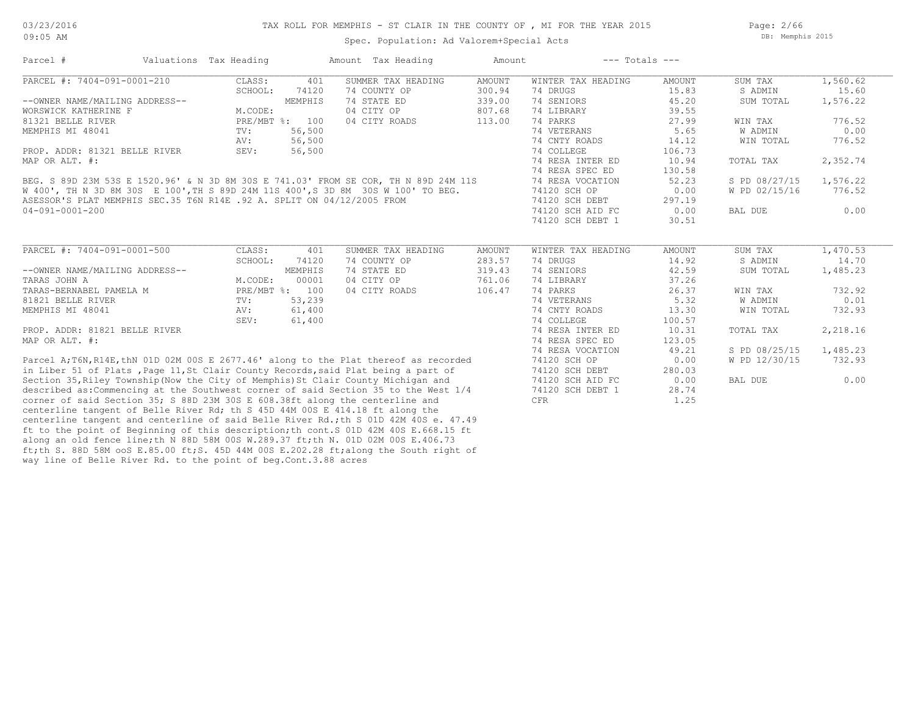Spec. Population: Ad Valorem+Special Acts

Page: 2/66 DB: Memphis 2015

| Parcel #                                                                             | Valuations Tax Heading |                | Amount Tax Heading | Amount        | $---$ Totals $---$ |               |               |          |
|--------------------------------------------------------------------------------------|------------------------|----------------|--------------------|---------------|--------------------|---------------|---------------|----------|
| PARCEL #: 7404-091-0001-210                                                          | CLASS:                 | 401            | SUMMER TAX HEADING | <b>AMOUNT</b> | WINTER TAX HEADING | <b>AMOUNT</b> | SUM TAX       | 1,560.62 |
|                                                                                      | SCHOOL:                | 74120          | 74 COUNTY OP       | 300.94        | 74 DRUGS           | 15.83         | S ADMIN       | 15.60    |
| --OWNER NAME/MAILING ADDRESS--                                                       |                        | MEMPHIS        | 74 STATE ED        | 339.00        | 74 SENIORS         | 45.20         | SUM TOTAL     | 1,576.22 |
| WORSWICK KATHERINE F                                                                 | M.CODE:                |                | 04 CITY OP         | 807.68        | 74 LIBRARY         | 39.55         |               |          |
| 81321 BELLE RIVER                                                                    |                        | PRE/MBT %: 100 | 04 CITY ROADS      | 113.00        | 74 PARKS           | 27.99         | WIN TAX       | 776.52   |
| MEMPHIS MI 48041                                                                     | $\text{TV}$ :          | 56,500         |                    |               | 74 VETERANS        | 5.65          | W ADMIN       | 0.00     |
|                                                                                      | AV:                    | 56,500         |                    |               | 74 CNTY ROADS      | 14.12         | WIN TOTAL     | 776.52   |
| PROP. ADDR: 81321 BELLE RIVER                                                        | SEV:                   | 56,500         |                    |               | 74 COLLEGE         | 106.73        |               |          |
| MAP OR ALT. #:                                                                       |                        |                |                    |               | 74 RESA INTER ED   | 10.94         | TOTAL TAX     | 2,352.74 |
|                                                                                      |                        |                |                    |               | 74 RESA SPEC ED    | 130.58        |               |          |
| BEG. S 89D 23M 53S E 1520.96' & N 3D 8M 30S E 741.03' FROM SE COR, TH N 89D 24M 11S  |                        |                |                    |               | 74 RESA VOCATION   | 52.23         | S PD 08/27/15 | 1,576.22 |
| W 400', TH N 3D 8M 30S E 100', TH S 89D 24M 11S 400', S 3D 8M 30S W 100' TO BEG.     |                        |                |                    |               | 74120 SCH OP       | 0.00          | W PD 02/15/16 | 776.52   |
| ASESSOR'S PLAT MEMPHIS SEC.35 T6N R14E .92 A. SPLIT ON 04/12/2005 FROM               |                        |                |                    |               | 74120 SCH DEBT     | 297.19        |               |          |
| 04-091-0001-200                                                                      |                        |                |                    |               | 74120 SCH AID FC   | 0.00          | BAL DUE       | 0.00     |
|                                                                                      |                        |                |                    |               | 74120 SCH DEBT 1   | 30.51         |               |          |
|                                                                                      |                        |                |                    |               |                    |               |               |          |
| PARCEL #: 7404-091-0001-500                                                          | CLASS:                 | 401            | SUMMER TAX HEADING | <b>AMOUNT</b> | WINTER TAX HEADING | AMOUNT        | SUM TAX       | 1,470.53 |
|                                                                                      | SCHOOL:                | 74120          | 74 COUNTY OP       | 283.57        | 74 DRUGS           | 14.92         | S ADMIN       | 14.70    |
| --OWNER NAME/MAILING ADDRESS--                                                       |                        | MEMPHIS        | 74 STATE ED        | 319.43        | 74 SENIORS         | 42.59         | SUM TOTAL     | 1,485.23 |
| TARAS JOHN A                                                                         | M.CODE:                | 00001          | 04 CITY OP         | 761.06        | 74 LIBRARY         | 37.26         |               |          |
| TARAS-BERNABEL PAMELA M                                                              |                        | PRE/MBT %: 100 | 04 CITY ROADS      | 106.47        | 74 PARKS           | 26.37         | WIN TAX       | 732.92   |
| 81821 BELLE RIVER                                                                    | TV:                    | 53,239         |                    |               | 74 VETERANS        | 5.32          | W ADMIN       | 0.01     |
| MEMPHIS MI 48041                                                                     | AV:                    | 61,400         |                    |               | 74 CNTY ROADS      | 13.30         | WIN TOTAL     | 732.93   |
|                                                                                      | SEV:                   | 61,400         |                    |               | 74 COLLEGE         | 100.57        |               |          |
| PROP. ADDR: 81821 BELLE RIVER                                                        |                        |                |                    |               | 74 RESA INTER ED   | 10.31         | TOTAL TAX     | 2,218.16 |
| MAP OR ALT. #:                                                                       |                        |                |                    |               | 74 RESA SPEC ED    | 123.05        |               |          |
|                                                                                      |                        |                |                    |               | 74 RESA VOCATION   | 49.21         | S PD 08/25/15 | 1,485.23 |
| Parcel A;T6N, R14E, thN 01D 02M 00S E 2677.46' along to the Plat thereof as recorded |                        |                |                    |               | 74120 SCH OP       | 0.00          | W PD 12/30/15 | 732.93   |
| in Liber 51 of Plats, Page 11, St Clair County Records, said Plat being a part of    |                        |                |                    |               | 74120 SCH DEBT     | 280.03        |               |          |
| Section 35, Riley Township (Now the City of Memphis) St Clair County Michigan and    |                        |                |                    |               | 74120 SCH AID FC   | 0.00          | BAL DUE       | 0.00     |
| described as: Commencing at the Southwest corner of said Section 35 to the West 1/4  |                        |                |                    |               | 74120 SCH DEBT 1   | 28.74         |               |          |
| corner of said Section 35; S 88D 23M 30S E 608.38ft along the centerline and         |                        |                |                    |               | CFR                | 1.25          |               |          |
| centerline tangent of Belle River Rd; th S 45D 44M 00S E 414.18 ft along the         |                        |                |                    |               |                    |               |               |          |
| centerline tangent and centerline of said Belle River Rd.; th S 01D 42M 40S e. 47.49 |                        |                |                    |               |                    |               |               |          |

way line of Belle River Rd. to the point of beg.Cont.3.88 acres ft;th S. 88D 58M ooS E.85.00 ft;S. 45D 44M 00S E.202.28 ft;along the South right of

along an old fence line;th N 88D 58M 00S W.289.37 ft;th N. 01D 02M 00S E.406.73 ft to the point of Beginning of this description;th cont.S 01D 42M 40S E.668.15 ft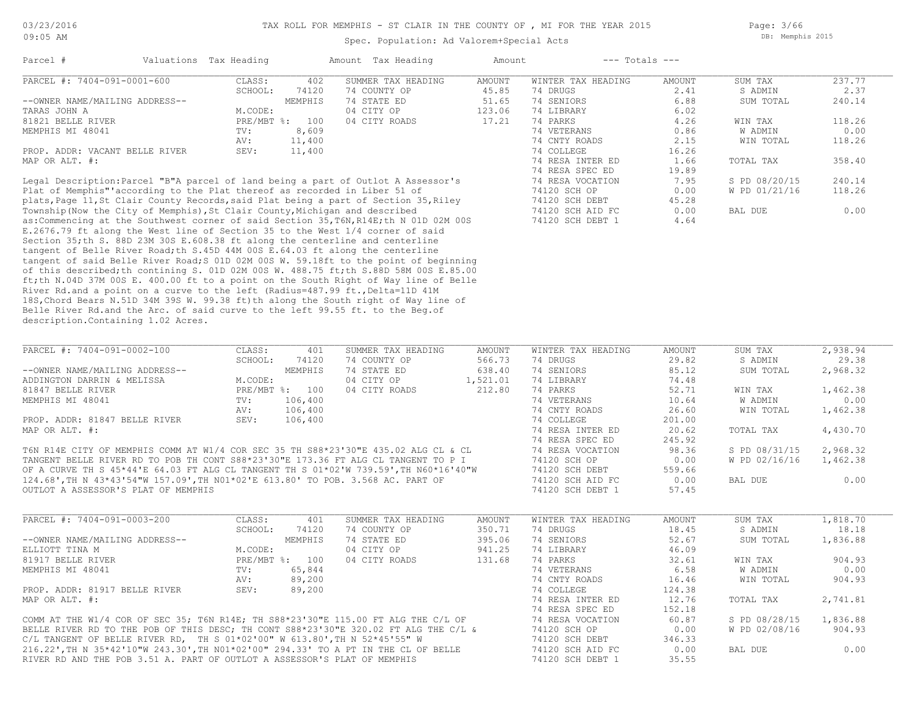Spec. Population: Ad Valorem+Special Acts

Page: 3/66 DB: Memphis 2015

| Parcel #                       | Valuations Tax Heading |         | Amount Tax Heading | Amount |                    | $---$ Totals $---$ |           |        |
|--------------------------------|------------------------|---------|--------------------|--------|--------------------|--------------------|-----------|--------|
| PARCEL #: 7404-091-0001-600    | CLASS:                 | 402     | SUMMER TAX HEADING | AMOUNT | WINTER TAX HEADING | AMOUNT             | SUM TAX   | 237.77 |
|                                | SCHOOL:                | 74120   | 74 COUNTY OP       | 45.85  | 74 DRUGS           | 2.41               | S ADMIN   | 2.37   |
| --OWNER NAME/MAILING ADDRESS-- |                        | MEMPHIS | 74 STATE ED        | 51.65  | 74 SENIORS         | 6.88               | SUM TOTAL | 240.14 |
| TARAS JOHN A                   | M.CODE:                |         | 04 CITY OP         | 123.06 | 74 LIBRARY         | 6.02               |           |        |
| 81821 BELLE RIVER              | $PRE/MBT$ %:           | 100     | 04 CITY ROADS      | 17.21  | 74 PARKS           | 4.26               | WIN TAX   | 118.26 |
| MEMPHIS MI 48041               | TV:                    | 8,609   |                    |        | 74 VETERANS        | 0.86               | W ADMIN   | 0.00   |
|                                | AV:                    | 11,400  |                    |        | 74 CNTY ROADS      | 2.15               | WIN TOTAL | 118.26 |
| PROP. ADDR: VACANT BELLE RIVER | SEV:                   | 11,400  |                    |        | 74 COLLEGE         | 16.26              |           |        |
| MAP OR ALT. #:                 |                        |         |                    |        | 74 RESA INTER ED   | 1.66               | TOTAL TAX | 358.40 |
|                                |                        |         |                    |        | 74 RESA SPEC ED    | 19.89              |           |        |
|                                |                        |         |                    |        |                    |                    |           |        |

description.Containing 1.02 Acres. Belle River Rd.and the Arc. of said curve to the left 99.55 ft. to the Beg.of 18S,Chord Bears N.51D 34M 39S W. 99.38 ft)th along the South right of Way line of River Rd.and a point on a curve to the left (Radius=487.99 ft., Delta=11D 41M ft;th N.04D 37M 00S E. 400.00 ft to a point on the South Right of Way line of Belle of this described;th contining S. 01D 02M 00S W. 488.75 ft;th S.88D 58M 00S E.85.00 tangent of said Belle River Road;S 01D 02M 00S W. 59.18ft to the point of beginning tangent of Belle River Road;th S.45D 44M 00S E.64.03 ft along the centerline Section 35;th S. 88D 23M 30S E.608.38 ft along the centerline and centerline E.2676.79 ft along the West line of Section 35 to the West 1/4 corner of said as:Commencing at the Southwest corner of said Section 35,T6N,R14E;th N 01D 02M 00S 74120 SCH DEBT 1 4.64 Township(Now the City of Memphis),St Clair County,Michigan and described 74120 SCH AID FC 0.00 BAL DUE 0.00 plats,Page 11,St Clair County Records,said Plat being a part of Section 35,Riley 74120 SCH DEBT 45.28 Plat of Memphis"'according to the Plat thereof as recorded in Liber 51 of 74120 SCH OP 0.00 W PD 01/21/16 118.26 Legal Description:Parcel "B"A parcel of land being a part of Outlot A Assessor's 74 RESA VOCATION 7.95 S PD 08/20/15 240.14

| PARCEL #: 7404-091-0002-100                                                          | CLASS:  | 401            | SUMMER TAX HEADING | AMOUNT   | WINTER TAX HEADING | AMOUNT | SUM TAX       | 2,938.94 |
|--------------------------------------------------------------------------------------|---------|----------------|--------------------|----------|--------------------|--------|---------------|----------|
|                                                                                      | SCHOOL: | 74120          | 74 COUNTY OP       | 566.73   | 74 DRUGS           | 29.82  | S ADMIN       | 29.38    |
| --OWNER NAME/MAILING ADDRESS--                                                       |         | MEMPHIS        | 74 STATE ED        | 638.40   | 74 SENIORS         | 85.12  | SUM TOTAL     | 2,968.32 |
| ADDINGTON DARRIN & MELISSA                                                           | M.CODE: |                | 04 CITY OP         | 1,521.01 | 74 LIBRARY         | 74.48  |               |          |
| 81847 BELLE RIVER                                                                    |         | PRE/MBT %: 100 | 04 CITY ROADS      | 212.80   | 74 PARKS           | 52.71  | WIN TAX       | 1,462.38 |
| MEMPHIS MI 48041                                                                     | TV:     | 106,400        |                    |          | 74 VETERANS        | 10.64  | W ADMIN       | 0.00     |
|                                                                                      | AV:     | 106,400        |                    |          | 74 CNTY ROADS      | 26.60  | WIN TOTAL     | 1,462.38 |
| PROP. ADDR: 81847 BELLE RIVER                                                        | SEV:    | 106,400        |                    |          | 74 COLLEGE         | 201.00 |               |          |
| MAP OR ALT. #:                                                                       |         |                |                    |          | 74 RESA INTER ED   | 20.62  | TOTAL TAX     | 4,430.70 |
|                                                                                      |         |                |                    |          | 74 RESA SPEC ED    | 245.92 |               |          |
| T6N R14E CITY OF MEMPHIS COMM AT W1/4 COR SEC 35 TH S88*23'30"E 435.02 ALG CL & CL   |         |                |                    |          | 74 RESA VOCATION   | 98.36  | S PD 08/31/15 | 2,968.32 |
| TANGENT BELLE RIVER RD TO POB TH CONT S88*23'30"E 173.36 FT ALG CL TANGENT TO P I    |         |                |                    |          | 74120 SCH OP       | 0.00   | W PD 02/16/16 | 1,462.38 |
| OF A CURVE TH S 45*44'E 64.03 FT ALG CL TANGENT TH S 01*02'W 739.59', TH N60*16'40"W |         |                |                    |          | 74120 SCH DEBT     | 559.66 |               |          |
| 124.68', TH N 43*43'54"W 157.09', TH NO1*02'E 613.80' TO POB. 3.568 AC. PART OF      |         |                |                    |          | 74120 SCH AID FC   | 0.00   | BAL DUE       | 0.00     |
| OUTLOT A ASSESSOR'S PLAT OF MEMPHIS                                                  |         |                |                    |          | 74120 SCH DEBT     | 57.45  |               |          |

| PARCEL #: 7404-091-0003-200                                                         | CLASS:  | 401            | SUMMER TAX HEADING | AMOUNT | WINTER TAX HEADING | AMOUNT | SUM TAX       | 1,818.70 |
|-------------------------------------------------------------------------------------|---------|----------------|--------------------|--------|--------------------|--------|---------------|----------|
|                                                                                     | SCHOOL: | 74120          | 74 COUNTY OP       | 350.71 | 74 DRUGS           | 18.45  | S ADMIN       | 18.18    |
| --OWNER NAME/MAILING ADDRESS--                                                      |         | MEMPHIS        | 74 STATE ED        | 395.06 | 74 SENIORS         | 52.67  | SUM TOTAL     | 1,836.88 |
| ELLIOTT TINA M                                                                      | M.CODE: |                | 04 CITY OP         | 941.25 | 74 LIBRARY         | 46.09  |               |          |
| 81917 BELLE RIVER                                                                   |         | PRE/MBT %: 100 | 04 CITY ROADS      | 131.68 | 74 PARKS           | 32.61  | WIN TAX       | 904.93   |
| MEMPHIS MI 48041                                                                    | TV:     | 65,844         |                    |        | 74 VETERANS        | 6.58   | W ADMIN       | 0.00     |
|                                                                                     | AV:     | 89,200         |                    |        | 74 CNTY ROADS      | 16.46  | WIN TOTAL     | 904.93   |
| PROP. ADDR: 81917 BELLE RIVER                                                       | SEV:    | 89,200         |                    |        | 74 COLLEGE         | 124.38 |               |          |
| MAP OR ALT. #:                                                                      |         |                |                    |        | 74 RESA INTER ED   | 12.76  | TOTAL TAX     | 2,741.81 |
|                                                                                     |         |                |                    |        | 74 RESA SPEC ED    | 152.18 |               |          |
| COMM AT THE W1/4 COR OF SEC 35; T6N R14E; TH S88*23'30"E 115.00 FT ALG THE C/L OF   |         |                |                    |        | 74 RESA VOCATION   | 60.87  | S PD 08/28/15 | 1,836.88 |
| BELLE RIVER RD TO THE POB OF THIS DESC; TH CONT S88*23'30"E 320.02 FT ALG THE C/L & |         |                |                    |        | 74120 SCH OP       | 0.00   | W PD 02/08/16 | 904.93   |
| C/L TANGENT OF BELLE RIVER RD, TH S $01*02'00''$ W $613.80'$ , TH N $52*45'55''$ W  |         |                |                    |        | 74120 SCH DEBT     | 346.33 |               |          |
| 216.22', TH N 35*42'10"W 243.30', TH N01*02'00" 294.33' TO A PT IN THE CL OF BELLE  |         |                |                    |        | 74120 SCH AID FC   | 0.00   | BAL DUE       | 0.00     |
| RIVER RD AND THE POB 3.51 A. PART OF OUTLOT A ASSESSOR'S PLAT OF MEMPHIS            |         |                |                    |        | 74120 SCH DEBT     | 35.55  |               |          |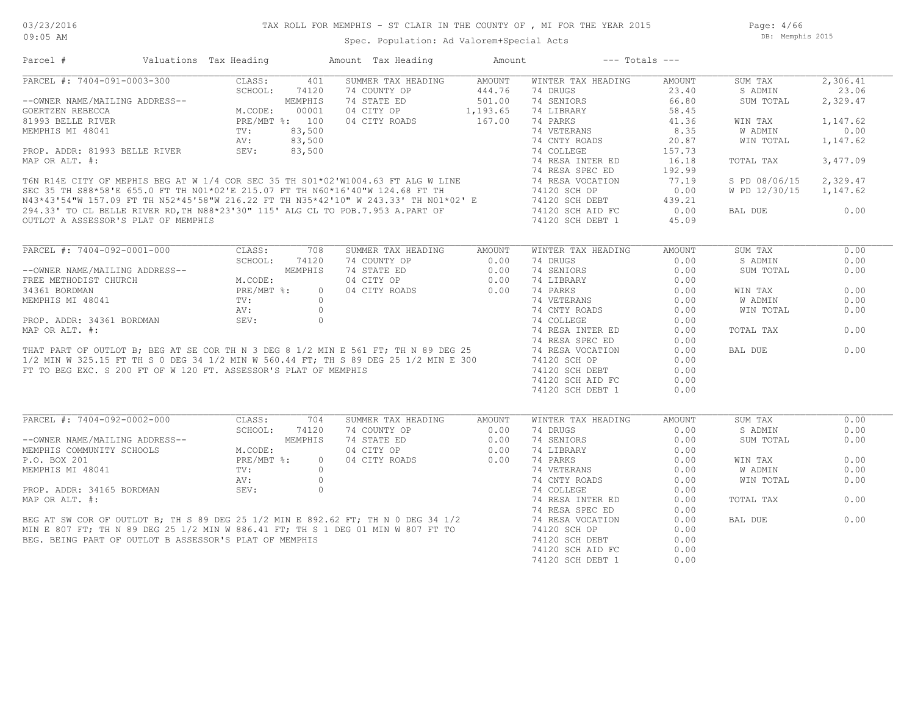Page: 4/66 DB: Memphis 2015

| Parcel #                                                                                                                                                                                                                                                                                                                                                            | Valuations Tax Heading                                                                                                                                                                   | Amount Tax Heading        | Amount        |                                    | $---$ Totals $---$         |               |          |
|---------------------------------------------------------------------------------------------------------------------------------------------------------------------------------------------------------------------------------------------------------------------------------------------------------------------------------------------------------------------|------------------------------------------------------------------------------------------------------------------------------------------------------------------------------------------|---------------------------|---------------|------------------------------------|----------------------------|---------------|----------|
| PARCEL #: 7404-091-0003-300                                                                                                                                                                                                                                                                                                                                         | CLASS:                                                                                                                                                                                   | SUMMER TAX HEADING<br>401 | AMOUNT        | WINTER TAX HEADING                 | AMOUNT                     | SUM TAX       | 2,306.41 |
|                                                                                                                                                                                                                                                                                                                                                                     |                                                                                                                                                                                          | 74 COUNTY OP              | 444.76        | 74 DRUGS                           | 23.40                      | S ADMIN       | 23.06    |
| --OWNER NAME/MAILING ADDRESS--                                                                                                                                                                                                                                                                                                                                      | $\begin{array}{cccc} -300 \\ \text{ADDRESS}-- & & & & 00001 \\ & & & \text{PRE/MBT} & \text{*}: & 100 \\ & & & \text{TV}: & 83,500 \\ & & & & 83,500 \\ & & & & & 83,500 \\ \end{array}$ | 74 STATE ED               | 501.00        | 74 SENIORS                         | 66.80                      | SUM TOTAL     | 2,329.47 |
| GOERTZEN REBECCA                                                                                                                                                                                                                                                                                                                                                    |                                                                                                                                                                                          | 04 CITY OP                | 1,193.65      | 74 LIBRARY                         | 58.45                      |               |          |
| 81993 BELLE RIVER                                                                                                                                                                                                                                                                                                                                                   |                                                                                                                                                                                          | 04 CITY ROADS             | 167.00        | 74 PARKS                           | 41.36                      | WIN TAX       | 1,147.62 |
| MEMPHIS MI 48041                                                                                                                                                                                                                                                                                                                                                    |                                                                                                                                                                                          |                           |               | 74 VETERANS                        | 8.35                       | W ADMIN       | 0.00     |
|                                                                                                                                                                                                                                                                                                                                                                     |                                                                                                                                                                                          |                           |               | 74 CNTY ROADS                      | 20.87                      | WIN TOTAL     | 1,147.62 |
| PROP. ADDR: 81993 BELLE RIVER                                                                                                                                                                                                                                                                                                                                       | AV:<br>SEV:                                                                                                                                                                              | 83,500                    |               | 74 COLLEGE                         | 157.73                     |               |          |
| MAP OR ALT. #:                                                                                                                                                                                                                                                                                                                                                      |                                                                                                                                                                                          |                           |               | 74 RESA INTER ED                   | 16.18                      | TOTAL TAX     | 3,477.09 |
|                                                                                                                                                                                                                                                                                                                                                                     |                                                                                                                                                                                          |                           |               | 74 RESA SPEC ED                    | 192.99                     |               |          |
| T6N R14E CITY OF MEPHIS BEG AT W 1/4 COR SEC 35 TH S01*02'W1004.63 FT ALG W LINE 74 RESA SPEC ED<br>SEC 35 TH S88*58'E 655.0 FT TH N01*02'E 215.07 FT TH N60*16'40"W 124.68 FT TH<br>N43*43'54"W 157.09 FT TH N52*45'58"W 216.22 F                                                                                                                                  |                                                                                                                                                                                          |                           |               |                                    | 77.19                      | S PD 08/06/15 | 2,329.47 |
|                                                                                                                                                                                                                                                                                                                                                                     |                                                                                                                                                                                          |                           |               |                                    | 0.00                       | W PD 12/30/15 | 1,147.62 |
|                                                                                                                                                                                                                                                                                                                                                                     |                                                                                                                                                                                          |                           |               |                                    |                            |               |          |
|                                                                                                                                                                                                                                                                                                                                                                     |                                                                                                                                                                                          |                           |               |                                    | 439.21<br>$439.21$<br>0.00 |               |          |
|                                                                                                                                                                                                                                                                                                                                                                     |                                                                                                                                                                                          |                           |               |                                    |                            | BAL DUE       | 0.00     |
| OUTLOT A ASSESSOR'S PLAT OF MEMPHIS                                                                                                                                                                                                                                                                                                                                 |                                                                                                                                                                                          |                           |               | 74120 SCH DEBT 1                   | 45.09                      |               |          |
| PARCEL #: 7404-092-0001-000                                                                                                                                                                                                                                                                                                                                         | CLASS:                                                                                                                                                                                   | 708<br>SUMMER TAX HEADING | <b>AMOUNT</b> | WINTER TAX HEADING                 | <b>AMOUNT</b>              | SUM TAX       | 0.00     |
|                                                                                                                                                                                                                                                                                                                                                                     |                                                                                                                                                                                          | 74120<br>74 COUNTY OP     | 0.00          | 74 DRUGS                           | 0.00                       | S ADMIN       | 0.00     |
| --OWNER NAME/MAILING ADDRESS--                                                                                                                                                                                                                                                                                                                                      | MEMPHIS<br>JO<br>JDRESS--<br>M.CODE:<br>PRE/MBT %:<br>TV:<br>AV:<br>SEV:                                                                                                                 | 74 STATE ED               | 0.00          | 74 SENIORS                         | 0.00                       | SUM TOTAL     | 0.00     |
| FREE METHODIST CHURCH                                                                                                                                                                                                                                                                                                                                               |                                                                                                                                                                                          | 04 CITY OP                | 0.00          | 74 LIBRARY                         | 0.00                       |               |          |
| 34361 BORDMAN                                                                                                                                                                                                                                                                                                                                                       |                                                                                                                                                                                          | 04 CITY ROADS<br>$\circ$  | 0.00          | 74 PARKS                           | 0.00                       | WIN TAX       | 0.00     |
| MEMPHIS MI 48041                                                                                                                                                                                                                                                                                                                                                    |                                                                                                                                                                                          | $\bigcirc$                |               | 74 VETERANS                        | 0.00                       | W ADMIN       | 0.00     |
|                                                                                                                                                                                                                                                                                                                                                                     |                                                                                                                                                                                          | $\circ$                   |               | 74 CNTY ROADS                      | 0.00                       | WIN TOTAL     | 0.00     |
| PROP. ADDR: 34361 BORDMAN                                                                                                                                                                                                                                                                                                                                           |                                                                                                                                                                                          | $\circ$                   |               | 74 COLLEGE                         | 0.00                       |               |          |
| MAP OR ALT. #:                                                                                                                                                                                                                                                                                                                                                      |                                                                                                                                                                                          |                           |               | 74 RESA INTER ED                   | 0.00                       | TOTAL TAX     | 0.00     |
|                                                                                                                                                                                                                                                                                                                                                                     |                                                                                                                                                                                          |                           |               |                                    | 0.00                       |               |          |
|                                                                                                                                                                                                                                                                                                                                                                     |                                                                                                                                                                                          |                           |               |                                    | 0.00                       | BAL DUE       | 0.00     |
| MAP OR ALT. #:<br>THAT PART OF OUTLOT B; BEG AT SE COR TH N 3 DEG 8 1/2 MIN E 561 FT; TH N 89 DEG 25 74 RESA SPEC ED<br>1/2 MIN W 325.15 FT TH S 0 DEG 34 1/2 MIN W 560.44 FT; TH S 89 DEG 25 1/2 MIN E 300 74120 SCH OP                                                                                                                                            |                                                                                                                                                                                          |                           |               |                                    | 0.00                       |               |          |
| FT TO BEG EXC. S 200 FT OF W 120 FT. ASSESSOR'S PLAT OF MEMPHIS                                                                                                                                                                                                                                                                                                     |                                                                                                                                                                                          |                           |               |                                    | 0.00                       |               |          |
|                                                                                                                                                                                                                                                                                                                                                                     |                                                                                                                                                                                          |                           |               | 74120 SCH DEBT<br>74120 SCH AID FC | 0.00                       |               |          |
|                                                                                                                                                                                                                                                                                                                                                                     |                                                                                                                                                                                          |                           |               |                                    |                            |               |          |
|                                                                                                                                                                                                                                                                                                                                                                     |                                                                                                                                                                                          |                           |               | 74120 SCH DEBT 1                   | 0.00                       |               |          |
| PARCEL #: 7404-092-0002-000                                                                                                                                                                                                                                                                                                                                         | CLASS:                                                                                                                                                                                   | 704<br>SUMMER TAX HEADING | AMOUNT        | WINTER TAX HEADING                 | <b>AMOUNT</b>              | SUM TAX       | 0.00     |
|                                                                                                                                                                                                                                                                                                                                                                     | SCHOOL:                                                                                                                                                                                  | 74120<br>74 COUNTY OP     | 0.00          | 74 DRUGS                           | 0.00                       | S ADMIN       | 0.00     |
| --OWNER NAME/MAILING ADDRESS--                                                                                                                                                                                                                                                                                                                                      | SS--<br>M.CODE:<br>M.CODE:<br>PRE/MBT %:<br>TV:<br>MEMPHIS                                                                                                                               | 74 STATE ED               | 0.00          | 74 SENIORS                         | 0.00                       | SUM TOTAL     | 0.00     |
| MEMPHIS COMMUNITY SCHOOLS                                                                                                                                                                                                                                                                                                                                           |                                                                                                                                                                                          | 04 CITY OP                | 0.00          | 74 LIBRARY                         | 0.00                       |               |          |
| P.O. BOX 201                                                                                                                                                                                                                                                                                                                                                        |                                                                                                                                                                                          | 04 CITY ROADS<br>$\circ$  | 0.00          | 74 PARKS                           | 0.00                       | WIN TAX       | 0.00     |
|                                                                                                                                                                                                                                                                                                                                                                     |                                                                                                                                                                                          |                           |               |                                    | 0.00                       | W ADMIN       | 0.00     |
|                                                                                                                                                                                                                                                                                                                                                                     |                                                                                                                                                                                          |                           |               |                                    | 0.00                       | WIN TOTAL     | 0.00     |
|                                                                                                                                                                                                                                                                                                                                                                     |                                                                                                                                                                                          |                           |               |                                    | 0.00                       |               |          |
|                                                                                                                                                                                                                                                                                                                                                                     |                                                                                                                                                                                          |                           |               |                                    | 0.00                       | TOTAL TAX     | 0.00     |
|                                                                                                                                                                                                                                                                                                                                                                     |                                                                                                                                                                                          |                           |               |                                    | 0.00                       |               |          |
|                                                                                                                                                                                                                                                                                                                                                                     |                                                                                                                                                                                          |                           |               |                                    | 0.00                       | BAL DUE       | 0.00     |
|                                                                                                                                                                                                                                                                                                                                                                     |                                                                                                                                                                                          |                           |               |                                    | 0.00                       |               |          |
|                                                                                                                                                                                                                                                                                                                                                                     |                                                                                                                                                                                          |                           |               |                                    | 0.00                       |               |          |
|                                                                                                                                                                                                                                                                                                                                                                     |                                                                                                                                                                                          |                           |               |                                    | 0.00                       |               |          |
| $\begin{array}{cccccccccccc} \texttt{BEC AT SW COR OF OUTLOT B, TH S 89 DEG 25 1/2 MIN E 892.62 FT, TH N 0 DEG 34 1/2 & 74 RESA INTER ED18207 FT, TH N 89 DEG 25 1/2 MIN W 886.41 FT, TH S 1 DEG 01 MIN W 807 FT TO1838 VBC BDIG 25 1/2 MIN W 886.41 FT, TH S 1 DEG 01 MIN W 807 FT TO184 RESA VOCATION184 RESA VOCATION194 RESA VOCATION194 RESA VOCATION1958 SES$ |                                                                                                                                                                                          |                           |               |                                    | 0.00                       |               |          |
|                                                                                                                                                                                                                                                                                                                                                                     |                                                                                                                                                                                          |                           |               |                                    |                            |               |          |
|                                                                                                                                                                                                                                                                                                                                                                     |                                                                                                                                                                                          |                           |               |                                    |                            |               |          |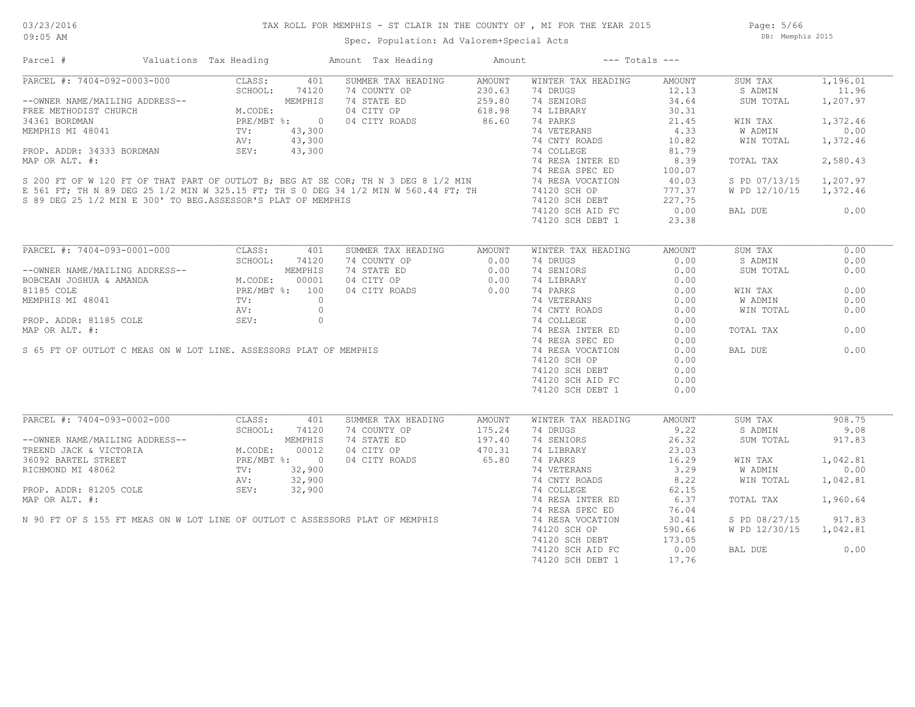Page: 5/66 DB: Memphis 2015

|  |  |  | Spec. Population: Ad Valorem+Special Acts |  |
|--|--|--|-------------------------------------------|--|
|--|--|--|-------------------------------------------|--|

| Parcel #                                                                                                                                                                                                                                                   | Valuations Tax Heading                                                                                                                                                                                                                                                                                                                                                  |         | Amount Tax Heading | Amount | $---$ Totals $---$           |        |               |          |
|------------------------------------------------------------------------------------------------------------------------------------------------------------------------------------------------------------------------------------------------------------|-------------------------------------------------------------------------------------------------------------------------------------------------------------------------------------------------------------------------------------------------------------------------------------------------------------------------------------------------------------------------|---------|--------------------|--------|------------------------------|--------|---------------|----------|
| PARCEL #: 7404-092-0003-000                                                                                                                                                                                                                                | CLASS:<br>$\begin{tabular}{c} \hline\texttt{JO3-000} & \texttt{SCH OOL:} & \texttt{7111} \\ \hline \texttt{3} \texttt{ADDRESS--} & \texttt{MEMENTS} \\ \texttt{C} \texttt{H} & \texttt{M.CODE:} \\ \texttt{PRE/MBT} & \texttt{8:} & \texttt{0} \\ \texttt{TV:} & \texttt{43,300} \\ \texttt{AV:} & \texttt{43,300} \\ \texttt{SEV:} & \texttt{43,300} \\ \end{tabular}$ | 401     | SUMMER TAX HEADING | AMOUNT | WINTER TAX HEADING           | AMOUNT | SUM TAX       | 1,196.01 |
|                                                                                                                                                                                                                                                            |                                                                                                                                                                                                                                                                                                                                                                         |         | 74 COUNTY OP       | 230.63 | 74 DRUGS                     | 12.13  | S ADMIN       | 11.96    |
| --OWNER NAME/MAILING ADDRESS--                                                                                                                                                                                                                             |                                                                                                                                                                                                                                                                                                                                                                         |         | 74 STATE ED        | 259.80 | 74 SENIORS                   | 34.64  | SUM TOTAL     | 1,207.97 |
| FREE METHODIST CHURCH                                                                                                                                                                                                                                      |                                                                                                                                                                                                                                                                                                                                                                         |         | 04 CITY OP         | 618.98 | 74 LIBRARY                   | 30.31  |               |          |
| 34361 BORDMAN                                                                                                                                                                                                                                              |                                                                                                                                                                                                                                                                                                                                                                         |         | 04 CITY ROADS      | 86.60  | 74 PARKS                     | 21.45  | WIN TAX       | 1,372.46 |
| MEMPHIS MI 48041                                                                                                                                                                                                                                           |                                                                                                                                                                                                                                                                                                                                                                         |         |                    |        | 74 VETERANS                  | 4.33   | W ADMIN       | 0.00     |
|                                                                                                                                                                                                                                                            |                                                                                                                                                                                                                                                                                                                                                                         |         |                    |        | 74 CNTY ROADS                | 10.82  | WIN TOTAL     | 1,372.46 |
| PROP. ADDR: 34333 BORDMAN SEV: 43,300<br>MAP OR ALT. #: 43,300<br>SEV: 43,300<br>SEV: 43,300<br>SEV: 43,300<br>T4 COLLEGE 74 RESA INTER ED<br>74 RESA SPEC ED<br>74 RESA SPEC ED<br>74 RESA SPEC ED<br>74 RESA VOCATION<br>E 561 FT; TH 74120              |                                                                                                                                                                                                                                                                                                                                                                         |         |                    |        |                              | 81.79  |               |          |
|                                                                                                                                                                                                                                                            |                                                                                                                                                                                                                                                                                                                                                                         |         |                    |        |                              | 8.39   | TOTAL TAX     | 2,580.43 |
|                                                                                                                                                                                                                                                            |                                                                                                                                                                                                                                                                                                                                                                         |         |                    |        |                              | 100.07 |               |          |
|                                                                                                                                                                                                                                                            |                                                                                                                                                                                                                                                                                                                                                                         |         |                    |        |                              | 40.03  | S PD 07/13/15 | 1,207.97 |
|                                                                                                                                                                                                                                                            |                                                                                                                                                                                                                                                                                                                                                                         |         |                    |        |                              | 777.37 | W PD 12/10/15 | 1,372.46 |
| S 89 DEG 25 1/2 MIN E 300' TO BEG.ASSESSOR'S PLAT OF MEMPHIS                                                                                                                                                                                               |                                                                                                                                                                                                                                                                                                                                                                         |         |                    |        | 74120 SCH DEBT               | 227.75 |               |          |
|                                                                                                                                                                                                                                                            |                                                                                                                                                                                                                                                                                                                                                                         |         |                    |        | 74120 SCH AID FC             | 0.00   | BAL DUE       | 0.00     |
|                                                                                                                                                                                                                                                            |                                                                                                                                                                                                                                                                                                                                                                         |         |                    |        | 74120 SCH DEBT 1             | 23.38  |               |          |
|                                                                                                                                                                                                                                                            |                                                                                                                                                                                                                                                                                                                                                                         |         |                    |        |                              |        |               |          |
| PARCEL #: 7404-093-0001-000                                                                                                                                                                                                                                | CLASS:                                                                                                                                                                                                                                                                                                                                                                  | 401     | SUMMER TAX HEADING | AMOUNT | WINTER TAX HEADING           | AMOUNT | SUM TAX       | 0.00     |
|                                                                                                                                                                                                                                                            | SCHOOL:                                                                                                                                                                                                                                                                                                                                                                 | 74120   | 74 COUNTY OP       | 0.00   | 74 DRUGS                     | 0.00   | S ADMIN       | 0.00     |
| --OWNER NAME/MAILING ADDRESS--<br>BOBCEAN JOSHUA & AMANDA<br>MEMPHIS MI 48041<br>MEMPHIS MI 48041<br>MEMPHIS MI 48041<br>MEMPHIS MI 48041<br>MEMPHIS MI 48041<br>MEMPHIS MI 48041<br>MV:                                                                   |                                                                                                                                                                                                                                                                                                                                                                         |         | 74 STATE ED        | 0.00   | 74 SENIORS                   | 0.00   | SUM TOTAL     | 0.00     |
|                                                                                                                                                                                                                                                            |                                                                                                                                                                                                                                                                                                                                                                         |         | 04 CITY OP         | 0.00   | 74 LIBRARY                   | 0.00   |               |          |
|                                                                                                                                                                                                                                                            |                                                                                                                                                                                                                                                                                                                                                                         |         | 04 CITY ROADS      | 0.00   | 74 PARKS                     | 0.00   | WIN TAX       | 0.00     |
|                                                                                                                                                                                                                                                            |                                                                                                                                                                                                                                                                                                                                                                         |         |                    |        |                              | 0.00   | W ADMIN       | 0.00     |
|                                                                                                                                                                                                                                                            |                                                                                                                                                                                                                                                                                                                                                                         |         |                    |        | 74 VETERANS<br>74 CNTY ROADS | 0.00   | WIN TOTAL     | 0.00     |
| PROP. ADDR: 81185 COLE                                                                                                                                                                                                                                     | SEV:                                                                                                                                                                                                                                                                                                                                                                    | $\circ$ |                    |        | 74 COLLEGE                   | 0.00   |               |          |
| MAP OR ALT. #:                                                                                                                                                                                                                                             |                                                                                                                                                                                                                                                                                                                                                                         |         |                    |        | 74 RESA INTER ED             | 0.00   | TOTAL TAX     | 0.00     |
|                                                                                                                                                                                                                                                            |                                                                                                                                                                                                                                                                                                                                                                         |         |                    |        | 74 RESA SPEC ED              | 0.00   |               |          |
| S 65 FT OF OUTLOT C MEAS ON W LOT LINE. ASSESSORS PLAT OF MEMPHIS                                                                                                                                                                                          |                                                                                                                                                                                                                                                                                                                                                                         |         |                    |        | 74 RESA VOCATION             | 0.00   | BAL DUE       | 0.00     |
|                                                                                                                                                                                                                                                            |                                                                                                                                                                                                                                                                                                                                                                         |         |                    |        | 74120 SCH OP                 | 0.00   |               |          |
|                                                                                                                                                                                                                                                            |                                                                                                                                                                                                                                                                                                                                                                         |         |                    |        | 74120 SCH DEBT               | 0.00   |               |          |
|                                                                                                                                                                                                                                                            |                                                                                                                                                                                                                                                                                                                                                                         |         |                    |        | 74120 SCH AID FC             | 0.00   |               |          |
|                                                                                                                                                                                                                                                            |                                                                                                                                                                                                                                                                                                                                                                         |         |                    |        | 74120 SCH DEBT 1             | 0.00   |               |          |
|                                                                                                                                                                                                                                                            |                                                                                                                                                                                                                                                                                                                                                                         |         |                    |        |                              |        |               |          |
| PARCEL #: 7404-093-0002-000                                                                                                                                                                                                                                | CLASS:                                                                                                                                                                                                                                                                                                                                                                  | 401     | SUMMER TAX HEADING | AMOUNT | WINTER TAX HEADING           | AMOUNT | SUM TAX       | 908.75   |
| RARCEL #: 7404-033-0002<br>--OWNER NAME/MAILING ADDRESS--<br>TREEND JACK & VICTORIA<br>36092 BARTEL STREET<br>RICHMOND MI 48062<br>--- 01205 COLE<br>--- 01205 COLE<br>22,900<br>--- 01205 COLE<br>22,900<br>22,900<br>22,900<br>22,900<br>22,900<br>22,90 |                                                                                                                                                                                                                                                                                                                                                                         |         | 74 COUNTY OP       | 175.24 | 74 DRUGS                     | 9.22   | S ADMIN       | 9.08     |
|                                                                                                                                                                                                                                                            |                                                                                                                                                                                                                                                                                                                                                                         |         | 74 STATE ED        | 197.40 | 74 SENIORS                   | 26.32  | SUM TOTAL     | 917.83   |
|                                                                                                                                                                                                                                                            |                                                                                                                                                                                                                                                                                                                                                                         |         | 04 CITY OP         | 470.31 | 74 LIBRARY                   | 23.03  |               |          |
|                                                                                                                                                                                                                                                            |                                                                                                                                                                                                                                                                                                                                                                         |         | 04 CITY ROADS      | 65.80  | 74 PARKS                     | 16.29  | WIN TAX       | 1,042.81 |
|                                                                                                                                                                                                                                                            |                                                                                                                                                                                                                                                                                                                                                                         |         |                    |        | 74 VETERANS                  | 3.29   | W ADMIN       | 0.00     |
|                                                                                                                                                                                                                                                            |                                                                                                                                                                                                                                                                                                                                                                         |         |                    |        | 74 CNTY ROADS                | 8.22   | WIN TOTAL     | 1,042.81 |
|                                                                                                                                                                                                                                                            |                                                                                                                                                                                                                                                                                                                                                                         |         |                    |        | 74 COLLEGE                   | 62.15  |               |          |
|                                                                                                                                                                                                                                                            |                                                                                                                                                                                                                                                                                                                                                                         |         |                    |        | 74 RESA INTER ED             | 6.37   | TOTAL TAX     | 1,960.64 |
|                                                                                                                                                                                                                                                            |                                                                                                                                                                                                                                                                                                                                                                         |         |                    |        | 74 RESA SPEC ED              | 76.04  |               |          |
|                                                                                                                                                                                                                                                            |                                                                                                                                                                                                                                                                                                                                                                         |         |                    |        | 74 RESA VOCATION             | 30.41  | S PD 08/27/15 | 917.83   |
|                                                                                                                                                                                                                                                            |                                                                                                                                                                                                                                                                                                                                                                         |         |                    |        | 74120 SCH OP                 | 590.66 | W PD 12/30/15 | 1,042.81 |
|                                                                                                                                                                                                                                                            |                                                                                                                                                                                                                                                                                                                                                                         |         |                    |        |                              | 173.05 |               |          |
| AV: 32,900<br>MAP OR ALT. #:<br>N 90 FT OF S 155 FT MEAS ON W LOT LINE OF OUTLOT C ASSESSORS PLAT OF MEMPHIS                                                                                                                                               |                                                                                                                                                                                                                                                                                                                                                                         |         |                    |        | 74120 SCH DEBT               | 0.00   | BAL DUE       | 0.00     |
|                                                                                                                                                                                                                                                            |                                                                                                                                                                                                                                                                                                                                                                         |         |                    |        | 74120 SCH AID FC             |        |               |          |
|                                                                                                                                                                                                                                                            |                                                                                                                                                                                                                                                                                                                                                                         |         |                    |        | 74120 SCH DEBT 1             | 17.76  |               |          |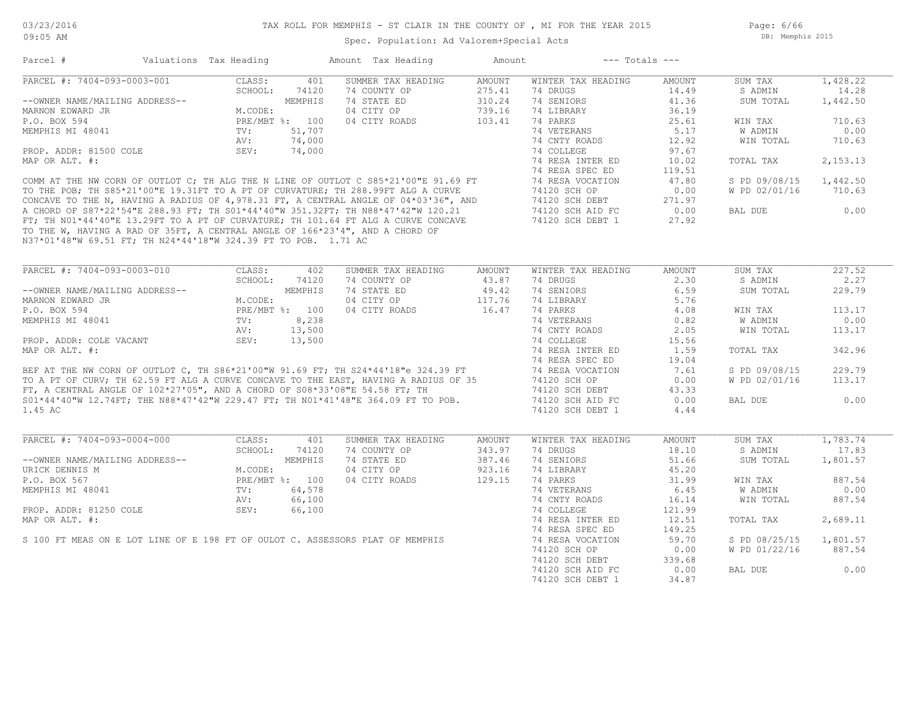Page: 6/66 DB: Memphis 2015

| PARCEL #: 7404-093-0003-001                                                                                                                    | CLASS:<br>401          | SUMMER TAX HEADING | AMOUNT | WINTER TAX HEADING                   | AMOUNT        | SUM TAX       | 1,428.22                             |
|------------------------------------------------------------------------------------------------------------------------------------------------|------------------------|--------------------|--------|--------------------------------------|---------------|---------------|--------------------------------------|
|                                                                                                                                                | SCHOOL:<br>74120       | 74 COUNTY OP       | 275.41 | 74 DRUGS                             | 14.49         | S ADMIN       | 14.28                                |
| --OWNER NAME/MAILING ADDRESS--                                                                                                                 | MEMPHIS                | 74 STATE ED        | 310.24 | 74 SENIORS                           | 41.36         | SUM TOTAL     | 1,442.50                             |
| MARNON EDWARD JR                                                                                                                               | M.CODE:                | 04 CITY OP         | 739.16 | 74 LIBRARY                           | 36.19         |               |                                      |
| P.O. BOX 594                                                                                                                                   | PRE/MBT %: 100         | 04 CITY ROADS      | 103.41 | 74 PARKS                             | 25.61         | WIN TAX       | 710.63                               |
| MEMPHIS MI 48041                                                                                                                               | TV:<br>51,707          |                    |        | 74 VETERANS                          | 5.17          | W ADMIN       | 0.00                                 |
|                                                                                                                                                | AV:<br>74,000          |                    |        | 74 CNTY ROADS                        | 12.92         | WIN TOTAL     | 710.63                               |
| PROP. ADDR: 81500 COLE                                                                                                                         | SEV:<br>74,000         |                    |        | 74 COLLEGE                           | 97.67         |               |                                      |
| MAP OR ALT. #:                                                                                                                                 |                        |                    |        | 74 RESA INTER ED                     | 10.02         | TOTAL TAX     | 2,153.13                             |
|                                                                                                                                                |                        |                    |        | 74 RESA SPEC ED                      | 119.51        |               |                                      |
| COMM AT THE NW CORN OF OUTLOT C; TH ALG THE N LINE OF OUTLOT C S85*21'00"E 91.69 FT                                                            |                        |                    |        | 74 RESA VOCATION                     | 47.80         | S PD 09/08/15 | 1,442.50                             |
| TO THE POB; TH S85*21'00"E 19.31FT TO A PT OF CURVATURE; TH 288.99FT ALG A CURVE                                                               |                        |                    |        | 74120 SCH OP                         | 0.00          | W PD 02/01/16 | 710.63                               |
| CONCAVE TO THE N, HAVING A RADIUS OF 4,978.31 FT, A CENTRAL ANGLE OF 04*03'36", AND                                                            |                        |                    |        | 74120 SCH DEBT                       | 271.97        |               |                                      |
| A CHORD OF S87*22'54"E 288.93 FT; TH S01*44'40"W 351.32FT; TH N88*47'42"W 120.21                                                               |                        |                    |        | 74120 SCH AID FC                     | 0.00          | BAL DUE       | 0.00                                 |
| FT; TH NO1*44'40"E 13.29FT TO A PT OF CURVATURE; TH 101.64 FT ALG A CURVE CONCAVE                                                              |                        |                    |        | 74120 SCH DEBT 1                     | 27.92         |               |                                      |
| TO THE W, HAVING A RAD OF 35FT, A CENTRAL ANGLE OF 166*23'4", AND A CHORD OF<br>N37*01'48"W 69.51 FT; TH N24*44'18"W 324.39 FT TO POB. 1.71 AC |                        |                    |        |                                      |               |               |                                      |
|                                                                                                                                                |                        |                    |        |                                      |               |               |                                      |
|                                                                                                                                                |                        |                    |        |                                      |               |               |                                      |
| PARCEL #: 7404-093-0003-010                                                                                                                    | CLASS:<br>402          | SUMMER TAX HEADING | AMOUNT | WINTER TAX HEADING                   | AMOUNT        | SUM TAX       | 227.52                               |
|                                                                                                                                                | SCHOOL:<br>74120       | 74 COUNTY OP       | 43.87  | 74 DRUGS                             | 2.30          | S ADMIN       | 2.27                                 |
| --OWNER NAME/MAILING ADDRESS--                                                                                                                 | MEMPHIS                | 74 STATE ED        | 49.42  | 74 SENIORS                           | 6.59          | SUM TOTAL     | 229.79                               |
| MARNON EDWARD JR                                                                                                                               | M.CODE:                | 04 CITY OP         | 117.76 | 74 LIBRARY                           | 5.76          |               |                                      |
| P.O. BOX 594                                                                                                                                   | PRE/MBT %: 100         | 04 CITY ROADS      | 16.47  | 74 PARKS                             | 4.08          | WIN TAX       | 113.17                               |
| MEMPHIS MI 48041                                                                                                                               | 8,238<br>$\text{TV}$ : |                    |        | 74 VETERANS                          | 0.82          | W ADMIN       | 0.00                                 |
|                                                                                                                                                | 13,500<br>AV:          |                    |        | 74 CNTY ROADS                        | 2.05          | WIN TOTAL     | 113.17                               |
| PROP. ADDR: COLE VACANT                                                                                                                        | 13,500<br>SEV:         |                    |        | 74 COLLEGE                           | 15.56         |               |                                      |
| MAP OR ALT. #:                                                                                                                                 |                        |                    |        | 74 RESA INTER ED                     | 1.59          | TOTAL TAX     | 342.96                               |
|                                                                                                                                                |                        |                    |        | 74 RESA SPEC ED                      | 19.04         |               |                                      |
| BEF AT THE NW CORN OF OUTLOT C, TH S86*21'00"W 91.69 FT; TH S24*44'18"e 324.39 FT                                                              |                        |                    |        | 74 RESA VOCATION                     | 7.61          | S PD 09/08/15 | 229.79                               |
| TO A PT OF CURV; TH 62.59 FT ALG A CURVE CONCAVE TO THE EAST, HAVING A RADIUS OF 35                                                            |                        |                    |        | 74120 SCH OP                         | 0.00          | W PD 02/01/16 | 113.17                               |
| FT, A CENTRAL ANGLE OF $102*27'05''$ , AND A CHORD OF $S08*33'08''E$ 54.58 FT; TH                                                              |                        |                    |        | 74120 SCH DEBT                       | 43.33         |               |                                      |
| S01*44'40"W 12.74FT; THE N88*47'42"W 229.47 FT; TH N01*41'48"E 364.09 FT TO POB.                                                               |                        |                    |        | 74120 SCH AID FC                     | 0.00          | BAL DUE       | 0.00                                 |
| 1.45 AC                                                                                                                                        |                        |                    |        | 74120 SCH DEBT 1                     | 4.44          |               |                                      |
|                                                                                                                                                |                        |                    |        |                                      |               |               |                                      |
|                                                                                                                                                |                        |                    |        |                                      |               |               |                                      |
| PARCEL #: 7404-093-0004-000                                                                                                                    | CLASS:<br>401          | SUMMER TAX HEADING | AMOUNT | WINTER TAX HEADING                   | AMOUNT        | SUM TAX       | 1,783.74                             |
|                                                                                                                                                | SCHOOL:<br>74120       | 74 COUNTY OP       | 343.97 | 74 DRUGS                             | 18.10         | S ADMIN       | 17.83                                |
|                                                                                                                                                | MEMPHIS                | 74 STATE ED        | 387.46 | 74 SENIORS                           | 51.66         | SUM TOTAL     | 1,801.57                             |
| --OWNER NAME/MAILING ADDRESS--                                                                                                                 |                        | 04 CITY OP         | 923.16 | 74 LIBRARY                           | 45.20         |               |                                      |
| URICK DENNIS M                                                                                                                                 | M.CODE:                |                    | 129.15 | 74 PARKS                             | 31.99         | WIN TAX       | 887.54                               |
| P.O. BOX 567                                                                                                                                   | PRE/MBT %: 100         | 04 CITY ROADS      |        |                                      |               |               | 0.00                                 |
| MEMPHIS MI 48041                                                                                                                               | 64,578<br>TV:          |                    |        | 74 VETERANS                          | 6.45          | W ADMIN       |                                      |
|                                                                                                                                                | 66,100<br>AV:          |                    |        | 74 CNTY ROADS                        | 16.14         | WIN TOTAL     |                                      |
| PROP. ADDR: 81250 COLE                                                                                                                         | SEV:<br>66,100         |                    |        | 74 COLLEGE                           | 121.99        |               |                                      |
| MAP OR ALT. #:                                                                                                                                 |                        |                    |        | 74 RESA INTER ED                     | 12.51         | TOTAL TAX     | 2,689.11                             |
|                                                                                                                                                |                        |                    |        | 74 RESA SPEC ED                      | 149.25        |               |                                      |
| S 100 FT MEAS ON E LOT LINE OF E 198 FT OF OULOT C. ASSESSORS PLAT OF MEMPHIS                                                                  |                        |                    |        | 74 RESA VOCATION                     | 59.70         | S PD 08/25/15 |                                      |
|                                                                                                                                                |                        |                    |        | 74120 SCH OP                         | 0.00          | W PD 01/22/16 |                                      |
|                                                                                                                                                |                        |                    |        | 74120 SCH DEBT                       | 339.68        |               |                                      |
|                                                                                                                                                |                        |                    |        | 74120 SCH AID FC<br>74120 SCH DEBT 1 | 0.00<br>34.87 | BAL DUE       | 887.54<br>1,801.57<br>887.54<br>0.00 |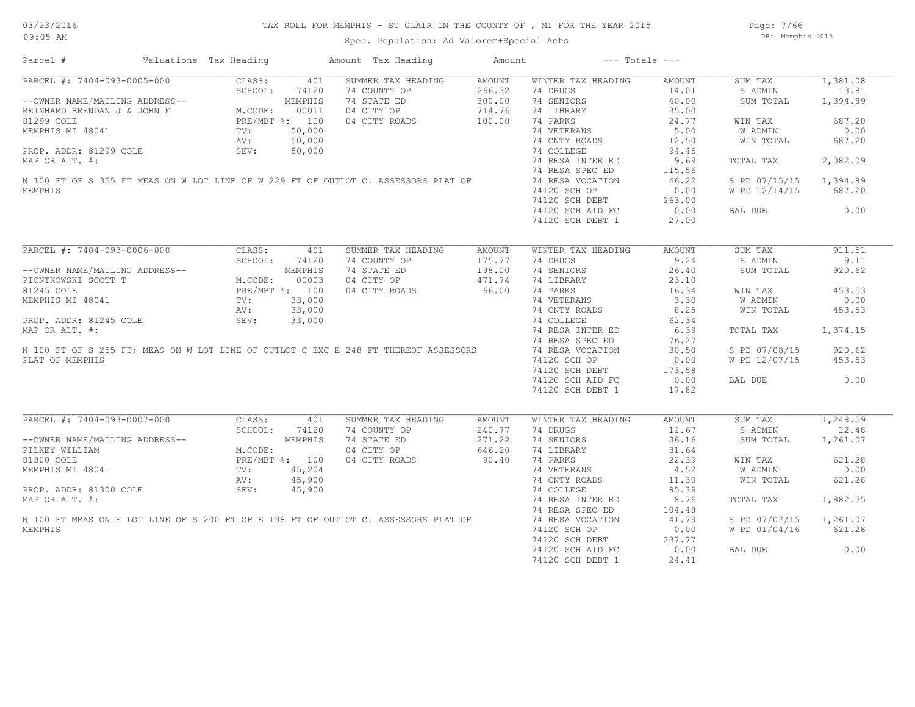Page: 7/66 DB: Memphis 2015

| Parcel #                                                                                                                                                                                                                                         | Valuations Tax Heading |                | Amount Tax Heading | Amount        | $---$ Totals $---$ |        |               |          |
|--------------------------------------------------------------------------------------------------------------------------------------------------------------------------------------------------------------------------------------------------|------------------------|----------------|--------------------|---------------|--------------------|--------|---------------|----------|
| PARCEL #: 7404-093-0005-000                                                                                                                                                                                                                      | CLASS:                 | 401            | SUMMER TAX HEADING | AMOUNT        | WINTER TAX HEADING | AMOUNT | SUM TAX       | 1,381.08 |
| CLASS: 401<br>--OWNER NAME/MAILING ADDRESS--<br>REINHARD BRENDAN J & JOHN F M.CODE: 00011<br>81299 COLE PRE/MBT %: 100<br>MEMPHIS MI 48041 TV: 50,000<br>PROP. ADDR: 81299 COLE AV: 50,000<br>MAP OP ALT #: 50,000                               |                        |                | 74 COUNTY OP       | 266.32        | 74 DRUGS           | 14.01  | S ADMIN       | 13.81    |
|                                                                                                                                                                                                                                                  |                        |                | 74 STATE ED        | 300.00        | 74 SENIORS         | 40.00  | SUM TOTAL     | 1,394.89 |
|                                                                                                                                                                                                                                                  |                        |                | 04 CITY OP         | 714.76        | 74 LIBRARY         | 35.00  |               |          |
|                                                                                                                                                                                                                                                  |                        |                | 04 CITY ROADS      | 100.00        | 74 PARKS           | 24.77  | WIN TAX       | 687.20   |
|                                                                                                                                                                                                                                                  |                        |                |                    |               | 74 VETERANS        | 5.00   | W ADMIN       | 0.00     |
|                                                                                                                                                                                                                                                  |                        |                |                    |               | 74 CNTY ROADS      | 12.50  |               | 687.20   |
|                                                                                                                                                                                                                                                  |                        |                |                    |               |                    |        | WIN TOTAL     |          |
|                                                                                                                                                                                                                                                  |                        |                |                    |               | 74 COLLEGE         | 94.45  |               |          |
| MAP OR ALT. #:                                                                                                                                                                                                                                   |                        |                |                    |               | 74 RESA INTER ED   | 9.69   | TOTAL TAX     | 2,082.09 |
|                                                                                                                                                                                                                                                  |                        |                |                    |               | 74 RESA SPEC ED    | 115.56 |               |          |
| N 100 FT OF S 355 FT MEAS ON W LOT LINE OF W 229 FT OF OUTLOT C. ASSESSORS PLAT OF                                                                                                                                                               |                        |                |                    |               | 74 RESA VOCATION   | 46.22  | S PD 07/15/15 | 1,394.89 |
| MEMPHIS                                                                                                                                                                                                                                          |                        |                |                    |               | 74120 SCH OP       | 0.00   | W PD 12/14/15 | 687.20   |
|                                                                                                                                                                                                                                                  |                        |                |                    |               | 74120 SCH DEBT     | 263.00 |               |          |
|                                                                                                                                                                                                                                                  |                        |                |                    |               | 74120 SCH AID FC   | 0.00   | BAL DUE       | 0.00     |
|                                                                                                                                                                                                                                                  |                        |                |                    |               | 74120 SCH DEBT 1   | 27.00  |               |          |
|                                                                                                                                                                                                                                                  |                        |                |                    |               |                    |        |               |          |
| PARCEL #: 7404-093-0006-000                                                                                                                                                                                                                      | CLASS:                 | 401            | SUMMER TAX HEADING | AMOUNT        | WINTER TAX HEADING | AMOUNT | SUM TAX       | 911.51   |
|                                                                                                                                                                                                                                                  | SCHOOL:                | 74120          | 74 COUNTY OP       | 175.77        | 74 DRUGS           | 9.24   | S ADMIN       | 9.11     |
| --OWNER NAME/MAILING ADDRESS--<br>PIONTROWSKI SCOTT T<br>81245 COLE<br>MEMPHIS MI 48041<br>MEMPHIS MI 48041<br>TV: 33,000<br>PROP. ADDR: 81245 COLE<br>PROP. ADDR: 81245 COLE<br>SEV: 33,000                                                     |                        |                | 74 STATE ED        | 198.00        | 74 SENIORS         | 26.40  | SUM TOTAL     | 920.62   |
|                                                                                                                                                                                                                                                  |                        |                | 04 CITY OP         | 471.74        | 74 LIBRARY         | 23.10  |               |          |
|                                                                                                                                                                                                                                                  |                        |                |                    |               |                    |        |               |          |
|                                                                                                                                                                                                                                                  |                        |                | 04 CITY ROADS      | 66.00         | 74 PARKS           | 16.34  | WIN TAX       | 453.53   |
|                                                                                                                                                                                                                                                  |                        |                |                    |               | 74 VETERANS        | 3.30   | W ADMIN       | 0.00     |
|                                                                                                                                                                                                                                                  |                        |                |                    |               | 74 CNTY ROADS      | 8.25   | WIN TOTAL     | 453.53   |
|                                                                                                                                                                                                                                                  |                        |                |                    |               | 74 COLLEGE         | 62.34  |               |          |
|                                                                                                                                                                                                                                                  |                        |                |                    |               | 74 RESA INTER ED   | 6.39   | TOTAL TAX     | 1,374.15 |
|                                                                                                                                                                                                                                                  |                        |                |                    |               | 74 RESA SPEC ED    | 76.27  |               |          |
| MEMPHIS MI 48041<br>PROP. ADDR: 81245 COLE<br>AV: 33,000<br>PROP. ADDR: 81245 COLE<br>AV: 33,000<br>SEV: 33,000<br>SEV: 33,000<br>SEV: 33,000<br>MAP OR ALT. #:<br>N 100 FT OF S 255 FT; MEAS ON W LOT LINE OF OUTLOT C EXC E 248 FT THEREOF ASS |                        |                |                    |               | 74 RESA VOCATION   | 30.50  | S PD 07/08/15 | 920.62   |
| PLAT OF MEMPHIS                                                                                                                                                                                                                                  |                        |                |                    |               | 74120 SCH OP       | 0.00   | W PD 12/07/15 | 453.53   |
|                                                                                                                                                                                                                                                  |                        |                |                    |               |                    |        |               |          |
|                                                                                                                                                                                                                                                  |                        |                |                    |               | 74120 SCH DEBT     | 173.58 |               |          |
|                                                                                                                                                                                                                                                  |                        |                |                    |               | 74120 SCH AID FC   | 0.00   | BAL DUE       | 0.00     |
|                                                                                                                                                                                                                                                  |                        |                |                    |               | 74120 SCH DEBT 1   | 17.82  |               |          |
| PARCEL #: 7404-093-0007-000                                                                                                                                                                                                                      | CLASS:                 | 401            | SUMMER TAX HEADING | <b>AMOUNT</b> | WINTER TAX HEADING | AMOUNT | SUM TAX       | 1,248.59 |
|                                                                                                                                                                                                                                                  | SCHOOL:                | 74120          | 74 COUNTY OP       | 240.77        | 74 DRUGS           | 12.67  | S ADMIN       | 12.48    |
|                                                                                                                                                                                                                                                  |                        |                |                    |               |                    |        |               |          |
| --OWNER NAME/MAILING ADDRESS--                                                                                                                                                                                                                   |                        | MEMPHIS        | 74 STATE ED        | 271.22        | 74 SENIORS         | 36.16  | SUM TOTAL     | 1,261.07 |
| PILKEY WILLIAM                                                                                                                                                                                                                                   | M.CODE:                |                | 04 CITY OP         | 646.20        | 74 LIBRARY         | 31.64  |               |          |
| 81300 COLE                                                                                                                                                                                                                                       |                        | PRE/MBT %: 100 | 04 CITY ROADS      | 90.40         | 74 PARKS           | 22.39  | WIN TAX       | 621.28   |
| MEMPHIS MI 48041                                                                                                                                                                                                                                 | TV:<br>AV:<br>SEV:     | 45,204         |                    |               | 74 VETERANS        | 4.52   | W ADMIN       | 0.00     |
|                                                                                                                                                                                                                                                  |                        | 45,900         |                    |               | 74 CNTY ROADS      | 11.30  | WIN TOTAL     | 621.28   |
| PROP. ADDR: 81300 COLE                                                                                                                                                                                                                           |                        | 45,900         |                    |               | 74 COLLEGE         | 85.39  |               |          |
| MAP OR ALT. #:                                                                                                                                                                                                                                   |                        |                |                    |               | 74 RESA INTER ED   | 8.76   | TOTAL TAX     | 1,882.35 |
|                                                                                                                                                                                                                                                  |                        |                |                    |               | 74 RESA SPEC ED    | 104.48 |               |          |
|                                                                                                                                                                                                                                                  |                        |                |                    |               |                    |        |               |          |
| N 100 FT MEAS ON E LOT LINE OF S 200 FT OF E 198 FT OF OUTLOT C. ASSESSORS PLAT OF                                                                                                                                                               |                        |                |                    |               | 74 RESA VOCATION   | 41.79  | S PD 07/07/15 | 1,261.07 |
| MEMPHIS                                                                                                                                                                                                                                          |                        |                |                    |               | 74120 SCH OP       | 0.00   | W PD 01/04/16 | 621.28   |
|                                                                                                                                                                                                                                                  |                        |                |                    |               | 74120 SCH DEBT     | 237.77 |               |          |
|                                                                                                                                                                                                                                                  |                        |                |                    |               | 74120 SCH AID FC   | 0.00   | BAL DUE       | 0.00     |
|                                                                                                                                                                                                                                                  |                        |                |                    |               | 74120 SCH DEBT 1   | 24.41  |               |          |
|                                                                                                                                                                                                                                                  |                        |                |                    |               |                    |        |               |          |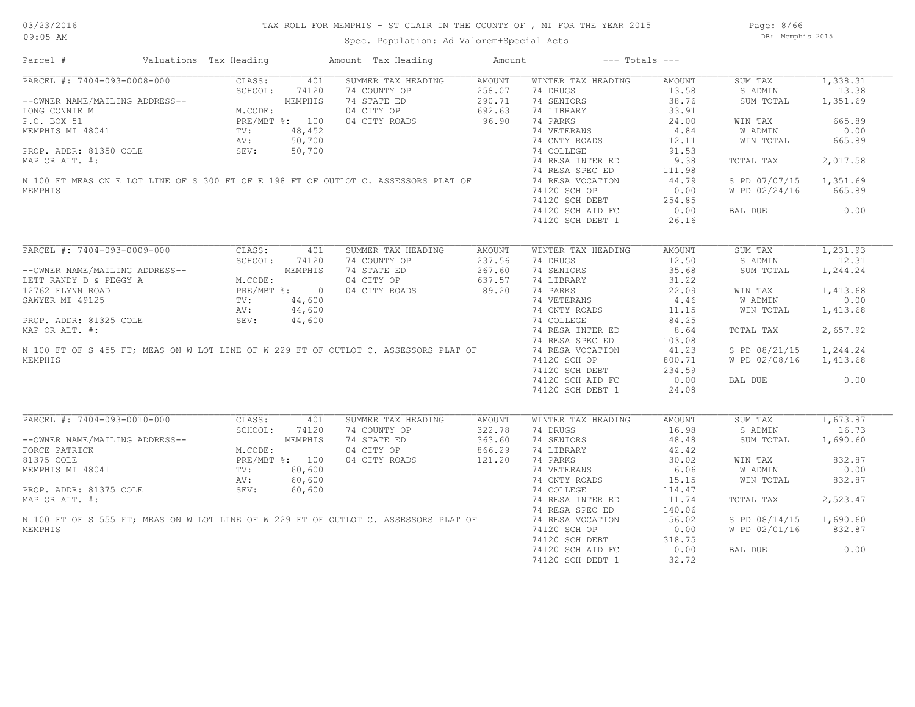Page: 8/66 DB: Memphis 2015

| Parcel #                                                                                                                                                                                                                                    | Valuations Tax Heading                                                                                               |       | Amount Tax Heading | Amount        | $---$ Totals $---$ |               |               |          |
|---------------------------------------------------------------------------------------------------------------------------------------------------------------------------------------------------------------------------------------------|----------------------------------------------------------------------------------------------------------------------|-------|--------------------|---------------|--------------------|---------------|---------------|----------|
| PARCEL #: 7404-093-0008-000                                                                                                                                                                                                                 | CLASS:                                                                                                               | 401   | SUMMER TAX HEADING | AMOUNT        | WINTER TAX HEADING | AMOUNT        | SUM TAX       | 1,338.31 |
|                                                                                                                                                                                                                                             | NG ADDRESS--<br>M.CODE:<br>M.CODE:<br>PRE/MBT %: 100<br>TV: 48,452<br>AV: 50,700<br>SEV: 50,700                      |       | 74 COUNTY OP       | 258.07        | 74 DRUGS           | 13.58         | S ADMIN       | 13.38    |
| --OWNER NAME/MAILING ADDRESS--                                                                                                                                                                                                              |                                                                                                                      |       | 74 STATE ED        | 290.71        | 74 SENIORS         | 38.76         | SUM TOTAL     | 1,351.69 |
| LONG CONNIE M                                                                                                                                                                                                                               |                                                                                                                      |       | 04 CITY OP         | 692.63        | 74 LIBRARY         | 33.91         |               |          |
| P.O. BOX 51                                                                                                                                                                                                                                 |                                                                                                                      |       | 04 CITY ROADS      | 96.90         | 74 PARKS           | 24.00         | WIN TAX       | 665.89   |
| MEMPHIS MI 48041                                                                                                                                                                                                                            |                                                                                                                      |       |                    |               | 74 VETERANS        | 4.84          | W ADMIN       | 0.00     |
|                                                                                                                                                                                                                                             |                                                                                                                      |       |                    |               | 74 CNTY ROADS      | 12.11         | WIN TOTAL     | 665.89   |
| PROP. ADDR: 81350 COLE                                                                                                                                                                                                                      |                                                                                                                      |       |                    |               | 74 COLLEGE         | 91.53         |               |          |
| MAP OR ALT. #:                                                                                                                                                                                                                              |                                                                                                                      |       |                    |               | 74 RESA INTER ED   | 9.38          | TOTAL TAX     | 2,017.58 |
|                                                                                                                                                                                                                                             |                                                                                                                      |       |                    |               |                    |               |               |          |
| N 100 FT MEAS ON E LOT LINE OF S 300 FT OF E 198 FT OF OUTLOT C. ASSESSORS PLAT OF                                                                                                                                                          |                                                                                                                      |       |                    |               | 74 RESA SPEC ED    | 111.98        |               |          |
|                                                                                                                                                                                                                                             |                                                                                                                      |       |                    |               | 74 RESA VOCATION   | 44.79         | S PD 07/07/15 | 1,351.69 |
| MEMPHIS                                                                                                                                                                                                                                     |                                                                                                                      |       |                    |               | 74120 SCH OP       | 0.00          | W PD 02/24/16 | 665.89   |
|                                                                                                                                                                                                                                             |                                                                                                                      |       |                    |               | 74120 SCH DEBT     | 254.85        |               |          |
|                                                                                                                                                                                                                                             |                                                                                                                      |       |                    |               | 74120 SCH AID FC   | 0.00          | BAL DUE       | 0.00     |
|                                                                                                                                                                                                                                             |                                                                                                                      |       |                    |               | 74120 SCH DEBT 1   | 26.16         |               |          |
|                                                                                                                                                                                                                                             |                                                                                                                      |       |                    |               |                    |               |               |          |
| PARCEL #: 7404-093-0009-000                                                                                                                                                                                                                 | CLASS:                                                                                                               | 401   | SUMMER TAX HEADING | <b>AMOUNT</b> | WINTER TAX HEADING | <b>AMOUNT</b> | SUM TAX       | 1,231.93 |
|                                                                                                                                                                                                                                             | SCHOOL:                                                                                                              | 74120 | 74 COUNTY OP       | 237.56        | 74 DRUGS           | 12.50         | S ADMIN       | 12.31    |
| --OWNER NAME/MAILING ADDRESS--<br>LETT RANDY D & PEGGY A<br>12762 FLYNN ROAD<br>SAWYER MI 49125<br>PROP. ADDR: 81325 COLE<br>M.CODE:<br>PROP. ADDR: 81325 COLE<br>MARD OR NATION AT THE THE MARD OR NATION AT THE THE MARD OR NATION AT THE |                                                                                                                      |       | 74 STATE ED        | 267.60        | 74 SENIORS         | 35.68         | SUM TOTAL     | 1,244.24 |
|                                                                                                                                                                                                                                             |                                                                                                                      |       | 04 CITY OP         | 637.57        | 74 LIBRARY         | 31.22         |               |          |
|                                                                                                                                                                                                                                             |                                                                                                                      |       | 04 CITY ROADS      | 89.20         | 74 PARKS           | 22.09         | WIN TAX       | 1,413.68 |
|                                                                                                                                                                                                                                             |                                                                                                                      |       |                    |               | 74 VETERANS        | 4.46          | W ADMIN       | 0.00     |
|                                                                                                                                                                                                                                             |                                                                                                                      |       |                    |               |                    |               |               |          |
|                                                                                                                                                                                                                                             |                                                                                                                      |       |                    |               | 74 CNTY ROADS      | 11.15         | WIN TOTAL     | 1,413.68 |
|                                                                                                                                                                                                                                             |                                                                                                                      |       |                    |               | 74 COLLEGE         | 84.25         |               |          |
| MAP OR ALT. #:                                                                                                                                                                                                                              |                                                                                                                      |       |                    |               | 74 RESA INTER ED   | 8.64          | TOTAL TAX     | 2,657.92 |
|                                                                                                                                                                                                                                             |                                                                                                                      |       |                    |               | 74 RESA SPEC ED    | 103.08        |               |          |
| N 100 FT OF S 455 FT; MEAS ON W LOT LINE OF W 229 FT OF OUTLOT C. ASSESSORS PLAT OF                                                                                                                                                         |                                                                                                                      |       |                    |               | 74 RESA VOCATION   | 41.23         | S PD 08/21/15 | 1,244.24 |
| MEMPHIS                                                                                                                                                                                                                                     |                                                                                                                      |       |                    |               | 74120 SCH OP       | 800.71        | W PD 02/08/16 | 1,413.68 |
|                                                                                                                                                                                                                                             |                                                                                                                      |       |                    |               | 74120 SCH DEBT     | 234.59        |               |          |
|                                                                                                                                                                                                                                             |                                                                                                                      |       |                    |               | 74120 SCH AID FC   | 0.00          | BAL DUE       | 0.00     |
|                                                                                                                                                                                                                                             |                                                                                                                      |       |                    |               | 74120 SCH DEBT 1   | 24.08         |               |          |
|                                                                                                                                                                                                                                             |                                                                                                                      |       |                    |               |                    |               |               |          |
| PARCEL #: 7404-093-0010-000                                                                                                                                                                                                                 | CLASS:                                                                                                               | 401   | SUMMER TAX HEADING | AMOUNT        | WINTER TAX HEADING | <b>AMOUNT</b> | SUM TAX       | 1,673.87 |
|                                                                                                                                                                                                                                             |                                                                                                                      |       | 74 COUNTY OP       | 322.78        | 74 DRUGS           | 16.98         | S ADMIN       | 16.73    |
| --OWNER NAME/MAILING ADDRESS--                                                                                                                                                                                                              |                                                                                                                      |       | 74 STATE ED        | 363.60        | 74 SENIORS         | 48.48         | SUM TOTAL     | 1,690.60 |
| FORCE PATRICK                                                                                                                                                                                                                               | SCHOOL: 74120<br>MEMPHIS<br>M.CODE:<br>PRE/MBT %: 100<br>TV: 60,600<br>COLE SEV: 60,600<br>AV: 60,600<br>SEV: 60,600 |       | 04 CITY OP         | 866.29        | 74 LIBRARY         | 42.42         |               |          |
| 81375 COLE                                                                                                                                                                                                                                  |                                                                                                                      |       | 04 CITY ROADS      | 121.20        | 74 PARKS           | 30.02         | WIN TAX       | 832.87   |
| MEMPHIS MI 48041                                                                                                                                                                                                                            |                                                                                                                      |       |                    |               | 74 VETERANS        | 6.06          | W ADMIN       | 0.00     |
|                                                                                                                                                                                                                                             |                                                                                                                      |       |                    |               | 74 CNTY ROADS      | 15.15         | WIN TOTAL     | 832.87   |
| PROP. ADDR: 81375 COLE                                                                                                                                                                                                                      |                                                                                                                      |       |                    |               |                    |               |               |          |
|                                                                                                                                                                                                                                             |                                                                                                                      |       |                    |               | 74 COLLEGE         | 114.47        |               |          |
| MAP OR ALT. #:                                                                                                                                                                                                                              |                                                                                                                      |       |                    |               | 74 RESA INTER ED   | 11.74         | TOTAL TAX     | 2,523.47 |
|                                                                                                                                                                                                                                             |                                                                                                                      |       |                    |               | 74 RESA SPEC ED    | 140.06        |               |          |
| N 100 FT OF S 555 FT; MEAS ON W LOT LINE OF W 229 FT OF OUTLOT C. ASSESSORS PLAT OF                                                                                                                                                         |                                                                                                                      |       |                    |               | 74 RESA VOCATION   | 56.02         | S PD 08/14/15 | 1,690.60 |
| MEMPHIS                                                                                                                                                                                                                                     |                                                                                                                      |       |                    |               | 74120 SCH OP       | 0.00          | W PD 02/01/16 | 832.87   |
|                                                                                                                                                                                                                                             |                                                                                                                      |       |                    |               | 74120 SCH DEBT     | 318.75        |               |          |
|                                                                                                                                                                                                                                             |                                                                                                                      |       |                    |               | 74120 SCH AID FC   | 0.00          | BAL DUE       | 0.00     |
|                                                                                                                                                                                                                                             |                                                                                                                      |       |                    |               | 74120 SCH DEBT 1   | 32.72         |               |          |
|                                                                                                                                                                                                                                             |                                                                                                                      |       |                    |               |                    |               |               |          |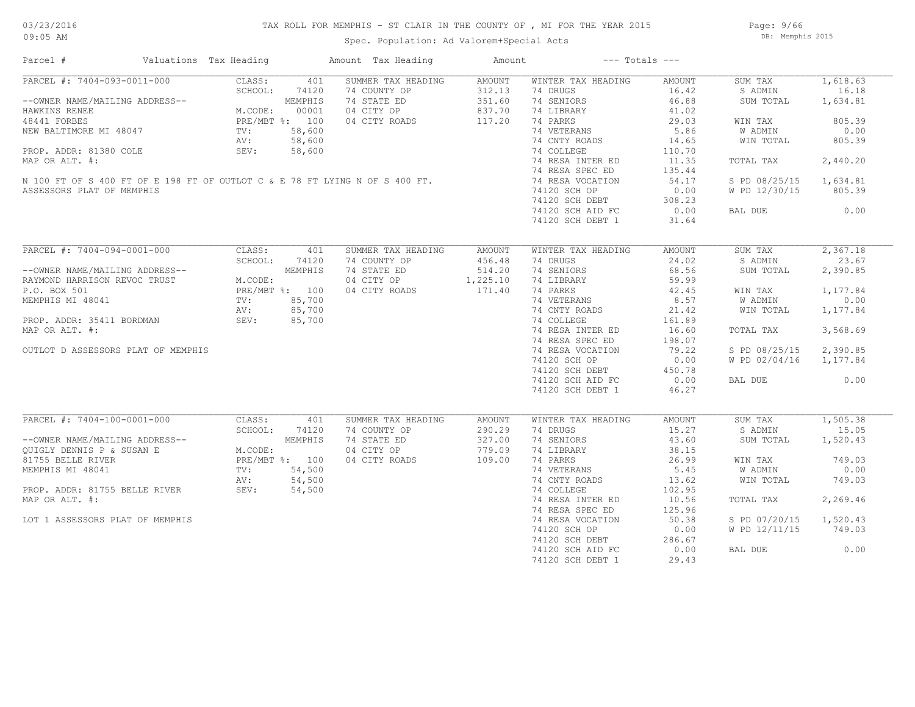# 03/23/2016

#### TAX ROLL FOR MEMPHIS - ST CLAIR IN THE COUNTY OF , MI FOR THE YEAR 2015

09:05 AM

### Spec. Population: Ad Valorem+Special Acts

Page: 9/66 DB: Memphis 2015

| Parcel #<br>Valuations Tax Heading                                                                                                                                                                                                                                               |                                                                                                                                           | Amount Tax Heading                                                                      | Amount                                           | $---$ Totals $---$                                                                                                                                                                                                                                                            |                                                                                                                                               |                                                                                                                                         |                                                                                                           |
|----------------------------------------------------------------------------------------------------------------------------------------------------------------------------------------------------------------------------------------------------------------------------------|-------------------------------------------------------------------------------------------------------------------------------------------|-----------------------------------------------------------------------------------------|--------------------------------------------------|-------------------------------------------------------------------------------------------------------------------------------------------------------------------------------------------------------------------------------------------------------------------------------|-----------------------------------------------------------------------------------------------------------------------------------------------|-----------------------------------------------------------------------------------------------------------------------------------------|-----------------------------------------------------------------------------------------------------------|
| PARCEL #: 7404-093-0011-000<br>--OWNER NAME/MAILING ADDRESS--<br>HAWKINS RENEE<br>48441 FORBES<br>NEW BALTIMORE MI 48047<br>PROP. ADDR: 81380 COLE<br>MAP OR ALT. #:<br>N 100 FT OF S 400 FT OF E 198 FT OF OUTLOT C & E 78 FT LYING N OF S 400 FT.<br>ASSESSORS PLAT OF MEMPHIS | CLASS:<br>SCHOOL:<br>74120<br>MEMPHIS<br>M.CODE:<br>00001<br>PRE/MBT %: 100<br>58,600<br>$\text{TV}$ :<br>58,600<br>AV:<br>SEV:<br>58,600 | 401<br>SUMMER TAX HEADING<br>74 COUNTY OP<br>74 STATE ED<br>04 CITY OP<br>04 CITY ROADS | AMOUNT<br>312.13<br>351.60<br>837.70<br>117.20   | WINTER TAX HEADING<br>74 DRUGS<br>74 SENIORS<br>74 LIBRARY<br>74 PARKS<br>74 VETERANS<br>74 CNTY ROADS<br>74 COLLEGE<br>74 RESA INTER ED<br>74 RESA SPEC ED<br>74 RESA VOCATION<br>74120 SCH OP<br>74120 SCH DEBT                                                             | AMOUNT<br>16.42<br>46.88<br>41.02<br>29.03<br>5.86<br>14.65<br>110.70<br>11.35<br>135.44<br>54.17<br>0.00<br>308.23<br>0.00                   | SUM TAX<br>S ADMIN<br>SUM TOTAL<br>WIN TAX<br>W ADMIN<br>WIN TOTAL<br>TOTAL TAX<br>S PD 08/25/15<br>W PD 12/30/15                       | 1,618.63<br>16.18<br>1,634.81<br>805.39<br>0.00<br>805.39<br>2,440.20<br>1,634.81<br>805.39<br>0.00       |
| PARCEL #: 7404-094-0001-000<br>--OWNER NAME/MAILING ADDRESS--<br>RAYMOND HARRISON REVOC TRUST<br>P.O. BOX 501<br>MEMPHIS MI 48041<br>PROP. ADDR: 35411 BORDMAN<br>MAP OR ALT. #:<br>OUTLOT D ASSESSORS PLAT OF MEMPHIS                                                           | CLASS:<br>SCHOOL:<br>74120<br>MEMPHIS<br>M.CODE:<br>PRE/MBT %: 100<br>85,700<br>$\text{TV}$ :<br>85,700<br>AV:<br>SEV:<br>85,700          | 401<br>SUMMER TAX HEADING<br>74 COUNTY OP<br>74 STATE ED<br>04 CITY OP<br>04 CITY ROADS | AMOUNT<br>456.48<br>514.20<br>1,225.10<br>171.40 | 74120 SCH AID FC<br>74120 SCH DEBT 1<br>WINTER TAX HEADING<br>74 DRUGS<br>74 SENIORS<br>74 LIBRARY<br>74 PARKS<br>74 VETERANS<br>74 CNTY ROADS<br>74 COLLEGE<br>74 RESA INTER ED<br>74 RESA SPEC ED<br>74 RESA VOCATION<br>74120 SCH OP<br>74120 SCH DEBT<br>74120 SCH AID FC | 31.64<br>AMOUNT<br>24.02<br>68.56<br>59.99<br>42.45<br>8.57<br>21.42<br>161.89<br>16.60<br>198.07<br>79.22<br>0.00<br>450.78<br>0.00          | BAL DUE<br>SUM TAX<br>S ADMIN<br>SUM TOTAL<br>WIN TAX<br>W ADMIN<br>WIN TOTAL<br>TOTAL TAX<br>S PD 08/25/15<br>W PD 02/04/16<br>BAL DUE | 2,367.18<br>23.67<br>2,390.85<br>1,177.84<br>0.00<br>1,177.84<br>3,568.69<br>2,390.85<br>1,177.84<br>0.00 |
| PARCEL #: 7404-100-0001-000<br>--OWNER NAME/MAILING ADDRESS--<br>OUIGLY DENNIS P & SUSAN E<br>81755 BELLE RIVER<br>MEMPHIS MI 48041<br>PROP. ADDR: 81755 BELLE RIVER<br>MAP OR ALT. #:<br>LOT 1 ASSESSORS PLAT OF MEMPHIS                                                        | CLASS:<br>SCHOOL:<br>74120<br>MEMPHIS<br>M.CODE:<br>PRE/MBT %: 100<br>54,500<br>TV:<br>54,500<br>AV:<br>SEV:<br>54,500                    | 401<br>SUMMER TAX HEADING<br>74 COUNTY OP<br>74 STATE ED<br>04 CITY OP<br>04 CITY ROADS | AMOUNT<br>290.29<br>327.00<br>779.09<br>109.00   | 74120 SCH DEBT 1<br>WINTER TAX HEADING<br>74 DRUGS<br>74 SENIORS<br>74 LIBRARY<br>74 PARKS<br>74 VETERANS<br>74 CNTY ROADS<br>74 COLLEGE<br>74 RESA INTER ED<br>74 RESA SPEC ED<br>74 RESA VOCATION<br>74120 SCH OP<br>74120 SCH DEBT<br>74120 SCH AID FC<br>74120 SCH DEBT 1 | 46.27<br>AMOUNT<br>15.27<br>43.60<br>38.15<br>26.99<br>5.45<br>13.62<br>102.95<br>10.56<br>125.96<br>50.38<br>0.00<br>286.67<br>0.00<br>29.43 | SUM TAX<br>S ADMIN<br>SUM TOTAL<br>WIN TAX<br>W ADMIN<br>WIN TOTAL<br>TOTAL TAX<br>S PD 07/20/15<br>W PD 12/11/15<br>BAL DUE            | 1,505.38<br>15.05<br>1,520.43<br>749.03<br>0.00<br>749.03<br>2,269.46<br>1,520.43<br>749.03<br>0.00       |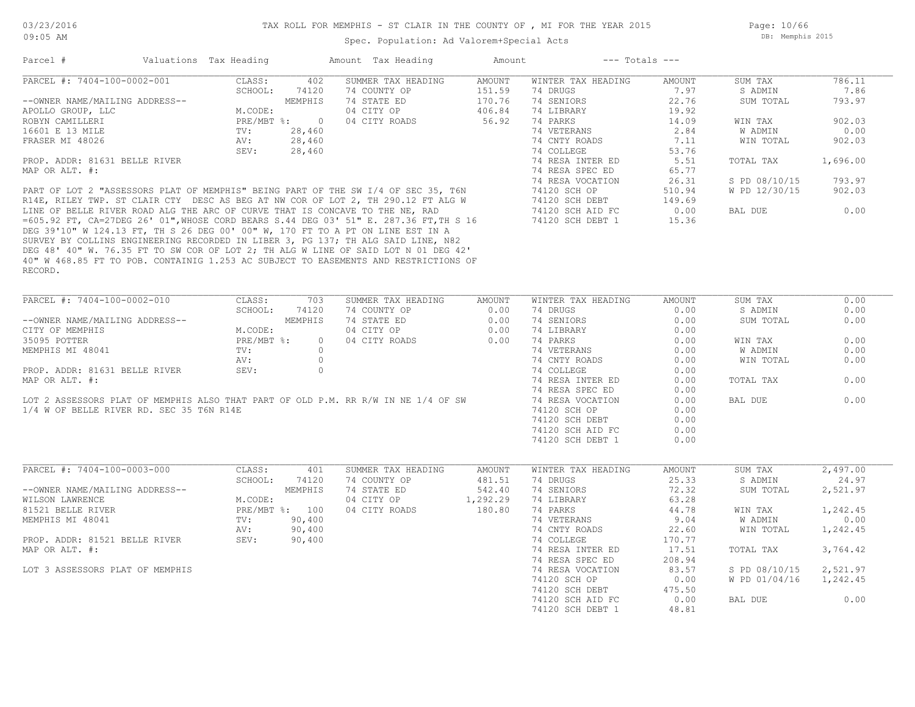Spec. Population: Ad Valorem+Special Acts

Page: 10/66 DB: Memphis 2015

| PARCEL #: 7404-100-0002-001<br>CLASS:<br>402<br>SUMMER TAX HEADING<br><b>AMOUNT</b><br>WINTER TAX HEADING<br>SUM TAX<br>AMOUNT<br>7.97<br>SCHOOL:<br>74120<br>74 COUNTY OP<br>151.59<br>74 DRUGS<br>S ADMIN<br>74 STATE ED<br>170.76<br>74 SENIORS<br>22.76<br>--OWNER NAME/MAILING ADDRESS--<br>MEMPHIS<br>04 CITY OP<br>406.84<br>74 LIBRARY<br>19.92<br>APOLLO GROUP, LLC<br>M.CODE:<br>04 CITY ROADS<br>56.92<br>74 PARKS<br>ROBYN CAMILLERI<br>PRE/MBT %:<br>$\overline{0}$<br>14.09<br>WIN TAX<br>74 VETERANS<br>2.84<br>W ADMIN<br>16601 E 13 MILE<br>TV:<br>28,460<br>AV:<br>28,460<br>74 CNTY ROADS<br>7.11<br>FRASER MI 48026<br>SEV:<br>28,460<br>74 COLLEGE<br>53.76<br>PROP. ADDR: 81631 BELLE RIVER<br>74 RESA INTER ED<br>5.51<br>TOTAL TAX<br>74 RESA SPEC ED<br>MAP OR ALT. #:<br>65.77<br>74 RESA VOCATION<br>26.31<br>PART OF LOT 2 "ASSESSORS PLAT OF MEMPHIS" BEING PART OF THE SW I/4 OF SEC 35, T6N<br>74120 SCH OP<br>510.94<br>R14E, RILEY TWP. ST CLAIR CTY DESC AS BEG AT NW COR OF LOT 2, TH 290.12 FT ALG W<br>149.69<br>74120 SCH DEBT<br>LINE OF BELLE RIVER ROAD ALG THE ARC OF CURVE THAT IS CONCAVE TO THE NE, RAD<br>74120 SCH AID FC<br>0.00<br>BAL DUE<br>=605.92 FT, CA=27DEG 26' 01", WHOSE CORD BEARS S.44 DEG 03' 51" E. 287.36 FT, TH S 16<br>74120 SCH DEBT 1<br>15.36<br>DEG 39'10" W 124.13 FT, TH S 26 DEG 00' 00" W, 170 FT TO A PT ON LINE EST IN A<br>SURVEY BY COLLINS ENGINEERING RECORDED IN LIBER 3, PG 137; TH ALG SAID LINE, N82<br>DEG 48' 40" W. 76.35 FT TO SW COR OF LOT 2; TH ALG W LINE OF SAID LOT N 01 DEG 42'<br>40" W 468.85 FT TO POB. CONTAINIG 1.253 AC SUBJECT TO EASEMENTS AND RESTRICTIONS OF<br>RECORD.<br>PARCEL #: 7404-100-0002-010<br>CLASS:<br>703<br>SUMMER TAX HEADING<br><b>AMOUNT</b><br>WINTER TAX HEADING<br>AMOUNT<br>SUM TAX<br>SCHOOL:<br>74120<br>0.00<br>74 DRUGS<br>S ADMIN<br>74 COUNTY OP<br>0.00<br>--OWNER NAME/MAILING ADDRESS--<br>MEMPHIS<br>74 STATE ED<br>0.00<br>74 SENIORS<br>0.00<br>0.00<br>04 CITY OP<br>74 LIBRARY<br>0.00<br>CITY OF MEMPHIS<br>M.CODE:<br>74 PARKS<br>35095 POTTER<br>PRE/MBT %:<br>04 CITY ROADS<br>0.00<br>$\overline{0}$<br>0.00<br>WIN TAX<br>MEMPHIS MI 48041<br>TV:<br>$\Omega$<br>74 VETERANS<br>0.00<br>W ADMIN<br>74 CNTY ROADS<br>$\circ$<br>0.00<br>WIN TOTAL<br>AV:<br>PROP. ADDR: 81631 BELLE RIVER<br>$\circ$<br>74 COLLEGE<br>SEV:<br>0.00<br>MAP OR ALT. #:<br>74 RESA INTER ED<br>TOTAL TAX<br>0.00<br>74 RESA SPEC ED<br>0.00<br>LOT 2 ASSESSORS PLAT OF MEMPHIS ALSO THAT PART OF OLD P.M. RR R/W IN NE 1/4 OF SW<br>74 RESA VOCATION<br>0.00<br>BAL DUE<br>1/4 W OF BELLE RIVER RD. SEC 35 T6N R14E<br>74120 SCH OP<br>0.00 | 786.11<br>7.86<br>SUM TOTAL<br>793.97<br>902.03<br>0.00<br>WIN TOTAL<br>902.03<br>1,696.00<br>793.97<br>S PD 08/10/15<br>W PD 12/30/15<br>902.03<br>0.00<br>0.00<br>0.00<br>SUM TOTAL<br>0.00<br>0.00<br>0.00 |
|---------------------------------------------------------------------------------------------------------------------------------------------------------------------------------------------------------------------------------------------------------------------------------------------------------------------------------------------------------------------------------------------------------------------------------------------------------------------------------------------------------------------------------------------------------------------------------------------------------------------------------------------------------------------------------------------------------------------------------------------------------------------------------------------------------------------------------------------------------------------------------------------------------------------------------------------------------------------------------------------------------------------------------------------------------------------------------------------------------------------------------------------------------------------------------------------------------------------------------------------------------------------------------------------------------------------------------------------------------------------------------------------------------------------------------------------------------------------------------------------------------------------------------------------------------------------------------------------------------------------------------------------------------------------------------------------------------------------------------------------------------------------------------------------------------------------------------------------------------------------------------------------------------------------------------------------------------------------------------------------------------------------------------------------------------------------------------------------------------------------------------------------------------------------------------------------------------------------------------------------------------------------------------------------------------------------------------------------------------------------------------------------------------------------------------------------------------------------------------------------------------------------------------------------------------------------------------------------------------------------------------------------------------------------------|---------------------------------------------------------------------------------------------------------------------------------------------------------------------------------------------------------------|
|                                                                                                                                                                                                                                                                                                                                                                                                                                                                                                                                                                                                                                                                                                                                                                                                                                                                                                                                                                                                                                                                                                                                                                                                                                                                                                                                                                                                                                                                                                                                                                                                                                                                                                                                                                                                                                                                                                                                                                                                                                                                                                                                                                                                                                                                                                                                                                                                                                                                                                                                                                                                                                                                           |                                                                                                                                                                                                               |
|                                                                                                                                                                                                                                                                                                                                                                                                                                                                                                                                                                                                                                                                                                                                                                                                                                                                                                                                                                                                                                                                                                                                                                                                                                                                                                                                                                                                                                                                                                                                                                                                                                                                                                                                                                                                                                                                                                                                                                                                                                                                                                                                                                                                                                                                                                                                                                                                                                                                                                                                                                                                                                                                           |                                                                                                                                                                                                               |
|                                                                                                                                                                                                                                                                                                                                                                                                                                                                                                                                                                                                                                                                                                                                                                                                                                                                                                                                                                                                                                                                                                                                                                                                                                                                                                                                                                                                                                                                                                                                                                                                                                                                                                                                                                                                                                                                                                                                                                                                                                                                                                                                                                                                                                                                                                                                                                                                                                                                                                                                                                                                                                                                           |                                                                                                                                                                                                               |
|                                                                                                                                                                                                                                                                                                                                                                                                                                                                                                                                                                                                                                                                                                                                                                                                                                                                                                                                                                                                                                                                                                                                                                                                                                                                                                                                                                                                                                                                                                                                                                                                                                                                                                                                                                                                                                                                                                                                                                                                                                                                                                                                                                                                                                                                                                                                                                                                                                                                                                                                                                                                                                                                           |                                                                                                                                                                                                               |
|                                                                                                                                                                                                                                                                                                                                                                                                                                                                                                                                                                                                                                                                                                                                                                                                                                                                                                                                                                                                                                                                                                                                                                                                                                                                                                                                                                                                                                                                                                                                                                                                                                                                                                                                                                                                                                                                                                                                                                                                                                                                                                                                                                                                                                                                                                                                                                                                                                                                                                                                                                                                                                                                           |                                                                                                                                                                                                               |
|                                                                                                                                                                                                                                                                                                                                                                                                                                                                                                                                                                                                                                                                                                                                                                                                                                                                                                                                                                                                                                                                                                                                                                                                                                                                                                                                                                                                                                                                                                                                                                                                                                                                                                                                                                                                                                                                                                                                                                                                                                                                                                                                                                                                                                                                                                                                                                                                                                                                                                                                                                                                                                                                           |                                                                                                                                                                                                               |
|                                                                                                                                                                                                                                                                                                                                                                                                                                                                                                                                                                                                                                                                                                                                                                                                                                                                                                                                                                                                                                                                                                                                                                                                                                                                                                                                                                                                                                                                                                                                                                                                                                                                                                                                                                                                                                                                                                                                                                                                                                                                                                                                                                                                                                                                                                                                                                                                                                                                                                                                                                                                                                                                           |                                                                                                                                                                                                               |
|                                                                                                                                                                                                                                                                                                                                                                                                                                                                                                                                                                                                                                                                                                                                                                                                                                                                                                                                                                                                                                                                                                                                                                                                                                                                                                                                                                                                                                                                                                                                                                                                                                                                                                                                                                                                                                                                                                                                                                                                                                                                                                                                                                                                                                                                                                                                                                                                                                                                                                                                                                                                                                                                           |                                                                                                                                                                                                               |
|                                                                                                                                                                                                                                                                                                                                                                                                                                                                                                                                                                                                                                                                                                                                                                                                                                                                                                                                                                                                                                                                                                                                                                                                                                                                                                                                                                                                                                                                                                                                                                                                                                                                                                                                                                                                                                                                                                                                                                                                                                                                                                                                                                                                                                                                                                                                                                                                                                                                                                                                                                                                                                                                           |                                                                                                                                                                                                               |
|                                                                                                                                                                                                                                                                                                                                                                                                                                                                                                                                                                                                                                                                                                                                                                                                                                                                                                                                                                                                                                                                                                                                                                                                                                                                                                                                                                                                                                                                                                                                                                                                                                                                                                                                                                                                                                                                                                                                                                                                                                                                                                                                                                                                                                                                                                                                                                                                                                                                                                                                                                                                                                                                           |                                                                                                                                                                                                               |
|                                                                                                                                                                                                                                                                                                                                                                                                                                                                                                                                                                                                                                                                                                                                                                                                                                                                                                                                                                                                                                                                                                                                                                                                                                                                                                                                                                                                                                                                                                                                                                                                                                                                                                                                                                                                                                                                                                                                                                                                                                                                                                                                                                                                                                                                                                                                                                                                                                                                                                                                                                                                                                                                           |                                                                                                                                                                                                               |
|                                                                                                                                                                                                                                                                                                                                                                                                                                                                                                                                                                                                                                                                                                                                                                                                                                                                                                                                                                                                                                                                                                                                                                                                                                                                                                                                                                                                                                                                                                                                                                                                                                                                                                                                                                                                                                                                                                                                                                                                                                                                                                                                                                                                                                                                                                                                                                                                                                                                                                                                                                                                                                                                           |                                                                                                                                                                                                               |
|                                                                                                                                                                                                                                                                                                                                                                                                                                                                                                                                                                                                                                                                                                                                                                                                                                                                                                                                                                                                                                                                                                                                                                                                                                                                                                                                                                                                                                                                                                                                                                                                                                                                                                                                                                                                                                                                                                                                                                                                                                                                                                                                                                                                                                                                                                                                                                                                                                                                                                                                                                                                                                                                           |                                                                                                                                                                                                               |
|                                                                                                                                                                                                                                                                                                                                                                                                                                                                                                                                                                                                                                                                                                                                                                                                                                                                                                                                                                                                                                                                                                                                                                                                                                                                                                                                                                                                                                                                                                                                                                                                                                                                                                                                                                                                                                                                                                                                                                                                                                                                                                                                                                                                                                                                                                                                                                                                                                                                                                                                                                                                                                                                           |                                                                                                                                                                                                               |
|                                                                                                                                                                                                                                                                                                                                                                                                                                                                                                                                                                                                                                                                                                                                                                                                                                                                                                                                                                                                                                                                                                                                                                                                                                                                                                                                                                                                                                                                                                                                                                                                                                                                                                                                                                                                                                                                                                                                                                                                                                                                                                                                                                                                                                                                                                                                                                                                                                                                                                                                                                                                                                                                           |                                                                                                                                                                                                               |
|                                                                                                                                                                                                                                                                                                                                                                                                                                                                                                                                                                                                                                                                                                                                                                                                                                                                                                                                                                                                                                                                                                                                                                                                                                                                                                                                                                                                                                                                                                                                                                                                                                                                                                                                                                                                                                                                                                                                                                                                                                                                                                                                                                                                                                                                                                                                                                                                                                                                                                                                                                                                                                                                           |                                                                                                                                                                                                               |
|                                                                                                                                                                                                                                                                                                                                                                                                                                                                                                                                                                                                                                                                                                                                                                                                                                                                                                                                                                                                                                                                                                                                                                                                                                                                                                                                                                                                                                                                                                                                                                                                                                                                                                                                                                                                                                                                                                                                                                                                                                                                                                                                                                                                                                                                                                                                                                                                                                                                                                                                                                                                                                                                           |                                                                                                                                                                                                               |
|                                                                                                                                                                                                                                                                                                                                                                                                                                                                                                                                                                                                                                                                                                                                                                                                                                                                                                                                                                                                                                                                                                                                                                                                                                                                                                                                                                                                                                                                                                                                                                                                                                                                                                                                                                                                                                                                                                                                                                                                                                                                                                                                                                                                                                                                                                                                                                                                                                                                                                                                                                                                                                                                           |                                                                                                                                                                                                               |
|                                                                                                                                                                                                                                                                                                                                                                                                                                                                                                                                                                                                                                                                                                                                                                                                                                                                                                                                                                                                                                                                                                                                                                                                                                                                                                                                                                                                                                                                                                                                                                                                                                                                                                                                                                                                                                                                                                                                                                                                                                                                                                                                                                                                                                                                                                                                                                                                                                                                                                                                                                                                                                                                           |                                                                                                                                                                                                               |
|                                                                                                                                                                                                                                                                                                                                                                                                                                                                                                                                                                                                                                                                                                                                                                                                                                                                                                                                                                                                                                                                                                                                                                                                                                                                                                                                                                                                                                                                                                                                                                                                                                                                                                                                                                                                                                                                                                                                                                                                                                                                                                                                                                                                                                                                                                                                                                                                                                                                                                                                                                                                                                                                           |                                                                                                                                                                                                               |
|                                                                                                                                                                                                                                                                                                                                                                                                                                                                                                                                                                                                                                                                                                                                                                                                                                                                                                                                                                                                                                                                                                                                                                                                                                                                                                                                                                                                                                                                                                                                                                                                                                                                                                                                                                                                                                                                                                                                                                                                                                                                                                                                                                                                                                                                                                                                                                                                                                                                                                                                                                                                                                                                           |                                                                                                                                                                                                               |
|                                                                                                                                                                                                                                                                                                                                                                                                                                                                                                                                                                                                                                                                                                                                                                                                                                                                                                                                                                                                                                                                                                                                                                                                                                                                                                                                                                                                                                                                                                                                                                                                                                                                                                                                                                                                                                                                                                                                                                                                                                                                                                                                                                                                                                                                                                                                                                                                                                                                                                                                                                                                                                                                           |                                                                                                                                                                                                               |
|                                                                                                                                                                                                                                                                                                                                                                                                                                                                                                                                                                                                                                                                                                                                                                                                                                                                                                                                                                                                                                                                                                                                                                                                                                                                                                                                                                                                                                                                                                                                                                                                                                                                                                                                                                                                                                                                                                                                                                                                                                                                                                                                                                                                                                                                                                                                                                                                                                                                                                                                                                                                                                                                           |                                                                                                                                                                                                               |
|                                                                                                                                                                                                                                                                                                                                                                                                                                                                                                                                                                                                                                                                                                                                                                                                                                                                                                                                                                                                                                                                                                                                                                                                                                                                                                                                                                                                                                                                                                                                                                                                                                                                                                                                                                                                                                                                                                                                                                                                                                                                                                                                                                                                                                                                                                                                                                                                                                                                                                                                                                                                                                                                           |                                                                                                                                                                                                               |
|                                                                                                                                                                                                                                                                                                                                                                                                                                                                                                                                                                                                                                                                                                                                                                                                                                                                                                                                                                                                                                                                                                                                                                                                                                                                                                                                                                                                                                                                                                                                                                                                                                                                                                                                                                                                                                                                                                                                                                                                                                                                                                                                                                                                                                                                                                                                                                                                                                                                                                                                                                                                                                                                           |                                                                                                                                                                                                               |
|                                                                                                                                                                                                                                                                                                                                                                                                                                                                                                                                                                                                                                                                                                                                                                                                                                                                                                                                                                                                                                                                                                                                                                                                                                                                                                                                                                                                                                                                                                                                                                                                                                                                                                                                                                                                                                                                                                                                                                                                                                                                                                                                                                                                                                                                                                                                                                                                                                                                                                                                                                                                                                                                           |                                                                                                                                                                                                               |
|                                                                                                                                                                                                                                                                                                                                                                                                                                                                                                                                                                                                                                                                                                                                                                                                                                                                                                                                                                                                                                                                                                                                                                                                                                                                                                                                                                                                                                                                                                                                                                                                                                                                                                                                                                                                                                                                                                                                                                                                                                                                                                                                                                                                                                                                                                                                                                                                                                                                                                                                                                                                                                                                           |                                                                                                                                                                                                               |
|                                                                                                                                                                                                                                                                                                                                                                                                                                                                                                                                                                                                                                                                                                                                                                                                                                                                                                                                                                                                                                                                                                                                                                                                                                                                                                                                                                                                                                                                                                                                                                                                                                                                                                                                                                                                                                                                                                                                                                                                                                                                                                                                                                                                                                                                                                                                                                                                                                                                                                                                                                                                                                                                           |                                                                                                                                                                                                               |
|                                                                                                                                                                                                                                                                                                                                                                                                                                                                                                                                                                                                                                                                                                                                                                                                                                                                                                                                                                                                                                                                                                                                                                                                                                                                                                                                                                                                                                                                                                                                                                                                                                                                                                                                                                                                                                                                                                                                                                                                                                                                                                                                                                                                                                                                                                                                                                                                                                                                                                                                                                                                                                                                           |                                                                                                                                                                                                               |
|                                                                                                                                                                                                                                                                                                                                                                                                                                                                                                                                                                                                                                                                                                                                                                                                                                                                                                                                                                                                                                                                                                                                                                                                                                                                                                                                                                                                                                                                                                                                                                                                                                                                                                                                                                                                                                                                                                                                                                                                                                                                                                                                                                                                                                                                                                                                                                                                                                                                                                                                                                                                                                                                           | 0.00                                                                                                                                                                                                          |
|                                                                                                                                                                                                                                                                                                                                                                                                                                                                                                                                                                                                                                                                                                                                                                                                                                                                                                                                                                                                                                                                                                                                                                                                                                                                                                                                                                                                                                                                                                                                                                                                                                                                                                                                                                                                                                                                                                                                                                                                                                                                                                                                                                                                                                                                                                                                                                                                                                                                                                                                                                                                                                                                           |                                                                                                                                                                                                               |
|                                                                                                                                                                                                                                                                                                                                                                                                                                                                                                                                                                                                                                                                                                                                                                                                                                                                                                                                                                                                                                                                                                                                                                                                                                                                                                                                                                                                                                                                                                                                                                                                                                                                                                                                                                                                                                                                                                                                                                                                                                                                                                                                                                                                                                                                                                                                                                                                                                                                                                                                                                                                                                                                           | 0.00                                                                                                                                                                                                          |
|                                                                                                                                                                                                                                                                                                                                                                                                                                                                                                                                                                                                                                                                                                                                                                                                                                                                                                                                                                                                                                                                                                                                                                                                                                                                                                                                                                                                                                                                                                                                                                                                                                                                                                                                                                                                                                                                                                                                                                                                                                                                                                                                                                                                                                                                                                                                                                                                                                                                                                                                                                                                                                                                           |                                                                                                                                                                                                               |
|                                                                                                                                                                                                                                                                                                                                                                                                                                                                                                                                                                                                                                                                                                                                                                                                                                                                                                                                                                                                                                                                                                                                                                                                                                                                                                                                                                                                                                                                                                                                                                                                                                                                                                                                                                                                                                                                                                                                                                                                                                                                                                                                                                                                                                                                                                                                                                                                                                                                                                                                                                                                                                                                           | 0.00                                                                                                                                                                                                          |
|                                                                                                                                                                                                                                                                                                                                                                                                                                                                                                                                                                                                                                                                                                                                                                                                                                                                                                                                                                                                                                                                                                                                                                                                                                                                                                                                                                                                                                                                                                                                                                                                                                                                                                                                                                                                                                                                                                                                                                                                                                                                                                                                                                                                                                                                                                                                                                                                                                                                                                                                                                                                                                                                           |                                                                                                                                                                                                               |
| 0.00<br>74120 SCH DEBT                                                                                                                                                                                                                                                                                                                                                                                                                                                                                                                                                                                                                                                                                                                                                                                                                                                                                                                                                                                                                                                                                                                                                                                                                                                                                                                                                                                                                                                                                                                                                                                                                                                                                                                                                                                                                                                                                                                                                                                                                                                                                                                                                                                                                                                                                                                                                                                                                                                                                                                                                                                                                                                    |                                                                                                                                                                                                               |
| 0.00<br>74120 SCH AID FC                                                                                                                                                                                                                                                                                                                                                                                                                                                                                                                                                                                                                                                                                                                                                                                                                                                                                                                                                                                                                                                                                                                                                                                                                                                                                                                                                                                                                                                                                                                                                                                                                                                                                                                                                                                                                                                                                                                                                                                                                                                                                                                                                                                                                                                                                                                                                                                                                                                                                                                                                                                                                                                  |                                                                                                                                                                                                               |
| 74120 SCH DEBT 1<br>0.00                                                                                                                                                                                                                                                                                                                                                                                                                                                                                                                                                                                                                                                                                                                                                                                                                                                                                                                                                                                                                                                                                                                                                                                                                                                                                                                                                                                                                                                                                                                                                                                                                                                                                                                                                                                                                                                                                                                                                                                                                                                                                                                                                                                                                                                                                                                                                                                                                                                                                                                                                                                                                                                  |                                                                                                                                                                                                               |
|                                                                                                                                                                                                                                                                                                                                                                                                                                                                                                                                                                                                                                                                                                                                                                                                                                                                                                                                                                                                                                                                                                                                                                                                                                                                                                                                                                                                                                                                                                                                                                                                                                                                                                                                                                                                                                                                                                                                                                                                                                                                                                                                                                                                                                                                                                                                                                                                                                                                                                                                                                                                                                                                           |                                                                                                                                                                                                               |
|                                                                                                                                                                                                                                                                                                                                                                                                                                                                                                                                                                                                                                                                                                                                                                                                                                                                                                                                                                                                                                                                                                                                                                                                                                                                                                                                                                                                                                                                                                                                                                                                                                                                                                                                                                                                                                                                                                                                                                                                                                                                                                                                                                                                                                                                                                                                                                                                                                                                                                                                                                                                                                                                           |                                                                                                                                                                                                               |
| PARCEL #: 7404-100-0003-000<br>CLASS:<br>401<br>SUMMER TAX HEADING<br>AMOUNT<br>WINTER TAX HEADING<br>AMOUNT<br>SUM TAX                                                                                                                                                                                                                                                                                                                                                                                                                                                                                                                                                                                                                                                                                                                                                                                                                                                                                                                                                                                                                                                                                                                                                                                                                                                                                                                                                                                                                                                                                                                                                                                                                                                                                                                                                                                                                                                                                                                                                                                                                                                                                                                                                                                                                                                                                                                                                                                                                                                                                                                                                   | 2,497.00                                                                                                                                                                                                      |
| 74 COUNTY OP<br>481.51<br>74 DRUGS<br>25.33<br>S ADMIN<br>SCHOOL:<br>74120                                                                                                                                                                                                                                                                                                                                                                                                                                                                                                                                                                                                                                                                                                                                                                                                                                                                                                                                                                                                                                                                                                                                                                                                                                                                                                                                                                                                                                                                                                                                                                                                                                                                                                                                                                                                                                                                                                                                                                                                                                                                                                                                                                                                                                                                                                                                                                                                                                                                                                                                                                                                | 24.97                                                                                                                                                                                                         |
| MEMPHIS<br>74 STATE ED<br>542.40<br>74 SENIORS<br>72.32<br>--OWNER NAME/MAILING ADDRESS--                                                                                                                                                                                                                                                                                                                                                                                                                                                                                                                                                                                                                                                                                                                                                                                                                                                                                                                                                                                                                                                                                                                                                                                                                                                                                                                                                                                                                                                                                                                                                                                                                                                                                                                                                                                                                                                                                                                                                                                                                                                                                                                                                                                                                                                                                                                                                                                                                                                                                                                                                                                 | SUM TOTAL<br>2,521.97                                                                                                                                                                                         |
| M.CODE:<br>04 CITY OP<br>1,292.29<br>74 LIBRARY<br>WILSON LAWRENCE<br>63.28                                                                                                                                                                                                                                                                                                                                                                                                                                                                                                                                                                                                                                                                                                                                                                                                                                                                                                                                                                                                                                                                                                                                                                                                                                                                                                                                                                                                                                                                                                                                                                                                                                                                                                                                                                                                                                                                                                                                                                                                                                                                                                                                                                                                                                                                                                                                                                                                                                                                                                                                                                                               |                                                                                                                                                                                                               |
| 81521 BELLE RIVER<br>PRE/MBT %: 100<br>04 CITY ROADS<br>180.80<br>74 PARKS<br>44.78<br>WIN TAX                                                                                                                                                                                                                                                                                                                                                                                                                                                                                                                                                                                                                                                                                                                                                                                                                                                                                                                                                                                                                                                                                                                                                                                                                                                                                                                                                                                                                                                                                                                                                                                                                                                                                                                                                                                                                                                                                                                                                                                                                                                                                                                                                                                                                                                                                                                                                                                                                                                                                                                                                                            | 1,242.45                                                                                                                                                                                                      |
| 74 VETERANS<br>MEMPHIS MI 48041<br>TV:<br>90,400<br>9.04<br>W ADMIN                                                                                                                                                                                                                                                                                                                                                                                                                                                                                                                                                                                                                                                                                                                                                                                                                                                                                                                                                                                                                                                                                                                                                                                                                                                                                                                                                                                                                                                                                                                                                                                                                                                                                                                                                                                                                                                                                                                                                                                                                                                                                                                                                                                                                                                                                                                                                                                                                                                                                                                                                                                                       | 0.00                                                                                                                                                                                                          |
| AV:<br>90,400<br>74 CNTY ROADS<br>22.60                                                                                                                                                                                                                                                                                                                                                                                                                                                                                                                                                                                                                                                                                                                                                                                                                                                                                                                                                                                                                                                                                                                                                                                                                                                                                                                                                                                                                                                                                                                                                                                                                                                                                                                                                                                                                                                                                                                                                                                                                                                                                                                                                                                                                                                                                                                                                                                                                                                                                                                                                                                                                                   | WIN TOTAL<br>1,242.45                                                                                                                                                                                         |
| PROP. ADDR: 81521 BELLE RIVER<br>SEV:<br>90,400<br>74 COLLEGE<br>170.77                                                                                                                                                                                                                                                                                                                                                                                                                                                                                                                                                                                                                                                                                                                                                                                                                                                                                                                                                                                                                                                                                                                                                                                                                                                                                                                                                                                                                                                                                                                                                                                                                                                                                                                                                                                                                                                                                                                                                                                                                                                                                                                                                                                                                                                                                                                                                                                                                                                                                                                                                                                                   |                                                                                                                                                                                                               |
| MAP OR ALT. #:<br>74 RESA INTER ED<br>17.51<br>TOTAL TAX                                                                                                                                                                                                                                                                                                                                                                                                                                                                                                                                                                                                                                                                                                                                                                                                                                                                                                                                                                                                                                                                                                                                                                                                                                                                                                                                                                                                                                                                                                                                                                                                                                                                                                                                                                                                                                                                                                                                                                                                                                                                                                                                                                                                                                                                                                                                                                                                                                                                                                                                                                                                                  | 3,764.42                                                                                                                                                                                                      |
| 74 RESA SPEC ED<br>208.94                                                                                                                                                                                                                                                                                                                                                                                                                                                                                                                                                                                                                                                                                                                                                                                                                                                                                                                                                                                                                                                                                                                                                                                                                                                                                                                                                                                                                                                                                                                                                                                                                                                                                                                                                                                                                                                                                                                                                                                                                                                                                                                                                                                                                                                                                                                                                                                                                                                                                                                                                                                                                                                 |                                                                                                                                                                                                               |
| LOT 3 ASSESSORS PLAT OF MEMPHIS<br>74 RESA VOCATION<br>83.57                                                                                                                                                                                                                                                                                                                                                                                                                                                                                                                                                                                                                                                                                                                                                                                                                                                                                                                                                                                                                                                                                                                                                                                                                                                                                                                                                                                                                                                                                                                                                                                                                                                                                                                                                                                                                                                                                                                                                                                                                                                                                                                                                                                                                                                                                                                                                                                                                                                                                                                                                                                                              |                                                                                                                                                                                                               |
| 0.00<br>74120 SCH OP                                                                                                                                                                                                                                                                                                                                                                                                                                                                                                                                                                                                                                                                                                                                                                                                                                                                                                                                                                                                                                                                                                                                                                                                                                                                                                                                                                                                                                                                                                                                                                                                                                                                                                                                                                                                                                                                                                                                                                                                                                                                                                                                                                                                                                                                                                                                                                                                                                                                                                                                                                                                                                                      |                                                                                                                                                                                                               |
| 475.50<br>74120 SCH DEBT                                                                                                                                                                                                                                                                                                                                                                                                                                                                                                                                                                                                                                                                                                                                                                                                                                                                                                                                                                                                                                                                                                                                                                                                                                                                                                                                                                                                                                                                                                                                                                                                                                                                                                                                                                                                                                                                                                                                                                                                                                                                                                                                                                                                                                                                                                                                                                                                                                                                                                                                                                                                                                                  | 2,521.97<br>S PD 08/10/15                                                                                                                                                                                     |
| 74120 SCH AID FC<br>0.00<br>BAL DUE                                                                                                                                                                                                                                                                                                                                                                                                                                                                                                                                                                                                                                                                                                                                                                                                                                                                                                                                                                                                                                                                                                                                                                                                                                                                                                                                                                                                                                                                                                                                                                                                                                                                                                                                                                                                                                                                                                                                                                                                                                                                                                                                                                                                                                                                                                                                                                                                                                                                                                                                                                                                                                       | W PD 01/04/16<br>1,242.45                                                                                                                                                                                     |
| 48.81<br>74120 SCH DEBT 1                                                                                                                                                                                                                                                                                                                                                                                                                                                                                                                                                                                                                                                                                                                                                                                                                                                                                                                                                                                                                                                                                                                                                                                                                                                                                                                                                                                                                                                                                                                                                                                                                                                                                                                                                                                                                                                                                                                                                                                                                                                                                                                                                                                                                                                                                                                                                                                                                                                                                                                                                                                                                                                 |                                                                                                                                                                                                               |
|                                                                                                                                                                                                                                                                                                                                                                                                                                                                                                                                                                                                                                                                                                                                                                                                                                                                                                                                                                                                                                                                                                                                                                                                                                                                                                                                                                                                                                                                                                                                                                                                                                                                                                                                                                                                                                                                                                                                                                                                                                                                                                                                                                                                                                                                                                                                                                                                                                                                                                                                                                                                                                                                           | 0.00                                                                                                                                                                                                          |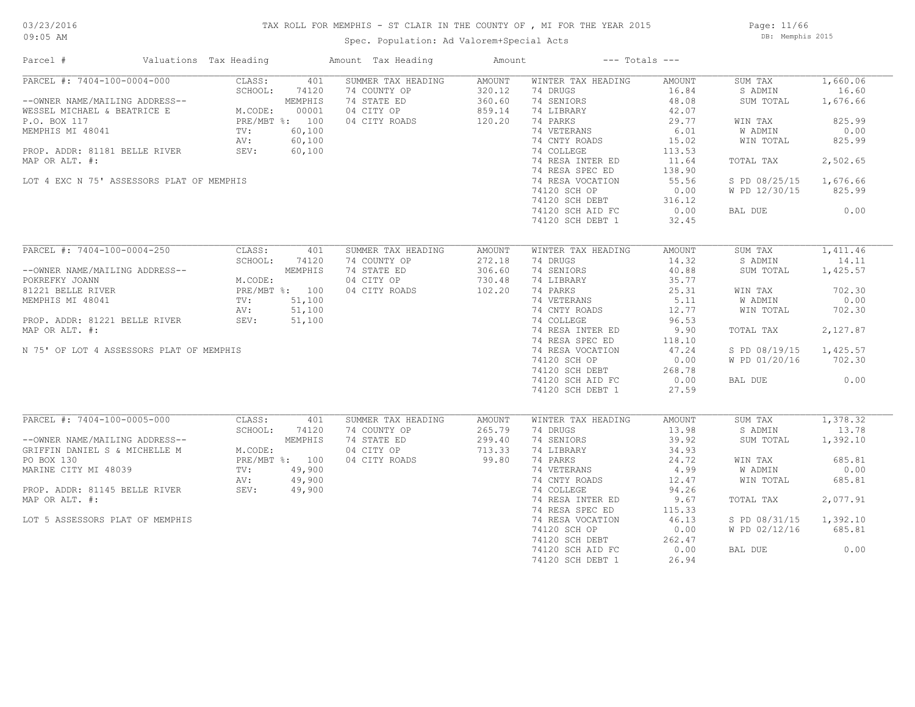Page: 11/66 DB: Memphis 2015

| Parcel #                        | Valuations Tax Heading                    |                                                                                                                                                                                                                                                     | Amount Tax Heading             | Amount |                              | $---$ Totals $---$ |                        |          |
|---------------------------------|-------------------------------------------|-----------------------------------------------------------------------------------------------------------------------------------------------------------------------------------------------------------------------------------------------------|--------------------------------|--------|------------------------------|--------------------|------------------------|----------|
| PARCEL #: 7404-100-0004-000     |                                           | CLASS:<br>401                                                                                                                                                                                                                                       | SUMMER TAX HEADING             | AMOUNT | WINTER TAX HEADING           | AMOUNT             | SUM TAX                | 1,660.06 |
|                                 |                                           | PARCEL #: 7404-100-0004-000<br>--OWNER NAME/MAILING ADDRESS--<br>WESSEL MICHAEL & BEATRICE E M.CODE: 00001<br>P.O. BOX 117<br>MEMPHIS MI 48041<br>MEMPHIS MI 48041<br>MEMPHIS MI 48041<br>PRE/MBT %: 00,100<br>P.C. BOX 117<br>MEMPHIS MI 48041<br> | 74 COUNTY OP                   | 320.12 | 74 DRUGS                     | 16.84              | S ADMIN                | 16.60    |
|                                 |                                           |                                                                                                                                                                                                                                                     | 74 STATE ED                    | 360.60 | 74 SENIORS                   | 48.08              | SUM TOTAL              | 1,676.66 |
|                                 |                                           |                                                                                                                                                                                                                                                     | 04 CITY OP                     | 859.14 | 74 LIBRARY                   | 42.07              |                        |          |
|                                 |                                           |                                                                                                                                                                                                                                                     | 04 CITY ROADS                  | 120.20 | 74 PARKS                     | 29.77              | WIN TAX                | 825.99   |
|                                 |                                           |                                                                                                                                                                                                                                                     |                                |        | 74 VETERANS                  | 6.01               | W ADMIN                | 0.00     |
|                                 |                                           |                                                                                                                                                                                                                                                     | $100$<br>$00$<br>$00$<br>$00$  |        | 74 CNTY ROADS                |                    |                        | 825.99   |
|                                 |                                           |                                                                                                                                                                                                                                                     |                                |        |                              | 15.02              | WIN TOTAL              |          |
|                                 | PROP. ADDR: 81181 BELLE RIVER SEV:        | 60,100                                                                                                                                                                                                                                              |                                |        | 74 COLLEGE                   | 113.53             |                        |          |
| MAP OR ALT. #:                  |                                           |                                                                                                                                                                                                                                                     |                                |        | 74 RESA INTER ED             | 11.64              | TOTAL TAX              | 2,502.65 |
|                                 |                                           |                                                                                                                                                                                                                                                     |                                |        | 74 RESA SPEC ED              | 138.90             |                        |          |
|                                 | LOT 4 EXC N 75' ASSESSORS PLAT OF MEMPHIS |                                                                                                                                                                                                                                                     |                                |        | 74 RESA VOCATION             | 55.56              | S PD 08/25/15 1,676.66 |          |
|                                 |                                           |                                                                                                                                                                                                                                                     |                                |        | 74120 SCH OP                 | 0.00               | W PD 12/30/15          | 825.99   |
|                                 |                                           |                                                                                                                                                                                                                                                     |                                |        | 74120 SCH DEBT               | 316.12             |                        |          |
|                                 |                                           |                                                                                                                                                                                                                                                     |                                |        | 74120 SCH AID FC             | 0.00               | BAL DUE                | 0.00     |
|                                 |                                           |                                                                                                                                                                                                                                                     |                                |        | 74120 SCH DEBT 1             | 32.45              |                        |          |
|                                 |                                           |                                                                                                                                                                                                                                                     |                                |        |                              |                    |                        |          |
|                                 | PARCEL #: 7404-100-0004-250               | CLASS:<br>401                                                                                                                                                                                                                                       | SUMMER TAX HEADING             | AMOUNT | WINTER TAX HEADING           | AMOUNT             | SUM TAX                | 1,411.46 |
|                                 |                                           | SCHOOL:<br>74120                                                                                                                                                                                                                                    | 74 COUNTY OP                   | 272.18 | 74 DRUGS                     | 14.32              | S ADMIN                | 14.11    |
|                                 |                                           | --OWNER NAME/MAILING ADDRESS--<br>POKREFKY JOANN MEMPHIS<br>81221 BELLE RIVER PRE/MBT %: 100<br>MEMPHIS MI 48041 TV: 51,100<br>PROP. ADDR: 81221 BELLE RIVER SEV: 51,100<br>PROP. ADDR: 81221 BELLE RIVER SEV: 51,100                               | 74 STATE ED                    | 306.60 | 74 SENIORS                   | 40.88              | SUM TOTAL              | 1,425.57 |
|                                 |                                           |                                                                                                                                                                                                                                                     |                                | 730.48 |                              | 35.77              |                        |          |
|                                 |                                           |                                                                                                                                                                                                                                                     | 04 CITY OP<br>100 04 CITY ROAL |        | 74 LIBRARY                   |                    |                        |          |
|                                 |                                           |                                                                                                                                                                                                                                                     |                                |        | 74 PARKS                     | 25.31              | WIN TAX                | 702.30   |
|                                 |                                           |                                                                                                                                                                                                                                                     |                                |        | 74 VETERANS<br>74 CNTY ROADS | 5.11               | <b>W ADMIN</b>         | 0.00     |
|                                 |                                           |                                                                                                                                                                                                                                                     |                                |        |                              | 12.77              | WIN TOTAL              | 702.30   |
|                                 |                                           |                                                                                                                                                                                                                                                     |                                |        | 74 COLLEGE                   | 96.53              |                        |          |
| MAP OR ALT. #:                  |                                           |                                                                                                                                                                                                                                                     |                                |        | 74 RESA INTER ED             | 9.90               | TOTAL TAX              | 2,127.87 |
|                                 |                                           |                                                                                                                                                                                                                                                     |                                |        | 74 RESA SPEC ED              | 118.10             |                        |          |
|                                 | N 75' OF LOT 4 ASSESSORS PLAT OF MEMPHIS  |                                                                                                                                                                                                                                                     |                                |        | 74 RESA VOCATION             | 47.24              | S PD 08/19/15          | 1,425.57 |
|                                 |                                           |                                                                                                                                                                                                                                                     |                                |        | 74120 SCH OP                 | 0.00               | W PD 01/20/16          | 702.30   |
|                                 |                                           |                                                                                                                                                                                                                                                     |                                |        | 74120 SCH DEBT               | 268.78             |                        |          |
|                                 |                                           |                                                                                                                                                                                                                                                     |                                |        |                              |                    |                        |          |
|                                 |                                           |                                                                                                                                                                                                                                                     |                                |        | 74120 SCH AID FC             | 0.00               | BAL DUE                | 0.00     |
|                                 |                                           |                                                                                                                                                                                                                                                     |                                |        | 74120 SCH DEBT 1             | 27.59              |                        |          |
|                                 |                                           |                                                                                                                                                                                                                                                     |                                |        |                              |                    |                        |          |
| PARCEL #: 7404-100-0005-000     |                                           | CLASS:<br>401                                                                                                                                                                                                                                       | SUMMER TAX HEADING             | AMOUNT | WINTER TAX HEADING           | AMOUNT             | SUM TAX                | 1,378.32 |
|                                 |                                           | SCHOOL:<br>74120                                                                                                                                                                                                                                    | 74 COUNTY OP                   | 265.79 | 74 DRUGS                     | 13.98              | S ADMIN                | 13.78    |
|                                 |                                           |                                                                                                                                                                                                                                                     | 74 STATE ED                    | 299.40 | 74 SENIORS                   | 39.92              | SUM TOTAL              | 1,392.10 |
|                                 |                                           |                                                                                                                                                                                                                                                     | 04 CITY OP                     | 713.33 | 74 LIBRARY                   | 34.93              |                        |          |
|                                 |                                           | --OWNER NAME/MAILING ADDRESS--<br>GRIFFIN DANIEL S & MICHELLE M<br>PO BOX 130<br>MARINE CITY MI 48039<br>PROP. ADDR: 81145 BELLE RIVER<br>MARINE CITY MI 48039<br>PROP. ADDR: 81145 BELLE RIVER<br>MARINE CITY MI 48039<br>PROP. ADDR: 81145 B      | 04 CITY ROADS                  | 99.80  | 74 PARKS                     | 24.72              | WIN TAX                | 685.81   |
|                                 |                                           |                                                                                                                                                                                                                                                     |                                |        | 74 VETERANS                  | 4.99               | W ADMIN                | 0.00     |
|                                 |                                           |                                                                                                                                                                                                                                                     |                                |        | 74 CNTY ROADS                | 12.47              | WIN TOTAL              | 685.81   |
|                                 |                                           |                                                                                                                                                                                                                                                     |                                |        | 74 COLLEGE                   | 94.26              |                        |          |
| MAP OR ALT. #:                  |                                           |                                                                                                                                                                                                                                                     |                                |        | 74 RESA INTER ED             | 9.67               | TOTAL TAX              | 2,077.91 |
|                                 |                                           |                                                                                                                                                                                                                                                     |                                |        | 74 RESA SPEC ED              | 115.33             |                        |          |
|                                 |                                           |                                                                                                                                                                                                                                                     |                                |        |                              |                    |                        |          |
| LOT 5 ASSESSORS PLAT OF MEMPHIS |                                           |                                                                                                                                                                                                                                                     |                                |        | 74 RESA VOCATION             | 46.13              | S PD 08/31/15          | 1,392.10 |
|                                 |                                           |                                                                                                                                                                                                                                                     |                                |        | 74120 SCH OP                 | 0.00               | W PD 02/12/16          | 685.81   |
|                                 |                                           |                                                                                                                                                                                                                                                     |                                |        | 74120 SCH DEBT               | 262.47             |                        |          |
|                                 |                                           |                                                                                                                                                                                                                                                     |                                |        | 74120 SCH AID FC             | 0.00               | BAL DUE                | 0.00     |
|                                 |                                           |                                                                                                                                                                                                                                                     |                                |        | 74120 SCH DEBT 1             | 26.94              |                        |          |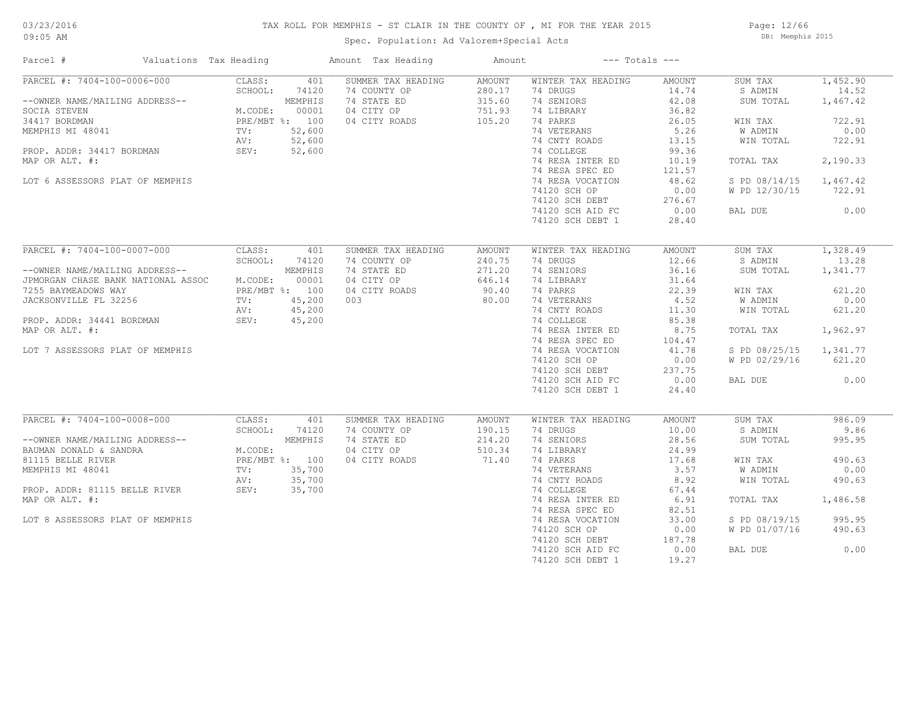### TAX ROLL FOR MEMPHIS - ST CLAIR IN THE COUNTY OF , MI FOR THE YEAR 2015

Spec. Population: Ad Valorem+Special Acts

Page: 12/66 DB: Memphis 2015

| Parcel #                                                                                                                                                                                                                              | Valuations Tax Heading |                                                                                  |                                                                | Amount Tax Heading                                                                      | Amount                                                        |                                                                                                                                                                                                                                                           | $---$ Totals $---$                                                                                                                  |                                                                                                                              |                                                                                                     |
|---------------------------------------------------------------------------------------------------------------------------------------------------------------------------------------------------------------------------------------|------------------------|----------------------------------------------------------------------------------|----------------------------------------------------------------|-----------------------------------------------------------------------------------------|---------------------------------------------------------------|-----------------------------------------------------------------------------------------------------------------------------------------------------------------------------------------------------------------------------------------------------------|-------------------------------------------------------------------------------------------------------------------------------------|------------------------------------------------------------------------------------------------------------------------------|-----------------------------------------------------------------------------------------------------|
| PARCEL #: 7404-100-0006-000<br>--OWNER NAME/MAILING ADDRESS--<br>SOCIA STEVEN<br>34417 BORDMAN<br>MEMPHIS MI 48041<br>PROP. ADDR: 34417 BORDMAN<br>MAP OR ALT. #:<br>LOT 6 ASSESSORS PLAT OF MEMPHIS                                  |                        | CLASS:<br>SCHOOL:<br>M.CODE:<br>PRE/MBT %: 100<br>$\texttt{TV}$ :<br>AV:<br>SEV: | 401<br>74120<br>MEMPHIS<br>00001<br>52,600<br>52,600<br>52,600 | SUMMER TAX HEADING<br>74 COUNTY OP<br>74 STATE ED<br>04 CITY OP<br>04 CITY ROADS        | <b>AMOUNT</b><br>280.17<br>315.60<br>751.93<br>105.20         | WINTER TAX HEADING<br>74 DRUGS<br>74 SENIORS<br>74 LIBRARY<br>74 PARKS<br>74 VETERANS<br>74 CNTY ROADS<br>74 COLLEGE<br>74 RESA INTER ED<br>74 RESA SPEC ED<br>74 RESA VOCATION<br>74120 SCH OP<br>74120 SCH DEBT<br>74120 SCH AID FC<br>74120 SCH DEBT 1 | AMOUNT<br>14.74<br>42.08<br>36.82<br>26.05<br>5.26<br>13.15<br>99.36<br>10.19<br>121.57<br>48.62<br>0.00<br>276.67<br>0.00<br>28.40 | SUM TAX<br>S ADMIN<br>SUM TOTAL<br>WIN TAX<br>W ADMIN<br>WIN TOTAL<br>TOTAL TAX<br>S PD 08/14/15<br>W PD 12/30/15<br>BAL DUE | 1,452.90<br>14.52<br>1,467.42<br>722.91<br>0.00<br>722.91<br>2,190.33<br>1,467.42<br>722.91<br>0.00 |
| PARCEL #: 7404-100-0007-000<br>--OWNER NAME/MAILING ADDRESS--<br>JPMORGAN CHASE BANK NATIONAL ASSOC<br>7255 BAYMEADOWS WAY<br>JACKSONVILLE FL 32256<br>PROP. ADDR: 34441 BORDMAN<br>MAP OR ALT. #:<br>LOT 7 ASSESSORS PLAT OF MEMPHIS |                        | CLASS:<br>SCHOOL:<br>M.CODE:<br>PRE/MBT %: 100<br>$\texttt{TV}$ :<br>AV:<br>SEV: | 401<br>74120<br>MEMPHIS<br>00001<br>45,200<br>45,200<br>45,200 | SUMMER TAX HEADING<br>74 COUNTY OP<br>74 STATE ED<br>04 CITY OP<br>04 CITY ROADS<br>003 | <b>AMOUNT</b><br>240.75<br>271.20<br>646.14<br>90.40<br>80.00 | WINTER TAX HEADING<br>74 DRUGS<br>74 SENIORS<br>74 LIBRARY<br>74 PARKS<br>74 VETERANS<br>74 CNTY ROADS<br>74 COLLEGE<br>74 RESA INTER ED<br>74 RESA SPEC ED<br>74 RESA VOCATION<br>74120 SCH OP<br>74120 SCH DEBT<br>74120 SCH AID FC<br>74120 SCH DEBT 1 | AMOUNT<br>12.66<br>36.16<br>31.64<br>22.39<br>4.52<br>11.30<br>85.38<br>8.75<br>104.47<br>41.78<br>0.00<br>237.75<br>0.00<br>24.40  | SUM TAX<br>S ADMIN<br>SUM TOTAL<br>WIN TAX<br>W ADMIN<br>WIN TOTAL<br>TOTAL TAX<br>S PD 08/25/15<br>W PD 02/29/16<br>BAL DUE | 1,328.49<br>13.28<br>1,341.77<br>621.20<br>0.00<br>621.20<br>1,962.97<br>1,341.77<br>621.20<br>0.00 |
| PARCEL #: 7404-100-0008-000<br>--OWNER NAME/MAILING ADDRESS--<br>BAUMAN DONALD & SANDRA<br>81115 BELLE RIVER<br>MEMPHIS MI 48041<br>PROP. ADDR: 81115 BELLE RIVER<br>MAP OR ALT. #:<br>LOT 8 ASSESSORS PLAT OF MEMPHIS                |                        | CLASS:<br>SCHOOL:<br>M.CODE:<br>PRE/MBT %: 100<br>TV:<br>AV:<br>SEV:             | 401<br>74120<br>MEMPHIS<br>35,700<br>35,700<br>35,700          | SUMMER TAX HEADING<br>74 COUNTY OP<br>74 STATE ED<br>04 CITY OP<br>04 CITY ROADS        | AMOUNT<br>190.15<br>214.20<br>510.34<br>71.40                 | WINTER TAX HEADING<br>74 DRUGS<br>74 SENIORS<br>74 LIBRARY<br>74 PARKS<br>74 VETERANS<br>74 CNTY ROADS<br>74 COLLEGE<br>74 RESA INTER ED<br>74 RESA SPEC ED<br>74 RESA VOCATION<br>74120 SCH OP<br>74120 SCH DEBT<br>74120 SCH AID FC<br>74120 SCH DEBT 1 | AMOUNT<br>10.00<br>28.56<br>24.99<br>17.68<br>3.57<br>8.92<br>67.44<br>6.91<br>82.51<br>33.00<br>0.00<br>187.78<br>0.00<br>19.27    | SUM TAX<br>S ADMIN<br>SUM TOTAL<br>WIN TAX<br>W ADMIN<br>WIN TOTAL<br>TOTAL TAX<br>S PD 08/19/15<br>W PD 01/07/16<br>BAL DUE | 986.09<br>9.86<br>995.95<br>490.63<br>0.00<br>490.63<br>1,486.58<br>995.95<br>490.63<br>0.00        |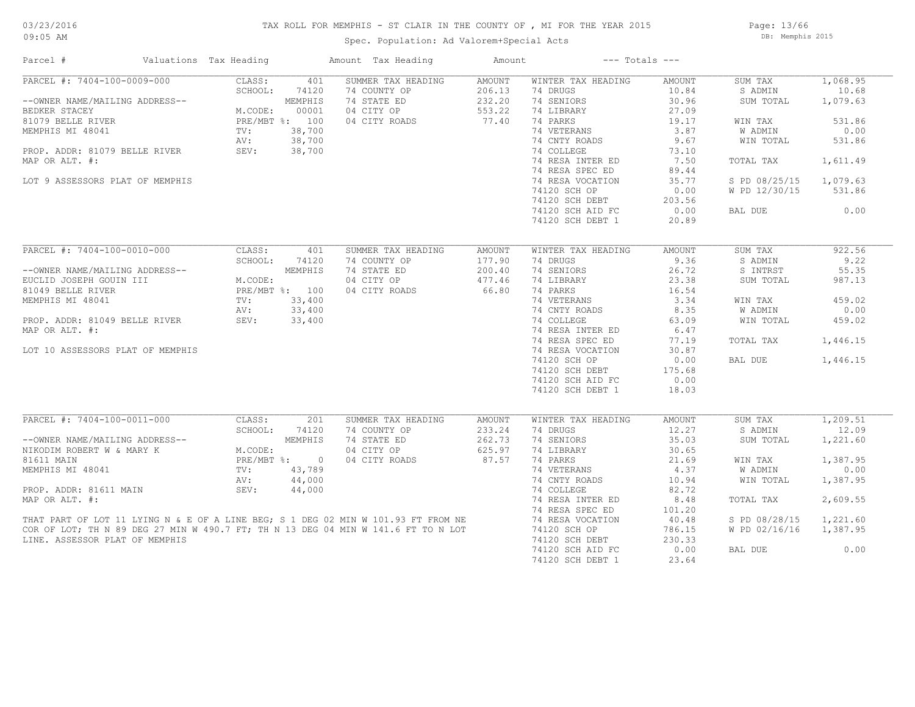#### TAX ROLL FOR MEMPHIS - ST CLAIR IN THE COUNTY OF , MI FOR THE YEAR 2015

Spec. Population: Ad Valorem+Special Acts

Page: 13/66 DB: Memphis 2015

| Parcel #                                                                                                                                                                                                                                                    | Valuations Tax Heading |                  | Amount Tax Heading                 | Amount           |                                | $---$ Totals $---$ |                    |                   |
|-------------------------------------------------------------------------------------------------------------------------------------------------------------------------------------------------------------------------------------------------------------|------------------------|------------------|------------------------------------|------------------|--------------------------------|--------------------|--------------------|-------------------|
| PARCEL #: 7404-100-0009-000                                                                                                                                                                                                                                 | CLASS:<br>SCHOOL:      | 401<br>74120     | SUMMER TAX HEADING<br>74 COUNTY OP | AMOUNT<br>206.13 | WINTER TAX HEADING<br>74 DRUGS | AMOUNT<br>10.84    | SUM TAX<br>S ADMIN | 1,068.95<br>10.68 |
| --OWNER NAME/MAILING ADDRESS--<br>BEDKER STACEY                                                                                                                                                                                                             | M.CODE:                | MEMPHIS<br>00001 | 74 STATE ED<br>04 CITY OP          | 232.20<br>553.22 | 74 SENIORS<br>74 LIBRARY       | 30.96<br>27.09     | SUM TOTAL          | 1,079.63          |
| 81079 BELLE RIVER                                                                                                                                                                                                                                           |                        | PRE/MBT %: 100   | 04 CITY ROADS                      | 77.40            | 74 PARKS                       | 19.17              | WIN TAX            | 531.86            |
| MEMPHIS MI 48041                                                                                                                                                                                                                                            | TV:                    | 38,700           |                                    |                  | 74 VETERANS                    | 3.87               | W ADMIN            | 0.00              |
|                                                                                                                                                                                                                                                             | AV:                    | 38,700           |                                    |                  | 74 CNTY ROADS                  | 9.67               | WIN TOTAL          | 531.86            |
| PROP. ADDR: 81079 BELLE RIVER                                                                                                                                                                                                                               | SEV:                   | 38,700           |                                    |                  | 74 COLLEGE                     | 73.10              |                    |                   |
| MAP OR ALT. #:                                                                                                                                                                                                                                              |                        |                  |                                    |                  | 74 RESA INTER ED               | 7.50               | TOTAL TAX          | 1,611.49          |
|                                                                                                                                                                                                                                                             |                        |                  |                                    |                  | 74 RESA SPEC ED                | 89.44              |                    |                   |
| LOT 9 ASSESSORS PLAT OF MEMPHIS                                                                                                                                                                                                                             |                        |                  |                                    |                  | 74 RESA VOCATION               | 35.77              | S PD 08/25/15      | 1,079.63          |
|                                                                                                                                                                                                                                                             |                        |                  |                                    |                  | 74120 SCH OP                   | 0.00               | W PD 12/30/15      | 531.86            |
|                                                                                                                                                                                                                                                             |                        |                  |                                    |                  | 74120 SCH DEBT                 | 203.56             |                    |                   |
|                                                                                                                                                                                                                                                             |                        |                  |                                    |                  | 74120 SCH AID FC               | 0.00               | BAL DUE            | 0.00              |
|                                                                                                                                                                                                                                                             |                        |                  |                                    |                  | 74120 SCH DEBT 1               | 20.89              |                    |                   |
|                                                                                                                                                                                                                                                             |                        |                  |                                    |                  |                                |                    |                    |                   |
| PARCEL #: 7404-100-0010-000                                                                                                                                                                                                                                 | CLASS:                 | 401              | SUMMER TAX HEADING                 | AMOUNT           | WINTER TAX HEADING             | AMOUNT             | SUM TAX            | 922.56            |
|                                                                                                                                                                                                                                                             | SCHOOL:                | 74120            | 74 COUNTY OP                       | 177.90           | 74 DRUGS                       | 9.36               | S ADMIN            | 9.22              |
| --OWNER NAME/MAILING ADDRESS--                                                                                                                                                                                                                              |                        | MEMPHIS          | 74 STATE ED                        | 200.40           | 74 SENIORS                     | 26.72              | S INTRST           | 55.35             |
| EUCLID JOSEPH GOUIN III                                                                                                                                                                                                                                     | M.CODE:                |                  | 04 CITY OP                         | 477.46           | 74 LIBRARY                     | 23.38              | SUM TOTAL          | 987.13            |
| 81049 BELLE RIVER                                                                                                                                                                                                                                           |                        | PRE/MBT %: 100   | 04 CITY ROADS                      | 66.80            | 74 PARKS                       | 16.54              |                    |                   |
| MEMPHIS MI 48041                                                                                                                                                                                                                                            | TV:                    | 33,400           |                                    |                  | 74 VETERANS                    | 3.34               | WIN TAX            | 459.02            |
|                                                                                                                                                                                                                                                             | AV:                    | 33,400           |                                    |                  | 74 CNTY ROADS                  | 8.35               | W ADMIN            | 0.00              |
| PROP. ADDR: 81049 BELLE RIVER                                                                                                                                                                                                                               | SEV:                   | 33,400           |                                    |                  | 74 COLLEGE                     | 63.09              | WIN TOTAL          | 459.02            |
| MAP OR ALT. #:                                                                                                                                                                                                                                              |                        |                  |                                    |                  | 74 RESA INTER ED               | 6.47               |                    |                   |
|                                                                                                                                                                                                                                                             |                        |                  |                                    |                  | 74 RESA SPEC ED                | 77.19              | TOTAL TAX          | 1,446.15          |
| LOT 10 ASSESSORS PLAT OF MEMPHIS                                                                                                                                                                                                                            |                        |                  |                                    |                  | 74 RESA VOCATION               | 30.87              |                    |                   |
|                                                                                                                                                                                                                                                             |                        |                  |                                    |                  | 74120 SCH OP                   | 0.00               | BAL DUE            | 1,446.15          |
|                                                                                                                                                                                                                                                             |                        |                  |                                    |                  | 74120 SCH DEBT                 | 175.68             |                    |                   |
|                                                                                                                                                                                                                                                             |                        |                  |                                    |                  | 74120 SCH AID FC               | 0.00               |                    |                   |
|                                                                                                                                                                                                                                                             |                        |                  |                                    |                  | 74120 SCH DEBT 1               | 18.03              |                    |                   |
| PARCEL #: 7404-100-0011-000                                                                                                                                                                                                                                 | CLASS:                 | 201              | SUMMER TAX HEADING                 | AMOUNT           | WINTER TAX HEADING             | AMOUNT             | SUM TAX            | 1,209.51          |
|                                                                                                                                                                                                                                                             | SCHOOL:                | 74120            | 74 COUNTY OP                       | 233.24           | 74 DRUGS                       | 12.27              | S ADMIN            | 12.09             |
| --OWNER NAME/MAILING ADDRESS--                                                                                                                                                                                                                              |                        | MEMPHIS          | 74 STATE ED                        | 262.73           | 74 SENIORS                     | 35.03              | SUM TOTAL          | 1,221.60          |
| NIKODIM ROBERT W & MARY K                                                                                                                                                                                                                                   | M.CODE:                |                  | 04 CITY OP                         | 625.97           | 74 LIBRARY                     | 30.65              |                    |                   |
| 81611 MAIN                                                                                                                                                                                                                                                  |                        | PRE/MBT %: 0     | 04 CITY ROADS                      | 87.57            | 74 PARKS                       | 21.69              | WIN TAX            | 1,387.95          |
| MEMPHIS MI 48041                                                                                                                                                                                                                                            | $\text{TV}$ :          | 43,789           |                                    |                  | 74 VETERANS                    | 4.37               | W ADMIN            | 0.00              |
|                                                                                                                                                                                                                                                             | AV:                    | 44,000           |                                    |                  | 74 CNTY ROADS                  | 10.94              | WIN TOTAL          | 1,387.95          |
| PROP. ADDR: 81611 MAIN                                                                                                                                                                                                                                      | SEV:                   | 44,000           |                                    |                  | 74 COLLEGE                     | 82.72              |                    |                   |
| MAP OR ALT. #:                                                                                                                                                                                                                                              |                        |                  |                                    |                  | 74 RESA INTER ED               | 8.48               | TOTAL TAX          | 2,609.55          |
|                                                                                                                                                                                                                                                             |                        |                  |                                    |                  | 74 RESA SPEC ED                | 101.20             |                    |                   |
|                                                                                                                                                                                                                                                             |                        |                  |                                    |                  | 74 RESA VOCATION               | 40.48              | S PD 08/28/15      | 1,221.60          |
| THAT PART OF LOT 11 LYING N & E OF A LINE BEG; S 1 DEG 02 MIN W 101.93 FT FROM NE<br>COR OF LOT; TH N 89 DEG 27 MIN W 490.7 FT; TH N 13 DEG 04 MIN W 141.6 FT TO N LOT<br>COR OF LOT; TH N 89 DEG 27 MIN W 490.7 FT; TH N 13 DEG 04 MIN W 141.6 FT TO N LOT |                        |                  |                                    |                  | 74120 SCH OP                   | 786.15             | W PD 02/16/16      | 1,387.95          |
| LINE. ASSESSOR PLAT OF MEMPHIS                                                                                                                                                                                                                              |                        |                  |                                    |                  | 74120 SCH DEBT                 | 230.33             |                    |                   |
|                                                                                                                                                                                                                                                             |                        |                  |                                    |                  | 74120 SCH AID FC               | 0.00               | BAL DUE            | 0.00              |
|                                                                                                                                                                                                                                                             |                        |                  |                                    |                  | 74120 SCH DEBT 1               | 23.64              |                    |                   |
|                                                                                                                                                                                                                                                             |                        |                  |                                    |                  |                                |                    |                    |                   |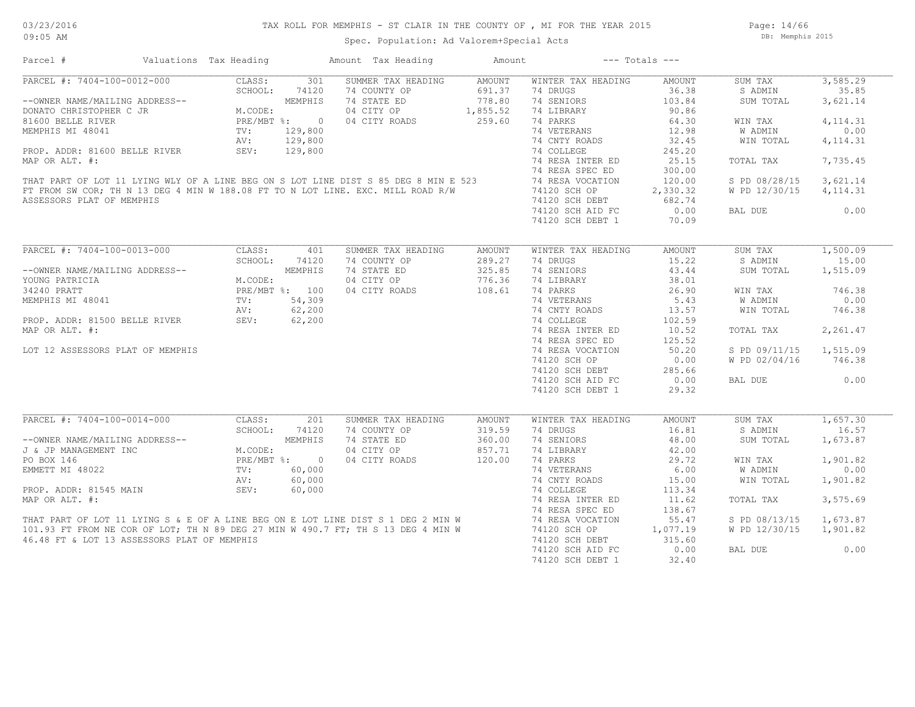Page: 14/66 DB: Memphis 2015

| $\begin{tabular}{lllllllllllllllllllll} & 1 & \# & & & \\ & & \bullet & \text{CEL &\#: } 7404-100-0012-000 & & \\ & & & & & & & \\ \text{1.000 E} & & & & & & & \\ \text{1.000 E} & & & & & & & \\ \text{1.000 E} & & & & & & & \\ \text{1.001 E} & & & & & & & \\ \text{1.001 E} & & & & & & & \\ \text{1.001 E} & & & & & & & \\ \text{1.01 E} & & & & & & & \\ \text{1.01 E} & & & & & & & \\ \text{1.1$ |                                                                                                                                                                                                                                                                               |         |            | Amount Tax Heading                                                                                                                                                                                                                   | Amount        |                    | $---$ Totals $---$ |                |           |
|-------------------------------------------------------------------------------------------------------------------------------------------------------------------------------------------------------------------------------------------------------------------------------------------------------------------------------------------------------------------------------------------------------------|-------------------------------------------------------------------------------------------------------------------------------------------------------------------------------------------------------------------------------------------------------------------------------|---------|------------|--------------------------------------------------------------------------------------------------------------------------------------------------------------------------------------------------------------------------------------|---------------|--------------------|--------------------|----------------|-----------|
|                                                                                                                                                                                                                                                                                                                                                                                                             |                                                                                                                                                                                                                                                                               |         |            | SUMMER TAX HEADING                                                                                                                                                                                                                   | AMOUNT        | WINTER TAX HEADING | AMOUNT             | SUM TAX        | 3,585.29  |
|                                                                                                                                                                                                                                                                                                                                                                                                             |                                                                                                                                                                                                                                                                               |         |            | 74 COUNTY OP                                                                                                                                                                                                                         | 691.37        | 74 DRUGS           | 36.38              | S ADMIN        | 35.85     |
|                                                                                                                                                                                                                                                                                                                                                                                                             |                                                                                                                                                                                                                                                                               |         |            | 74 STATE ED                                                                                                                                                                                                                          | 778.80        | 74 SENIORS         | 103.84             | SUM TOTAL      | 3,621.14  |
|                                                                                                                                                                                                                                                                                                                                                                                                             |                                                                                                                                                                                                                                                                               |         |            | 04 CITY OP                                                                                                                                                                                                                           | 1,855.52      | 74 LIBRARY         | 90.86              |                |           |
|                                                                                                                                                                                                                                                                                                                                                                                                             |                                                                                                                                                                                                                                                                               |         |            | 04 CITY ROADS                                                                                                                                                                                                                        | 259.60        | 74 PARKS           | 64.30              | WIN TAX        | 4, 114.31 |
|                                                                                                                                                                                                                                                                                                                                                                                                             |                                                                                                                                                                                                                                                                               |         |            |                                                                                                                                                                                                                                      |               | 74 VETERANS        | 12.98              | W ADMIN        | 0.00      |
|                                                                                                                                                                                                                                                                                                                                                                                                             |                                                                                                                                                                                                                                                                               |         |            |                                                                                                                                                                                                                                      |               | 74 CNTY ROADS      | 32.45              | WIN TOTAL      | 4, 114.31 |
|                                                                                                                                                                                                                                                                                                                                                                                                             |                                                                                                                                                                                                                                                                               |         |            |                                                                                                                                                                                                                                      |               | 74 COLLEGE         | 245.20             |                |           |
|                                                                                                                                                                                                                                                                                                                                                                                                             |                                                                                                                                                                                                                                                                               |         |            |                                                                                                                                                                                                                                      |               | 74 RESA INTER ED   | 25.15              | TOTAL TAX      | 7,735.45  |
|                                                                                                                                                                                                                                                                                                                                                                                                             |                                                                                                                                                                                                                                                                               |         |            |                                                                                                                                                                                                                                      |               | 74 RESA SPEC ED    | 300.00             |                |           |
|                                                                                                                                                                                                                                                                                                                                                                                                             |                                                                                                                                                                                                                                                                               |         |            |                                                                                                                                                                                                                                      |               | 74 RESA VOCATION   | 120.00             | S PD 08/28/15  | 3,621.14  |
|                                                                                                                                                                                                                                                                                                                                                                                                             |                                                                                                                                                                                                                                                                               |         |            |                                                                                                                                                                                                                                      |               | 74120 SCH OP       | 2,330.32           | W PD 12/30/15  | 4,114.31  |
|                                                                                                                                                                                                                                                                                                                                                                                                             |                                                                                                                                                                                                                                                                               |         |            | MAP OK ALT. #:<br>THAT PART OF LOT 11 LYING WLY OF A LINE BEG ON S LOT LINE DIST S 85 DEG 8 MIN E 523<br>FT FROM SW COR; TH N 13 DEG 4 MIN W 188.08 FT TO N LOT LINE. EXC. MILL ROAD R/W                                             |               |                    | 682.74             |                |           |
| ASSESSORS PLAT OF MEMPHIS                                                                                                                                                                                                                                                                                                                                                                                   |                                                                                                                                                                                                                                                                               |         |            |                                                                                                                                                                                                                                      |               | 74120 SCH DEBT     |                    |                |           |
|                                                                                                                                                                                                                                                                                                                                                                                                             |                                                                                                                                                                                                                                                                               |         |            |                                                                                                                                                                                                                                      |               | 74120 SCH AID FC   | 0.00               | BAL DUE        | 0.00      |
|                                                                                                                                                                                                                                                                                                                                                                                                             |                                                                                                                                                                                                                                                                               |         |            |                                                                                                                                                                                                                                      |               | 74120 SCH DEBT 1   | 70.09              |                |           |
|                                                                                                                                                                                                                                                                                                                                                                                                             |                                                                                                                                                                                                                                                                               |         |            |                                                                                                                                                                                                                                      |               |                    |                    |                |           |
| PARCEL #: 7404-100-0013-000                                                                                                                                                                                                                                                                                                                                                                                 |                                                                                                                                                                                                                                                                               |         | CLASS: 401 | SUMMER TAX HEADING                                                                                                                                                                                                                   | <b>AMOUNT</b> | WINTER TAX HEADING | <b>AMOUNT</b>      | SUM TAX        | 1,500.09  |
|                                                                                                                                                                                                                                                                                                                                                                                                             |                                                                                                                                                                                                                                                                               | SCHOOL: | 74120      | 74 COUNTY OP                                                                                                                                                                                                                         | 289.27        | 74 DRUGS           | 15.22              | S ADMIN        | 15.00     |
| --OWNER NAME/MAILING ADDRESS--<br>YOUNG PATRICIA M.CODE:<br>34240 PRATT PRE/MBT %: 100<br>MEMPHIS MI 48041 TV: 54,309<br>PROP. ADDR: 81500 BELLE RIVER SEV: 62,200<br>MEMPHIS MI 48041 TV: 54,309<br>PROP. ADDR: 81500 BELLE RIVER SEV: 62                                                                                                                                                                  |                                                                                                                                                                                                                                                                               |         |            | 74 STATE ED                                                                                                                                                                                                                          | 325.85        | 74 SENIORS         | 43.44              | SUM TOTAL      | 1,515.09  |
|                                                                                                                                                                                                                                                                                                                                                                                                             |                                                                                                                                                                                                                                                                               |         |            |                                                                                                                                                                                                                                      |               | 74 LIBRARY         | 38.01              |                |           |
|                                                                                                                                                                                                                                                                                                                                                                                                             |                                                                                                                                                                                                                                                                               |         |            |                                                                                                                                                                                                                                      |               | 74 PARKS           | 26.90              | WIN TAX        | 746.38    |
|                                                                                                                                                                                                                                                                                                                                                                                                             |                                                                                                                                                                                                                                                                               |         |            |                                                                                                                                                                                                                                      |               | 74 VETERANS        | 5.43               | W ADMIN        | 0.00      |
|                                                                                                                                                                                                                                                                                                                                                                                                             |                                                                                                                                                                                                                                                                               |         |            |                                                                                                                                                                                                                                      |               | 74 CNTY ROADS      | 13.57              | WIN TOTAL      | 746.38    |
|                                                                                                                                                                                                                                                                                                                                                                                                             |                                                                                                                                                                                                                                                                               |         |            |                                                                                                                                                                                                                                      |               | 74 COLLEGE         | 102.59             |                |           |
| MAP OR ALT. #:                                                                                                                                                                                                                                                                                                                                                                                              |                                                                                                                                                                                                                                                                               |         |            |                                                                                                                                                                                                                                      |               | 74 RESA INTER ED   | 10.52              | TOTAL TAX      | 2,261.47  |
|                                                                                                                                                                                                                                                                                                                                                                                                             |                                                                                                                                                                                                                                                                               |         |            |                                                                                                                                                                                                                                      |               | 74 RESA SPEC ED    | 125.52             |                |           |
| LOT 12 ASSESSORS PLAT OF MEMPHIS                                                                                                                                                                                                                                                                                                                                                                            |                                                                                                                                                                                                                                                                               |         |            |                                                                                                                                                                                                                                      |               | 74 RESA VOCATION   | 50.20              | S PD 09/11/15  | 1,515.09  |
|                                                                                                                                                                                                                                                                                                                                                                                                             |                                                                                                                                                                                                                                                                               |         |            |                                                                                                                                                                                                                                      |               |                    |                    |                |           |
|                                                                                                                                                                                                                                                                                                                                                                                                             |                                                                                                                                                                                                                                                                               |         |            |                                                                                                                                                                                                                                      |               | 74120 SCH OP       | 0.00               | W PD 02/04/16  | 746.38    |
|                                                                                                                                                                                                                                                                                                                                                                                                             |                                                                                                                                                                                                                                                                               |         |            | CODE:<br>(E/MBT %: 100 04 CITY ROAD)<br>V: 54,309<br>AV: 62,200<br>SEV: 62,200                                                                                                                                                       |               | 74120 SCH DEBT     | 285.66             |                |           |
|                                                                                                                                                                                                                                                                                                                                                                                                             |                                                                                                                                                                                                                                                                               |         |            |                                                                                                                                                                                                                                      |               | 74120 SCH AID FC   | 0.00               | BAL DUE        | 0.00      |
|                                                                                                                                                                                                                                                                                                                                                                                                             |                                                                                                                                                                                                                                                                               |         |            |                                                                                                                                                                                                                                      |               | 74120 SCH DEBT 1   | 29.32              |                |           |
|                                                                                                                                                                                                                                                                                                                                                                                                             |                                                                                                                                                                                                                                                                               |         |            |                                                                                                                                                                                                                                      |               |                    |                    |                |           |
| PARCEL #: 7404-100-0014-000                                                                                                                                                                                                                                                                                                                                                                                 |                                                                                                                                                                                                                                                                               | CLASS:  | 201        | SUMMER TAX HEADING                                                                                                                                                                                                                   | AMOUNT        | WINTER TAX HEADING | <b>AMOUNT</b>      | SUM TAX        | 1,657.30  |
|                                                                                                                                                                                                                                                                                                                                                                                                             |                                                                                                                                                                                                                                                                               |         |            | 74 COUNTY OP                                                                                                                                                                                                                         | 319.59        | 74 DRUGS           | 16.81              | S ADMIN        | 16.57     |
| --OWNER NAME/MAILING ADDRESS--                                                                                                                                                                                                                                                                                                                                                                              |                                                                                                                                                                                                                                                                               |         |            | 74 STATE ED                                                                                                                                                                                                                          | 360.00        | 74 SENIORS         | 48.00              | SUM TOTAL      | 1,673.87  |
| J & JP MANAGEMENT INC                                                                                                                                                                                                                                                                                                                                                                                       | $\begin{tabular}{lllllllll} \texttt{NG} & \texttt{ADDRESS--} & & \texttt{MEMPHIS} \\ \texttt{INC} & & \texttt{M.CODE}: & \\ & & \texttt{PRE/MBT} & \texttt{\$:} & 0 \\ & & \texttt{TV:} & 60,000 \\ & & \texttt{AV:} & 60,000 \\ & & \texttt{CUV:} & 60,000 \\ \end{tabular}$ |         |            | 04 CITY OP                                                                                                                                                                                                                           | 857.71        | 74 LIBRARY         | 42.00              |                |           |
| PO BOX 146                                                                                                                                                                                                                                                                                                                                                                                                  |                                                                                                                                                                                                                                                                               |         |            | 04 CITY ROADS                                                                                                                                                                                                                        | 120.00        | 74 PARKS           | 29.72              | WIN TAX        | 1,901.82  |
| EMMETT MI 48022                                                                                                                                                                                                                                                                                                                                                                                             |                                                                                                                                                                                                                                                                               |         |            |                                                                                                                                                                                                                                      |               | 74 VETERANS        | 6.00               | <b>W ADMIN</b> | 0.00      |
|                                                                                                                                                                                                                                                                                                                                                                                                             |                                                                                                                                                                                                                                                                               |         |            |                                                                                                                                                                                                                                      |               | 74 CNTY ROADS      | 15.00              | WIN TOTAL      | 1,901.82  |
| PROP. ADDR: 81545 MAIN                                                                                                                                                                                                                                                                                                                                                                                      |                                                                                                                                                                                                                                                                               | SEV:    | 60,000     |                                                                                                                                                                                                                                      |               | 74 COLLEGE         | 113.34             |                |           |
|                                                                                                                                                                                                                                                                                                                                                                                                             |                                                                                                                                                                                                                                                                               |         |            | MAP OR ALT. #:<br>THAT PART OF LOT 11 LYING S & E OF A LINE BEG ON E LOT LINE DIST S 1 DEG 2 MIN W 74 RESA SPECED<br>THAT PART OF LOT 11 LYING S & E OF A LINE BEG ON E LOT LINE DIST S 1 DEG 2 MIN W 74 RESA SPECED<br>101.93 FT FR |               |                    | 11.62              | TOTAL TAX      | 3,575.69  |
|                                                                                                                                                                                                                                                                                                                                                                                                             |                                                                                                                                                                                                                                                                               |         |            |                                                                                                                                                                                                                                      |               |                    | 138.67             |                |           |
|                                                                                                                                                                                                                                                                                                                                                                                                             |                                                                                                                                                                                                                                                                               |         |            |                                                                                                                                                                                                                                      |               |                    | 55.47              | S PD 08/13/15  | 1,673.87  |
|                                                                                                                                                                                                                                                                                                                                                                                                             |                                                                                                                                                                                                                                                                               |         |            |                                                                                                                                                                                                                                      |               |                    | 1,077.19           | W PD 12/30/15  | 1,901.82  |
| 46.48 FT & LOT 13 ASSESSORS PLAT OF MEMPHIS                                                                                                                                                                                                                                                                                                                                                                 |                                                                                                                                                                                                                                                                               |         |            |                                                                                                                                                                                                                                      |               | 74120 SCH DEBT     | 315.60             |                |           |
|                                                                                                                                                                                                                                                                                                                                                                                                             |                                                                                                                                                                                                                                                                               |         |            |                                                                                                                                                                                                                                      |               | 74120 SCH AID FC   | 0.00               | BAL DUE        | 0.00      |
|                                                                                                                                                                                                                                                                                                                                                                                                             |                                                                                                                                                                                                                                                                               |         |            |                                                                                                                                                                                                                                      |               | 74120 SCH DEBT 1   | 32.40              |                |           |
|                                                                                                                                                                                                                                                                                                                                                                                                             |                                                                                                                                                                                                                                                                               |         |            |                                                                                                                                                                                                                                      |               |                    |                    |                |           |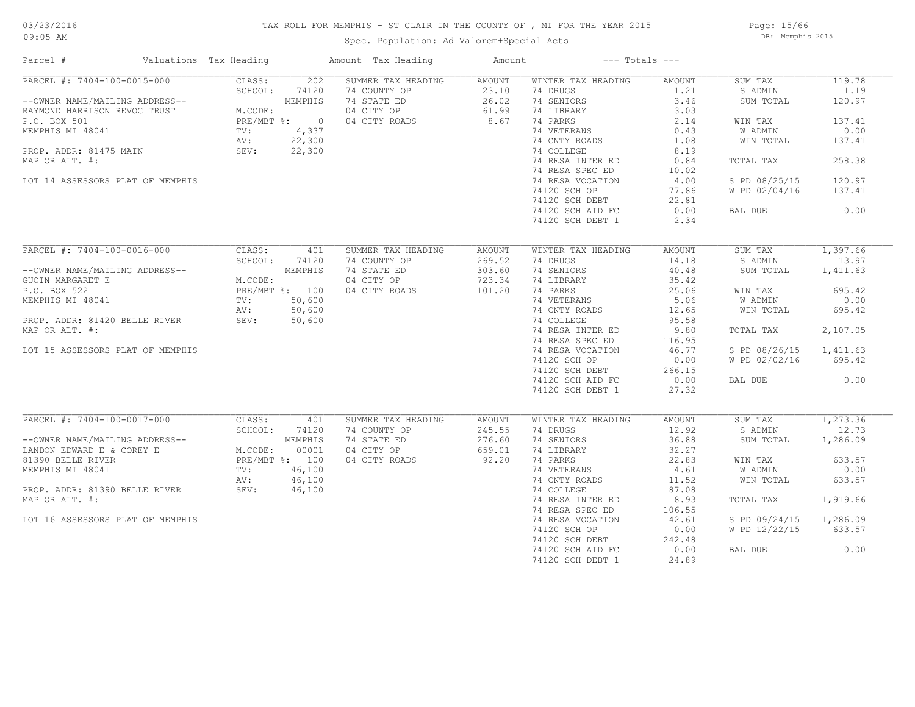#### TAX ROLL FOR MEMPHIS - ST CLAIR IN THE COUNTY OF , MI FOR THE YEAR 2015

Spec. Population: Ad Valorem+Special Acts

Page: 15/66 DB: Memphis 2015

| Parcel #                                                      | Valuations Tax Heading |                   |                         | Amount Tax Heading                                | Amount                   |                                              | $---$ Totals $---$     |                                 |                          |
|---------------------------------------------------------------|------------------------|-------------------|-------------------------|---------------------------------------------------|--------------------------|----------------------------------------------|------------------------|---------------------------------|--------------------------|
| PARCEL #: 7404-100-0015-000<br>--OWNER NAME/MAILING ADDRESS-- |                        | CLASS:<br>SCHOOL: | 202<br>74120<br>MEMPHIS | SUMMER TAX HEADING<br>74 COUNTY OP<br>74 STATE ED | AMOUNT<br>23.10<br>26.02 | WINTER TAX HEADING<br>74 DRUGS<br>74 SENIORS | AMOUNT<br>1.21<br>3.46 | SUM TAX<br>S ADMIN<br>SUM TOTAL | 119.78<br>1.19<br>120.97 |
| RAYMOND HARRISON REVOC TRUST                                  |                        | M.CODE:           |                         | 04 CITY OP                                        | 61.99                    | 74 LIBRARY                                   | 3.03                   |                                 |                          |
| P.O. BOX 501                                                  |                        | PRE/MBT %: 0      |                         | 04 CITY ROADS                                     | 8.67                     | 74 PARKS                                     | 2.14                   | WIN TAX                         | 137.41                   |
| MEMPHIS MI 48041                                              |                        | TV:               | 4,337                   |                                                   |                          | 74 VETERANS<br>74 CNTY ROADS                 | 0.43                   | W ADMIN                         | 0.00                     |
| PROP. ADDR: 81475 MAIN                                        |                        | AV:<br>SEV:       | 22,300<br>22,300        |                                                   |                          | 74 COLLEGE                                   | 1.08<br>8.19           | WIN TOTAL                       | 137.41                   |
| MAP OR ALT. #:                                                |                        |                   |                         |                                                   |                          | 74 RESA INTER ED                             | 0.84                   | TOTAL TAX                       | 258.38                   |
|                                                               |                        |                   |                         |                                                   |                          | 74 RESA SPEC ED                              | 10.02                  |                                 |                          |
| LOT 14 ASSESSORS PLAT OF MEMPHIS                              |                        |                   |                         |                                                   |                          | 74 RESA VOCATION                             | 4.00                   | S PD 08/25/15                   | 120.97                   |
|                                                               |                        |                   |                         |                                                   |                          | 74120 SCH OP                                 | 77.86                  | W PD 02/04/16                   | 137.41                   |
|                                                               |                        |                   |                         |                                                   |                          | 74120 SCH DEBT                               | 22.81                  |                                 |                          |
|                                                               |                        |                   |                         |                                                   |                          | 74120 SCH AID FC                             | 0.00                   | BAL DUE                         | 0.00                     |
|                                                               |                        |                   |                         |                                                   |                          | 74120 SCH DEBT 1                             | 2.34                   |                                 |                          |
|                                                               |                        |                   |                         |                                                   |                          |                                              |                        |                                 |                          |
| PARCEL #: 7404-100-0016-000                                   |                        | CLASS:            | 401                     | SUMMER TAX HEADING                                | AMOUNT                   | WINTER TAX HEADING                           | AMOUNT                 | SUM TAX                         | 1,397.66                 |
|                                                               |                        | SCHOOL:           | 74120                   | 74 COUNTY OP                                      | 269.52                   | 74 DRUGS                                     | 14.18                  | S ADMIN                         | 13.97                    |
| --OWNER NAME/MAILING ADDRESS--                                |                        |                   | MEMPHIS                 | 74 STATE ED                                       | 303.60                   | 74 SENIORS                                   | 40.48                  | SUM TOTAL                       | 1,411.63                 |
| GUOIN MARGARET E                                              |                        | M.CODE:           |                         | 04 CITY OP                                        | 723.34                   | 74 LIBRARY                                   | 35.42                  |                                 |                          |
| P.O. BOX 522                                                  |                        | PRE/MBT %: 100    |                         | 04 CITY ROADS                                     | 101.20                   | 74 PARKS                                     | 25.06                  | WIN TAX                         | 695.42                   |
| MEMPHIS MI 48041                                              |                        | TV:               | 50,600                  |                                                   |                          | 74 VETERANS                                  | 5.06                   | W ADMIN                         | 0.00                     |
|                                                               |                        | AV:               | 50,600                  |                                                   |                          | 74 CNTY ROADS                                | 12.65                  | WIN TOTAL                       | 695.42                   |
| PROP. ADDR: 81420 BELLE RIVER                                 |                        | SEV:              | 50,600                  |                                                   |                          | 74 COLLEGE                                   | 95.58                  |                                 |                          |
| MAP OR ALT. #:                                                |                        |                   |                         |                                                   |                          | 74 RESA INTER ED                             | 9.80                   | TOTAL TAX                       | 2,107.05                 |
|                                                               |                        |                   |                         |                                                   |                          | 74 RESA SPEC ED                              | 116.95                 |                                 |                          |
| LOT 15 ASSESSORS PLAT OF MEMPHIS                              |                        |                   |                         |                                                   |                          | 74 RESA VOCATION                             | 46.77                  | S PD 08/26/15                   | 1,411.63                 |
|                                                               |                        |                   |                         |                                                   |                          | 74120 SCH OP                                 | 0.00                   | W PD 02/02/16                   | 695.42                   |
|                                                               |                        |                   |                         |                                                   |                          | 74120 SCH DEBT                               | 266.15                 |                                 |                          |
|                                                               |                        |                   |                         |                                                   |                          | 74120 SCH AID FC                             | 0.00                   | BAL DUE                         | 0.00                     |
|                                                               |                        |                   |                         |                                                   |                          | 74120 SCH DEBT 1                             | 27.32                  |                                 |                          |
| PARCEL #: 7404-100-0017-000                                   |                        | CLASS:            | 401                     | SUMMER TAX HEADING                                | AMOUNT                   | WINTER TAX HEADING                           | AMOUNT                 | SUM TAX                         | 1, 273.36                |
|                                                               |                        | SCHOOL:           | 74120                   | 74 COUNTY OP                                      | 245.55                   | 74 DRUGS                                     | 12.92                  | S ADMIN                         | 12.73                    |
| --OWNER NAME/MAILING ADDRESS--                                |                        |                   | MEMPHIS                 | 74 STATE ED                                       | 276.60                   | 74 SENIORS                                   | 36.88                  | SUM TOTAL                       | 1,286.09                 |
| LANDON EDWARD E & COREY E                                     |                        | M.CODE:           | 00001                   | 04 CITY OP                                        | 659.01                   | 74 LIBRARY                                   | 32.27                  |                                 |                          |
| 81390 BELLE RIVER                                             |                        |                   | PRE/MBT %: 100          | 04 CITY ROADS                                     | 92.20                    | 74 PARKS                                     | 22.83                  | WIN TAX                         | 633.57                   |
| MEMPHIS MI 48041                                              |                        | TV:               | 46,100                  |                                                   |                          | 74 VETERANS                                  | 4.61                   | W ADMIN                         | 0.00                     |
|                                                               |                        | AV:               | 46,100                  |                                                   |                          | 74 CNTY ROADS                                | 11.52                  | WIN TOTAL                       | 633.57                   |
| PROP. ADDR: 81390 BELLE RIVER                                 |                        | SEV:              | 46,100                  |                                                   |                          | 74 COLLEGE                                   | 87.08                  |                                 |                          |
| MAP OR ALT. #:                                                |                        |                   |                         |                                                   |                          | 74 RESA INTER ED                             | 8.93                   | TOTAL TAX                       | 1,919.66                 |
|                                                               |                        |                   |                         |                                                   |                          | 74 RESA SPEC ED                              | 106.55                 |                                 |                          |
| LOT 16 ASSESSORS PLAT OF MEMPHIS                              |                        |                   |                         |                                                   |                          | 74 RESA VOCATION                             | 42.61                  | S PD 09/24/15                   | 1,286.09                 |
|                                                               |                        |                   |                         |                                                   |                          | 74120 SCH OP                                 | 0.00                   | W PD 12/22/15                   | 633.57                   |
|                                                               |                        |                   |                         |                                                   |                          | 74120 SCH DEBT                               | 242.48                 |                                 |                          |
|                                                               |                        |                   |                         |                                                   |                          | 74120 SCH AID FC                             | 0.00                   | BAL DUE                         | 0.00                     |
|                                                               |                        |                   |                         |                                                   |                          | 74120 SCH DEBT 1                             | 24.89                  |                                 |                          |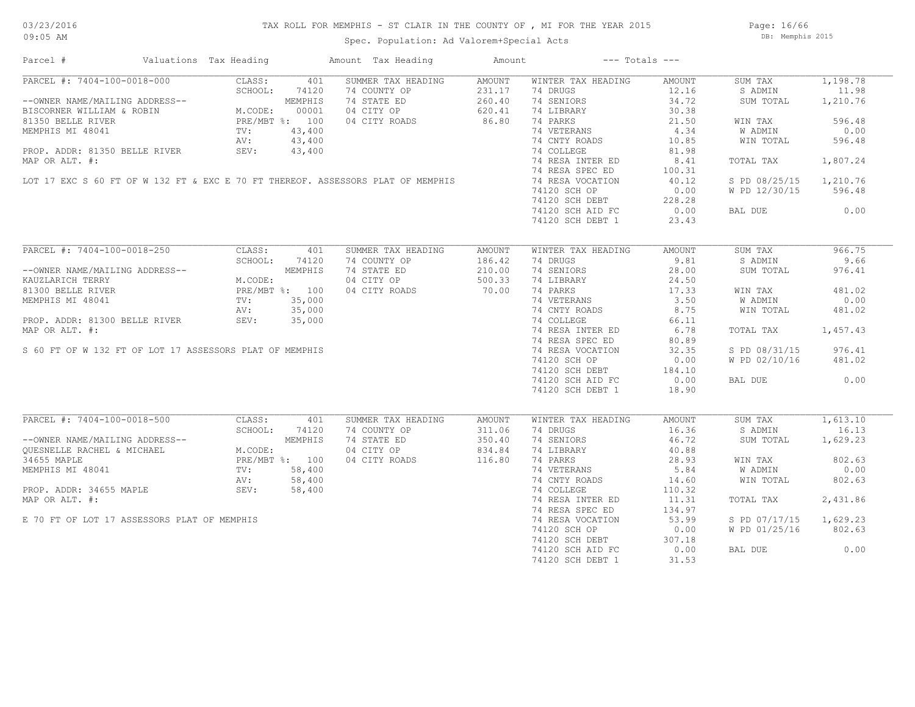Page: 16/66 DB: Memphis 2015

| Parcel #                                                                                                                                                                                                                                           | Valuations Tax Heading                                                                           |         |       | Amount Tax Heading      | Amount | $---$ Totals $---$                                                |                  |                |          |
|----------------------------------------------------------------------------------------------------------------------------------------------------------------------------------------------------------------------------------------------------|--------------------------------------------------------------------------------------------------|---------|-------|-------------------------|--------|-------------------------------------------------------------------|------------------|----------------|----------|
| PARCEL #: 7404-100-0018-000                                                                                                                                                                                                                        |                                                                                                  | CLASS:  | 401   | SUMMER TAX HEADING      | AMOUNT | WINTER TAX HEADING                                                | AMOUNT           | SUM TAX        | 1,198.78 |
| PARCEL #: 7404-100-0018-000<br>-OWNER NAME/MAILING ADDRESS--<br>BISCORNER WILLIAM & ROBIN<br>81350 BELLE RIVER<br>M.CODE: 00001<br>81350 BELLE RIVER<br>PRE/MBT %: 100<br>MEMPHIS MI 48041<br>TV: 43,400<br>PRE, ABR & 23,400<br>PRE, ABR & 23,400 |                                                                                                  |         |       | 74 COUNTY OP            | 231.17 | 74 DRUGS                                                          | 12.16            | S ADMIN        | 11.98    |
|                                                                                                                                                                                                                                                    |                                                                                                  |         |       | 74 STATE ED             | 260.40 | 74 SENIORS                                                        | 34.72            | SUM TOTAL      | 1,210.76 |
|                                                                                                                                                                                                                                                    |                                                                                                  |         |       | 04 CITY OP              | 620.41 | 74 LIBRARY                                                        | 30.38            |                |          |
|                                                                                                                                                                                                                                                    |                                                                                                  |         |       | 04 CITY ROADS           | 86.80  | 74 PARKS                                                          | 21.50            | WIN TAX        | 596.48   |
|                                                                                                                                                                                                                                                    |                                                                                                  |         |       |                         |        | 74 VETERANS                                                       | 4.34             | W ADMIN        | 0.00     |
|                                                                                                                                                                                                                                                    |                                                                                                  |         |       |                         |        | 74 CNTY ROADS                                                     | 10.85            | WIN TOTAL      | 596.48   |
|                                                                                                                                                                                                                                                    |                                                                                                  |         |       |                         |        | 74 COLLEGE                                                        | 81.98            |                |          |
|                                                                                                                                                                                                                                                    |                                                                                                  |         |       |                         |        |                                                                   |                  |                |          |
|                                                                                                                                                                                                                                                    |                                                                                                  |         |       |                         |        | 74 RESA INTER ED                                                  | 8.41             | TOTAL TAX      | 1,807.24 |
| MEMPHIS MI 48041 TV: 43,400<br>PROP. ADDR: 81350 BELLE RIVER SEV: 43,400<br>MAP OR ALT. #:<br>LOT 17 EXC S 60 FT OF W 132 FT & EXC E 70 FT THEREOF. ASSESSORS PLAT OF MEMPHIS                                                                      |                                                                                                  |         |       |                         |        | 74 RESA SPEC ED                                                   | 100.31           |                |          |
|                                                                                                                                                                                                                                                    |                                                                                                  |         |       |                         |        | 74 RESA VOCATION                                                  | 40.12            | S PD 08/25/15  | 1,210.76 |
|                                                                                                                                                                                                                                                    |                                                                                                  |         |       |                         |        | 74120 SCH OP                                                      | 0.00             | W PD 12/30/15  | 596.48   |
|                                                                                                                                                                                                                                                    |                                                                                                  |         |       |                         |        | 74120 SCH DEBT 228.28<br>74120 SCH AID FC 0.00                    |                  |                |          |
|                                                                                                                                                                                                                                                    |                                                                                                  |         |       |                         |        |                                                                   |                  | BAL DUE        | 0.00     |
|                                                                                                                                                                                                                                                    |                                                                                                  |         |       |                         |        | 74120 SCH DEBT 1                                                  | 23.43            |                |          |
| PARCEL #: 7404-100-0018-250                                                                                                                                                                                                                        |                                                                                                  |         | 401   |                         |        |                                                                   |                  |                | 966.75   |
|                                                                                                                                                                                                                                                    |                                                                                                  | CLASS:  |       | SUMMER TAX HEADING      | AMOUNT | WINTER TAX HEADING                                                | AMOUNT           | SUM TAX        |          |
|                                                                                                                                                                                                                                                    |                                                                                                  | SCHOOL: | 74120 | 74 COUNTY OP            | 186.42 | 74 DRUGS                                                          | 9.81             | S ADMIN        | 9.66     |
| --OWNER NAME/MAILING ADDRESS--                                                                                                                                                                                                                     | NG ADDRESS--<br>MEMPHIS<br>M.CODE:<br>PRE/MBT %: 100<br>TV: 35,000<br>BELLE RIVER<br>SEV: 35,000 |         |       | 74 STATE ED             | 210.00 | 74 SENIORS                                                        | 28.00            | SUM TOTAL      | 976.41   |
| KAUZLARICH TERRY                                                                                                                                                                                                                                   |                                                                                                  |         |       | 04 CITY OP              | 500.33 | 74 LIBRARY                                                        | 24.50            |                |          |
| 81300 BELLE RIVER                                                                                                                                                                                                                                  |                                                                                                  |         |       | 04 CITY ROADS           | 70.00  | 74 PARKS                                                          | $\frac{1}{3.50}$ | WIN TAX        | 481.02   |
| MEMPHIS MI 48041                                                                                                                                                                                                                                   |                                                                                                  |         |       |                         |        | 74 VETERANS                                                       |                  | <b>W ADMIN</b> | 0.00     |
|                                                                                                                                                                                                                                                    |                                                                                                  |         |       |                         |        | 74 CNTY ROADS 8.75                                                |                  | WIN TOTAL      | 481.02   |
| PROP. ADDR: 81300 BELLE RIVER                                                                                                                                                                                                                      |                                                                                                  |         |       |                         |        | 74 COLLEGE                                                        | 66.11            |                |          |
| MAP OR ALT. #:                                                                                                                                                                                                                                     |                                                                                                  |         |       |                         |        |                                                                   |                  | TOTAL TAX      | 1,457.43 |
|                                                                                                                                                                                                                                                    |                                                                                                  |         |       |                         |        | 74 RESA INTER ED 6.78<br>74 RESA SPEC ED 80.89<br>74 RESA SPEC ED | 80.89            |                |          |
| S 60 FT OF W 132 FT OF LOT 17 ASSESSORS PLAT OF MEMPHIS                                                                                                                                                                                            |                                                                                                  |         |       |                         |        | 74 RESA VOCATION                                                  | 32.35            | S PD 08/31/15  | 976.41   |
|                                                                                                                                                                                                                                                    |                                                                                                  |         |       |                         |        | 74120 SCH OP                                                      | 0.00             | W PD 02/10/16  | 481.02   |
|                                                                                                                                                                                                                                                    |                                                                                                  |         |       |                         |        |                                                                   | 184.10           |                |          |
|                                                                                                                                                                                                                                                    |                                                                                                  |         |       |                         |        | 74120 SCH DEBT<br>74120 SCH BEBT                                  |                  |                |          |
|                                                                                                                                                                                                                                                    |                                                                                                  |         |       | $04$ CIII RUADS $70.00$ |        | 74120 SCH AID FC                                                  | 0.00             | BAL DUE        | 0.00     |
|                                                                                                                                                                                                                                                    |                                                                                                  |         |       |                         |        | 74120 SCH DEBT 1                                                  | 18.90            |                |          |
| PARCEL #: 7404-100-0018-500                                                                                                                                                                                                                        |                                                                                                  | CLASS:  | 401   | SUMMER TAX HEADING      | AMOUNT | WINTER TAX HEADING                                                | AMOUNT           | SUM TAX        | 1,613.10 |
|                                                                                                                                                                                                                                                    |                                                                                                  | SCHOOL: | 74120 | 74 COUNTY OP            | 311.06 | 74 DRUGS                                                          | 16.36            | S ADMIN        | 16.13    |
|                                                                                                                                                                                                                                                    |                                                                                                  |         |       | 74 STATE ED             | 350.40 | 74 SENIORS                                                        | 46.72            | SUM TOTAL      | 1,629.23 |
|                                                                                                                                                                                                                                                    |                                                                                                  |         |       |                         |        |                                                                   |                  |                |          |
|                                                                                                                                                                                                                                                    |                                                                                                  |         |       | 04 CITY OP              | 834.84 | 74 LIBRARY                                                        | 40.88            |                |          |
|                                                                                                                                                                                                                                                    |                                                                                                  |         |       | 04 CITY ROADS           | 116.80 | 74 PARKS                                                          | 28.93            | WIN TAX        | 802.63   |
|                                                                                                                                                                                                                                                    |                                                                                                  |         |       |                         |        | 74 VETERANS                                                       | 5.84             | W ADMIN        | 0.00     |
|                                                                                                                                                                                                                                                    |                                                                                                  |         |       |                         |        | 74 CNTY ROADS                                                     | 14.60            | WIN TOTAL      | 802.63   |
| --OWNER NAME/MAILING ADDRESS--<br>QUESNELLE RACHEL & MICHAEL M.CODE:<br>34655 MAPLE PRE/MBT %: 100<br>MEMPHIS MI 48041 TV: 58,400<br>PROP. ADDR: 34655 MAPLE AV: 58,400<br>MAP OP ALT #: 58,400<br>MAP OP ALT #: 58,400                            |                                                                                                  |         |       |                         |        | 74 COLLEGE                                                        | 110.32           |                |          |
| MAP OR ALT. #:                                                                                                                                                                                                                                     |                                                                                                  |         |       |                         |        | 74 RESA INTER ED                                                  | 11.31            | TOTAL TAX      | 2,431.86 |
|                                                                                                                                                                                                                                                    |                                                                                                  |         |       |                         |        | 74 RESA SPEC ED                                                   | 134.97           |                |          |
| E 70 FT OF LOT 17 ASSESSORS PLAT OF MEMPHIS                                                                                                                                                                                                        |                                                                                                  |         |       |                         |        | 74 RESA VOCATION                                                  | 53.99            | S PD 07/17/15  | 1,629.23 |
|                                                                                                                                                                                                                                                    |                                                                                                  |         |       |                         |        | 74120 SCH OP                                                      | 0.00             | W PD 01/25/16  | 802.63   |
|                                                                                                                                                                                                                                                    |                                                                                                  |         |       |                         |        | 74120 SCH DEBT                                                    | 307.18           |                |          |
|                                                                                                                                                                                                                                                    |                                                                                                  |         |       |                         |        | 74120 SCH AID FC                                                  | 0.00             | BAL DUE        | 0.00     |
|                                                                                                                                                                                                                                                    |                                                                                                  |         |       |                         |        | 74120 SCH DEBT 1                                                  | 31.53            |                |          |
|                                                                                                                                                                                                                                                    |                                                                                                  |         |       |                         |        |                                                                   |                  |                |          |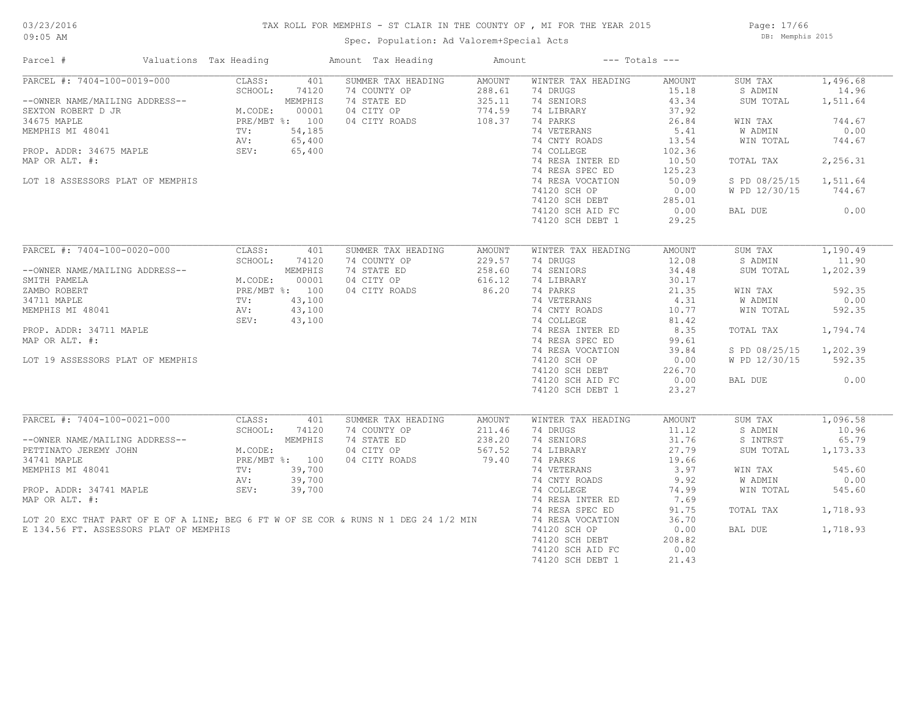### TAX ROLL FOR MEMPHIS - ST CLAIR IN THE COUNTY OF , MI FOR THE YEAR 2015

Spec. Population: Ad Valorem+Special Acts

Page: 17/66 DB: Memphis 2015

| Parcel #                               | Valuations Tax Heading |                | Amount Tax Heading                                                                  | Amount |                    | $---$ Totals $---$ |               |          |
|----------------------------------------|------------------------|----------------|-------------------------------------------------------------------------------------|--------|--------------------|--------------------|---------------|----------|
| PARCEL #: 7404-100-0019-000            | CLASS:                 | 401            | SUMMER TAX HEADING                                                                  | AMOUNT | WINTER TAX HEADING | AMOUNT             | SUM TAX       | 1,496.68 |
|                                        | SCHOOL:                | 74120          | 74 COUNTY OP                                                                        | 288.61 | 74 DRUGS           | 15.18              | S ADMIN       | 14.96    |
| --OWNER NAME/MAILING ADDRESS--         |                        | MEMPHIS        | 74 STATE ED                                                                         | 325.11 | 74 SENIORS         | 43.34              | SUM TOTAL     | 1,511.64 |
| SEXTON ROBERT D JR                     | M.CODE:                | 00001          | 04 CITY OP                                                                          | 774.59 | 74 LIBRARY         | 37.92              |               |          |
| 34675 MAPLE                            |                        | PRE/MBT %: 100 | 04 CITY ROADS                                                                       | 108.37 | 74 PARKS           | 26.84              | WIN TAX       | 744.67   |
| MEMPHIS MI 48041                       | TV:                    | 54,185         |                                                                                     |        | 74 VETERANS        | 5.41               | W ADMIN       | 0.00     |
|                                        | AV:                    | 65,400         |                                                                                     |        | 74 CNTY ROADS      | 13.54              | WIN TOTAL     | 744.67   |
| PROP. ADDR: 34675 MAPLE                | SEV:                   | 65,400         |                                                                                     |        | 74 COLLEGE         | 102.36             |               |          |
| MAP OR ALT. #:                         |                        |                |                                                                                     |        | 74 RESA INTER ED   | 10.50              | TOTAL TAX     | 2,256.31 |
|                                        |                        |                |                                                                                     |        | 74 RESA SPEC ED    | 125.23             |               |          |
| LOT 18 ASSESSORS PLAT OF MEMPHIS       |                        |                |                                                                                     |        | 74 RESA VOCATION   | 50.09              | S PD 08/25/15 | 1,511.64 |
|                                        |                        |                |                                                                                     |        | 74120 SCH OP       | 0.00               | W PD 12/30/15 | 744.67   |
|                                        |                        |                |                                                                                     |        |                    |                    |               |          |
|                                        |                        |                |                                                                                     |        | 74120 SCH DEBT     | 285.01             |               |          |
|                                        |                        |                |                                                                                     |        | 74120 SCH AID FC   | 0.00               | BAL DUE       | 0.00     |
|                                        |                        |                |                                                                                     |        | 74120 SCH DEBT 1   | 29.25              |               |          |
| PARCEL #: 7404-100-0020-000            | CLASS:                 | 401            | SUMMER TAX HEADING                                                                  | AMOUNT | WINTER TAX HEADING | AMOUNT             | SUM TAX       | 1,190.49 |
|                                        | SCHOOL:                | 74120          | 74 COUNTY OP                                                                        | 229.57 | 74 DRUGS           | 12.08              | S ADMIN       | 11.90    |
| --OWNER NAME/MAILING ADDRESS--         |                        | MEMPHIS        | 74 STATE ED                                                                         | 258.60 | 74 SENIORS         | 34.48              | SUM TOTAL     | 1,202.39 |
|                                        |                        |                |                                                                                     |        |                    |                    |               |          |
| SMITH PAMELA                           | M.CODE:                | 00001          | 04 CITY OP                                                                          | 616.12 | 74 LIBRARY         | 30.17              |               |          |
| ZAMBO ROBERT                           |                        | PRE/MBT %: 100 | 04 CITY ROADS                                                                       | 86.20  | 74 PARKS           | 21.35              | WIN TAX       | 592.35   |
| 34711 MAPLE                            | TV:                    | 43,100         |                                                                                     |        | 74 VETERANS        | 4.31               | W ADMIN       | 0.00     |
| MEMPHIS MI 48041                       | AV:                    | 43,100         |                                                                                     |        | 74 CNTY ROADS      | 10.77              | WIN TOTAL     | 592.35   |
|                                        | SEV:                   | 43,100         |                                                                                     |        | 74 COLLEGE         | 81.42              |               |          |
| PROP. ADDR: 34711 MAPLE                |                        |                |                                                                                     |        | 74 RESA INTER ED   | 8.35               | TOTAL TAX     | 1,794.74 |
| MAP OR ALT. #:                         |                        |                |                                                                                     |        | 74 RESA SPEC ED    | 99.61              |               |          |
|                                        |                        |                |                                                                                     |        | 74 RESA VOCATION   | 39.84              | S PD 08/25/15 | 1,202.39 |
| LOT 19 ASSESSORS PLAT OF MEMPHIS       |                        |                |                                                                                     |        | 74120 SCH OP       | 0.00               | W PD 12/30/15 | 592.35   |
|                                        |                        |                |                                                                                     |        | 74120 SCH DEBT     | 226.70             |               |          |
|                                        |                        |                |                                                                                     |        | 74120 SCH AID FC   | 0.00               | BAL DUE       | 0.00     |
|                                        |                        |                |                                                                                     |        | 74120 SCH DEBT 1   | 23.27              |               |          |
|                                        |                        |                |                                                                                     |        |                    |                    |               |          |
| PARCEL #: 7404-100-0021-000            | CLASS:                 | 401            | SUMMER TAX HEADING                                                                  | AMOUNT | WINTER TAX HEADING | AMOUNT             | SUM TAX       | 1,096.58 |
|                                        | SCHOOL:                | 74120          | 74 COUNTY OP                                                                        | 211.46 | 74 DRUGS           | 11.12              | S ADMIN       | 10.96    |
| --OWNER NAME/MAILING ADDRESS--         |                        | MEMPHIS        | 74 STATE ED                                                                         | 238.20 | 74 SENIORS         | 31.76              | S INTRST      | 65.79    |
| PETTINATO JEREMY JOHN                  | M.CODE:                |                | 04 CITY OP                                                                          | 567.52 | 74 LIBRARY         | 27.79              | SUM TOTAL     | 1,173.33 |
| 34741 MAPLE                            |                        | PRE/MBT %: 100 | 04 CITY ROADS                                                                       | 79.40  | 74 PARKS           | 19.66              |               |          |
| MEMPHIS MI 48041                       | TV:                    | 39,700         |                                                                                     |        | 74 VETERANS        | 3.97               | WIN TAX       | 545.60   |
|                                        | AV:                    | 39,700         |                                                                                     |        | 74 CNTY ROADS      | 9.92               | W ADMIN       | 0.00     |
| PROP. ADDR: 34741 MAPLE                | SEV:                   | 39,700         |                                                                                     |        | 74 COLLEGE         | 74.99              | WIN TOTAL     | 545.60   |
|                                        |                        |                |                                                                                     |        |                    |                    |               |          |
| MAP OR ALT. #:                         |                        |                |                                                                                     |        | 74 RESA INTER ED   | 7.69               |               |          |
|                                        |                        |                |                                                                                     |        | 74 RESA SPEC ED    | 91.75              | TOTAL TAX     | 1,718.93 |
|                                        |                        |                | LOT 20 EXC THAT PART OF E OF A LINE; BEG 6 FT W OF SE COR & RUNS N 1 DEG 24 1/2 MIN |        | 74 RESA VOCATION   | 36.70              |               |          |
| E 134.56 FT. ASSESSORS PLAT OF MEMPHIS |                        |                |                                                                                     |        | 74120 SCH OP       | 0.00               | BAL DUE       | 1,718.93 |
|                                        |                        |                |                                                                                     |        | 74120 SCH DEBT     | 208.82             |               |          |
|                                        |                        |                |                                                                                     |        | 74120 SCH AID FC   | 0.00               |               |          |
|                                        |                        |                |                                                                                     |        | 74120 SCH DEBT 1   | 21.43              |               |          |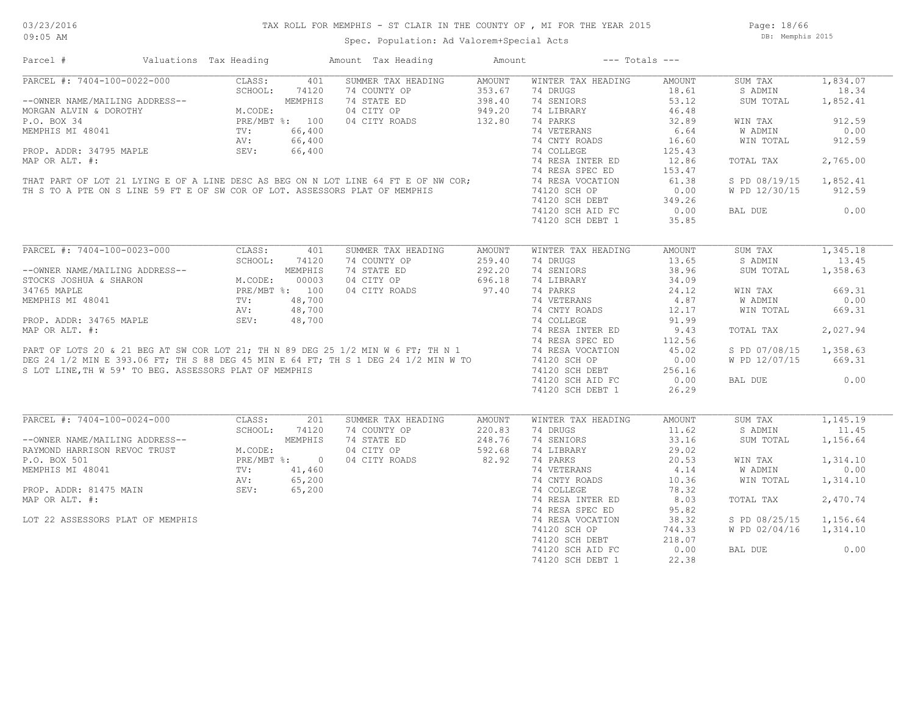Page: 18/66 DB: Memphis 2015

| Parcel #                                                                                                                                                                                                                           | Valuations Tax Heading                         |                |         | Amount Tax Heading            | Amount | $---$ Totals $---$ |        |               |          |
|------------------------------------------------------------------------------------------------------------------------------------------------------------------------------------------------------------------------------------|------------------------------------------------|----------------|---------|-------------------------------|--------|--------------------|--------|---------------|----------|
| PARCEL #: 7404-100-0022-000                                                                                                                                                                                                        |                                                | CLASS:         | 401     | SUMMER TAX HEADING            | AMOUNT | WINTER TAX HEADING | AMOUNT | SUM TAX       | 1,834.07 |
|                                                                                                                                                                                                                                    | $M.$<br>PRE<br>TV:<br>$N$<br>$N$<br>$N$<br>$N$ | SCHOOL:        | 74120   | 74 COUNTY OP                  | 353.67 | 74 DRUGS           | 18.61  | S ADMIN       | 18.34    |
| --OWNER NAME/MAILING ADDRESS--                                                                                                                                                                                                     |                                                |                | MEMPHIS | 74 STATE ED                   | 398.40 | 74 SENIORS         | 53.12  | SUM TOTAL     | 1,852.41 |
| MORGAN ALVIN & DOROTHY                                                                                                                                                                                                             |                                                | M.CODE:        |         | 04 CITY OP                    | 949.20 | 74 LIBRARY         | 46.48  |               |          |
| P.O. BOX 34                                                                                                                                                                                                                        |                                                | PRE/MBT %: 100 |         | 04 CITY ROADS                 | 132.80 | 74 PARKS           | 32.89  | WIN TAX       | 912.59   |
| MEMPHIS MI 48041                                                                                                                                                                                                                   |                                                |                | 66,400  |                               |        | 74 VETERANS        | 6.64   | W ADMIN       | 0.00     |
|                                                                                                                                                                                                                                    |                                                |                | 66,400  |                               |        | 74 CNTY ROADS      | 16.60  | WIN TOTAL     | 912.59   |
| PROP. ADDR: 34795 MAPLE                                                                                                                                                                                                            |                                                | SEV:           | 66,400  |                               |        | 74 COLLEGE         | 125.43 |               |          |
| MAP OR ALT. #:                                                                                                                                                                                                                     |                                                |                |         |                               |        | 74 RESA INTER ED   | 12.86  | TOTAL TAX     | 2,765.00 |
| THAT PART OF LOT 21 LYING E OF A LINE DESC AS BEG ON N LOT LINE 64 FT E OF NW COR;<br>TH S TO A PTE ON S LINE 59 FT E OF SW COR OF LOT. ASSESSORS PLAT OF MEMPHIS                                                                  |                                                |                |         |                               |        | 74 RESA SPEC ED    | 153.47 |               |          |
|                                                                                                                                                                                                                                    |                                                |                |         |                               |        | 74 RESA VOCATION   | 61.38  | S PD 08/19/15 | 1,852.41 |
|                                                                                                                                                                                                                                    |                                                |                |         |                               |        | 74120 SCH OP       | 0.00   | W PD 12/30/15 | 912.59   |
|                                                                                                                                                                                                                                    |                                                |                |         |                               |        | 74120 SCH DEBT     | 349.26 |               |          |
|                                                                                                                                                                                                                                    |                                                |                |         |                               |        | 74120 SCH AID FC   | 0.00   | BAL DUE       | 0.00     |
|                                                                                                                                                                                                                                    |                                                |                |         |                               |        | 74120 SCH DEBT 1   | 35.85  |               |          |
|                                                                                                                                                                                                                                    |                                                |                |         |                               |        |                    |        |               |          |
| PARCEL #: 7404-100-0023-000                                                                                                                                                                                                        |                                                | CLASS:         | 401     | SUMMER TAX HEADING            | AMOUNT | WINTER TAX HEADING | AMOUNT | SUM TAX       | 1,345.18 |
|                                                                                                                                                                                                                                    |                                                | SCHOOL:        | 74120   | 74 COUNTY OP                  | 259.40 | 74 DRUGS           | 13.65  | S ADMIN       | 13.45    |
| --OWNER NAME/MAILING ADDRESS--                                                                                                                                                                                                     |                                                |                | MEMPHIS | 74 STATE ED                   | 292.20 | 74 SENIORS         | 38.96  | SUM TOTAL     | 1,358.63 |
| STOCKS JOSHUA & SHARON                                                                                                                                                                                                             |                                                | M.CODE:        | 00003   | 04 CITY OP                    | 696.18 | 74 LIBRARY         | 34.09  |               |          |
| 34765 MAPLE                                                                                                                                                                                                                        |                                                | PRE/MBT %: 100 |         | 04 CITY ROADS                 | 97.40  | 74 PARKS           | 24.12  |               | 669.31   |
|                                                                                                                                                                                                                                    |                                                |                |         |                               |        |                    |        | WIN TAX       |          |
| MEMPHIS MI 48041                                                                                                                                                                                                                   |                                                | TV:            | 48,700  |                               |        | 74 VETERANS        | 4.87   | W ADMIN       | 0.00     |
|                                                                                                                                                                                                                                    |                                                | AV:            | 48,700  |                               |        | 74 CNTY ROADS      | 12.17  | WIN TOTAL     | 669.31   |
| PROP. ADDR: 34765 MAPLE SEV: 48,700<br>MAP OR ALT. #: 74 COLLEGE 20 & 21 BEG AT SW COR LOT 21; TH N 89 DEG 25 1/2 MIN W 6 FT; TH N 1<br>PART OF LOTS 20 & 21 BEG AT SW COR LOT 21; TH N 89 DEG 25 1/2 MIN W 6 FT; TH N 1 74 RESA S |                                                |                |         |                               |        |                    | 91.99  |               |          |
|                                                                                                                                                                                                                                    |                                                |                |         |                               |        |                    | 9.43   | TOTAL TAX     | 2,027.94 |
|                                                                                                                                                                                                                                    |                                                |                |         |                               |        |                    | 112.56 |               |          |
|                                                                                                                                                                                                                                    |                                                |                |         |                               |        |                    | 45.02  | S PD 07/08/15 | 1,358.63 |
|                                                                                                                                                                                                                                    |                                                |                |         |                               |        |                    | 0.00   | W PD 12/07/15 | 669.31   |
| S LOT LINE, TH W 59' TO BEG. ASSESSORS PLAT OF MEMPHIS                                                                                                                                                                             |                                                |                |         |                               |        | 74120 SCH DEBT     | 256.16 |               |          |
|                                                                                                                                                                                                                                    |                                                |                |         |                               |        | 74120 SCH AID FC   | 0.00   | BAL DUE       | 0.00     |
|                                                                                                                                                                                                                                    |                                                |                |         |                               |        | 74120 SCH DEBT 1   | 26.29  |               |          |
|                                                                                                                                                                                                                                    |                                                |                |         |                               |        |                    |        |               |          |
| $\overline{\text{PARCH}}$ #: 7404-100-0024-000                                                                                                                                                                                     |                                                | CLASS:         | 201     | SUMMER TAX HEADING            | AMOUNT | WINTER TAX HEADING | AMOUNT | SUM TAX       | 1,145.19 |
|                                                                                                                                                                                                                                    |                                                | SCHOOL:        | 74120   | 74 COUNTY OP                  | 220.83 | 74 DRUGS           | 11.62  | S ADMIN       | 11.45    |
| EXAMPLE AND HARRISON REVOC TRUST<br>P.O. BOX 501 M.CODIP.O. BOX 501                                                                                                                                                                |                                                |                | MEMPHIS | 74 STATE ED                   | 248.76 | 74 SENIORS         | 33.16  | SUM TOTAL     | 1,156.64 |
|                                                                                                                                                                                                                                    |                                                | M.CODE:        |         | 04 CITY OP                    | 592.68 | 74 LIBRARY         | 29.02  |               |          |
|                                                                                                                                                                                                                                    |                                                | PRE/MBT %: 0   |         | 04 CITY ROADS                 | 82.92  | 74 PARKS           | 20.53  | WIN TAX       | 1,314.10 |
| MEMPHIS MI 48041                                                                                                                                                                                                                   |                                                | TV:            |         |                               |        | 74 VETERANS        | 4.14   | W ADMIN       | 0.00     |
|                                                                                                                                                                                                                                    |                                                | AV:            |         |                               |        | 74 CNTY ROADS      | 10.36  | WIN TOTAL     | 1,314.10 |
| PROP. ADDR: 81475 MAIN                                                                                                                                                                                                             |                                                | SEV:           |         |                               |        | 74 COLLEGE         | 78.32  |               |          |
| MAP OR ALT. #:                                                                                                                                                                                                                     |                                                |                |         | 41, 460<br>65, 200<br>65, 200 |        | 74 RESA INTER ED   | 8.03   | TOTAL TAX     | 2,470.74 |
|                                                                                                                                                                                                                                    |                                                |                |         |                               |        | 74 RESA SPEC ED    | 95.82  |               |          |
| LOT 22 ASSESSORS PLAT OF MEMPHIS                                                                                                                                                                                                   |                                                |                |         |                               |        | 74 RESA VOCATION   | 38.32  | S PD 08/25/15 | 1,156.64 |
|                                                                                                                                                                                                                                    |                                                |                |         |                               |        | 74120 SCH OP       | 744.33 | W PD 02/04/16 | 1,314.10 |
|                                                                                                                                                                                                                                    |                                                |                |         |                               |        | 74120 SCH DEBT     | 218.07 |               |          |
|                                                                                                                                                                                                                                    |                                                |                |         |                               |        | 74120 SCH AID FC   | 0.00   | BAL DUE       | 0.00     |
|                                                                                                                                                                                                                                    |                                                |                |         |                               |        | 74120 SCH DEBT 1   | 22.38  |               |          |
|                                                                                                                                                                                                                                    |                                                |                |         |                               |        |                    |        |               |          |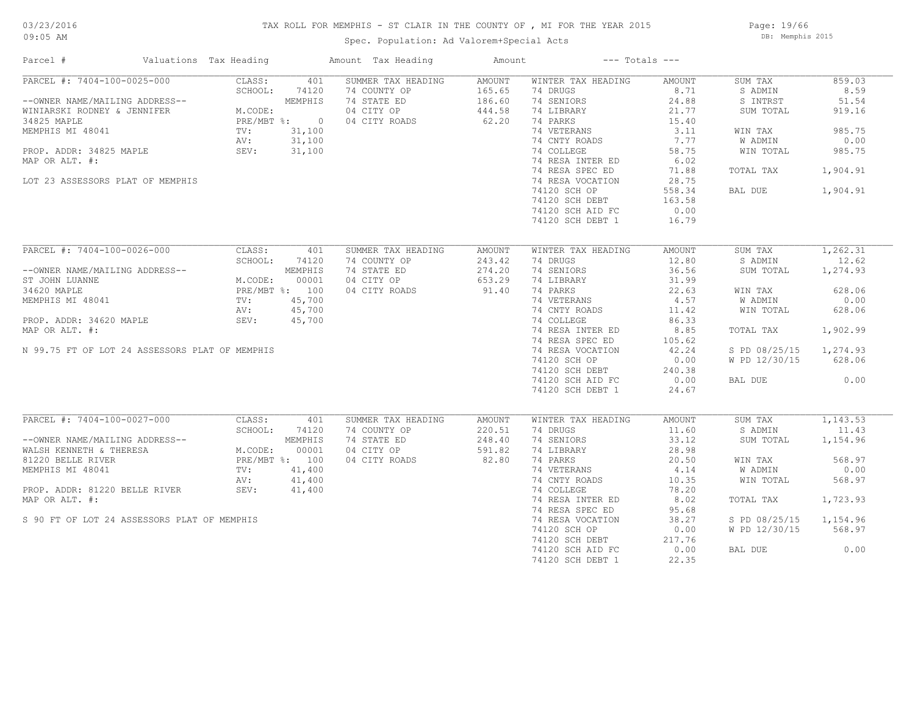#### TAX ROLL FOR MEMPHIS - ST CLAIR IN THE COUNTY OF , MI FOR THE YEAR 2015

Spec. Population: Ad Valorem+Special Acts

Page: 19/66 DB: Memphis 2015

| Parcel #                                       | Valuations Tax Heading |                | Amount Tax Heading | Amount |                    | $---$ Totals $---$ |               |          |
|------------------------------------------------|------------------------|----------------|--------------------|--------|--------------------|--------------------|---------------|----------|
| PARCEL #: 7404-100-0025-000                    | CLASS:                 | 401            | SUMMER TAX HEADING | AMOUNT | WINTER TAX HEADING | AMOUNT             | SUM TAX       | 859.03   |
|                                                | SCHOOL:                | 74120          | 74 COUNTY OP       | 165.65 | 74 DRUGS           | 8.71               | S ADMIN       | 8.59     |
| --OWNER NAME/MAILING ADDRESS--                 |                        | MEMPHIS        | 74 STATE ED        | 186.60 | 74 SENIORS         | 24.88              | S INTRST      | 51.54    |
| WINIARSKI RODNEY & JENNIFER                    | M.CODE:                |                | 04 CITY OP         | 444.58 | 74 LIBRARY         | 21.77              | SUM TOTAL     | 919.16   |
| 34825 MAPLE                                    |                        | PRE/MBT %: 0   | 04 CITY ROADS      | 62.20  | 74 PARKS           | 15.40              |               |          |
| MEMPHIS MI 48041                               | TV:                    | 31,100         |                    |        | 74 VETERANS        | 3.11               | WIN TAX       | 985.75   |
|                                                | AV:                    | 31,100         |                    |        | 74 CNTY ROADS      | 7.77               | W ADMIN       | 0.00     |
| PROP. ADDR: 34825 MAPLE                        | SEV:                   | 31,100         |                    |        | 74 COLLEGE         | 58.75              | WIN TOTAL     | 985.75   |
| MAP OR ALT. #:                                 |                        |                |                    |        | 74 RESA INTER ED   | 6.02               |               |          |
|                                                |                        |                |                    |        | 74 RESA SPEC ED    | 71.88              | TOTAL TAX     | 1,904.91 |
| LOT 23 ASSESSORS PLAT OF MEMPHIS               |                        |                |                    |        | 74 RESA VOCATION   | 28.75              |               |          |
|                                                |                        |                |                    |        | 74120 SCH OP       | 558.34             | BAL DUE       | 1,904.91 |
|                                                |                        |                |                    |        |                    |                    |               |          |
|                                                |                        |                |                    |        | 74120 SCH DEBT     | 163.58             |               |          |
|                                                |                        |                |                    |        | 74120 SCH AID FC   | 0.00               |               |          |
|                                                |                        |                |                    |        | 74120 SCH DEBT 1   | 16.79              |               |          |
| PARCEL #: 7404-100-0026-000                    | CLASS:                 | 401            | SUMMER TAX HEADING | AMOUNT | WINTER TAX HEADING | AMOUNT             | SUM TAX       | 1,262.31 |
|                                                | SCHOOL:                | 74120          | 74 COUNTY OP       | 243.42 | 74 DRUGS           | 12.80              | S ADMIN       | 12.62    |
|                                                |                        |                |                    |        |                    |                    |               |          |
| --OWNER NAME/MAILING ADDRESS--                 |                        | MEMPHIS        | 74 STATE ED        | 274.20 | 74 SENIORS         | 36.56              | SUM TOTAL     | 1,274.93 |
| ST JOHN LUANNE                                 | M.CODE:                | 00001          | 04 CITY OP         | 653.29 | 74 LIBRARY         | 31.99              |               |          |
| 34620 MAPLE                                    | PRE/MBT %: 100         |                | 04 CITY ROADS      | 91.40  | 74 PARKS           | 22.63              | WIN TAX       | 628.06   |
| MEMPHIS MI 48041                               | $TV$ :                 | 45,700         |                    |        | 74 VETERANS        | 4.57               | W ADMIN       | 0.00     |
|                                                | AV:                    | 45,700         |                    |        | 74 CNTY ROADS      | 11.42              | WIN TOTAL     | 628.06   |
| PROP. ADDR: 34620 MAPLE                        | SEV:                   | 45,700         |                    |        | 74 COLLEGE         | 86.33              |               |          |
| MAP OR ALT. #:                                 |                        |                |                    |        | 74 RESA INTER ED   | 8.85               | TOTAL TAX     | 1,902.99 |
|                                                |                        |                |                    |        | 74 RESA SPEC ED    | 105.62             |               |          |
| N 99.75 FT OF LOT 24 ASSESSORS PLAT OF MEMPHIS |                        |                |                    |        | 74 RESA VOCATION   | 42.24              | S PD 08/25/15 | 1,274.93 |
|                                                |                        |                |                    |        | 74120 SCH OP       | 0.00               | W PD 12/30/15 | 628.06   |
|                                                |                        |                |                    |        | 74120 SCH DEBT     | 240.38             |               |          |
|                                                |                        |                |                    |        | 74120 SCH AID FC   | 0.00               | BAL DUE       | 0.00     |
|                                                |                        |                |                    |        | 74120 SCH DEBT 1   | 24.67              |               |          |
|                                                |                        |                |                    |        |                    |                    |               |          |
| PARCEL #: 7404-100-0027-000                    | CLASS:                 | 401            | SUMMER TAX HEADING | AMOUNT | WINTER TAX HEADING | AMOUNT             | SUM TAX       | 1,143.53 |
|                                                | SCHOOL:                | 74120          | 74 COUNTY OP       | 220.51 | 74 DRUGS           | 11.60              | S ADMIN       | 11.43    |
| --OWNER NAME/MAILING ADDRESS--                 |                        | MEMPHIS        | 74 STATE ED        | 248.40 | 74 SENIORS         | 33.12              | SUM TOTAL     | 1,154.96 |
| WALSH KENNETH & THERESA                        | M.CODE:                | 00001          | 04 CITY OP         | 591.82 | 74 LIBRARY         | 28.98              |               |          |
| 81220 BELLE RIVER                              |                        | PRE/MBT %: 100 | 04 CITY ROADS      | 82.80  | 74 PARKS           | 20.50              | WIN TAX       | 568.97   |
| MEMPHIS MI 48041                               | TV:                    | 41,400         |                    |        | 74 VETERANS        | 4.14               | W ADMIN       | 0.00     |
|                                                | AV:                    | 41,400         |                    |        | 74 CNTY ROADS      | 10.35              | WIN TOTAL     | 568.97   |
| PROP. ADDR: 81220 BELLE RIVER                  | SEV:                   | 41,400         |                    |        | 74 COLLEGE         | 78.20              |               |          |
|                                                |                        |                |                    |        |                    |                    |               |          |
| MAP OR ALT. #:                                 |                        |                |                    |        | 74 RESA INTER ED   | 8.02               | TOTAL TAX     | 1,723.93 |
|                                                |                        |                |                    |        | 74 RESA SPEC ED    | 95.68              |               |          |
| S 90 FT OF LOT 24 ASSESSORS PLAT OF MEMPHIS    |                        |                |                    |        | 74 RESA VOCATION   | 38.27              | S PD 08/25/15 | 1,154.96 |
|                                                |                        |                |                    |        | 74120 SCH OP       | 0.00               | W PD 12/30/15 | 568.97   |
|                                                |                        |                |                    |        | 74120 SCH DEBT     | 217.76             |               |          |
|                                                |                        |                |                    |        | 74120 SCH AID FC   | 0.00               | BAL DUE       | 0.00     |
|                                                |                        |                |                    |        | 74120 SCH DEBT 1   | 22.35              |               |          |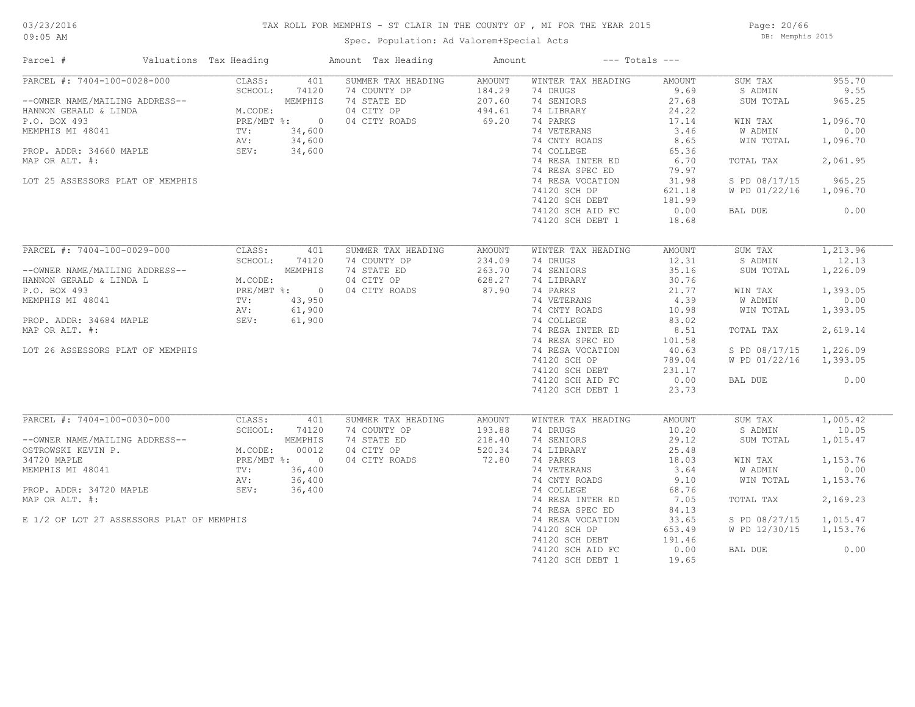#### TAX ROLL FOR MEMPHIS - ST CLAIR IN THE COUNTY OF , MI FOR THE YEAR 2015

Spec. Population: Ad Valorem+Special Acts

Page: 20/66 DB: Memphis 2015

| Parcel #                                                                                                                                                                                                         | Valuations Tax Heading                                       |                                                                                | Amount Tax Heading                                                               | Amount                                               |                                                                                                                                                                                                                                                           | $---$ Totals $---$                                                                                                                   |                                                                                                                              |                                                                                                           |
|------------------------------------------------------------------------------------------------------------------------------------------------------------------------------------------------------------------|--------------------------------------------------------------|--------------------------------------------------------------------------------|----------------------------------------------------------------------------------|------------------------------------------------------|-----------------------------------------------------------------------------------------------------------------------------------------------------------------------------------------------------------------------------------------------------------|--------------------------------------------------------------------------------------------------------------------------------------|------------------------------------------------------------------------------------------------------------------------------|-----------------------------------------------------------------------------------------------------------|
| PARCEL #: 7404-100-0028-000<br>--OWNER NAME/MAILING ADDRESS--<br>HANNON GERALD & LINDA<br>P.O. BOX 493<br>MEMPHIS MI 48041<br>PROP. ADDR: 34660 MAPLE<br>MAP OR ALT. #:<br>LOT 25 ASSESSORS PLAT OF MEMPHIS      | CLASS:<br>SCHOOL:<br>M.CODE:<br>TV:<br>AV:<br>SEV:           | 401<br>74120<br>MEMPHIS<br>PRE/MBT %: 0<br>34,600<br>34,600<br>34,600          | SUMMER TAX HEADING<br>74 COUNTY OP<br>74 STATE ED<br>04 CITY OP<br>04 CITY ROADS | AMOUNT<br>184.29<br>207.60<br>494.61<br>69.20        | WINTER TAX HEADING<br>74 DRUGS<br>74 SENIORS<br>74 LIBRARY<br>74 PARKS<br>74 VETERANS<br>74 CNTY ROADS<br>74 COLLEGE<br>74 RESA INTER ED<br>74 RESA SPEC ED<br>74 RESA VOCATION<br>74120 SCH OP<br>74120 SCH DEBT<br>74120 SCH AID FC<br>74120 SCH DEBT 1 | AMOUNT<br>9.69<br>27.68<br>24.22<br>17.14<br>3.46<br>8.65<br>65.36<br>6.70<br>79.97<br>31.98<br>621.18<br>181.99<br>0.00<br>18.68    | SUM TAX<br>S ADMIN<br>SUM TOTAL<br>WIN TAX<br>W ADMIN<br>WIN TOTAL<br>TOTAL TAX<br>S PD 08/17/15<br>W PD 01/22/16<br>BAL DUE | 955.70<br>9.55<br>965.25<br>1,096.70<br>0.00<br>1,096.70<br>2,061.95<br>965.25<br>1,096.70<br>0.00        |
| PARCEL #: 7404-100-0029-000<br>--OWNER NAME/MAILING ADDRESS--<br>HANNON GERALD & LINDA L<br>P.O. BOX 493<br>MEMPHIS MI 48041<br>PROP. ADDR: 34684 MAPLE<br>MAP OR ALT. #:<br>LOT 26 ASSESSORS PLAT OF MEMPHIS    | CLASS:<br>SCHOOL:<br>M.CODE:<br>TV:<br>AV:<br>SEV:           | 401<br>74120<br>MEMPHIS<br>PRE/MBT %: 0<br>43,950<br>61,900<br>61,900          | SUMMER TAX HEADING<br>74 COUNTY OP<br>74 STATE ED<br>04 CITY OP<br>04 CITY ROADS | <b>AMOUNT</b><br>234.09<br>263.70<br>628.27<br>87.90 | WINTER TAX HEADING<br>74 DRUGS<br>74 SENIORS<br>74 LIBRARY<br>74 PARKS<br>74 VETERANS<br>74 CNTY ROADS<br>74 COLLEGE<br>74 RESA INTER ED<br>74 RESA SPEC ED<br>74 RESA VOCATION<br>74120 SCH OP<br>74120 SCH DEBT<br>74120 SCH AID FC<br>74120 SCH DEBT 1 | AMOUNT<br>12.31<br>35.16<br>30.76<br>21.77<br>4.39<br>10.98<br>83.02<br>8.51<br>101.58<br>40.63<br>789.04<br>231.17<br>0.00<br>23.73 | SUM TAX<br>S ADMIN<br>SUM TOTAL<br>WIN TAX<br>W ADMIN<br>WIN TOTAL<br>TOTAL TAX<br>S PD 08/17/15<br>W PD 01/22/16<br>BAL DUE | 1,213.96<br>12.13<br>1,226.09<br>1,393.05<br>0.00<br>1,393.05<br>2,619.14<br>1,226.09<br>1,393.05<br>0.00 |
| PARCEL #: 7404-100-0030-000<br>--OWNER NAME/MAILING ADDRESS--<br>OSTROWSKI KEVIN P.<br>34720 MAPLE<br>MEMPHIS MI 48041<br>PROP. ADDR: 34720 MAPLE<br>MAP OR ALT. #:<br>E 1/2 OF LOT 27 ASSESSORS PLAT OF MEMPHIS | CLASS:<br>SCHOOL:<br>M.CODE:<br>$\text{TV}$ :<br>AV:<br>SEV: | 401<br>74120<br>MEMPHIS<br>00012<br>PRE/MBT %: 0<br>36,400<br>36,400<br>36,400 | SUMMER TAX HEADING<br>74 COUNTY OP<br>74 STATE ED<br>04 CITY OP<br>04 CITY ROADS | AMOUNT<br>193.88<br>218.40<br>520.34<br>72.80        | WINTER TAX HEADING<br>74 DRUGS<br>74 SENIORS<br>74 LIBRARY<br>74 PARKS<br>74 VETERANS<br>74 CNTY ROADS<br>74 COLLEGE<br>74 RESA INTER ED<br>74 RESA SPEC ED<br>74 RESA VOCATION<br>74120 SCH OP<br>74120 SCH DEBT<br>74120 SCH AID FC<br>74120 SCH DEBT 1 | AMOUNT<br>10.20<br>29.12<br>25.48<br>18.03<br>3.64<br>9.10<br>68.76<br>7.05<br>84.13<br>33.65<br>653.49<br>191.46<br>0.00<br>19.65   | SUM TAX<br>S ADMIN<br>SUM TOTAL<br>WIN TAX<br>W ADMIN<br>WIN TOTAL<br>TOTAL TAX<br>S PD 08/27/15<br>W PD 12/30/15<br>BAL DUE | 1,005.42<br>10.05<br>1,015.47<br>1,153.76<br>0.00<br>1,153.76<br>2,169.23<br>1,015.47<br>1,153.76<br>0.00 |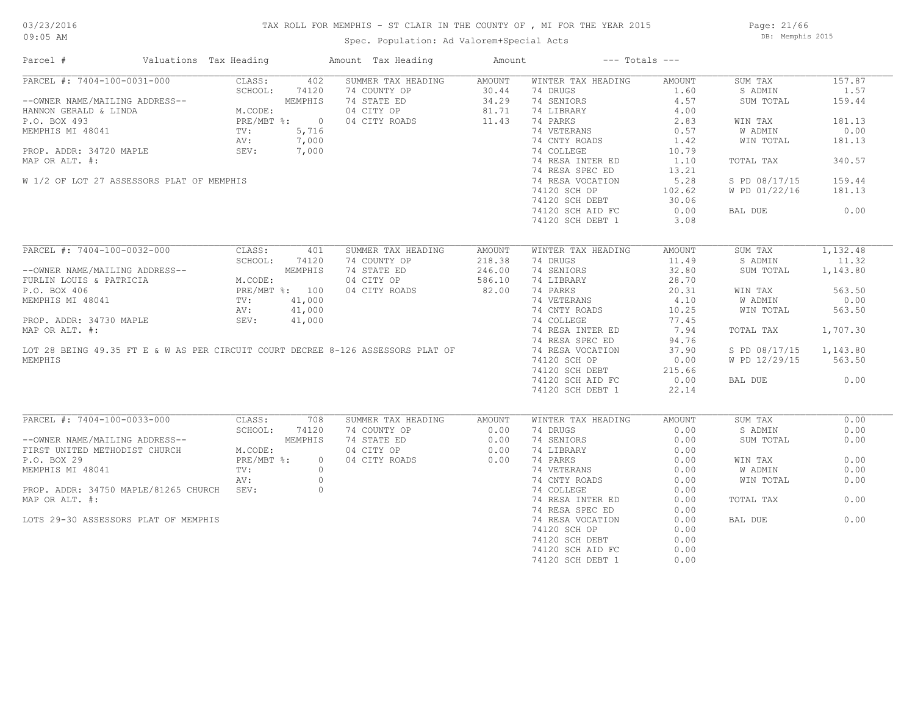#### TAX ROLL FOR MEMPHIS - ST CLAIR IN THE COUNTY OF , MI FOR THE YEAR 2015

Page: 21/66 DB: Memphis 2015

| Parcel #                                                                                                                                                                                                                                                                                                  | Valuations Tax Heading |                    | Amount Tax Heading                                                                                                                                                | Amount                     | $---$ Totals $---$                                                                                                                                                                                                                                        |                                                                                                                             |                                                                                                                              |                                                                                            |
|-----------------------------------------------------------------------------------------------------------------------------------------------------------------------------------------------------------------------------------------------------------------------------------------------------------|------------------------|--------------------|-------------------------------------------------------------------------------------------------------------------------------------------------------------------|----------------------------|-----------------------------------------------------------------------------------------------------------------------------------------------------------------------------------------------------------------------------------------------------------|-----------------------------------------------------------------------------------------------------------------------------|------------------------------------------------------------------------------------------------------------------------------|--------------------------------------------------------------------------------------------|
| PARCEL #: 7404-100-0031-000 CLASS: 402<br>--OWNER NAME/MAILING ADDRESS-- SCHOOL: 74120<br>HANNON GERALD & LINDA M.CODE: MEMPHIS<br>P.O. BOX 493<br>MEMPHIS MI 48041 TV: 5,716<br>PROP. ADDR: 34720 MAPLE SEV: 7,000<br>PARP.OR ATTER 4: 7,<br>MAP OR ALT. #:<br>W 1/2 OF LOT 27 ASSESSORS PLAT OF MEMPHIS |                        |                    | SUMMER TAX HEADING<br>74 COUNTY OP<br>74 STATE ED<br>04 CITY OP 81.71<br>04 CITY ROADS 11.43<br>$5,716$<br>$7,000$<br>$7,000$                                     | AMOUNT<br>30.44<br>34.29   | WINTER TAX HEADING<br>74 DRUGS<br>74 SENIORS<br>74 LIBRARY<br>74 PARKS<br>74 VETERANS<br>74 CNTY ROADS<br>74 COLLEGE<br>74 RESA INTER ED<br>74 RESA SPEC ED<br>74 RESA VOCATION<br>74120 SCH OP<br>74120 SCH DEBT<br>74120 SCH AID FC<br>74120 SCH DEBT 1 | AMOUNT<br>1.60<br>4.57<br>4.00<br>2.83<br>0.57<br>1.42<br>10.79<br>1,10<br>13.21<br>5.28<br>102.62<br>30.06<br>0.00<br>3.08 | SUM TAX<br>S ADMIN<br>SUM TOTAL<br>WIN TAX<br>W ADMIN<br>WIN TOTAL<br>TOTAL TAX<br>S PD 08/17/15<br>W PD 01/22/16<br>BAL DUE | 157.87<br>1.57<br>159.44<br>181.13<br>0.00<br>181.13<br>340.57<br>159.44<br>181.13<br>0.00 |
| PARCEL #: 7404-100-0032-000                                                                                                                                                                                                                                                                               | CLASS:                 | 401                | SUMMER TAX HEADING                                                                                                                                                | AMOUNT                     | WINTER TAX HEADING                                                                                                                                                                                                                                        | AMOUNT                                                                                                                      | SUM TAX                                                                                                                      | 1,132.48                                                                                   |
|                                                                                                                                                                                                                                                                                                           | SCHOOL:                | 74120              | 74 COUNTY OP<br>74 STATE ED<br>04 CITY OP                                                                                                                         | 218.38<br>246.00<br>586.10 | 74 DRUGS<br>74 SENIORS<br>74 LIBRARY                                                                                                                                                                                                                      | 11.49<br>32.80<br>28.70                                                                                                     | S ADMIN<br>SUM TOTAL                                                                                                         | 11.32<br>1,143.80                                                                          |
| --OWNER NAME/MAILING ADDRESS--<br>FURLIN LOUIS & PATRICIA M.CODE:<br>P.O. BOX 406 PRE/MBT %: 100<br>MEMPHIS MI 48041 TV: 41,000<br>PROP. ADDR: 34730 MAPLE SEV: 41,000                                                                                                                                    |                        |                    | 04 CITY ROADS<br>MEMPHIS MI 48041<br>PROP. ADDR: 34730 MAPLE<br>MAP OR ALT. #:<br>LOT 28 BEING 49.35 FT E & W AS PER CIRCUIT COURT DECREE 8-126 ASSESSORS PLAT OF | 82.00                      | 74 PARKS<br>74 VETERANS<br>74 CNTY ROADS                                                                                                                                                                                                                  | 20.31<br>4.10<br>10.25                                                                                                      | WIN TAX<br>W ADMIN<br>WIN TOTAL                                                                                              | 563.50<br>0.00<br>563.50                                                                   |
|                                                                                                                                                                                                                                                                                                           |                        |                    |                                                                                                                                                                   |                            | 74 COLLEGE<br>74 RESA INTER ED<br>74 RESA SPEC ED                                                                                                                                                                                                         | 77.45<br>7.94<br>94.76                                                                                                      | TOTAL TAX                                                                                                                    | 1,707.30                                                                                   |
| MEMPHIS                                                                                                                                                                                                                                                                                                   |                        |                    |                                                                                                                                                                   |                            | 74 RESA VOCATION<br>74120 SCH OP<br>74120 SCH DEBT                                                                                                                                                                                                        | 37.90<br>0.00<br>215.66                                                                                                     | S PD 08/17/15<br>W PD 12/29/15                                                                                               | 1,143.80<br>563.50                                                                         |
|                                                                                                                                                                                                                                                                                                           |                        |                    |                                                                                                                                                                   |                            | 74120 SCH AID FC<br>74120 SCH DEBT 1                                                                                                                                                                                                                      | 0.00<br>22.14                                                                                                               | BAL DUE                                                                                                                      | 0.00                                                                                       |
| PARCEL #: 7404-100-0033-000                                                                                                                                                                                                                                                                               | CLASS:                 | 708                | SUMMER TAX HEADING                                                                                                                                                | AMOUNT                     | WINTER TAX HEADING                                                                                                                                                                                                                                        | AMOUNT                                                                                                                      | SUM TAX                                                                                                                      | 0.00                                                                                       |
| --OWNER NAME/MAILING ADDRESS--<br>FIRST UNITED METHODIST CHURCH                                                                                                                                                                                                                                           | SCHOOL:<br>M.CODE:     | 74120<br>MEMPHIS   | 74 COUNTY OP<br>74 STATE ED<br>04 CITY OP                                                                                                                         | $0.00$<br>$0.00$<br>$0.00$ | 74 DRUGS<br>74 SENIORS<br>74 LIBRARY                                                                                                                                                                                                                      | 0.00<br>0.00<br>0.00                                                                                                        | S ADMIN<br>SUM TOTAL                                                                                                         | 0.00<br>0.00                                                                               |
| P.O. BOX 29<br>MEMPHIS MI 48041                                                                                                                                                                                                                                                                           | $PRE/MBT$ %:<br>TV:    | $\circ$<br>$\circ$ | 04 CITY ROADS                                                                                                                                                     | 0.00                       | 74 PARKS<br>74 VETERANS                                                                                                                                                                                                                                   | 0.00<br>0.00                                                                                                                | WIN TAX<br>W ADMIN                                                                                                           | 0.00<br>0.00                                                                               |
| PROP. ADDR: 34750 MAPLE/81265 CHURCH SEV:<br>MAP OR ALT. #:                                                                                                                                                                                                                                               | AV:                    | $\circ$<br>$\circ$ |                                                                                                                                                                   |                            | 74 CNTY ROADS<br>74 COLLEGE<br>74 RESA INTER ED                                                                                                                                                                                                           | 0.00<br>0.00<br>0.00                                                                                                        | WIN TOTAL<br>TOTAL TAX                                                                                                       | 0.00<br>0.00                                                                               |
| LOTS 29-30 ASSESSORS PLAT OF MEMPHIS                                                                                                                                                                                                                                                                      |                        |                    |                                                                                                                                                                   |                            | 74 RESA SPEC ED<br>74 RESA VOCATION<br>74120 SCH OP<br>74120 SCH DEBT<br>74120 SCH AID FC<br>74120 SCH DEBT 1                                                                                                                                             | 0.00<br>0.00<br>0.00<br>0.00<br>0.00<br>0.00                                                                                | BAL DUE                                                                                                                      | 0.00                                                                                       |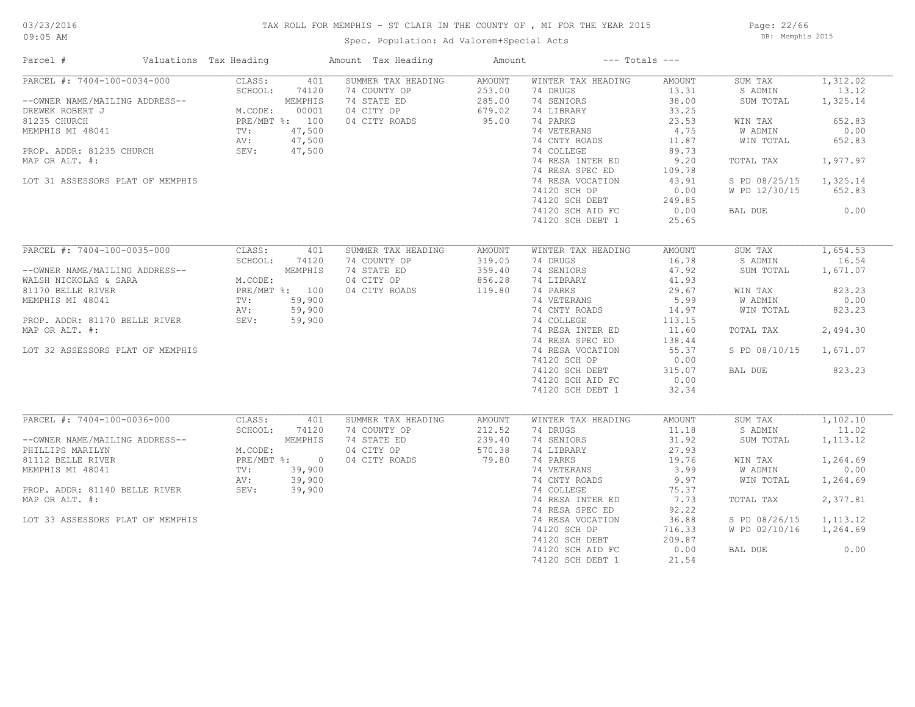# 03/23/2016

#### TAX ROLL FOR MEMPHIS - ST CLAIR IN THE COUNTY OF , MI FOR THE YEAR 2015

09:05 AM

### Spec. Population: Ad Valorem+Special Acts

Page: 22/66 DB: Memphis 2015

| Parcel #                                                                                                                                                                                               | Valuations Tax Heading                             |                                                                                  | Amount Tax Heading                                                               | Amount                                        |                                                                                                                                                                                                                                                           | $---$ Totals $---$                                                                                                                 |                                                                                                                              |                                                                                                     |
|--------------------------------------------------------------------------------------------------------------------------------------------------------------------------------------------------------|----------------------------------------------------|----------------------------------------------------------------------------------|----------------------------------------------------------------------------------|-----------------------------------------------|-----------------------------------------------------------------------------------------------------------------------------------------------------------------------------------------------------------------------------------------------------------|------------------------------------------------------------------------------------------------------------------------------------|------------------------------------------------------------------------------------------------------------------------------|-----------------------------------------------------------------------------------------------------|
| PARCEL #: 7404-100-0034-000<br>--OWNER NAME/MAILING ADDRESS--<br>DREWEK ROBERT J<br>81235 CHURCH<br>MEMPHIS MI 48041<br>PROP. ADDR: 81235 CHURCH<br>MAP OR ALT. #:<br>LOT 31 ASSESSORS PLAT OF MEMPHIS | CLASS:<br>SCHOOL:<br>M.CODE:<br>TV:<br>AV:<br>SEV: | 401<br>74120<br>MEMPHIS<br>00001<br>PRE/MBT %: 100<br>47,500<br>47,500<br>47,500 | SUMMER TAX HEADING<br>74 COUNTY OP<br>74 STATE ED<br>04 CITY OP<br>04 CITY ROADS | AMOUNT<br>253.00<br>285.00<br>679.02<br>95.00 | WINTER TAX HEADING<br>74 DRUGS<br>74 SENIORS<br>74 LIBRARY<br>74 PARKS<br>74 VETERANS<br>74 CNTY ROADS<br>74 COLLEGE<br>74 RESA INTER ED<br>74 RESA SPEC ED<br>74 RESA VOCATION<br>74120 SCH OP<br>74120 SCH DEBT<br>74120 SCH AID FC<br>74120 SCH DEBT 1 | AMOUNT<br>13.31<br>38.00<br>33.25<br>23.53<br>4.75<br>11.87<br>89.73<br>9.20<br>109.78<br>43.91<br>0.00<br>249.85<br>0.00<br>25.65 | SUM TAX<br>S ADMIN<br>SUM TOTAL<br>WIN TAX<br>W ADMIN<br>WIN TOTAL<br>TOTAL TAX<br>S PD 08/25/15<br>W PD 12/30/15<br>BAL DUE | 1,312.02<br>13.12<br>1,325.14<br>652.83<br>0.00<br>652.83<br>1,977.97<br>1,325.14<br>652.83<br>0.00 |
| PARCEL #: 7404-100-0035-000                                                                                                                                                                            | CLASS:                                             | 401                                                                              | SUMMER TAX HEADING                                                               | AMOUNT                                        | WINTER TAX HEADING                                                                                                                                                                                                                                        | AMOUNT                                                                                                                             | SUM TAX                                                                                                                      | 1,654.53                                                                                            |
| --OWNER NAME/MAILING ADDRESS--<br>WALSH NICKOLAS & SARA                                                                                                                                                | SCHOOL:<br>M.CODE:                                 | 74120<br>MEMPHIS                                                                 | 74 COUNTY OP<br>74 STATE ED<br>04 CITY OP                                        | 319.05<br>359.40<br>856.28                    | 74 DRUGS<br>74 SENIORS<br>74 LIBRARY                                                                                                                                                                                                                      | 16.78<br>47.92<br>41.93                                                                                                            | S ADMIN<br>SUM TOTAL                                                                                                         | 16.54<br>1,671.07                                                                                   |
| 81170 BELLE RIVER                                                                                                                                                                                      |                                                    | PRE/MBT %: 100                                                                   | 04 CITY ROADS                                                                    | 119.80                                        | 74 PARKS                                                                                                                                                                                                                                                  | 29.67                                                                                                                              | WIN TAX                                                                                                                      | 823.23                                                                                              |
| MEMPHIS MI 48041                                                                                                                                                                                       | TV:                                                | 59,900                                                                           |                                                                                  |                                               | 74 VETERANS                                                                                                                                                                                                                                               | 5.99                                                                                                                               | W ADMIN                                                                                                                      | 0.00                                                                                                |
|                                                                                                                                                                                                        | AV:                                                | 59,900                                                                           |                                                                                  |                                               | 74 CNTY ROADS                                                                                                                                                                                                                                             | 14.97                                                                                                                              | WIN TOTAL                                                                                                                    | 823.23                                                                                              |
| PROP. ADDR: 81170 BELLE RIVER                                                                                                                                                                          | SEV:                                               | 59,900                                                                           |                                                                                  |                                               | 74 COLLEGE                                                                                                                                                                                                                                                | 113.15                                                                                                                             |                                                                                                                              |                                                                                                     |
| MAP OR ALT. #:                                                                                                                                                                                         |                                                    |                                                                                  |                                                                                  |                                               | 74 RESA INTER ED                                                                                                                                                                                                                                          | 11.60                                                                                                                              | TOTAL TAX                                                                                                                    | 2,494.30                                                                                            |
|                                                                                                                                                                                                        |                                                    |                                                                                  |                                                                                  |                                               | 74 RESA SPEC ED                                                                                                                                                                                                                                           | 138.44                                                                                                                             |                                                                                                                              |                                                                                                     |
| LOT 32 ASSESSORS PLAT OF MEMPHIS                                                                                                                                                                       |                                                    |                                                                                  |                                                                                  |                                               | 74 RESA VOCATION                                                                                                                                                                                                                                          | 55.37                                                                                                                              | S PD 08/10/15                                                                                                                | 1,671.07                                                                                            |
|                                                                                                                                                                                                        |                                                    |                                                                                  |                                                                                  |                                               | 74120 SCH OP<br>74120 SCH DEBT                                                                                                                                                                                                                            | 0.00<br>315.07                                                                                                                     | BAL DUE                                                                                                                      | 823.23                                                                                              |
|                                                                                                                                                                                                        |                                                    |                                                                                  |                                                                                  |                                               | 74120 SCH AID FC                                                                                                                                                                                                                                          | 0.00                                                                                                                               |                                                                                                                              |                                                                                                     |
|                                                                                                                                                                                                        |                                                    |                                                                                  |                                                                                  |                                               | 74120 SCH DEBT 1                                                                                                                                                                                                                                          | 32.34                                                                                                                              |                                                                                                                              |                                                                                                     |
|                                                                                                                                                                                                        |                                                    |                                                                                  |                                                                                  |                                               |                                                                                                                                                                                                                                                           |                                                                                                                                    |                                                                                                                              |                                                                                                     |
| PARCEL #: 7404-100-0036-000                                                                                                                                                                            | CLASS:                                             | 401                                                                              | SUMMER TAX HEADING                                                               | <b>AMOUNT</b>                                 | WINTER TAX HEADING                                                                                                                                                                                                                                        | AMOUNT                                                                                                                             | SUM TAX                                                                                                                      | 1,102.10                                                                                            |
|                                                                                                                                                                                                        | SCHOOL:                                            | 74120                                                                            | 74 COUNTY OP                                                                     | 212.52                                        | 74 DRUGS                                                                                                                                                                                                                                                  | 11.18                                                                                                                              | S ADMIN                                                                                                                      | 11.02                                                                                               |
| --OWNER NAME/MAILING ADDRESS--                                                                                                                                                                         |                                                    | MEMPHIS                                                                          | 74 STATE ED                                                                      | 239.40                                        | 74 SENIORS                                                                                                                                                                                                                                                | 31.92                                                                                                                              | SUM TOTAL                                                                                                                    | 1,113.12                                                                                            |
| PHILLIPS MARILYN                                                                                                                                                                                       | M.CODE:                                            | PRE/MBT %: 0                                                                     | 04 CITY OP<br>04 CITY ROADS                                                      | 570.38<br>79.80                               | 74 LIBRARY<br>74 PARKS                                                                                                                                                                                                                                    | 27.93<br>19.76                                                                                                                     |                                                                                                                              | 1,264.69                                                                                            |
| 81112 BELLE RIVER<br>MEMPHIS MI 48041                                                                                                                                                                  | TV:                                                | 39,900                                                                           |                                                                                  |                                               | 74 VETERANS                                                                                                                                                                                                                                               | 3.99                                                                                                                               | WIN TAX<br>W ADMIN                                                                                                           | 0.00                                                                                                |
|                                                                                                                                                                                                        | AV:                                                | 39,900                                                                           |                                                                                  |                                               | 74 CNTY ROADS                                                                                                                                                                                                                                             | 9.97                                                                                                                               | WIN TOTAL                                                                                                                    | 1,264.69                                                                                            |
| PROP. ADDR: 81140 BELLE RIVER                                                                                                                                                                          | SEV:                                               | 39,900                                                                           |                                                                                  |                                               | 74 COLLEGE                                                                                                                                                                                                                                                | 75.37                                                                                                                              |                                                                                                                              |                                                                                                     |
| MAP OR ALT. #:                                                                                                                                                                                         |                                                    |                                                                                  |                                                                                  |                                               | 74 RESA INTER ED                                                                                                                                                                                                                                          | 7.73                                                                                                                               | TOTAL TAX                                                                                                                    | 2,377.81                                                                                            |
|                                                                                                                                                                                                        |                                                    |                                                                                  |                                                                                  |                                               | 74 RESA SPEC ED                                                                                                                                                                                                                                           | 92.22                                                                                                                              |                                                                                                                              |                                                                                                     |
| LOT 33 ASSESSORS PLAT OF MEMPHIS                                                                                                                                                                       |                                                    |                                                                                  |                                                                                  |                                               | 74 RESA VOCATION                                                                                                                                                                                                                                          | 36.88                                                                                                                              | S PD 08/26/15                                                                                                                | 1,113.12                                                                                            |
|                                                                                                                                                                                                        |                                                    |                                                                                  |                                                                                  |                                               | 74120 SCH OP                                                                                                                                                                                                                                              | 716.33                                                                                                                             | W PD 02/10/16                                                                                                                | 1,264.69                                                                                            |
|                                                                                                                                                                                                        |                                                    |                                                                                  |                                                                                  |                                               | 74120 SCH DEBT                                                                                                                                                                                                                                            | 209.87                                                                                                                             |                                                                                                                              |                                                                                                     |
|                                                                                                                                                                                                        |                                                    |                                                                                  |                                                                                  |                                               | 74120 SCH AID FC                                                                                                                                                                                                                                          | 0.00                                                                                                                               | BAL DUE                                                                                                                      | 0.00                                                                                                |
|                                                                                                                                                                                                        |                                                    |                                                                                  |                                                                                  |                                               | 74120 SCH DEBT 1                                                                                                                                                                                                                                          | 21.54                                                                                                                              |                                                                                                                              |                                                                                                     |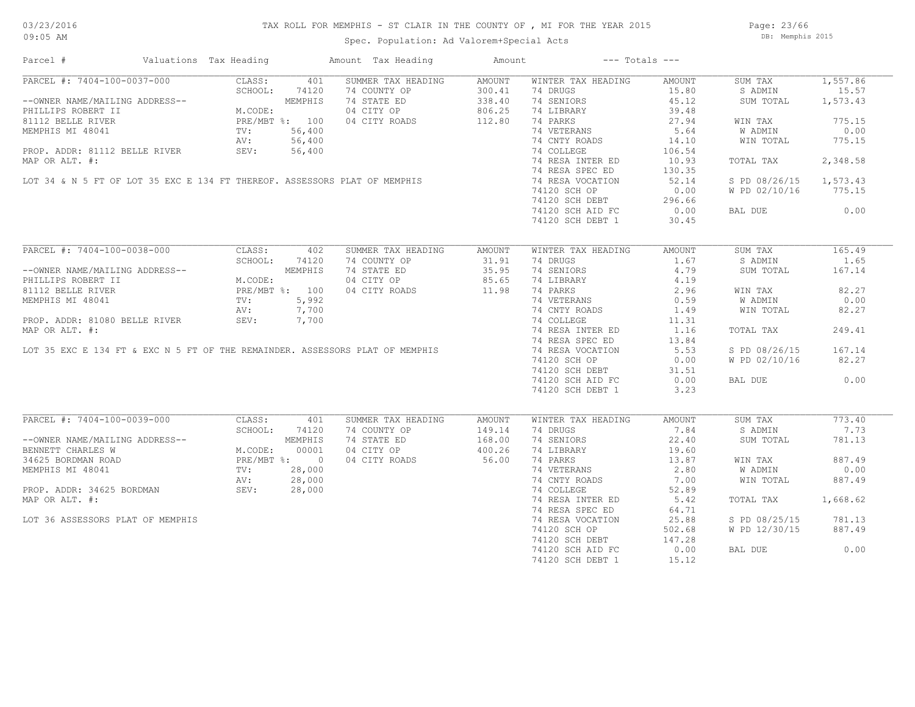### TAX ROLL FOR MEMPHIS - ST CLAIR IN THE COUNTY OF , MI FOR THE YEAR 2015

Spec. Population: Ad Valorem+Special Acts

Page: 23/66 DB: Memphis 2015

| Parcel #                                                                                                                                                                                                                                         |                                                                                | Valuations Tax Heading |       | Amount Tax Heading                                                                                                                               | Amount |                    | $---$ Totals $---$ |                        |          |
|--------------------------------------------------------------------------------------------------------------------------------------------------------------------------------------------------------------------------------------------------|--------------------------------------------------------------------------------|------------------------|-------|--------------------------------------------------------------------------------------------------------------------------------------------------|--------|--------------------|--------------------|------------------------|----------|
| PARCEL #: 7404-100-0037-000                                                                                                                                                                                                                      |                                                                                | CLASS:                 | 401   | SUMMER TAX HEADING                                                                                                                               | AMOUNT | WINTER TAX HEADING | AMOUNT             | SUM TAX                | 1,557.86 |
|                                                                                                                                                                                                                                                  |                                                                                | SCHOOL:                | 74120 | 74 COUNTY OP                                                                                                                                     | 300.41 | 74 DRUGS           | 15.80              | S ADMIN                | 15.57    |
| --OWNER NAME/MAILING ADDRESS--<br>PHILLIPS ROBERT II M.CODE:<br>81112 BELLE RIVER PRE/MBT %: 100<br>MEMPHIS MI 48041 TV: 56,400<br>PROP. ADDR: 81112 BELLE RIVER SEV: 56,400<br>NRDP.OD NEW: "                                                   |                                                                                |                        |       | 74 STATE ED                                                                                                                                      | 338.40 | 74 SENIORS         | 45.12              | SUM TOTAL              | 1,573.43 |
|                                                                                                                                                                                                                                                  |                                                                                |                        |       | 04 CITY OP                                                                                                                                       | 806.25 | 74 LIBRARY         | 39.48              |                        |          |
|                                                                                                                                                                                                                                                  |                                                                                |                        |       | 04 CITY ROADS                                                                                                                                    | 112.80 | 74 PARKS           | 27.94              | WIN TAX                | 775.15   |
|                                                                                                                                                                                                                                                  |                                                                                |                        |       |                                                                                                                                                  |        | 74 VETERANS        | 5.64               | W ADMIN                | 0.00     |
|                                                                                                                                                                                                                                                  |                                                                                |                        |       | MEMPHIS MI 48041<br>PROP. ADDR: 81112 BELLE RIVER<br>MAP OR ALT. #:<br>LOT 34 & N 5 FT OF LOT 35 EXC E 134 FT THEREOF. ASSESSORS PLAT OF MEMPHIS |        | 74 CNTY ROADS      | 14.10              | WIN TOTAL              | 775.15   |
|                                                                                                                                                                                                                                                  |                                                                                |                        |       |                                                                                                                                                  |        | 74 COLLEGE         | 106.54             |                        |          |
|                                                                                                                                                                                                                                                  |                                                                                |                        |       |                                                                                                                                                  |        | 74 RESA INTER ED   | 10.93              |                        | 2,348.58 |
|                                                                                                                                                                                                                                                  |                                                                                |                        |       |                                                                                                                                                  |        |                    |                    | TOTAL TAX              |          |
|                                                                                                                                                                                                                                                  |                                                                                |                        |       |                                                                                                                                                  |        | 74 RESA SPEC ED    | 130.35             |                        |          |
|                                                                                                                                                                                                                                                  |                                                                                |                        |       |                                                                                                                                                  |        | 74 RESA VOCATION   | 52.14              | S PD 08/26/15 1,573.43 |          |
|                                                                                                                                                                                                                                                  |                                                                                |                        |       |                                                                                                                                                  |        | 74120 SCH OP       | 0.00               | W PD 02/10/16          | 775.15   |
|                                                                                                                                                                                                                                                  |                                                                                |                        |       |                                                                                                                                                  |        | 74120 SCH DEBT     | 296.66             |                        |          |
|                                                                                                                                                                                                                                                  |                                                                                |                        |       |                                                                                                                                                  |        | 74120 SCH AID FC   | 0.00               | BAL DUE                | 0.00     |
|                                                                                                                                                                                                                                                  |                                                                                |                        |       |                                                                                                                                                  |        | 74120 SCH DEBT 1   | 30.45              |                        |          |
|                                                                                                                                                                                                                                                  |                                                                                |                        |       |                                                                                                                                                  |        |                    |                    |                        |          |
| PARCEL #: 7404-100-0038-000                                                                                                                                                                                                                      |                                                                                | CLASS:                 | 402   | SUMMER TAX HEADING                                                                                                                               | AMOUNT | WINTER TAX HEADING | AMOUNT             | SUM TAX                | 165.49   |
|                                                                                                                                                                                                                                                  |                                                                                | SCHOOL:                | 74120 | 74 COUNTY OP                                                                                                                                     | 31.91  | 74 DRUGS           | 1.67               | S ADMIN                | 1.65     |
| --OWNER NAME/MAILING ADDRESS--                                                                                                                                                                                                                   | NG ADDRESS--<br>M.CODE:<br>M.CODE:<br>PRE/MBT %: 100<br>TV: 5,992<br>AV: 7,700 |                        |       | 74 STATE ED                                                                                                                                      | 35.95  | 74 SENIORS         | 4.79               | SUM TOTAL              | 167.14   |
| PHILLIPS ROBERT II                                                                                                                                                                                                                               |                                                                                |                        |       | 04 CITY OP                                                                                                                                       | 85.65  | 74 LIBRARY         | 4.19               |                        |          |
| 81112 BELLE RIVER                                                                                                                                                                                                                                |                                                                                |                        |       | 04 CITY ROADS                                                                                                                                    | 11.98  | 74 PARKS           | 2.96               | WIN TAX                | 82.27    |
| MEMPHIS MI 48041                                                                                                                                                                                                                                 |                                                                                |                        |       |                                                                                                                                                  |        | 74 VETERANS        | 0.59               | W ADMIN                | 0.00     |
|                                                                                                                                                                                                                                                  |                                                                                |                        |       | PROP. ADDR: 81080 BELLE RIVER<br>MAP OR ALT. #:<br>LOT 35 EXC E 134 FT & EXC N 5 FT OF THE REMAINDER. ASSESSORS PLAT OF MEMPHIS                  |        | 74 CNTY ROADS      | 1.49               | WIN TOTAL              | 82.27    |
|                                                                                                                                                                                                                                                  |                                                                                |                        |       |                                                                                                                                                  |        | 74 COLLEGE         |                    |                        |          |
|                                                                                                                                                                                                                                                  |                                                                                |                        |       |                                                                                                                                                  |        |                    | 11.31              |                        |          |
|                                                                                                                                                                                                                                                  |                                                                                |                        |       |                                                                                                                                                  |        | 74 RESA INTER ED   | 1.16               | TOTAL TAX              | 249.41   |
|                                                                                                                                                                                                                                                  |                                                                                |                        |       |                                                                                                                                                  |        | 74 RESA SPEC ED    | 13.84              |                        |          |
|                                                                                                                                                                                                                                                  |                                                                                |                        |       |                                                                                                                                                  |        | 74 RESA VOCATION   | 5.53               | S PD 08/26/15          | 167.14   |
|                                                                                                                                                                                                                                                  |                                                                                |                        |       |                                                                                                                                                  |        | 74120 SCH OP       | 0.00               | W PD 02/10/16          | 82.27    |
|                                                                                                                                                                                                                                                  |                                                                                |                        |       |                                                                                                                                                  |        | 74120 SCH DEBT     | 31.51              |                        |          |
|                                                                                                                                                                                                                                                  |                                                                                |                        |       |                                                                                                                                                  |        | 74120 SCH AID FC   | 0.00               | BAL DUE                | 0.00     |
|                                                                                                                                                                                                                                                  |                                                                                |                        |       |                                                                                                                                                  |        | 74120 SCH DEBT 1   | 3.23               |                        |          |
|                                                                                                                                                                                                                                                  |                                                                                |                        |       |                                                                                                                                                  |        |                    |                    |                        |          |
| PARCEL #: 7404-100-0039-000                                                                                                                                                                                                                      |                                                                                | CLASS:                 | 401   | SUMMER TAX HEADING                                                                                                                               | AMOUNT | WINTER TAX HEADING | AMOUNT             | SUM TAX                | 773.40   |
|                                                                                                                                                                                                                                                  |                                                                                | SCHOOL:                | 74120 | 74 COUNTY OP                                                                                                                                     | 149.14 | 74 DRUGS           | 7.84               | S ADMIN                | 7.73     |
|                                                                                                                                                                                                                                                  |                                                                                |                        |       | 74 STATE ED                                                                                                                                      | 168.00 | 74 SENIORS         | 22.40              | SUM TOTAL              | 781.13   |
|                                                                                                                                                                                                                                                  |                                                                                |                        |       | 04 CITY OP                                                                                                                                       | 400.26 | 74 LIBRARY         | 19.60              |                        |          |
|                                                                                                                                                                                                                                                  |                                                                                |                        |       | 04 CITY ROADS                                                                                                                                    | 56.00  | 74 PARKS           | 13.87              | WIN TAX                | 887.49   |
| --OWNER NAME/MAILING ADDRESS--<br>BENNETT CHARLES W<br>34625 BORDMAN ROAD<br>MEMPHIS MI 48041<br>PROP. ADDR: 34625 BORDMAN<br>PROP. ADDR: 34625 BORDMAN<br>PROP. ADDR: 34625 BORDMAN<br>PROP. ADDR: 34625 BORDMAN<br>PROP. 28,000<br>PROP. ADDR: |                                                                                |                        |       |                                                                                                                                                  |        | 74 VETERANS        | 2.80               | W ADMIN                | 0.00     |
|                                                                                                                                                                                                                                                  |                                                                                |                        |       |                                                                                                                                                  |        | 74 CNTY ROADS      | 7.00               | WIN TOTAL              | 887.49   |
|                                                                                                                                                                                                                                                  |                                                                                |                        |       |                                                                                                                                                  |        | 74 COLLEGE         | 52.89              |                        |          |
|                                                                                                                                                                                                                                                  |                                                                                |                        |       | $28,000$<br>$28,000$<br>$28,000$                                                                                                                 |        |                    |                    |                        |          |
| MAP OR ALT. #:                                                                                                                                                                                                                                   |                                                                                |                        |       |                                                                                                                                                  |        | 74 RESA INTER ED   | 5.42               | TOTAL TAX              | 1,668.62 |
|                                                                                                                                                                                                                                                  |                                                                                |                        |       |                                                                                                                                                  |        | 74 RESA SPEC ED    | 64.71              |                        |          |
| LOT 36 ASSESSORS PLAT OF MEMPHIS                                                                                                                                                                                                                 |                                                                                |                        |       |                                                                                                                                                  |        | 74 RESA VOCATION   | 25.88              | S PD 08/25/15          | 781.13   |
|                                                                                                                                                                                                                                                  |                                                                                |                        |       |                                                                                                                                                  |        | 74120 SCH OP       | 502.68             | W PD 12/30/15          | 887.49   |
|                                                                                                                                                                                                                                                  |                                                                                |                        |       |                                                                                                                                                  |        | 74120 SCH DEBT     | 147.28             |                        |          |
|                                                                                                                                                                                                                                                  |                                                                                |                        |       |                                                                                                                                                  |        | 74120 SCH AID FC   | 0.00               | BAL DUE                | 0.00     |
|                                                                                                                                                                                                                                                  |                                                                                |                        |       |                                                                                                                                                  |        | 74120 SCH DEBT 1   | 15.12              |                        |          |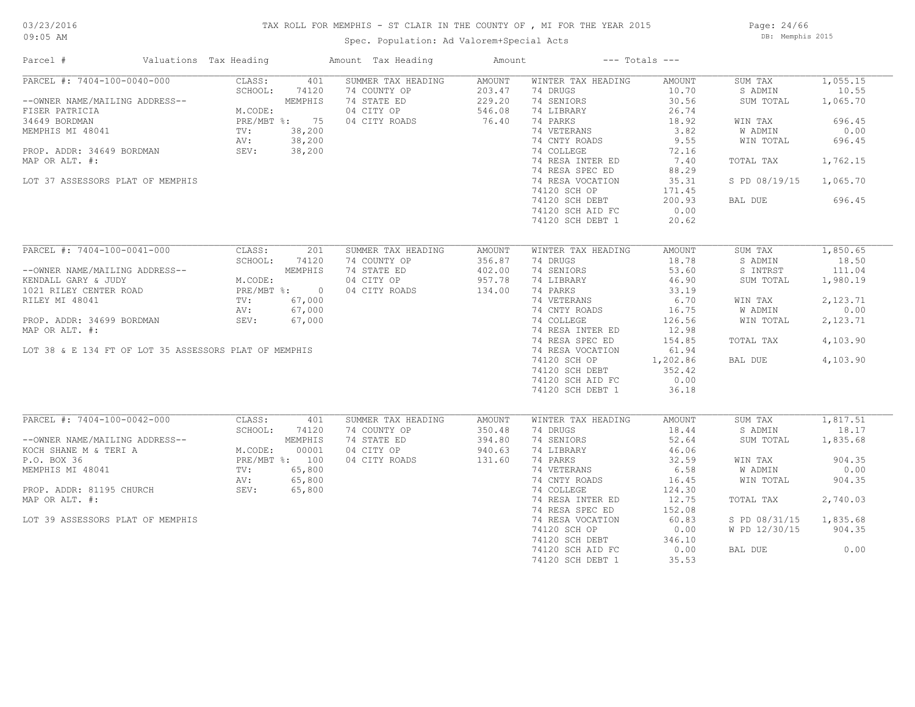#### TAX ROLL FOR MEMPHIS - ST CLAIR IN THE COUNTY OF , MI FOR THE YEAR 2015

Spec. Population: Ad Valorem+Special Acts

Page: 24/66 DB: Memphis 2015

| Parcel #                                              | Valuations Tax Heading |                | Amount Tax Heading | Amount        |                    | $---$ Totals $---$ |               |          |
|-------------------------------------------------------|------------------------|----------------|--------------------|---------------|--------------------|--------------------|---------------|----------|
| PARCEL #: 7404-100-0040-000                           | CLASS:                 | 401            | SUMMER TAX HEADING | <b>AMOUNT</b> | WINTER TAX HEADING | AMOUNT             | SUM TAX       | 1,055.15 |
|                                                       | SCHOOL:                | 74120          | 74 COUNTY OP       | 203.47        | 74 DRUGS           | 10.70              | S ADMIN       | 10.55    |
| --OWNER NAME/MAILING ADDRESS--                        |                        | MEMPHIS        | 74 STATE ED        | 229.20        | 74 SENIORS         | 30.56              | SUM TOTAL     | 1,065.70 |
| FISER PATRICIA                                        | M.CODE:                |                | 04 CITY OP         | 546.08        | 74 LIBRARY         | 26.74              |               |          |
| 34649 BORDMAN                                         |                        | PRE/MBT %: 75  | 04 CITY ROADS      | 76.40         | 74 PARKS           | 18.92              | WIN TAX       | 696.45   |
| MEMPHIS MI 48041                                      | TV:                    | 38,200         |                    |               | 74 VETERANS        | 3.82               | W ADMIN       | 0.00     |
|                                                       | AV:                    | 38,200         |                    |               | 74 CNTY ROADS      | 9.55               | WIN TOTAL     | 696.45   |
| PROP. ADDR: 34649 BORDMAN                             | SEV:                   | 38,200         |                    |               | 74 COLLEGE         | 72.16              |               |          |
| MAP OR ALT. #:                                        |                        |                |                    |               | 74 RESA INTER ED   | 7.40               | TOTAL TAX     | 1,762.15 |
|                                                       |                        |                |                    |               | 74 RESA SPEC ED    | 88.29              |               |          |
| LOT 37 ASSESSORS PLAT OF MEMPHIS                      |                        |                |                    |               | 74 RESA VOCATION   | 35.31              | S PD 08/19/15 | 1,065.70 |
|                                                       |                        |                |                    |               | 74120 SCH OP       | 171.45             |               |          |
|                                                       |                        |                |                    |               |                    |                    |               |          |
|                                                       |                        |                |                    |               | 74120 SCH DEBT     | 200.93             | BAL DUE       | 696.45   |
|                                                       |                        |                |                    |               | 74120 SCH AID FC   | 0.00               |               |          |
|                                                       |                        |                |                    |               | 74120 SCH DEBT 1   | 20.62              |               |          |
| PARCEL #: 7404-100-0041-000                           | CLASS:                 | 201            | SUMMER TAX HEADING | AMOUNT        | WINTER TAX HEADING | AMOUNT             | SUM TAX       | 1,850.65 |
|                                                       | SCHOOL:                |                | 74 COUNTY OP       | 356.87        | 74 DRUGS           | 18.78              | S ADMIN       | 18.50    |
|                                                       |                        | 74120          |                    |               |                    |                    |               |          |
| --OWNER NAME/MAILING ADDRESS--                        |                        | MEMPHIS        | 74 STATE ED        | 402.00        | 74 SENIORS         | 53.60              | S INTRST      | 111.04   |
| KENDALL GARY & JUDY                                   | M.CODE:                |                | 04 CITY OP         | 957.78        | 74 LIBRARY         | 46.90              | SUM TOTAL     | 1,980.19 |
| 1021 RILEY CENTER ROAD                                |                        | PRE/MBT %: 0   | 04 CITY ROADS      | 134.00        | 74 PARKS           | 33.19              |               |          |
| RILEY MI 48041                                        | $\text{TV}$ :          | 67,000         |                    |               | 74 VETERANS        | 6.70               | WIN TAX       | 2,123.71 |
|                                                       | AV:                    | 67,000         |                    |               | 74 CNTY ROADS      | 16.75              | W ADMIN       | 0.00     |
| PROP. ADDR: 34699 BORDMAN                             | SEV:                   | 67,000         |                    |               | 74 COLLEGE         | 126.56             | WIN TOTAL     | 2,123.71 |
| MAP OR ALT. #:                                        |                        |                |                    |               | 74 RESA INTER ED   | 12.98              |               |          |
|                                                       |                        |                |                    |               | 74 RESA SPEC ED    | 154.85             | TOTAL TAX     | 4,103.90 |
| LOT 38 & E 134 FT OF LOT 35 ASSESSORS PLAT OF MEMPHIS |                        |                |                    |               | 74 RESA VOCATION   | 61.94              |               |          |
|                                                       |                        |                |                    |               | 74120 SCH OP       | 1,202.86           | BAL DUE       | 4,103.90 |
|                                                       |                        |                |                    |               | 74120 SCH DEBT     | 352.42             |               |          |
|                                                       |                        |                |                    |               | 74120 SCH AID FC   | 0.00               |               |          |
|                                                       |                        |                |                    |               | 74120 SCH DEBT 1   | 36.18              |               |          |
|                                                       |                        |                |                    |               |                    |                    |               |          |
| PARCEL #: 7404-100-0042-000                           | CLASS:                 | 401            | SUMMER TAX HEADING | <b>AMOUNT</b> | WINTER TAX HEADING | AMOUNT             | SUM TAX       | 1,817.51 |
|                                                       | SCHOOL:                | 74120          | 74 COUNTY OP       | 350.48        | 74 DRUGS           | 18.44              | S ADMIN       | 18.17    |
| --OWNER NAME/MAILING ADDRESS--                        |                        | MEMPHIS        | 74 STATE ED        | 394.80        | 74 SENIORS         | 52.64              | SUM TOTAL     | 1,835.68 |
| KOCH SHANE M & TERI A                                 | M.CODE:                | 00001          | 04 CITY OP         | 940.63        | 74 LIBRARY         | 46.06              |               |          |
| P.O. BOX 36                                           |                        | PRE/MBT %: 100 | 04 CITY ROADS      | 131.60        | 74 PARKS           | 32.59              | WIN TAX       | 904.35   |
| MEMPHIS MI 48041                                      | TV:                    | 65,800         |                    |               | 74 VETERANS        | 6.58               | W ADMIN       | 0.00     |
|                                                       |                        | 65,800         |                    |               | 74 CNTY ROADS      | 16.45              | WIN TOTAL     | 904.35   |
| PROP. ADDR: 81195 CHURCH                              | AV:<br>SEV:            |                |                    |               |                    |                    |               |          |
|                                                       |                        | 65,800         |                    |               | 74 COLLEGE         | 124.30             |               |          |
| MAP OR ALT. #:                                        |                        |                |                    |               | 74 RESA INTER ED   | 12.75              | TOTAL TAX     | 2,740.03 |
|                                                       |                        |                |                    |               | 74 RESA SPEC ED    | 152.08             |               |          |
| LOT 39 ASSESSORS PLAT OF MEMPHIS                      |                        |                |                    |               | 74 RESA VOCATION   | 60.83              | S PD 08/31/15 | 1,835.68 |
|                                                       |                        |                |                    |               | 74120 SCH OP       | 0.00               | W PD 12/30/15 | 904.35   |
|                                                       |                        |                |                    |               | 74120 SCH DEBT     | 346.10             |               |          |
|                                                       |                        |                |                    |               | 74120 SCH AID FC   | 0.00               | BAL DUE       | 0.00     |
|                                                       |                        |                |                    |               | 74120 SCH DEBT 1   | 35.53              |               |          |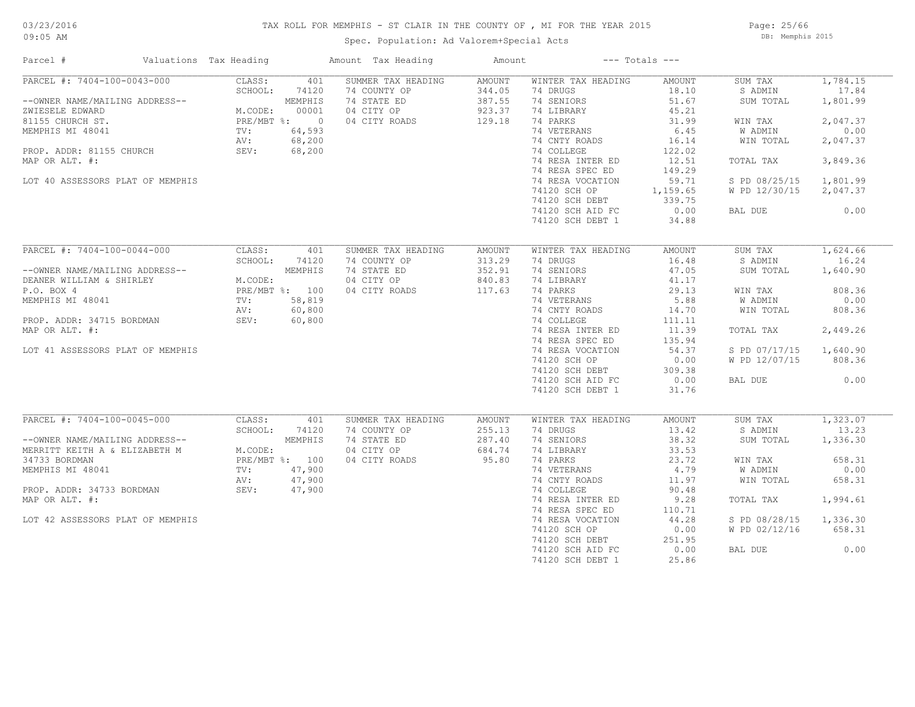#### TAX ROLL FOR MEMPHIS - ST CLAIR IN THE COUNTY OF , MI FOR THE YEAR 2015

Spec. Population: Ad Valorem+Special Acts

Page: 25/66 DB: Memphis 2015

| Parcel #                                                                                             | Valuations Tax Heading                       |                                  | Amount Tax Heading                                                               | Amount                                                |                                                                        | $---$ Totals $---$                         |                                            |                                           |
|------------------------------------------------------------------------------------------------------|----------------------------------------------|----------------------------------|----------------------------------------------------------------------------------|-------------------------------------------------------|------------------------------------------------------------------------|--------------------------------------------|--------------------------------------------|-------------------------------------------|
| PARCEL #: 7404-100-0043-000<br>--OWNER NAME/MAILING ADDRESS--<br>ZWIESELE EDWARD<br>81155 CHURCH ST. | CLASS:<br>SCHOOL:<br>M.CODE:<br>PRE/MBT %: 0 | 401<br>74120<br>MEMPHIS<br>00001 | SUMMER TAX HEADING<br>74 COUNTY OP<br>74 STATE ED<br>04 CITY OP<br>04 CITY ROADS | <b>AMOUNT</b><br>344.05<br>387.55<br>923.37<br>129.18 | WINTER TAX HEADING<br>74 DRUGS<br>74 SENIORS<br>74 LIBRARY<br>74 PARKS | AMOUNT<br>18.10<br>51.67<br>45.21<br>31.99 | SUM TAX<br>S ADMIN<br>SUM TOTAL<br>WIN TAX | 1,784.15<br>17.84<br>1,801.99<br>2,047.37 |
| MEMPHIS MI 48041                                                                                     | TV:<br>AV:<br>SEV:                           | 64,593<br>68,200                 |                                                                                  |                                                       | 74 VETERANS<br>74 CNTY ROADS                                           | 6.45<br>16.14                              | W ADMIN<br>WIN TOTAL                       | 0.00<br>2,047.37                          |
| PROP. ADDR: 81155 CHURCH<br>MAP OR ALT. #:                                                           |                                              | 68,200                           |                                                                                  |                                                       | 74 COLLEGE<br>74 RESA INTER ED<br>74 RESA SPEC ED                      | 122.02<br>12.51<br>149.29                  | TOTAL TAX                                  | 3,849.36                                  |
| LOT 40 ASSESSORS PLAT OF MEMPHIS                                                                     |                                              |                                  |                                                                                  |                                                       | 74 RESA VOCATION<br>74120 SCH OP<br>74120 SCH DEBT                     | 59.71<br>1,159.65<br>339.75                | S PD 08/25/15<br>W PD 12/30/15             | 1,801.99<br>2,047.37                      |
|                                                                                                      |                                              |                                  |                                                                                  |                                                       | 74120 SCH AID FC<br>74120 SCH DEBT 1                                   | 0.00<br>34.88                              | BAL DUE                                    | 0.00                                      |
| PARCEL #: 7404-100-0044-000                                                                          | CLASS:                                       | 401                              | SUMMER TAX HEADING                                                               | AMOUNT                                                | WINTER TAX HEADING                                                     | AMOUNT                                     | SUM TAX                                    | 1,624.66                                  |
| --OWNER NAME/MAILING ADDRESS--<br>DEANER WILLIAM & SHIRLEY                                           | SCHOOL:<br>M.CODE:                           | 74120<br>MEMPHIS                 | 74 COUNTY OP<br>74 STATE ED<br>04 CITY OP                                        | 313.29<br>352.91<br>840.83                            | 74 DRUGS<br>74 SENIORS<br>74 LIBRARY                                   | 16.48<br>47.05<br>41.17                    | S ADMIN<br>SUM TOTAL                       | 16.24<br>1,640.90                         |
| P.O. BOX 4<br>MEMPHIS MI 48041                                                                       | PRE/MBT %: 100<br>TV:<br>AV:                 | 58,819<br>60,800                 | 04 CITY ROADS                                                                    | 117.63                                                | 74 PARKS<br>74 VETERANS<br>74 CNTY ROADS                               | 29.13<br>5.88<br>14.70                     | WIN TAX<br>W ADMIN<br>WIN TOTAL            | 808.36<br>0.00<br>808.36                  |
| PROP. ADDR: 34715 BORDMAN<br>MAP OR ALT. #:                                                          | SEV:                                         | 60,800                           |                                                                                  |                                                       | 74 COLLEGE<br>74 RESA INTER ED                                         | 111.11<br>11.39                            | TOTAL TAX                                  | 2,449.26                                  |
| LOT 41 ASSESSORS PLAT OF MEMPHIS                                                                     |                                              |                                  |                                                                                  |                                                       | 74 RESA SPEC ED<br>74 RESA VOCATION<br>74120 SCH OP                    | 135.94<br>54.37<br>0.00                    | S PD 07/17/15<br>W PD 12/07/15             | 1,640.90<br>808.36                        |
|                                                                                                      |                                              |                                  |                                                                                  |                                                       | 74120 SCH DEBT<br>74120 SCH AID FC<br>74120 SCH DEBT 1                 | 309.38<br>0.00<br>31.76                    | BAL DUE                                    | 0.00                                      |
| PARCEL #: 7404-100-0045-000                                                                          | CLASS:                                       | 401                              | SUMMER TAX HEADING                                                               | <b>AMOUNT</b>                                         | WINTER TAX HEADING                                                     | AMOUNT                                     | SUM TAX                                    | 1,323.07                                  |
| --OWNER NAME/MAILING ADDRESS--<br>MERRITT KEITH A & ELIZABETH M                                      | SCHOOL:<br>M.CODE:                           | 74120<br>MEMPHIS                 | 74 COUNTY OP<br>74 STATE ED<br>04 CITY OP                                        | 255.13<br>287.40<br>684.74                            | 74 DRUGS<br>74 SENIORS<br>74 LIBRARY                                   | 13.42<br>38.32<br>33.53                    | S ADMIN<br>SUM TOTAL                       | 13.23<br>1,336.30                         |
| 34733 BORDMAN<br>MEMPHIS MI 48041                                                                    | PRE/MBT %: 100<br>TV:                        | 47,900                           | 04 CITY ROADS                                                                    | 95.80                                                 | 74 PARKS<br>74 VETERANS                                                | 23.72<br>4.79                              | WIN TAX<br>W ADMIN                         | 658.31<br>0.00                            |
| PROP. ADDR: 34733 BORDMAN<br>MAP OR ALT. #:                                                          | AV:<br>SEV:                                  | 47,900<br>47,900                 |                                                                                  |                                                       | 74 CNTY ROADS<br>74 COLLEGE<br>74 RESA INTER ED                        | 11.97<br>90.48<br>9.28                     | WIN TOTAL<br>TOTAL TAX                     | 658.31<br>1,994.61                        |
| LOT 42 ASSESSORS PLAT OF MEMPHIS                                                                     |                                              |                                  |                                                                                  |                                                       | 74 RESA SPEC ED<br>74 RESA VOCATION                                    | 110.71<br>44.28                            | S PD 08/28/15                              | 1,336.30                                  |
|                                                                                                      |                                              |                                  |                                                                                  |                                                       | 74120 SCH OP<br>74120 SCH DEBT<br>74120 SCH AID FC                     | 0.00<br>251.95<br>0.00                     | W PD 02/12/16<br>BAL DUE                   | 658.31<br>0.00                            |
|                                                                                                      |                                              |                                  |                                                                                  |                                                       | 74120 SCH DEBT 1                                                       | 25.86                                      |                                            |                                           |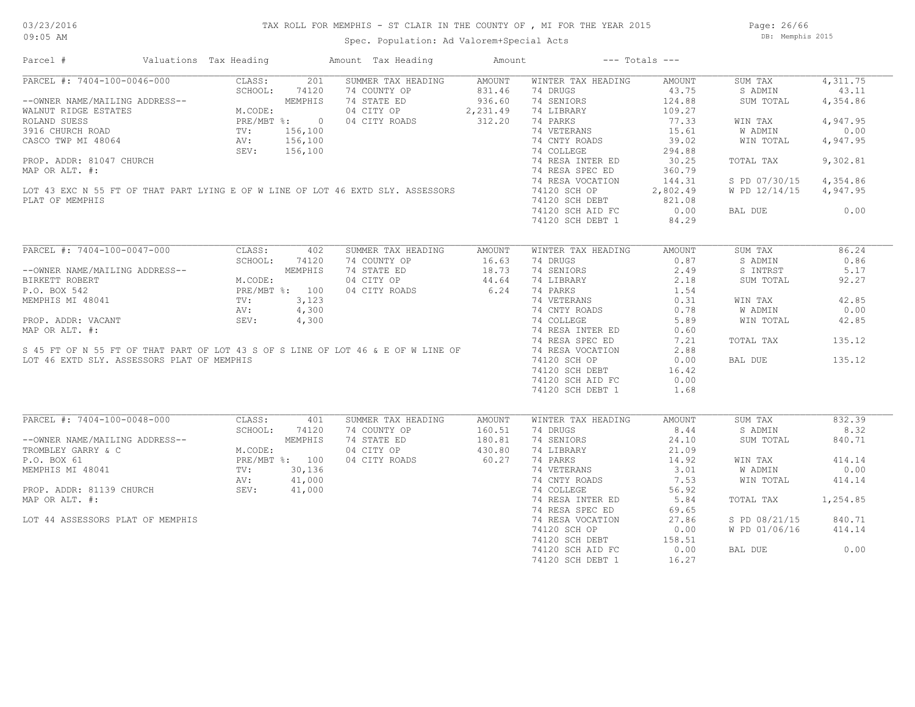Page: 26/66 DB: Memphis 2015

| Parcel #                                                                                                                                                                                                 |                                                                                                                     | Valuations Tax Heading |              | Amount Tax Heading                                                                                                                                                                                                                                                                                                               | Amount                                        |                                                                                                                                                                                                                                                           | $---$ Totals $---$                                                                                                                                  |                                                                                                                              |                                                                                                           |
|----------------------------------------------------------------------------------------------------------------------------------------------------------------------------------------------------------|---------------------------------------------------------------------------------------------------------------------|------------------------|--------------|----------------------------------------------------------------------------------------------------------------------------------------------------------------------------------------------------------------------------------------------------------------------------------------------------------------------------------|-----------------------------------------------|-----------------------------------------------------------------------------------------------------------------------------------------------------------------------------------------------------------------------------------------------------------|-----------------------------------------------------------------------------------------------------------------------------------------------------|------------------------------------------------------------------------------------------------------------------------------|-----------------------------------------------------------------------------------------------------------|
| PARCEL #: 7404-100-0046-000<br>--OWNER NAME/MAILING ADDRESS--<br>WALNUT RIDGE ESTATES<br>ROLAND SUESS<br>3916 CHURCH ROAD<br>PLAT OF MEMPHIS                                                             | JO CLA.<br>SCHOOL:<br>MEMPRIAND MEMPRIAN<br>M.CODE:<br>PRE/MBT %: 0 0<br>TV: 156,100<br>AV: 156,100<br>SEV: 156,100 |                        |              | SUMMER TAX HEADING<br>74 COUNTY OP<br>74 STATE ED<br>04 CITY OP 2, 231.49<br>04 CITY ROADS<br>3916 CHURCH ROAD<br>CASCO TWP MI 48064<br>ROP. ADDR: 81047 CHURCH<br>MAP OR ALT. #:<br>LOT 43 EXC N 55 FT OF THAT PART LYING E OF W LINE OF LOT 46 EXTD SLY. ASSESSORS<br>ROP. ADDR: STAT. #:                                      | AMOUNT<br>831.46<br>936.60<br>312.20          | WINTER TAX HEADING<br>74 DRUGS<br>74 SENIORS<br>74 LIBRARY<br>74 PARKS<br>74 VETERANS<br>74 CNTY ROADS<br>74 COLLEGE<br>74 RESA INTER ED<br>74 RESA SPEC ED<br>74 RESA VOCATION<br>74120 SCH OP<br>74120 SCH DEBT<br>74120 SCH AID FC<br>74120 SCH DEBT 1 | <b>AMOUNT</b><br>43.75<br>124.88<br>109.27<br>77.33<br>15.61<br>39.02<br>294.88<br>30.25<br>360.79<br>144.31<br>2,802.49<br>821.08<br>0.00<br>84.29 | SUM TAX<br>S ADMIN<br>SUM TOTAL<br>WIN TAX<br>W ADMIN<br>WIN TOTAL<br>TOTAL TAX<br>S PD 07/30/15<br>W PD 12/14/15<br>BAL DUE | 4,311.75<br>43.11<br>4,354.86<br>4,947.95<br>0.00<br>4,947.95<br>9,302.81<br>4,354.86<br>4,947.95<br>0.00 |
|                                                                                                                                                                                                          |                                                                                                                     |                        |              |                                                                                                                                                                                                                                                                                                                                  |                                               |                                                                                                                                                                                                                                                           |                                                                                                                                                     |                                                                                                                              |                                                                                                           |
| PARCEL #: 7404-100-0047-000<br>--OWNER NAME/MAILING ADDRESS--<br>BIRKETT ROBERT<br>P.O. BOX 542<br>MEMPHIS MI 48041<br>LOT 46 EXTD SLY. ASSESSORS PLAT OF MEMPHIS                                        | ING ADDRESS--<br>M.CODE:<br>M.CODE:<br>PRE/MBT %: 100<br>TV: 3,123<br>AV: 4,300<br>T<br>SEV: 4,300                  | CLASS:<br>SCHOOL:      | 402<br>74120 | SUMMER TAX HEADING<br>74 COUNTY OP<br>74 STATE ED<br>04 CITY OP<br>04 CITY ROADS<br>MEMPHIS MI 48041 TV: 3,123<br>PROP. ADDR: VACANT SEV: 4,300<br>MAP OR ALT. #: 4,300<br>SEV: 4,300<br>SEV: 4,300<br>ADP OR ALT. #:<br>S 45 FT OF N 55 FT OF THAT PART OF LOT 43 S OF S LINE OF LOT 46 & E OF W LINE OF<br>LOT 46 EXTD SIX ASS | AMOUNT<br>16.63<br>18.73<br>44.64<br>6.24     | WINTER TAX HEADING<br>74 DRUGS<br>74 SENIORS<br>74 LIBRARY<br>74 PARKS<br>74 VETERANS<br>74 CNTY ROADS<br>74 COLLEGE<br>74 RESA INTER ED<br>74 RESA SPEC ED<br>74 RESA VOCATION<br>74120 SCH OP<br>74120 SCH DEBT<br>74120 SCH AID FC<br>74120 SCH DEBT 1 | AMOUNT<br>0.87<br>2.49<br>2.18<br>1.54<br>0.31<br>0.78<br>5.89<br>0.60<br>7.21<br>2.88<br>0.00<br>16.42<br>0.00<br>1.68                             | SUM TAX<br>S ADMIN<br>S INTRST<br>SUM TOTAL<br>WIN TAX<br>W ADMIN<br>WIN TOTAL<br>TOTAL TAX<br>BAL DUE                       | 86.24<br>0.86<br>5.17<br>92.27<br>42.85<br>0.00<br>42.85<br>135.12<br>135.12                              |
| PARCEL #: 7404-100-0048-000<br>--OWNER NAME/MAILING ADDRESS--<br>TROMBLEY GARRY & C<br>P.O. BOX 61<br>MEMPHIS MI 48041<br>PROP. ADDR: 81139 CHURCH<br>MAP OR ALT. #:<br>LOT 44 ASSESSORS PLAT OF MEMPHIS | 3C ADDRESS--<br>M.CODE:<br>M.CODE:<br>PRE/MBT %: 100<br>TV: 30,136<br>AV: 41,000<br>SEV: 41,000                     | CLASS:<br>SCHOOL:      | 401<br>74120 | SUMMER TAX HEADING<br>74 COUNTY OP<br>74 STATE ED<br>04 CITY OP<br>04 CITY ROADS<br>$\frac{30,136}{41,000}$<br>41,000<br>41,000                                                                                                                                                                                                  | AMOUNT<br>160.51<br>180.81<br>430.80<br>60.27 | WINTER TAX HEADING<br>74 DRUGS<br>74 SENIORS<br>74 LIBRARY<br>74 PARKS<br>74 VETERANS<br>74 CNTY ROADS<br>74 COLLEGE<br>74 RESA INTER ED<br>74 RESA SPEC ED<br>74 RESA VOCATION<br>74120 SCH OP<br>74120 SCH DEBT<br>74120 SCH AID FC<br>74120 SCH DEBT 1 | <b>AMOUNT</b><br>8.44<br>24.10<br>21.09<br>14.92<br>3.01<br>7.53<br>56.92<br>5.84<br>69.65<br>27.86<br>0.00<br>158.51<br>0.00<br>16.27              | SUM TAX<br>S ADMIN<br>SUM TOTAL<br>WIN TAX<br>W ADMIN<br>WIN TOTAL<br>TOTAL TAX<br>S PD 08/21/15<br>W PD 01/06/16<br>BAL DUE | 832.39<br>8.32<br>840.71<br>414.14<br>0.00<br>414.14<br>1,254.85<br>840.71<br>414.14<br>0.00              |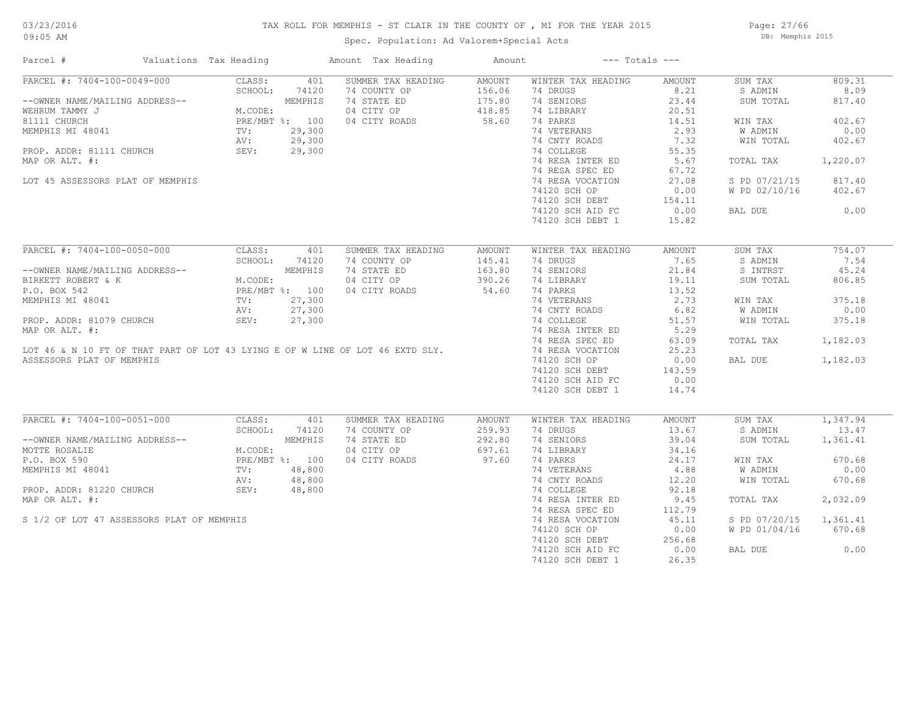### TAX ROLL FOR MEMPHIS - ST CLAIR IN THE COUNTY OF , MI FOR THE YEAR 2015

Spec. Population: Ad Valorem+Special Acts

Page: 27/66 DB: Memphis 2015

| Parcel #                                  | Valuations Tax Heading                         |                | Amount Tax Heading                                                                                         | Amount |                                | $---$ Totals $---$ |                      |                   |
|-------------------------------------------|------------------------------------------------|----------------|------------------------------------------------------------------------------------------------------------|--------|--------------------------------|--------------------|----------------------|-------------------|
| PARCEL #: 7404-100-0049-000               | CLASS:                                         | 401            | SUMMER TAX HEADING                                                                                         | AMOUNT | WINTER TAX HEADING             | AMOUNT             | SUM TAX              | 809.31            |
|                                           | SCHOOL:                                        | 74120          | 74 COUNTY OP                                                                                               | 156.06 | 74 DRUGS                       | 8.21               | S ADMIN              | 8.09              |
| --OWNER NAME/MAILING ADDRESS--            |                                                | MEMPHIS        | 74 STATE ED                                                                                                | 175.80 | 74 SENIORS                     | 23.44              | SUM TOTAL            | 817.40            |
| WEHRUM TAMMY J                            | M.CODE:                                        |                | 04 CITY OP                                                                                                 | 418.85 | 74 LIBRARY                     | 20.51              |                      |                   |
| 81111 CHURCH                              |                                                | PRE/MBT %: 100 | 04 CITY ROADS                                                                                              | 58.60  | 74 PARKS                       | 14.51              | WIN TAX              | 402.67            |
| MEMPHIS MI 48041                          | TV:                                            | 29,300         |                                                                                                            |        | 74 VETERANS                    | 2.93               | W ADMIN              | 0.00              |
|                                           | AV:                                            | 29,300         |                                                                                                            |        | 74 CNTY ROADS                  | 7.32               | WIN TOTAL            | 402.67            |
| PROP. ADDR: 81111 CHURCH                  | SEV:                                           | 29,300         |                                                                                                            |        | 74 COLLEGE                     | 55.35              |                      |                   |
| MAP OR ALT. #:                            |                                                |                |                                                                                                            |        | 74 RESA INTER ED               | 5.67               | TOTAL TAX            | 1,220.07          |
|                                           |                                                |                |                                                                                                            |        | 74 RESA SPEC ED                | 67.72              |                      |                   |
| LOT 45 ASSESSORS PLAT OF MEMPHIS          |                                                |                |                                                                                                            |        | 74 RESA VOCATION               | 27.08              | S PD 07/21/15        | 817.40            |
|                                           |                                                |                |                                                                                                            |        | 74120 SCH OP                   | 0.00               | W PD 02/10/16        | 402.67            |
|                                           |                                                |                |                                                                                                            |        | 74120 SCH DEBT                 | 154.11             |                      |                   |
|                                           |                                                |                |                                                                                                            |        | 74120 SCH AID FC               | 0.00               | BAL DUE              | 0.00              |
|                                           |                                                |                |                                                                                                            |        | 74120 SCH DEBT 1               | 15.82              |                      |                   |
|                                           |                                                |                |                                                                                                            |        |                                |                    |                      |                   |
| PARCEL #: 7404-100-0050-000               | CLASS:                                         | 401            | SUMMER TAX HEADING                                                                                         | AMOUNT | WINTER TAX HEADING             | AMOUNT             | SUM TAX              | 754.07            |
|                                           | SCHOOL:                                        | 74120          | 74 COUNTY OP                                                                                               | 145.41 | 74 DRUGS                       | 7.65               | S ADMIN              | 7.54              |
| --OWNER NAME/MAILING ADDRESS--            |                                                | MEMPHIS        | 74 STATE ED                                                                                                | 163.80 | 74 SENIORS                     | 21.84              | S INTRST             | 45.24             |
| BIRKETT ROBERT & K                        | M.CODE:<br>PRE/MBT %: 100<br>TV: 27,300<br>--- |                | 04 CITY OP                                                                                                 | 390.26 | 74 LIBRARY                     | 19.11              | SUM TOTAL            | 806.85            |
| P.O. BOX 542                              |                                                |                | 04 CITY ROADS                                                                                              | 54.60  | 74 PARKS                       | 13.52              |                      |                   |
| MEMPHIS MI 48041                          |                                                |                |                                                                                                            |        | 74 VETERANS                    | 2.73               | WIN TAX              | 375.18            |
|                                           |                                                | 27,300         |                                                                                                            |        | 74 CNTY ROADS                  | 6.82               |                      | 0.00              |
|                                           | AV:<br>SEV:                                    |                |                                                                                                            |        |                                |                    | W ADMIN<br>WIN TOTAL | 375.18            |
| PROP. ADDR: 81079 CHURCH                  |                                                | 27,300         |                                                                                                            |        | 74 COLLEGE                     | 51.57              |                      |                   |
|                                           |                                                |                |                                                                                                            |        | 74 RESA INTER ED               | 5.29               |                      |                   |
|                                           |                                                |                | LOT 46 & N 10 FT OF THAT PART OF LOT 43 LYING E OF W LINE OF LOT 46 EXTD SLY.<br>ASSESSORS PLAT OF MEMPHIS |        | 74 RESA SPEC ED                | 63.09              | TOTAL TAX            | 1,182.03          |
|                                           |                                                |                |                                                                                                            |        | 74 RESA VOCATION               | 25.23              |                      |                   |
|                                           |                                                |                |                                                                                                            |        | 74120 SCH OP                   | 0.00               | BAL DUE              | 1,182.03          |
|                                           |                                                |                |                                                                                                            |        | 74120 SCH DEBT                 | 143.59             |                      |                   |
|                                           |                                                |                |                                                                                                            |        | 74120 SCH AID FC               | 0.00               |                      |                   |
|                                           |                                                |                |                                                                                                            |        | 74120 SCH DEBT 1               | 14.74              |                      |                   |
|                                           |                                                |                |                                                                                                            |        |                                |                    |                      |                   |
| PARCEL #: 7404-100-0051-000               | CLASS:<br>SCHOOL:                              | 401            | SUMMER TAX HEADING<br>74 COUNTY OP                                                                         | AMOUNT | WINTER TAX HEADING<br>74 DRUGS | AMOUNT<br>13.67    | SUM TAX              | 1,347.94<br>13.47 |
|                                           |                                                | 74120          |                                                                                                            | 259.93 |                                |                    | S ADMIN              |                   |
| --OWNER NAME/MAILING ADDRESS--            |                                                | MEMPHIS        | 74 STATE ED                                                                                                | 292.80 | 74 SENIORS                     | 39.04              | SUM TOTAL            | 1,361.41          |
| MOTTE ROSALIE                             | M.CODE:                                        |                | 04 CITY OP                                                                                                 | 697.61 | 74 LIBRARY                     | 34.16              |                      |                   |
| P.O. BOX 590                              |                                                | PRE/MBT %: 100 | 04 CITY ROADS                                                                                              | 97.60  | 74 PARKS                       | 24.17              | WIN TAX              | 670.68            |
| MEMPHIS MI 48041                          | TV:                                            | 48,800         |                                                                                                            |        | 74 VETERANS                    | 4.88               | W ADMIN              | 0.00              |
|                                           | AV:                                            | 48,800         |                                                                                                            |        | 74 CNTY ROADS                  | 12.20              | WIN TOTAL            | 670.68            |
| PROP. ADDR: 81220 CHURCH                  | SEV:                                           | 48,800         |                                                                                                            |        | 74 COLLEGE                     | 92.18              |                      |                   |
| MAP OR ALT. #:                            |                                                |                |                                                                                                            |        | 74 RESA INTER ED               | 9.45               | TOTAL TAX            | 2,032.09          |
|                                           |                                                |                |                                                                                                            |        | 74 RESA SPEC ED                | 112.79             |                      |                   |
| S 1/2 OF LOT 47 ASSESSORS PLAT OF MEMPHIS |                                                |                |                                                                                                            |        | 74 RESA VOCATION               | 45.11              | S PD 07/20/15        | 1,361.41          |
|                                           |                                                |                |                                                                                                            |        | 74120 SCH OP                   | 0.00               | W PD 01/04/16        | 670.68            |
|                                           |                                                |                |                                                                                                            |        | 74120 SCH DEBT                 | 256.68             |                      |                   |
|                                           |                                                |                |                                                                                                            |        | 74120 SCH AID FC               | 0.00               | BAL DUE              | 0.00              |
|                                           |                                                |                |                                                                                                            |        | 74120 SCH DEBT 1               | 26.35              |                      |                   |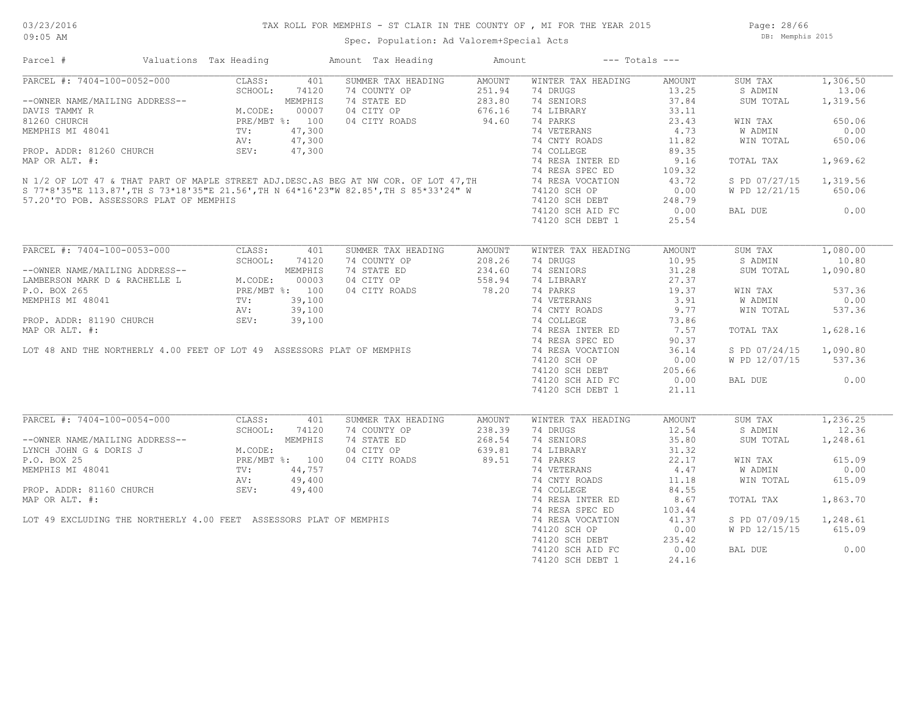Page: 28/66 DB: Memphis 2015

| Parcel #                                                                                                                                                                                                                                                                                                                                                                                                       | Valuations Tax Heading |            | Amount Tax Heading                                                          | Amount | $---$ Totals $---$                                                                                  |                 |                        |          |
|----------------------------------------------------------------------------------------------------------------------------------------------------------------------------------------------------------------------------------------------------------------------------------------------------------------------------------------------------------------------------------------------------------------|------------------------|------------|-----------------------------------------------------------------------------|--------|-----------------------------------------------------------------------------------------------------|-----------------|------------------------|----------|
| $\begin{tabular}{l c c c c} \multicolumn{1}{c}{\textbf{PARCEL}} & $\ast$: $7404-100-0052-000$ & CLASS: & 401\\ \multicolumn{1}{c}{\textbf{CLAS:}} & 401 & \multicolumn{1}{c}{\textbf{SCH0OL:}} & 74120\\ \multicolumn{1}{c}{\textbf{CAMS:}} & 401 & \multicolumn{1}{c}{\textbf{SCH0OL:}} & 74120\\ \multicolumn{1}{c}{\textbf{DAVIS TAMMY R}} & \multicolumn{1}{c}{\textbf{M}.\textbf{CODE:}} & 00007\\ \mult$ |                        |            | SUMMER TAX HEADING                                                          | AMOUNT | WINTER TAX HEADING                                                                                  | AMOUNT          | SUM TAX                | 1,306.50 |
|                                                                                                                                                                                                                                                                                                                                                                                                                |                        |            | 74 COUNTY OP                                                                | 251.94 | 74 DRUGS                                                                                            | 13.25           | S ADMIN                | 13.06    |
|                                                                                                                                                                                                                                                                                                                                                                                                                |                        |            | 74 STATE ED                                                                 | 283.80 | 74 SENIORS                                                                                          | 37.84           | SUM TOTAL              | 1,319.56 |
|                                                                                                                                                                                                                                                                                                                                                                                                                |                        |            | 04 CITY OP 676.16<br>04 CITY ROADS 94.60                                    |        | 74 LIBRARY                                                                                          | 33.11           |                        |          |
|                                                                                                                                                                                                                                                                                                                                                                                                                |                        |            |                                                                             |        | 74 PARKS                                                                                            | 23.43           | WIN TAX                | 650.06   |
|                                                                                                                                                                                                                                                                                                                                                                                                                |                        |            |                                                                             |        |                                                                                                     | 4.73            | W ADMIN                | 0.00     |
|                                                                                                                                                                                                                                                                                                                                                                                                                |                        |            |                                                                             |        | 74 VETERANS<br>74 CNTY ROADS                                                                        | 11.82           |                        | 650.06   |
|                                                                                                                                                                                                                                                                                                                                                                                                                |                        |            |                                                                             |        |                                                                                                     |                 | WIN TOTAL              |          |
|                                                                                                                                                                                                                                                                                                                                                                                                                |                        |            |                                                                             |        |                                                                                                     | 89.35           |                        |          |
|                                                                                                                                                                                                                                                                                                                                                                                                                |                        |            |                                                                             |        | 74 RESA INTER ED                                                                                    | 9.16            | TOTAL TAX              | 1,969.62 |
| MEMPHIS MI 48041 TV: 47,300<br>PROP. ADDR: 81260 CHURCH AND TV: 47,300<br>MAP OR ALT. #: 47,300<br>MAP OR ALT. #: 47,300<br>MAP OR ALT. #: 74 RESA INTER ED<br>N 1/2 OF LOT 47 & THAT PART OF MAPLE STREET ADJ.DESC.AS BEG AT NW COR. OF                                                                                                                                                                       |                        |            |                                                                             |        |                                                                                                     | 109.32<br>43.72 |                        |          |
|                                                                                                                                                                                                                                                                                                                                                                                                                |                        |            |                                                                             |        |                                                                                                     |                 | S PD 07/27/15 1,319.56 |          |
|                                                                                                                                                                                                                                                                                                                                                                                                                |                        |            |                                                                             |        |                                                                                                     | 0.00            | W PD 12/21/15          | 650.06   |
| 57.20'TO POB. ASSESSORS PLAT OF MEMPHIS                                                                                                                                                                                                                                                                                                                                                                        |                        |            |                                                                             |        | 74120 SCH DEBT<br>74120 SCH DEBT 248.79<br>74120 SCH AID FC 0.00                                    |                 |                        |          |
|                                                                                                                                                                                                                                                                                                                                                                                                                |                        |            |                                                                             |        |                                                                                                     |                 | BAL DUE 0.00           |          |
|                                                                                                                                                                                                                                                                                                                                                                                                                |                        |            |                                                                             |        | 74120 SCH DEBT 1                                                                                    | 25.54           |                        |          |
|                                                                                                                                                                                                                                                                                                                                                                                                                |                        |            |                                                                             |        |                                                                                                     |                 |                        |          |
| PARCEL #: 7404-100-0053-000 CLASS: 401<br>--OWNER NAME/MAILING ADDRESS--<br>LAMBERSON MARK D & RACHELLE L M.CODE: 00003<br>P.O. BOX 265<br>MEMPHIS MI 48041 TV: 39,100<br>PROP. ADDR: 81190 CHURCH SEV: 39,100<br>MEMPION AND ON LTL 4.                                                                                                                                                                        |                        |            | SUMMER TAX HEADING                                                          | AMOUNT | WINTER TAX HEADING                                                                                  | AMOUNT          | SUM TAX                | 1,080.00 |
|                                                                                                                                                                                                                                                                                                                                                                                                                |                        |            | 74 COUNTY OP                                                                | 208.26 | 74 DRUGS                                                                                            | 10.95           | S ADMIN                | 10.80    |
|                                                                                                                                                                                                                                                                                                                                                                                                                |                        |            | 74 STATE ED                                                                 | 234.60 | 74 SENIORS                                                                                          | 31.28           | SUM TOTAL              | 1,090.80 |
|                                                                                                                                                                                                                                                                                                                                                                                                                |                        |            |                                                                             |        | 74 LIBRARY<br>74 PARKS<br>74 PARKS<br>2 9 91                                                        |                 |                        |          |
|                                                                                                                                                                                                                                                                                                                                                                                                                |                        |            | 04 CITY OP 558.94<br>04 CITY ROADS 78.20                                    |        |                                                                                                     |                 | WIN TAX                | 537.36   |
|                                                                                                                                                                                                                                                                                                                                                                                                                |                        |            |                                                                             |        |                                                                                                     |                 | <b>W ADMIN</b>         | 0.00     |
|                                                                                                                                                                                                                                                                                                                                                                                                                |                        |            |                                                                             |        | 74 VETERANS 3.91<br>74 CNTY ROADS 9.77                                                              |                 | W ADMIN<br>WIN TOTAL   |          |
|                                                                                                                                                                                                                                                                                                                                                                                                                |                        |            |                                                                             |        |                                                                                                     |                 |                        | 537.36   |
|                                                                                                                                                                                                                                                                                                                                                                                                                |                        |            |                                                                             |        |                                                                                                     | 73.86           |                        |          |
|                                                                                                                                                                                                                                                                                                                                                                                                                |                        |            |                                                                             |        | 74 RESA INTER ED 7.57<br>74 RESA INTER ED 7.57<br>74 RESA SPEC ED 90.37                             |                 | TOTAL TAX              | 1,628.16 |
|                                                                                                                                                                                                                                                                                                                                                                                                                |                        |            |                                                                             |        |                                                                                                     | 90.37           |                        |          |
|                                                                                                                                                                                                                                                                                                                                                                                                                |                        |            |                                                                             |        |                                                                                                     | 36.14           | S PD 07/24/15 1,090.80 |          |
|                                                                                                                                                                                                                                                                                                                                                                                                                |                        |            |                                                                             |        | 74120 SCH OP                                                                                        | 0.00            | W PD 12/07/15 537.36   |          |
|                                                                                                                                                                                                                                                                                                                                                                                                                |                        |            |                                                                             |        | 74120 SCH DEBT 205.66<br>74120 SCH AID FC 0.00                                                      |                 |                        |          |
|                                                                                                                                                                                                                                                                                                                                                                                                                |                        |            |                                                                             |        |                                                                                                     |                 | BAL DUE                | 0.00     |
|                                                                                                                                                                                                                                                                                                                                                                                                                |                        |            |                                                                             |        | 74120 SCH DEBT 1                                                                                    | 21.11           |                        |          |
|                                                                                                                                                                                                                                                                                                                                                                                                                |                        |            |                                                                             |        |                                                                                                     |                 |                        |          |
| PARCEL #: 7404-100-0054-000                                                                                                                                                                                                                                                                                                                                                                                    |                        | CLASS: 401 | SUMMER TAX HEADING                                                          | AMOUNT | WINTER TAX HEADING                                                                                  | AMOUNT          | SUM TAX                | 1,236.25 |
| FARCEL #: 7404-100-0034-000<br>--OWNER NAME/MAILING ADDRESS--<br>LYNCH JOHN G & DORIS J<br>P.O. BOX 25<br>MEMPHIS MI 48041<br>MEMPHIS MI 48041<br>TV: 44,757<br>PROP. ADDR: 81160 CHURCH<br>PROP. ADDR: 81160 CHURCH<br>PROP. ADDR: 81160 CHURCH                                                                                                                                                               |                        |            | 74 COUNTY OP<br>74 STATE ED<br>74 STATE ED<br>268.54<br>04 CITY ROADS 89.51 |        | 74 DRUGS                                                                                            | 12.54           | S ADMIN                | 12.36    |
|                                                                                                                                                                                                                                                                                                                                                                                                                |                        |            |                                                                             |        | 74 SENIORS                                                                                          | 35.80           | SUM TOTAL              | 1,248.61 |
|                                                                                                                                                                                                                                                                                                                                                                                                                |                        |            |                                                                             |        | 14 DIBRARY<br>14 DIBRARY<br>14 PARKS<br>14 ONTY ROADS<br>14 COLLEGE<br>11.18<br>14 COLLEGE<br>24.55 |                 |                        |          |
|                                                                                                                                                                                                                                                                                                                                                                                                                |                        |            |                                                                             |        |                                                                                                     |                 | WIN TAX                | 615.09   |
|                                                                                                                                                                                                                                                                                                                                                                                                                |                        |            |                                                                             |        |                                                                                                     |                 | W ADMIN                | 0.00     |
|                                                                                                                                                                                                                                                                                                                                                                                                                |                        |            |                                                                             |        |                                                                                                     |                 |                        |          |
|                                                                                                                                                                                                                                                                                                                                                                                                                |                        |            |                                                                             |        |                                                                                                     |                 | WIN TOTAL              | 615.09   |
|                                                                                                                                                                                                                                                                                                                                                                                                                |                        |            |                                                                             |        |                                                                                                     |                 |                        |          |
|                                                                                                                                                                                                                                                                                                                                                                                                                |                        |            |                                                                             |        | 74 RESA INTER ED<br>74 RESA SPEC ED                                                                 | 8.67            | TOTAL TAX              | 1,863.70 |
|                                                                                                                                                                                                                                                                                                                                                                                                                |                        |            |                                                                             |        |                                                                                                     | 103.44          |                        |          |
|                                                                                                                                                                                                                                                                                                                                                                                                                |                        |            |                                                                             |        |                                                                                                     | 41.37           | S PD 07/09/15 1,248.61 |          |
|                                                                                                                                                                                                                                                                                                                                                                                                                |                        |            |                                                                             |        | 74120 SCH OP                                                                                        | 0.00            | W PD 12/15/15 615.09   |          |
|                                                                                                                                                                                                                                                                                                                                                                                                                |                        |            |                                                                             |        |                                                                                                     |                 |                        |          |
|                                                                                                                                                                                                                                                                                                                                                                                                                |                        |            |                                                                             |        | 74120 SCH DEBT 235.42<br>74120 SCH AID FC 0.00                                                      |                 | BAL DUE                | 0.00     |
|                                                                                                                                                                                                                                                                                                                                                                                                                |                        |            |                                                                             |        | 74120 SCH DEBT 1                                                                                    | 24.16           |                        |          |
|                                                                                                                                                                                                                                                                                                                                                                                                                |                        |            |                                                                             |        |                                                                                                     |                 |                        |          |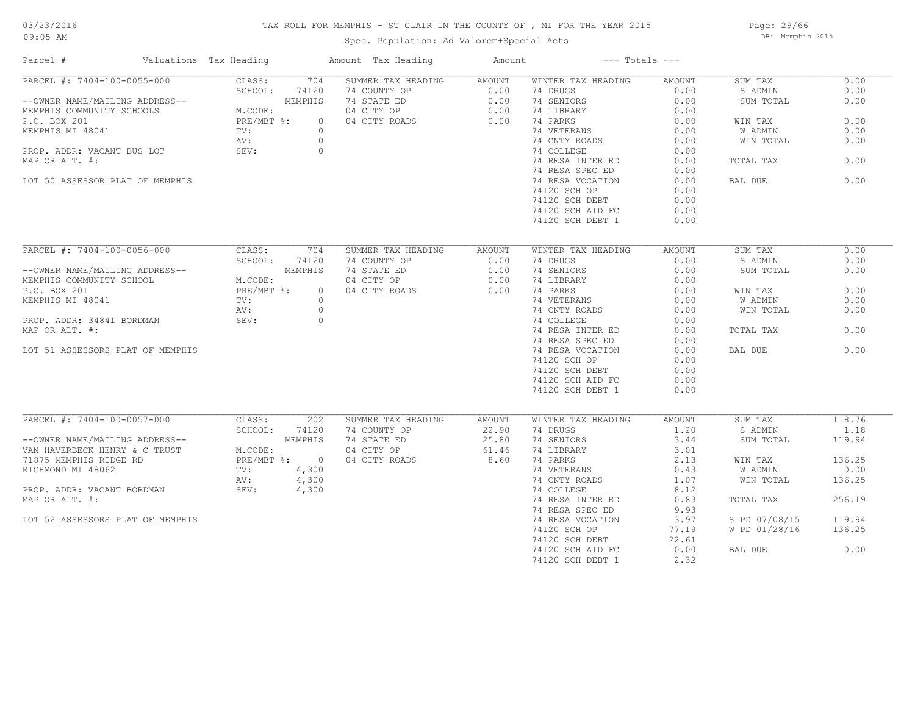### TAX ROLL FOR MEMPHIS - ST CLAIR IN THE COUNTY OF , MI FOR THE YEAR 2015

Spec. Population: Ad Valorem+Special Acts

Page: 29/66 DB: Memphis 2015

| Parcel #                                                                                                               | Valuations Tax Heading                      |          | Amount Tax Heading                         | Amount                                                                                                                                       |                                | $---$ Totals $---$ |                    |                |
|------------------------------------------------------------------------------------------------------------------------|---------------------------------------------|----------|--------------------------------------------|----------------------------------------------------------------------------------------------------------------------------------------------|--------------------------------|--------------------|--------------------|----------------|
| PARCEL #: 7404-100-0055-000                                                                                            | CLASS:                                      | 704      | SUMMER TAX HEADING AMOUNT                  |                                                                                                                                              | WINTER TAX HEADING             | AMOUNT             | SUM TAX            | 0.00           |
|                                                                                                                        | SCHOOL:                                     | 74120    | 74 COUNTY OP                               | $\begin{array}{ccc}\n & \text{P1} & \text{P2} & \text{P3} \\ \text{O.00} & & 0.00 \\ \text{O.00} & & 0.00 \\ \text{S} & & 0.00\n\end{array}$ | 74 DRUGS                       | 0.00               | S ADMIN            | 0.00           |
| --OWNER NAME/MAILING ADDRESS--<br>MEMPHIS COMMUNITY SCHOOLS M.CODE:<br>P.O. BOX 201 PRE/MBT %:<br>MEMPHIS MI 48041 TV: |                                             | MEMPHIS  | 74 STATE ED                                |                                                                                                                                              | 74 SENIORS                     | 0.00               | SUM TOTAL          | 0.00           |
|                                                                                                                        |                                             |          | 04 CITY OP                                 |                                                                                                                                              | 74 LIBRARY                     | 0.00               |                    |                |
|                                                                                                                        |                                             | $\circ$  | 04 CITY ROADS                              |                                                                                                                                              | 74 PARKS                       | 0.00               | WIN TAX            | 0.00           |
|                                                                                                                        |                                             | $\circ$  |                                            |                                                                                                                                              | 74 VETERANS                    | 0.00               | W ADMIN            | 0.00           |
|                                                                                                                        | AV:                                         | $\circ$  |                                            |                                                                                                                                              | 74 CNTY ROADS                  | 0.00               | WIN TOTAL          | 0.00           |
| PROP. ADDR: VACANT BUS LOT                                                                                             | SEV:                                        | $\circ$  |                                            |                                                                                                                                              | 74 COLLEGE                     | 0.00               |                    |                |
| MAP OR ALT. #:                                                                                                         |                                             |          |                                            |                                                                                                                                              | 74 RESA INTER ED               | 0.00               | TOTAL TAX          | 0.00           |
|                                                                                                                        |                                             |          |                                            |                                                                                                                                              | 74 RESA SPEC ED                | 0.00               |                    |                |
| LOT 50 ASSESSOR PLAT OF MEMPHIS                                                                                        |                                             |          |                                            |                                                                                                                                              | 74 RESA VOCATION               | 0.00               | BAL DUE            | 0.00           |
|                                                                                                                        |                                             |          |                                            |                                                                                                                                              | 74120 SCH OP                   | 0.00               |                    |                |
|                                                                                                                        |                                             |          |                                            |                                                                                                                                              | 74120 SCH DEBT                 | 0.00               |                    |                |
|                                                                                                                        |                                             |          |                                            |                                                                                                                                              | 74120 SCH AID FC               | 0.00               |                    |                |
|                                                                                                                        |                                             |          |                                            |                                                                                                                                              | 74120 SCH DEBT 1               | 0.00               |                    |                |
|                                                                                                                        |                                             |          |                                            |                                                                                                                                              |                                |                    |                    |                |
| PARCEL #: 7404-100-0056-000                                                                                            | CLASS:                                      | 704      | SUMMER TAX HEADING                         | AMOUNT                                                                                                                                       | WINTER TAX HEADING             | AMOUNT             | SUM TAX            | 0.00           |
|                                                                                                                        | SCHOOL:                                     | 74120    | 74 COUNTY OP                               | 0.00                                                                                                                                         | 74 DRUGS                       | 0.00               | S ADMIN            | 0.00           |
| --OWNER NAME/MAILING ADDRESS--                                                                                         |                                             | MEMPHIS  | 74 STATE ED                                | 0.00                                                                                                                                         | 74 SENIORS                     | 0.00               | SUM TOTAL          | 0.00           |
| MEMPHIS COMMUNITY SCHOOL                                                                                               |                                             |          | 04 CITY OP                                 | 0.00                                                                                                                                         | 74 LIBRARY                     | 0.00               |                    |                |
| P.O. BOX 201                                                                                                           | HOOL M.CODE:<br>PRE/MBT %:                  | $\circ$  | 04 CITY ROADS                              | 0.00                                                                                                                                         | 74 PARKS                       | 0.00               | WIN TAX            | 0.00           |
| MEMPHIS MI 48041                                                                                                       | TV:                                         | $\Omega$ |                                            |                                                                                                                                              | 74 VETERANS                    |                    | W ADMIN            | 0.00           |
|                                                                                                                        |                                             |          |                                            |                                                                                                                                              |                                | 0.00               |                    |                |
|                                                                                                                        | AV:                                         | $\circ$  |                                            |                                                                                                                                              | 74 CNTY ROADS                  | 0.00               | WIN TOTAL          | 0.00           |
| PROP. ADDR: 34841 BORDMAN                                                                                              | SEV:                                        | $\circ$  |                                            |                                                                                                                                              | 74 COLLEGE                     | 0.00               |                    |                |
| MAP OR ALT. #:                                                                                                         |                                             |          |                                            |                                                                                                                                              | 74 RESA INTER ED               | 0.00               | TOTAL TAX          | 0.00           |
|                                                                                                                        |                                             |          |                                            |                                                                                                                                              | 74 RESA SPEC ED                | 0.00               |                    |                |
| LOT 51 ASSESSORS PLAT OF MEMPHIS                                                                                       |                                             |          |                                            |                                                                                                                                              | 74 RESA VOCATION               | 0.00               | BAL DUE            | 0.00           |
|                                                                                                                        |                                             |          |                                            |                                                                                                                                              | 74120 SCH OP                   | 0.00               |                    |                |
|                                                                                                                        |                                             |          |                                            |                                                                                                                                              | 74120 SCH DEBT                 | 0.00               |                    |                |
|                                                                                                                        |                                             |          |                                            |                                                                                                                                              | 74120 SCH AID FC               | 0.00               |                    |                |
|                                                                                                                        |                                             |          |                                            |                                                                                                                                              | 74120 SCH DEBT 1               | 0.00               |                    |                |
|                                                                                                                        |                                             |          |                                            |                                                                                                                                              |                                |                    |                    |                |
| PARCEL #: 7404-100-0057-000                                                                                            | CLASS:<br>SCHOOL:                           | 202      | SUMMER TAX HEADING<br>74 COUNTY OP         | AMOUNT                                                                                                                                       | WINTER TAX HEADING<br>74 DRUGS | AMOUNT<br>1.20     | SUM TAX<br>S ADMIN | 118.76<br>1.18 |
|                                                                                                                        |                                             | 74120    |                                            | 22.90                                                                                                                                        |                                |                    |                    |                |
| --OWNER NAME/MAILING ADDRESS--                                                                                         |                                             |          | 74 STATE ED                                | 25.80                                                                                                                                        | 74 SENIORS                     | 3.44               | SUM TOTAL          | 119.94         |
| VAN HAVERBECK HENRY & C TRUST                                                                                          | MEMPHIS<br>M.CODE:<br>PRE/MBT %: 0<br>4 200 |          | $04$ CITY OP $04.70$<br>$04.77$ OP $04.70$ |                                                                                                                                              | 74 LIBRARY                     | 3.01               |                    |                |
| 71875 MEMPHIS RIDGE RD                                                                                                 |                                             |          |                                            |                                                                                                                                              | 74 PARKS                       | 2.13               | WIN TAX            | 136.25         |
| RICHMOND MI 48062                                                                                                      | TV:                                         | 4,300    |                                            |                                                                                                                                              | 74 VETERANS                    | 0.43               | W ADMIN            | 0.00           |
|                                                                                                                        | AV:                                         | 4,300    |                                            |                                                                                                                                              | 74 CNTY ROADS                  | 1.07               | WIN TOTAL          | 136.25         |
| PROP. ADDR: VACANT BORDMAN SEV:                                                                                        |                                             | 4,300    |                                            |                                                                                                                                              | 74 COLLEGE                     | 8.12               |                    |                |
| MAP OR ALT. #:                                                                                                         |                                             |          |                                            |                                                                                                                                              | 74 RESA INTER ED               | 0.83               | TOTAL TAX          | 256.19         |
|                                                                                                                        |                                             |          |                                            |                                                                                                                                              | 74 RESA SPEC ED                | 9.93               |                    |                |
| LOT 52 ASSESSORS PLAT OF MEMPHIS                                                                                       |                                             |          |                                            |                                                                                                                                              | 74 RESA VOCATION               | 3.97               | S PD 07/08/15      | 119.94         |
|                                                                                                                        |                                             |          |                                            |                                                                                                                                              | 74120 SCH OP                   | 77.19              | W PD 01/28/16      | 136.25         |
|                                                                                                                        |                                             |          |                                            |                                                                                                                                              | 74120 SCH DEBT                 | 22.61              |                    |                |
|                                                                                                                        |                                             |          |                                            |                                                                                                                                              | 74120 SCH AID FC               | 0.00               | BAL DUE            | 0.00           |
|                                                                                                                        |                                             |          |                                            |                                                                                                                                              | 74120 SCH DEBT 1               | 2.32               |                    |                |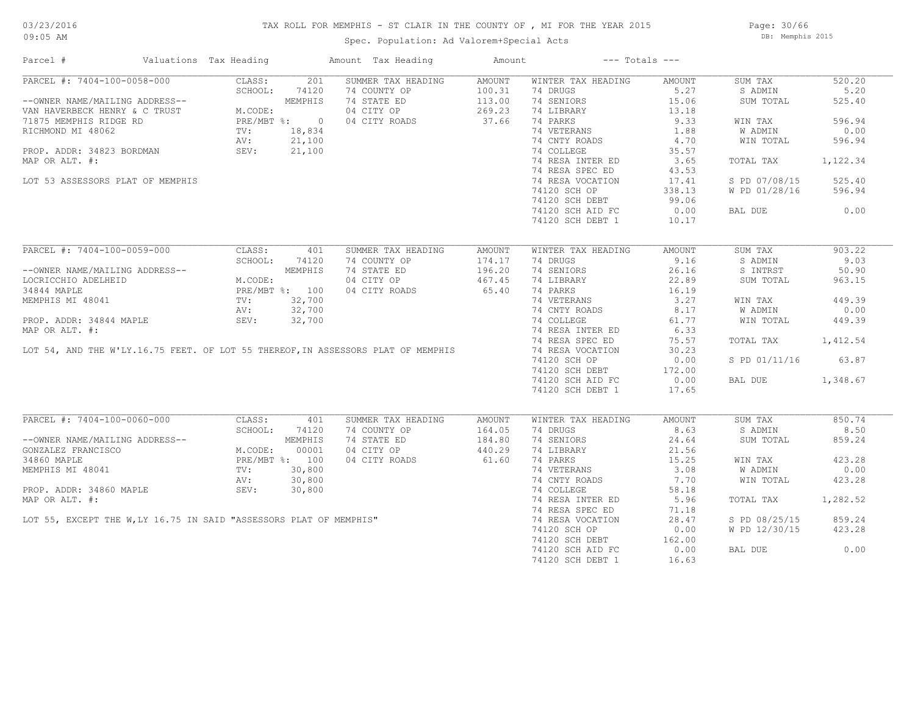### TAX ROLL FOR MEMPHIS - ST CLAIR IN THE COUNTY OF , MI FOR THE YEAR 2015

Spec. Population: Ad Valorem+Special Acts

Page: 30/66 DB: Memphis 2015

| Parcel #                                                                                                                                                                                                                                       | Valuations Tax Heading                                                                         |         |       | Amount Tax Heading | Amount |                    | $---$ Totals $---$ |               |          |
|------------------------------------------------------------------------------------------------------------------------------------------------------------------------------------------------------------------------------------------------|------------------------------------------------------------------------------------------------|---------|-------|--------------------|--------|--------------------|--------------------|---------------|----------|
| PARCEL #: 7404-100-0058-000                                                                                                                                                                                                                    |                                                                                                | CLASS:  | 201   | SUMMER TAX HEADING | AMOUNT | WINTER TAX HEADING | AMOUNT             | SUM TAX       | 520.20   |
|                                                                                                                                                                                                                                                |                                                                                                | SCHOOL: | 74120 | 74 COUNTY OP       | 100.31 | 74 DRUGS           | 5.27               | S ADMIN       | 5.20     |
| --OWNER NAME/MAILING ADDRESS--<br>VAN HAVERBECK HENRY & C TRUST<br>71875 MEMPHIS RIDGE RD<br>RICHMOND MI 48062<br>PROP. ADDR: 34823 BORDMAN<br>PROP. ADDR: 34823 BORDMAN<br>PROP. ADDR: 34823 BORDMAN<br>PROP. ADDR: 34823 BORDMAN<br>SEV: 21, |                                                                                                |         |       | 74 STATE ED        | 113.00 | 74 SENIORS         | 15.06              | SUM TOTAL     | 525.40   |
|                                                                                                                                                                                                                                                |                                                                                                |         |       | 04 CITY OP         | 269.23 | 74 LIBRARY         | 13.18              |               |          |
|                                                                                                                                                                                                                                                |                                                                                                |         |       | 04 CITY ROADS      | 37.66  | 74 PARKS           | 9.33               | WIN TAX       | 596.94   |
|                                                                                                                                                                                                                                                |                                                                                                |         |       |                    |        | 74 VETERANS        | 1.88               | W ADMIN       | 0.00     |
|                                                                                                                                                                                                                                                |                                                                                                |         |       |                    |        | 74 CNTY ROADS      | 4.70               | WIN TOTAL     | 596.94   |
|                                                                                                                                                                                                                                                |                                                                                                |         |       |                    |        | 74 COLLEGE         | 35.57              |               |          |
| MAP OR ALT. #:                                                                                                                                                                                                                                 |                                                                                                |         |       |                    |        | 74 RESA INTER ED   | 3.65               | TOTAL TAX     | 1,122.34 |
|                                                                                                                                                                                                                                                |                                                                                                |         |       |                    |        | 74 RESA SPEC ED    | 43.53              |               |          |
|                                                                                                                                                                                                                                                |                                                                                                |         |       |                    |        | 74 RESA VOCATION   |                    |               | 525.40   |
| LOT 53 ASSESSORS PLAT OF MEMPHIS                                                                                                                                                                                                               |                                                                                                |         |       |                    |        |                    | 17.41              | S PD 07/08/15 |          |
|                                                                                                                                                                                                                                                |                                                                                                |         |       |                    |        | 74120 SCH OP       | 338.13             | W PD 01/28/16 | 596.94   |
|                                                                                                                                                                                                                                                |                                                                                                |         |       |                    |        | 74120 SCH DEBT     | 99.06              |               |          |
|                                                                                                                                                                                                                                                |                                                                                                |         |       |                    |        | 74120 SCH AID FC   | 0.00               | BAL DUE       | 0.00     |
|                                                                                                                                                                                                                                                |                                                                                                |         |       |                    |        | 74120 SCH DEBT 1   | 10.17              |               |          |
| PARCEL #: 7404-100-0059-000                                                                                                                                                                                                                    |                                                                                                | CLASS:  | 401   | SUMMER TAX HEADING | AMOUNT | WINTER TAX HEADING | AMOUNT             | SUM TAX       | 903.22   |
|                                                                                                                                                                                                                                                | SCHOOL: 741.<br>SCHOOL: 741.<br>M.CODE: MEMPHI.<br>M.CODE: PRE/MBT %: 100<br>TV: 32,700<br>AV: |         |       | 74 COUNTY OP       | 174.17 | 74 DRUGS           | 9.16               | S ADMIN       | 9.03     |
|                                                                                                                                                                                                                                                |                                                                                                |         |       |                    |        |                    |                    |               |          |
| --OWNER NAME/MAILING ADDRESS--                                                                                                                                                                                                                 |                                                                                                |         |       | 74 STATE ED        | 196.20 | 74 SENIORS         | 26.16              | S INTRST      | 50.90    |
| LOCRICCHIO ADELHEID                                                                                                                                                                                                                            |                                                                                                |         |       | 04 CITY OP         | 467.45 | 74 LIBRARY         | 22.89              | SUM TOTAL     | 963.15   |
| 34844 MAPLE                                                                                                                                                                                                                                    |                                                                                                |         |       | 04 CITY ROADS      | 65.40  | 74 PARKS           | 16.19              |               |          |
| MEMPHIS MI 48041                                                                                                                                                                                                                               |                                                                                                |         |       |                    |        | 74 VETERANS        | 3.27               | WIN TAX       | 449.39   |
|                                                                                                                                                                                                                                                |                                                                                                |         |       |                    |        | 74 CNTY ROADS      | 8.17               | W ADMIN       | 0.00     |
| PROP. ADDR: 34844 MAPLE                                                                                                                                                                                                                        |                                                                                                |         |       |                    |        | 74 COLLEGE         | 61.77              | WIN TOTAL     | 449.39   |
| MAP OR ALT. #:                                                                                                                                                                                                                                 |                                                                                                |         |       |                    |        | 74 RESA INTER ED   | 6.33               |               |          |
|                                                                                                                                                                                                                                                |                                                                                                |         |       |                    |        | 74 RESA SPEC ED    | 75.57              | TOTAL TAX     | 1,412.54 |
| LOT 54, AND THE W'LY.16.75 FEET. OF LOT 55 THEREOF, IN ASSESSORS PLAT OF MEMPHIS                                                                                                                                                               |                                                                                                |         |       |                    |        | 74 RESA VOCATION   | 30.23              |               |          |
|                                                                                                                                                                                                                                                |                                                                                                |         |       |                    |        | 74120 SCH OP       | 0.00               | S PD 01/11/16 | 63.87    |
|                                                                                                                                                                                                                                                |                                                                                                |         |       |                    |        |                    | 172.00             |               |          |
|                                                                                                                                                                                                                                                |                                                                                                |         |       |                    |        | 74120 SCH DEBT     |                    |               |          |
|                                                                                                                                                                                                                                                |                                                                                                |         |       |                    |        | 74120 SCH AID FC   | 0.00               | BAL DUE       | 1,348.67 |
|                                                                                                                                                                                                                                                |                                                                                                |         |       |                    |        | 74120 SCH DEBT 1   | 17.65              |               |          |
| PARCEL #: 7404-100-0060-000                                                                                                                                                                                                                    |                                                                                                | CLASS:  | 401   | SUMMER TAX HEADING | AMOUNT | WINTER TAX HEADING | AMOUNT             | SUM TAX       | 850.74   |
|                                                                                                                                                                                                                                                |                                                                                                | SCHOOL: | 74120 | 74 COUNTY OP       | 164.05 | 74 DRUGS           | 8.63               | S ADMIN       | 8.50     |
|                                                                                                                                                                                                                                                |                                                                                                |         |       | 74 STATE ED        | 184.80 | 74 SENIORS         | 24.64              | SUM TOTAL     | 859.24   |
|                                                                                                                                                                                                                                                |                                                                                                |         |       | 04 CITY OP         | 440.29 | 74 LIBRARY         | 21.56              |               |          |
|                                                                                                                                                                                                                                                |                                                                                                |         |       | 04 CITY ROADS      | 61.60  | 74 PARKS           | 15.25              | WIN TAX       | 423.28   |
| --OWNER NAME/MAILING ADDRESS--<br>GONZALEZ FRANCISCO<br>34860 MAPLE MEMPHIS MI 48041<br>MEMPHIS MI 48041 TV: 30,800                                                                                                                            |                                                                                                |         |       |                    |        |                    |                    |               |          |
|                                                                                                                                                                                                                                                |                                                                                                |         |       |                    |        | 74 VETERANS        | 3.08               | W ADMIN       | 0.00     |
|                                                                                                                                                                                                                                                |                                                                                                |         |       |                    |        | 74 CNTY ROADS      | 7.70               | WIN TOTAL     | 423.28   |
|                                                                                                                                                                                                                                                |                                                                                                |         |       |                    |        | 74 COLLEGE         | 58.18              |               |          |
|                                                                                                                                                                                                                                                |                                                                                                |         |       |                    |        | 74 RESA INTER ED   | 5.96               | TOTAL TAX     | 1,282.52 |
|                                                                                                                                                                                                                                                |                                                                                                |         |       |                    |        | 74 RESA SPEC ED    | 71.18              |               |          |
|                                                                                                                                                                                                                                                |                                                                                                |         |       |                    |        | 74 RESA VOCATION   | 28.47              | S PD 08/25/15 | 859.24   |
|                                                                                                                                                                                                                                                |                                                                                                |         |       |                    |        | 74120 SCH OP       | 0.00               | W PD 12/30/15 | 423.28   |
|                                                                                                                                                                                                                                                |                                                                                                |         |       |                    |        | 74120 SCH DEBT     | 162.00             |               |          |
| SEV: 30,800<br>LOT 55, EXCEPT THE W,LY 16.75 IN SAID "ASSESSORS PLAT OF MEMPHIS"                                                                                                                                                               |                                                                                                |         |       |                    |        | 74120 SCH AID FC   | 0.00               | BAL DUE       | 0.00     |
|                                                                                                                                                                                                                                                |                                                                                                |         |       |                    |        | 74120 SCH DEBT 1   | 16.63              |               |          |
|                                                                                                                                                                                                                                                |                                                                                                |         |       |                    |        |                    |                    |               |          |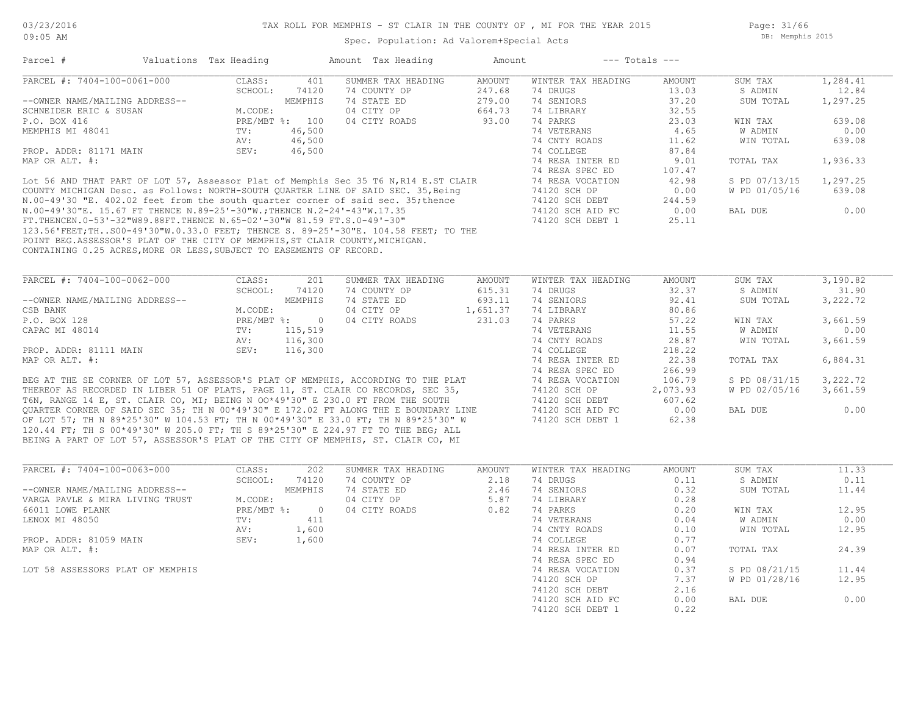Spec. Population: Ad Valorem+Special Acts

Page: 31/66 DB: Memphis 2015

| Parcel #                                                                                                                                                                                                                                                  | Valuations Tax Heading |                | Amount Tax Heading | Amount        |                    | $---$ Totals $---$   |               |          |
|-----------------------------------------------------------------------------------------------------------------------------------------------------------------------------------------------------------------------------------------------------------|------------------------|----------------|--------------------|---------------|--------------------|----------------------|---------------|----------|
| PARCEL #: 7404-100-0061-000                                                                                                                                                                                                                               | CLASS:                 | 401            | SUMMER TAX HEADING | <b>AMOUNT</b> | WINTER TAX HEADING | <b>AMOUNT</b>        | SUM TAX       | 1,284.41 |
|                                                                                                                                                                                                                                                           | SCHOOL:                | 74120          | 74 COUNTY OP       | 247.68        | 74 DRUGS           | 13.03                | S ADMIN       | 12.84    |
| --OWNER NAME/MAILING ADDRESS--                                                                                                                                                                                                                            |                        | MEMPHIS        | 74 STATE ED        | 279.00        | 74 SENIORS         | 37.20                | SUM TOTAL     | 1,297.25 |
| SCHNEIDER ERIC & SUSAN                                                                                                                                                                                                                                    | M.CODE:                |                | 04 CITY OP         | 664.73        | 74 LIBRARY         | 32.55                |               |          |
| P.O. BOX 416                                                                                                                                                                                                                                              |                        | PRE/MBT %: 100 | 04 CITY ROADS      | 93.00         | 74 PARKS           | 23.03                | WIN TAX       | 639.08   |
| MEMPHIS MI 48041                                                                                                                                                                                                                                          | TV:                    | 46,500         |                    |               | 74 VETERANS        | 4.65                 | W ADMIN       | 0.00     |
|                                                                                                                                                                                                                                                           | AV:                    | 46,500         |                    |               | 74 CNTY ROADS      | 11.62                | WIN TOTAL     | 639.08   |
| PROP. ADDR: 81171 MAIN                                                                                                                                                                                                                                    | SEV:                   | 46,500         |                    |               | 74 COLLEGE         | 87.84                |               |          |
| MAP OR ALT. #:                                                                                                                                                                                                                                            |                        |                |                    |               | 74 RESA INTER ED   | 9.01                 | TOTAL TAX     | 1,936.33 |
|                                                                                                                                                                                                                                                           |                        |                |                    |               | 74 RESA SPEC ED    | 107.47               |               |          |
| Lot 56 AND THAT PART OF LOT 57, Assessor Plat of Memphis Sec 35 T6 N, R14 E.ST CLAIR                                                                                                                                                                      |                        |                |                    |               | 74 RESA VOCATION   | 42.98                | S PD 07/13/15 | 1,297.25 |
| COUNTY MICHIGAN Desc. as Follows: NORTH-SOUTH QUARTER LINE OF SAID SEC. 35, Being<br>N.00-49'30 "E. 402.02 feet from the south quarter corner of said sec. 35; thence                                                                                     |                        |                |                    |               | 74120 SCH OP       | 0.00                 | W PD 01/05/16 | 639.08   |
|                                                                                                                                                                                                                                                           |                        |                |                    |               | 74120 SCH DEBT     | 244.59               |               |          |
| N.00-49'30"E. 15.67 FT THENCE N.89-25'-30"W.; THENCE N.2-24'-43"W.17.35                                                                                                                                                                                   |                        |                |                    |               | 74120 SCH AID FC   | 0.00                 | BAL DUE       | 0.00     |
| FT.THENCEN.0-53'-32"W89.88FT.THENCE N.65-02'-30"W 81.59 FT.S.0-49'-30"                                                                                                                                                                                    |                        |                |                    |               | 74120 SCH DEBT 1   | 25.11                |               |          |
| 123.56'FEET; THS00-49'30"W.0.33.0 FEET; THENCE S. 89-25'-30"E. 104.58 FEET; TO THE                                                                                                                                                                        |                        |                |                    |               |                    |                      |               |          |
| POINT BEG.ASSESSOR'S PLAT OF THE CITY OF MEMPHIS, ST CLAIR COUNTY, MICHIGAN.                                                                                                                                                                              |                        |                |                    |               |                    |                      |               |          |
| CONTAINING 0.25 ACRES, MORE OR LESS, SUBJECT TO EASEMENTS OF RECORD.                                                                                                                                                                                      |                        |                |                    |               |                    |                      |               |          |
|                                                                                                                                                                                                                                                           |                        |                |                    |               |                    |                      |               |          |
| PARCEL #: 7404-100-0062-000                                                                                                                                                                                                                               | CLASS:                 | 201            | SUMMER TAX HEADING | AMOUNT        | WINTER TAX HEADING | AMOUNT               | SUM TAX       | 3,190.82 |
|                                                                                                                                                                                                                                                           | SCHOOL:                | 74120          | 74 COUNTY OP       | 615.31        | 74 DRUGS           | 32.37                | S ADMIN       | 31.90    |
| --OWNER NAME/MAILING ADDRESS--                                                                                                                                                                                                                            |                        | MEMPHIS        | 74 STATE ED        | 693.11        | 74 SENIORS         | 92.41                | SUM TOTAL     | 3,222.72 |
| CSB BANK                                                                                                                                                                                                                                                  | M.CODE:                |                | 04 CITY OP         | 1,651.37      | 74 LIBRARY         | 80.86                |               |          |
| P.O. BOX 128                                                                                                                                                                                                                                              | $PRE/MBT$ %:           | $\overline{0}$ | 04 CITY ROADS      | 231.03        | 74 PARKS           | 57.22                | WIN TAX       | 3,661.59 |
| CAPAC MI 48014                                                                                                                                                                                                                                            | $TV$ :                 | 115,519        |                    |               | 74 VETERANS        | 11.55                | W ADMIN       | 0.00     |
|                                                                                                                                                                                                                                                           | AV:                    | 116,300        |                    |               | 74 CNTY ROADS      | 28.87                | WIN TOTAL     | 3,661.59 |
| PROP. ADDR: 81111 MAIN                                                                                                                                                                                                                                    | SEV:                   | 116,300        |                    |               | 74 COLLEGE         | 218.22               |               |          |
| MAP OR ALT. #:                                                                                                                                                                                                                                            |                        |                |                    |               | 74 RESA INTER ED   | 22.38                | TOTAL TAX     | 6,884.31 |
|                                                                                                                                                                                                                                                           |                        |                |                    |               | 74 RESA SPEC ED    | 266.99               |               |          |
| BEG AT THE SE CORNER OF LOT 57, ASSESSOR'S PLAT OF MEMPHIS, ACCORDING TO THE PLAT                                                                                                                                                                         |                        |                |                    |               | 74 RESA VOCATION   | 106.79               | S PD 08/31/15 | 3,222.72 |
| THEREOF AS RECORDED IN LIBER 51 OF PLATS, PAGE 11, ST. CLAIR CO RECORDS, SEC 35,                                                                                                                                                                          |                        |                |                    |               | 74120 SCH OP       | 2,073.93             | W PD 02/05/16 | 3,661.59 |
| $\pi$ (1) $\pi$ 1110 $\pi$ (1) $\pi$ (1) $\pi$ (1) $\pi$ (1) $\pi$ (1) $\pi$ (1) $\pi$ (1) $\pi$ (1) $\pi$ (1) $\pi$ (1) $\pi$ (1) $\pi$ (1) $\pi$ (1) $\pi$ (1) $\pi$ (1) $\pi$ (1) $\pi$ (1) $\pi$ (1) $\pi$ (1) $\pi$ (1) $\pi$ (1) $\pi$ (1) $\pi$ (1 |                        |                |                    |               | $71100 \times 217$ | $\sim$ $\sim$ $\sim$ |               |          |

BEING A PART OF LOT 57, ASSESSOR'S PLAT OF THE CITY OF MEMPHIS, ST. CLAIR CO, MI 120.44 FT; TH S 00\*49'30" W 205.0 FT; TH S 89\*25'30" E 224.97 FT TO THE BEG; ALL OF LOT 57; TH N 89\*25'30" W 104.53 FT; TH N 00\*49'30" E 33.0 FT; TH N 89\*25'30" W 74120 SCH DEBT 1 62.38 QUARTER CORNER OF SAID SEC 35; TH N 00\*49'30" E 172.02 FT ALONG THE E BOUNDARY LINE 74120 SCH AID FC 0.00 BAL DUE 0.00 T6N, RANGE 14 E, ST. CLAIR CO, MI; BEING N OO\*49'30" E 230.0 FT FROM THE SOUTH 74120 SCH DEBT 607.62

| CLASS:  | 202      | SUMMER TAX HEADING | AMOUNT | WINTER TAX HEADING | <b>AMOUNT</b> | SUM TAX       | 11.33 |
|---------|----------|--------------------|--------|--------------------|---------------|---------------|-------|
| SCHOOL: | 74120    | 74 COUNTY OP       | 2.18   | 74 DRUGS           | 0.11          | S ADMIN       | 0.11  |
|         | MEMPHIS  | 74 STATE ED        | 2.46   | 74 SENIORS         | 0.32          | SUM TOTAL     | 11.44 |
| M.CODE: |          | 04 CITY OP         | 5.87   | 74 LIBRARY         | 0.28          |               |       |
|         | $\Omega$ | 04 CITY ROADS      | 0.82   | 74 PARKS           | 0.20          | WIN TAX       | 12.95 |
| TV:     | 411      |                    |        | 74 VETERANS        | 0.04          | W ADMIN       | 0.00  |
| AV:     | 1,600    |                    |        | 74 CNTY ROADS      | 0.10          | WIN TOTAL     | 12.95 |
| SEV:    | 1,600    |                    |        | 74 COLLEGE         | 0.77          |               |       |
|         |          |                    |        | 74 RESA INTER ED   | 0.07          | TOTAL TAX     | 24.39 |
|         |          |                    |        | 74 RESA SPEC ED    | 0.94          |               |       |
|         |          |                    |        | 74 RESA VOCATION   | 0.37          | S PD 08/21/15 | 11.44 |
|         |          |                    |        | 74120 SCH OP       | 7.37          | W PD 01/28/16 | 12.95 |
|         |          |                    |        | 74120 SCH DEBT     | 2.16          |               |       |
|         |          |                    |        | 74120 SCH AID FC   | 0.00          | BAL DUE       | 0.00  |
|         |          |                    |        | 74120 SCH DEBT 1   | 0.22          |               |       |
|         |          | PRE/MBT %:         |        |                    |               |               |       |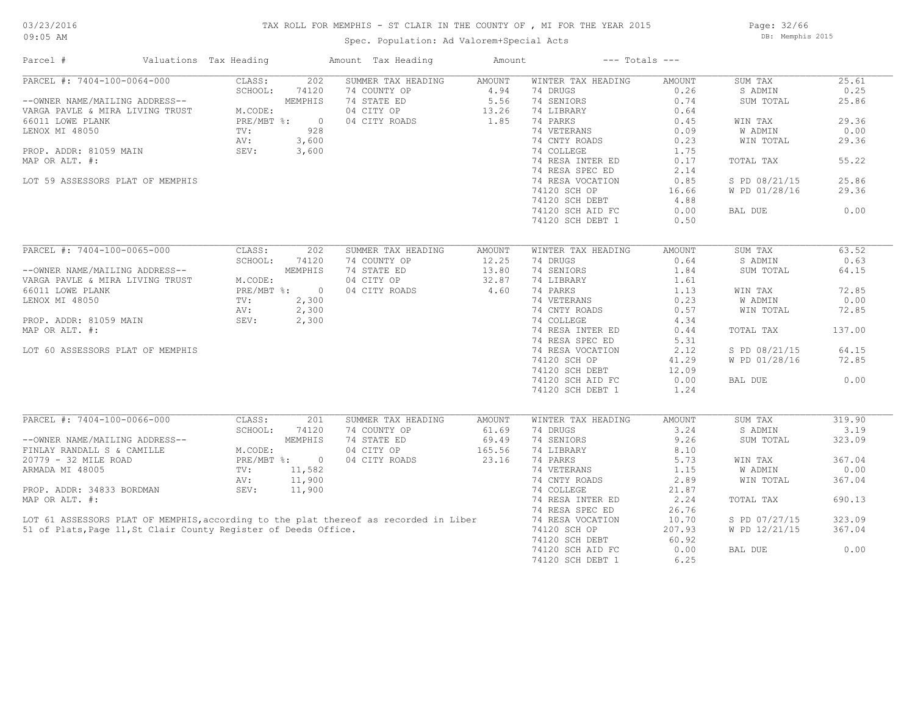#### TAX ROLL FOR MEMPHIS - ST CLAIR IN THE COUNTY OF , MI FOR THE YEAR 2015

Spec. Population: Ad Valorem+Special Acts

Page: 32/66 DB: Memphis 2015

| Parcel #                                                        | Valuations Tax Heading |              | Amount Tax Heading                                                                   | Amount |                    | $---$ Totals $---$ |                |        |
|-----------------------------------------------------------------|------------------------|--------------|--------------------------------------------------------------------------------------|--------|--------------------|--------------------|----------------|--------|
| PARCEL #: 7404-100-0064-000                                     | CLASS:                 | 202          | SUMMER TAX HEADING                                                                   | AMOUNT | WINTER TAX HEADING | AMOUNT             | SUM TAX        | 25.61  |
|                                                                 | SCHOOL:                | 74120        | 74 COUNTY OP                                                                         | 4.94   | 74 DRUGS           | 0.26               | S ADMIN        | 0.25   |
| --OWNER NAME/MAILING ADDRESS--                                  |                        | MEMPHIS      | 74 STATE ED                                                                          | 5.56   | 74 SENIORS         | 0.74               | SUM TOTAL      | 25.86  |
| VARGA PAVLE & MIRA LIVING TRUST                                 | M.CODE:                |              | 04 CITY OP                                                                           | 13.26  | 74 LIBRARY         | 0.64               |                |        |
| 66011 LOWE PLANK                                                | $PRE/MBT$ %:           | $\circ$      | 04 CITY ROADS                                                                        | 1.85   | 74 PARKS           | 0.45               | WIN TAX        | 29.36  |
| LENOX MI 48050                                                  | TV:                    | 928          |                                                                                      |        | 74 VETERANS        | 0.09               | <b>W ADMIN</b> | 0.00   |
|                                                                 | AV:                    | 3,600        |                                                                                      |        | 74 CNTY ROADS      | 0.23               | WIN TOTAL      | 29.36  |
| PROP. ADDR: 81059 MAIN                                          | SEV:                   | 3,600        |                                                                                      |        | 74 COLLEGE         | 1.75               |                |        |
| MAP OR ALT. #:                                                  |                        |              |                                                                                      |        | 74 RESA INTER ED   | 0.17               | TOTAL TAX      | 55.22  |
|                                                                 |                        |              |                                                                                      |        | 74 RESA SPEC ED    | 2.14               |                |        |
| LOT 59 ASSESSORS PLAT OF MEMPHIS                                |                        |              |                                                                                      |        | 74 RESA VOCATION   | 0.85               | S PD 08/21/15  | 25.86  |
|                                                                 |                        |              |                                                                                      |        | 74120 SCH OP       | 16.66              | W PD 01/28/16  | 29.36  |
|                                                                 |                        |              |                                                                                      |        | 74120 SCH DEBT     | 4.88               |                |        |
|                                                                 |                        |              |                                                                                      |        | 74120 SCH AID FC   | 0.00               | BAL DUE        | 0.00   |
|                                                                 |                        |              |                                                                                      |        |                    |                    |                |        |
|                                                                 |                        |              |                                                                                      |        | 74120 SCH DEBT 1   | 0.50               |                |        |
| PARCEL #: 7404-100-0065-000                                     | CLASS:                 | 202          | SUMMER TAX HEADING                                                                   | AMOUNT | WINTER TAX HEADING | <b>AMOUNT</b>      | SUM TAX        | 63.52  |
|                                                                 |                        |              |                                                                                      |        |                    |                    |                |        |
|                                                                 | SCHOOL:                | 74120        | 74 COUNTY OP                                                                         | 12.25  | 74 DRUGS           | 0.64               | S ADMIN        | 0.63   |
| --OWNER NAME/MAILING ADDRESS--                                  |                        | MEMPHIS      | 74 STATE ED                                                                          | 13.80  | 74 SENIORS         | 1.84               | SUM TOTAL      | 64.15  |
| VARGA PAVLE & MIRA LIVING TRUST                                 | M.CODE:                |              | 04 CITY OP                                                                           | 32.87  | 74 LIBRARY         | 1.61               |                |        |
| 66011 LOWE PLANK                                                | PRE/MBT %:             | $\circ$      | 04 CITY ROADS                                                                        | 4.60   | 74 PARKS           | 1.13               | WIN TAX        | 72.85  |
| LENOX MI 48050                                                  | TV:                    | 2,300        |                                                                                      |        | 74 VETERANS        | 0.23               | W ADMIN        | 0.00   |
|                                                                 | AV:                    | 2,300        |                                                                                      |        | 74 CNTY ROADS      | 0.57               | WIN TOTAL      | 72.85  |
| PROP. ADDR: 81059 MAIN                                          | SEV:                   | 2,300        |                                                                                      |        | 74 COLLEGE         | 4.34               |                |        |
| MAP OR ALT. #:                                                  |                        |              |                                                                                      |        | 74 RESA INTER ED   | 0.44               | TOTAL TAX      | 137.00 |
|                                                                 |                        |              |                                                                                      |        | 74 RESA SPEC ED    | 5.31               |                |        |
| LOT 60 ASSESSORS PLAT OF MEMPHIS                                |                        |              |                                                                                      |        | 74 RESA VOCATION   | 2.12               | S PD 08/21/15  | 64.15  |
|                                                                 |                        |              |                                                                                      |        | 74120 SCH OP       | 41.29              | W PD 01/28/16  | 72.85  |
|                                                                 |                        |              |                                                                                      |        | 74120 SCH DEBT     | 12.09              |                |        |
|                                                                 |                        |              |                                                                                      |        | 74120 SCH AID FC   | 0.00               | BAL DUE        | 0.00   |
|                                                                 |                        |              |                                                                                      |        | 74120 SCH DEBT 1   | 1.24               |                |        |
|                                                                 |                        |              |                                                                                      |        |                    |                    |                |        |
| PARCEL #: 7404-100-0066-000                                     | CLASS:                 | 201          | SUMMER TAX HEADING                                                                   | AMOUNT | WINTER TAX HEADING | AMOUNT             | SUM TAX        | 319.90 |
|                                                                 | SCHOOL:                | 74120        | 74 COUNTY OP                                                                         | 61.69  | 74 DRUGS           | 3.24               | S ADMIN        | 3.19   |
| --OWNER NAME/MAILING ADDRESS--                                  |                        | MEMPHIS      | 74 STATE ED                                                                          | 69.49  | 74 SENIORS         | 9.26               | SUM TOTAL      | 323.09 |
| FINLAY RANDALL S & CAMILLE                                      | M.CODE:                |              | 04 CITY OP                                                                           | 165.56 | 74 LIBRARY         | 8.10               |                |        |
| 20779 - 32 MILE ROAD                                            |                        | PRE/MBT %: 0 | 04 CITY ROADS                                                                        | 23.16  | 74 PARKS           | 5.73               | WIN TAX        | 367.04 |
| ARMADA MI 48005                                                 | TV:                    | 11,582       |                                                                                      |        | 74 VETERANS        | 1.15               | W ADMIN        | 0.00   |
|                                                                 | AV:                    | 11,900       |                                                                                      |        | 74 CNTY ROADS      | 2.89               | WIN TOTAL      | 367.04 |
| PROP. ADDR: 34833 BORDMAN                                       | SEV:                   | 11,900       |                                                                                      |        | 74 COLLEGE         | 21.87              |                |        |
| MAP OR ALT. #:                                                  |                        |              |                                                                                      |        | 74 RESA INTER ED   | 2.24               | TOTAL TAX      | 690.13 |
|                                                                 |                        |              |                                                                                      |        | 74 RESA SPEC ED    |                    |                |        |
|                                                                 |                        |              |                                                                                      |        |                    | 26.76              |                |        |
|                                                                 |                        |              | LOT 61 ASSESSORS PLAT OF MEMPHIS, according to the plat thereof as recorded in Liber |        | 74 RESA VOCATION   | 10.70              | S PD 07/27/15  | 323.09 |
| 51 of Plats, Page 11, St Clair County Register of Deeds Office. |                        |              |                                                                                      |        | 74120 SCH OP       | 207.93             | W PD 12/21/15  | 367.04 |
|                                                                 |                        |              |                                                                                      |        | 74120 SCH DEBT     | 60.92              |                |        |
|                                                                 |                        |              |                                                                                      |        | 74120 SCH AID FC   | 0.00               | BAL DUE        | 0.00   |
|                                                                 |                        |              |                                                                                      |        | 74120 SCH DEBT 1   | 6.25               |                |        |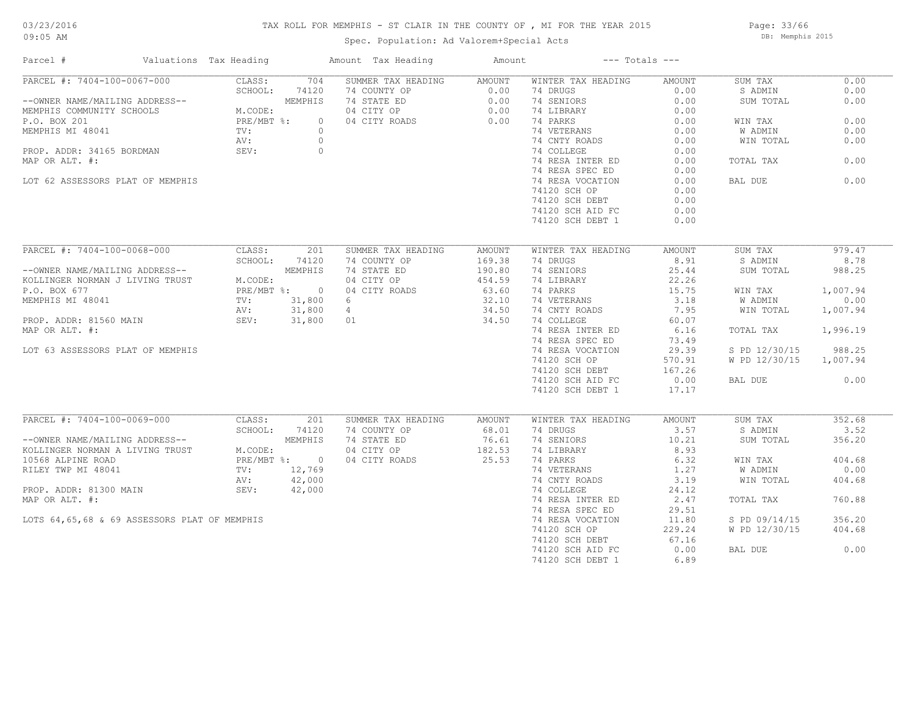#### TAX ROLL FOR MEMPHIS - ST CLAIR IN THE COUNTY OF , MI FOR THE YEAR 2015

Spec. Population: Ad Valorem+Special Acts

Page: 33/66 DB: Memphis 2015

| Parcel #                                     | Valuations Tax Heading    | Amount Tax Heading | Amount | $---$ Totals $---$ |        |               |          |
|----------------------------------------------|---------------------------|--------------------|--------|--------------------|--------|---------------|----------|
| PARCEL #: 7404-100-0067-000                  | 704<br>CLASS:             | SUMMER TAX HEADING | AMOUNT | WINTER TAX HEADING | AMOUNT | SUM TAX       | 0.00     |
|                                              | SCHOOL:<br>74120          | 74 COUNTY OP       | 0.00   | 74 DRUGS           | 0.00   | S ADMIN       | 0.00     |
| --OWNER NAME/MAILING ADDRESS--               | MEMPHIS                   | 74 STATE ED        | 0.00   | 74 SENIORS         | 0.00   | SUM TOTAL     | 0.00     |
| MEMPHIS COMMUNITY SCHOOLS                    | M.CODE:<br>PRE/MBT %:     | 04 CITY OP         | 0.00   | 74 LIBRARY         | 0.00   |               |          |
| P.O. BOX 201                                 | $\Omega$                  | 04 CITY ROADS      | 0.00   | 74 PARKS           | 0.00   | WIN TAX       | 0.00     |
| MEMPHIS MI 48041                             | TV:<br>$\circ$            |                    |        | 74 VETERANS        | 0.00   | W ADMIN       | 0.00     |
|                                              | $\circ$<br>AV:            |                    |        | 74 CNTY ROADS      | 0.00   | WIN TOTAL     | 0.00     |
| PROP. ADDR: 34165 BORDMAN                    | $\circ$<br>SEV:           |                    |        | 74 COLLEGE         | 0.00   |               |          |
| MAP OR ALT. #:                               |                           |                    |        | 74 RESA INTER ED   | 0.00   | TOTAL TAX     | 0.00     |
|                                              |                           |                    |        | 74 RESA SPEC ED    | 0.00   |               |          |
| LOT 62 ASSESSORS PLAT OF MEMPHIS             |                           |                    |        | 74 RESA VOCATION   | 0.00   | BAL DUE       | 0.00     |
|                                              |                           |                    |        |                    |        |               |          |
|                                              |                           |                    |        | 74120 SCH OP       | 0.00   |               |          |
|                                              |                           |                    |        | 74120 SCH DEBT     | 0.00   |               |          |
|                                              |                           |                    |        | 74120 SCH AID FC   | 0.00   |               |          |
|                                              |                           |                    |        | 74120 SCH DEBT 1   | 0.00   |               |          |
|                                              |                           |                    |        |                    |        |               |          |
| PARCEL #: 7404-100-0068-000                  | CLASS:<br>201             | SUMMER TAX HEADING | AMOUNT | WINTER TAX HEADING | AMOUNT | SUM TAX       | 979.47   |
|                                              | SCHOOL:<br>74120          | 74 COUNTY OP       | 169.38 | 74 DRUGS           | 8.91   | S ADMIN       | 8.78     |
| --OWNER NAME/MAILING ADDRESS--               | MEMPHIS                   | 74 STATE ED        | 190.80 | 74 SENIORS         | 25.44  | SUM TOTAL     | 988.25   |
| KOLLINGER NORMAN J LIVING TRUST              | M.CODE:                   | 04 CITY OP         | 454.59 | 74 LIBRARY         | 22.26  |               |          |
| P.O. BOX 677                                 | PRE/MBT %: 0              | 04 CITY ROADS      | 63.60  | 74 PARKS           | 15.75  | WIN TAX       | 1,007.94 |
| MEMPHIS MI 48041                             | 31,800<br>$\texttt{TV}$ : | 6                  | 32.10  | 74 VETERANS        | 3.18   | W ADMIN       | 0.00     |
|                                              | 31,800<br>AV:             |                    | 34.50  | 74 CNTY ROADS      | 7.95   | WIN TOTAL     | 1,007.94 |
| PROP. ADDR: 81560 MAIN                       | 31,800<br>SEV:            | 01                 | 34.50  | 74 COLLEGE         | 60.07  |               |          |
|                                              |                           |                    |        |                    |        |               |          |
| MAP OR ALT. #:                               |                           |                    |        | 74 RESA INTER ED   | 6.16   | TOTAL TAX     | 1,996.19 |
|                                              |                           |                    |        | 74 RESA SPEC ED    | 73.49  |               |          |
| LOT 63 ASSESSORS PLAT OF MEMPHIS             |                           |                    |        | 74 RESA VOCATION   | 29.39  | S PD 12/30/15 | 988.25   |
|                                              |                           |                    |        | 74120 SCH OP       | 570.91 | W PD 12/30/15 | 1,007.94 |
|                                              |                           |                    |        | 74120 SCH DEBT     | 167.26 |               |          |
|                                              |                           |                    |        | 74120 SCH AID FC   | 0.00   | BAL DUE       | 0.00     |
|                                              |                           |                    |        | 74120 SCH DEBT 1   | 17.17  |               |          |
|                                              |                           |                    |        |                    |        |               |          |
| PARCEL #: 7404-100-0069-000                  | CLASS:<br>201             | SUMMER TAX HEADING | AMOUNT | WINTER TAX HEADING | AMOUNT | SUM TAX       | 352.68   |
|                                              | SCHOOL:<br>74120          | 74 COUNTY OP       | 68.01  | 74 DRUGS           | 3.57   | S ADMIN       | 3.52     |
| --OWNER NAME/MAILING ADDRESS--               | MEMPHIS                   | 74 STATE ED        | 76.61  | 74 SENIORS         | 10.21  | SUM TOTAL     | 356.20   |
| KOLLINGER NORMAN A LIVING TRUST              | M.CODE:                   | 04 CITY OP         | 182.53 | 74 LIBRARY         | 8.93   |               |          |
| 10568 ALPINE ROAD                            | PRE/MBT %: 0              | 04 CITY ROADS      | 25.53  | 74 PARKS           | 6.32   | WIN TAX       | 404.68   |
| RILEY TWP MI 48041                           | $\text{TV}$ :<br>12,769   |                    |        | 74 VETERANS        | 1.27   | W ADMIN       | 0.00     |
|                                              | 42,000<br>AV:             |                    |        | 74 CNTY ROADS      | 3.19   | WIN TOTAL     | 404.68   |
| PROP. ADDR: 81300 MAIN                       | 42,000<br>SEV:            |                    |        | 74 COLLEGE         | 24.12  |               |          |
| MAP OR ALT. #:                               |                           |                    |        | 74 RESA INTER ED   | 2.47   | TOTAL TAX     | 760.88   |
|                                              |                           |                    |        | 74 RESA SPEC ED    | 29.51  |               |          |
|                                              |                           |                    |        |                    |        |               |          |
| LOTS 64,65,68 & 69 ASSESSORS PLAT OF MEMPHIS |                           |                    |        | 74 RESA VOCATION   | 11.80  | S PD 09/14/15 | 356.20   |
|                                              |                           |                    |        | 74120 SCH OP       | 229.24 | W PD 12/30/15 | 404.68   |
|                                              |                           |                    |        | 74120 SCH DEBT     | 67.16  |               |          |
|                                              |                           |                    |        | 74120 SCH AID FC   | 0.00   | BAL DUE       | 0.00     |
|                                              |                           |                    |        | 74120 SCH DEBT 1   | 6.89   |               |          |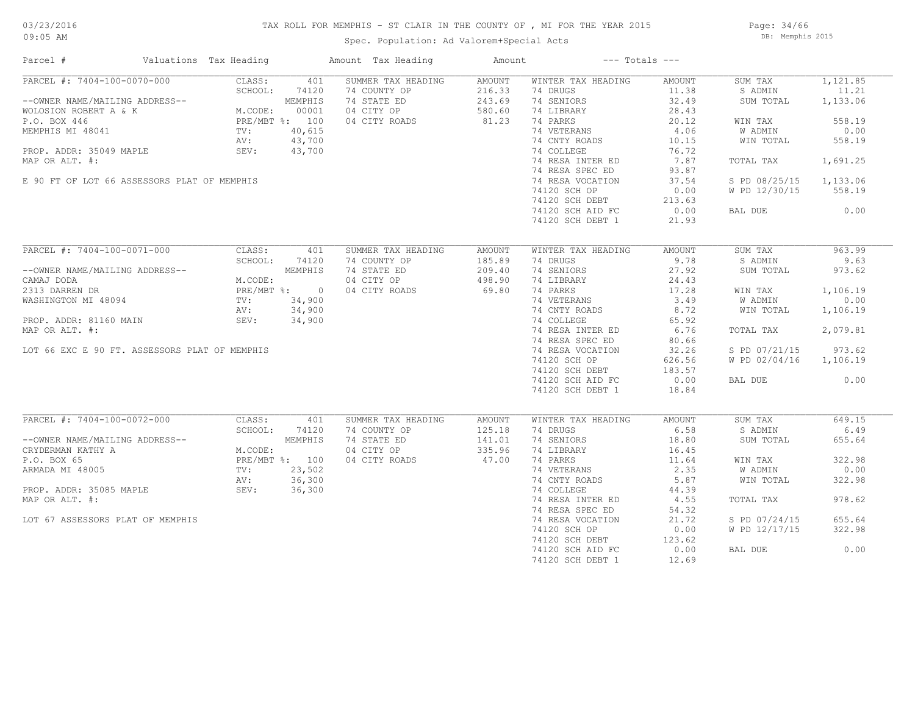Page: 34/66 DB: Memphis 2015

| Parcel #                                                                                                                                                                                                               | Valuations Tax Heading                                                                                                                             |                                                              | Amount Tax Heading                                                                                                   | Amount                                        |                                                                                                                                                                                                                                                           | $---$ Totals $---$                                                                                                                |                                                                                                                              |                                                                                                     |
|------------------------------------------------------------------------------------------------------------------------------------------------------------------------------------------------------------------------|----------------------------------------------------------------------------------------------------------------------------------------------------|--------------------------------------------------------------|----------------------------------------------------------------------------------------------------------------------|-----------------------------------------------|-----------------------------------------------------------------------------------------------------------------------------------------------------------------------------------------------------------------------------------------------------------|-----------------------------------------------------------------------------------------------------------------------------------|------------------------------------------------------------------------------------------------------------------------------|-----------------------------------------------------------------------------------------------------|
| PARCEL #: 7404-100-0070-000<br>--OWNER NAME/MAILING ADDRESS--<br>WOLOSION ROBERT A & K<br>P.O. BOX 446<br>MEMPHIS MI 48041<br>PROP. ADDR: 35049 MAPLE<br>MAP OR ALT. #:<br>E 90 FT OF LOT 66 ASSESSORS PLAT OF MEMPHIS | CLASS:<br>SCHOOL:<br>G ADDRESS--<br>SUNCODE<br>x K<br>PRE/MF<br>TV:<br>NV:<br>SUNCODE<br>PRE/MF<br>TV:<br>NV:<br>SUNCODE<br>NU:<br>M.CODE:<br>SEV: | 401<br>74120<br>MEMPHIS<br>00001<br>PRE/MBT %: 100<br>40,615 | SUMMER TAX HEADING<br>74 COUNTY OP<br>74 STATE ED<br>04 CITY OP<br>04 CITY ROADS<br>$40,015$<br>$43,700$<br>$43,700$ | AMOUNT<br>216.33<br>243.69<br>580.60<br>81.23 | WINTER TAX HEADING<br>74 DRUGS<br>74 SENIORS<br>74 LIBRARY<br>74 PARKS<br>74 VETERANS<br>74 CNTY ROADS<br>74 COLLEGE<br>74 RESA INTER ED<br>74 RESA SPEC ED<br>74 RESA VOCATION<br>74120 SCH OP<br>74120 SCH DEBT<br>74120 SCH AID FC<br>74120 SCH DEBT 1 | AMOUNT<br>11.38<br>32.49<br>28.43<br>20.12<br>4.06<br>10.15<br>76.72<br>7.87<br>93.87<br>37.54<br>0.00<br>213.63<br>0.00<br>21.93 | SUM TAX<br>S ADMIN<br>SUM TOTAL<br>WIN TAX<br>W ADMIN<br>WIN TOTAL<br>TOTAL TAX<br>S PD 08/25/15<br>W PD 12/30/15<br>BAL DUE | 1,121.85<br>11.21<br>1,133.06<br>558.19<br>0.00<br>558.19<br>1,691.25<br>1,133.06<br>558.19<br>0.00 |
| PARCEL #: 7404-100-0071-000                                                                                                                                                                                            | CLASS:<br>SCHOOL:                                                                                                                                  | 401<br>74120                                                 | SUMMER TAX HEADING<br>74 COUNTY OP                                                                                   | AMOUNT<br>185.89                              | WINTER TAX HEADING<br>74 DRUGS                                                                                                                                                                                                                            | AMOUNT<br>9.78                                                                                                                    | SUM TAX<br>S ADMIN                                                                                                           | 963.99<br>9.63                                                                                      |
| --OWNER NAME/MAILING ADDRESS--                                                                                                                                                                                         |                                                                                                                                                    | MEMPHIS                                                      | 74 STATE ED                                                                                                          | 209.40                                        | 74 SENIORS                                                                                                                                                                                                                                                | 27.92                                                                                                                             | SUM TOTAL                                                                                                                    | 973.62                                                                                              |
| CAMAJ DODA<br>2313 DARREN DR<br>WASHINGTON MI 48094 TV: 34,900<br>NASHINGTON MI 48094 TV: 34,900                                                                                                                       |                                                                                                                                                    |                                                              | 04 CITY OP                                                                                                           | 498.90                                        | 74 LIBRARY                                                                                                                                                                                                                                                | 24.43                                                                                                                             |                                                                                                                              |                                                                                                     |
|                                                                                                                                                                                                                        |                                                                                                                                                    |                                                              |                                                                                                                      |                                               | 74 PARKS<br>74 VETERANS                                                                                                                                                                                                                                   | 17.28<br>3.49                                                                                                                     | WIN TAX<br>W ADMIN                                                                                                           | 1,106.19<br>0.00                                                                                    |
|                                                                                                                                                                                                                        | AV:                                                                                                                                                |                                                              |                                                                                                                      |                                               | 74 CNTY ROADS                                                                                                                                                                                                                                             | 8.72                                                                                                                              | WIN TOTAL                                                                                                                    | 1,106.19                                                                                            |
| PROP. ADDR: 81160 MAIN                                                                                                                                                                                                 | SEV:                                                                                                                                               | 34,900                                                       |                                                                                                                      |                                               | 74 COLLEGE                                                                                                                                                                                                                                                | 65.92                                                                                                                             |                                                                                                                              |                                                                                                     |
| MAP OR ALT. #:                                                                                                                                                                                                         |                                                                                                                                                    |                                                              |                                                                                                                      |                                               | 74 RESA INTER ED                                                                                                                                                                                                                                          | 6.76                                                                                                                              | TOTAL TAX                                                                                                                    | 2,079.81                                                                                            |
|                                                                                                                                                                                                                        |                                                                                                                                                    |                                                              |                                                                                                                      |                                               | 74 RESA SPEC ED                                                                                                                                                                                                                                           | 80.66                                                                                                                             |                                                                                                                              |                                                                                                     |
| LOT 66 EXC E 90 FT. ASSESSORS PLAT OF MEMPHIS                                                                                                                                                                          |                                                                                                                                                    |                                                              |                                                                                                                      |                                               | 74 RESA VOCATION                                                                                                                                                                                                                                          | 32.26                                                                                                                             | S PD 07/21/15                                                                                                                | 973.62                                                                                              |
|                                                                                                                                                                                                                        |                                                                                                                                                    |                                                              |                                                                                                                      |                                               | 74120 SCH OP                                                                                                                                                                                                                                              | 626.56                                                                                                                            | W PD 02/04/16                                                                                                                | 1,106.19                                                                                            |
|                                                                                                                                                                                                                        |                                                                                                                                                    |                                                              |                                                                                                                      |                                               | 74120 SCH DEBT                                                                                                                                                                                                                                            | 183.57                                                                                                                            |                                                                                                                              |                                                                                                     |
|                                                                                                                                                                                                                        |                                                                                                                                                    |                                                              | $300$<br>900<br>4,900                                                                                                |                                               | 74120 SCH AID FC<br>74120 SCH DEBT 1                                                                                                                                                                                                                      | 0.00<br>18.84                                                                                                                     | BAL DUE                                                                                                                      | 0.00                                                                                                |
| PARCEL #: 7404-100-0072-000                                                                                                                                                                                            | CLASS:                                                                                                                                             | 401                                                          | SUMMER TAX HEADING                                                                                                   | AMOUNT                                        | WINTER TAX HEADING                                                                                                                                                                                                                                        | AMOUNT                                                                                                                            | SUM TAX                                                                                                                      | 649.15                                                                                              |
| --OWNER NAME/MAILING ADDRESS--                                                                                                                                                                                         | SCHOOL:<br>RESS--<br>M.CODI<br>PRE/MI<br>TV:<br>AV:<br>SEV:                                                                                        | 74120<br>MEMPHIS                                             | 74 COUNTY OP<br>74 STATE ED                                                                                          | 125.18<br>141.01                              | 74 DRUGS<br>74 SENIORS                                                                                                                                                                                                                                    | 6.58<br>18.80                                                                                                                     | S ADMIN<br>SUM TOTAL                                                                                                         | 6.49<br>655.64                                                                                      |
| CRYDERMAN KATHY A                                                                                                                                                                                                      | M.CODE:                                                                                                                                            |                                                              | 04 CITY OP                                                                                                           | 335.96                                        | 74 LIBRARY                                                                                                                                                                                                                                                | 16.45                                                                                                                             |                                                                                                                              |                                                                                                     |
| P.O. BOX 65                                                                                                                                                                                                            |                                                                                                                                                    | PRE/MBT %: 100                                               | 04 CITY ROADS                                                                                                        | 47.00                                         | 74 PARKS                                                                                                                                                                                                                                                  | 11.64                                                                                                                             | WIN TAX                                                                                                                      | 322.98                                                                                              |
| ARMADA MI 48005                                                                                                                                                                                                        |                                                                                                                                                    | 23,502                                                       |                                                                                                                      |                                               | 74 VETERANS                                                                                                                                                                                                                                               | 2.35                                                                                                                              | <b>W ADMIN</b>                                                                                                               | 0.00                                                                                                |
|                                                                                                                                                                                                                        |                                                                                                                                                    | 36,300                                                       |                                                                                                                      |                                               | 74 CNTY ROADS                                                                                                                                                                                                                                             | 5.87                                                                                                                              | WIN TOTAL                                                                                                                    | 322.98                                                                                              |
| PROP. ADDR: 35085 MAPLE                                                                                                                                                                                                |                                                                                                                                                    | 36,300                                                       |                                                                                                                      |                                               | 74 COLLEGE                                                                                                                                                                                                                                                | 44.39                                                                                                                             |                                                                                                                              |                                                                                                     |
| MAP OR ALT. #:                                                                                                                                                                                                         |                                                                                                                                                    |                                                              |                                                                                                                      |                                               | 74 RESA INTER ED                                                                                                                                                                                                                                          | 4.55                                                                                                                              | TOTAL TAX                                                                                                                    | 978.62                                                                                              |
|                                                                                                                                                                                                                        |                                                                                                                                                    |                                                              |                                                                                                                      |                                               | 74 RESA SPEC ED                                                                                                                                                                                                                                           | 54.32<br>21.72                                                                                                                    |                                                                                                                              | 655.64                                                                                              |
| LOT 67 ASSESSORS PLAT OF MEMPHIS                                                                                                                                                                                       |                                                                                                                                                    |                                                              |                                                                                                                      |                                               | 74 RESA VOCATION<br>74120 SCH OP                                                                                                                                                                                                                          | 0.00                                                                                                                              | S PD 07/24/15<br>W PD 12/17/15                                                                                               | 322.98                                                                                              |
|                                                                                                                                                                                                                        |                                                                                                                                                    |                                                              |                                                                                                                      |                                               | 74120 SCH DEBT                                                                                                                                                                                                                                            | 123.62                                                                                                                            |                                                                                                                              |                                                                                                     |
|                                                                                                                                                                                                                        |                                                                                                                                                    |                                                              |                                                                                                                      |                                               | 74120 SCH AID FC                                                                                                                                                                                                                                          | 0.00                                                                                                                              | BAL DUE                                                                                                                      | 0.00                                                                                                |
|                                                                                                                                                                                                                        |                                                                                                                                                    |                                                              |                                                                                                                      |                                               | 74120 SCH DEBT 1                                                                                                                                                                                                                                          | 12.69                                                                                                                             |                                                                                                                              |                                                                                                     |
|                                                                                                                                                                                                                        |                                                                                                                                                    |                                                              |                                                                                                                      |                                               |                                                                                                                                                                                                                                                           |                                                                                                                                   |                                                                                                                              |                                                                                                     |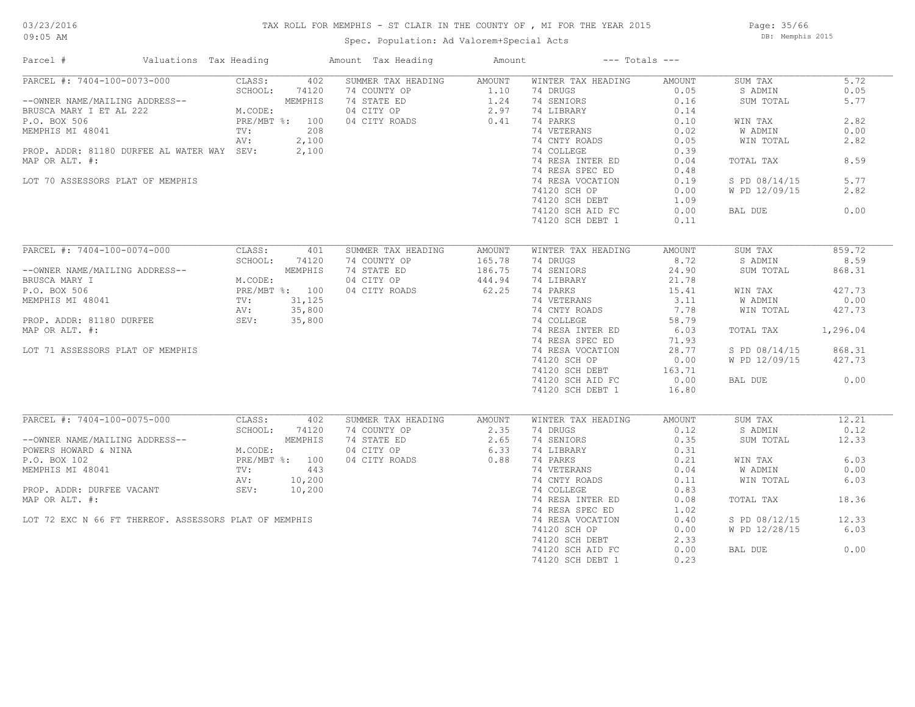### TAX ROLL FOR MEMPHIS - ST CLAIR IN THE COUNTY OF , MI FOR THE YEAR 2015

Spec. Population: Ad Valorem+Special Acts

Page: 35/66 DB: Memphis 2015

| Parcel #                                                                                                                                                                                                                                       | Valuations Tax Heading |         |       |                                                                                                                                                                                                                                                        |                   | $---$ Totals $---$            |                                             |               |          |
|------------------------------------------------------------------------------------------------------------------------------------------------------------------------------------------------------------------------------------------------|------------------------|---------|-------|--------------------------------------------------------------------------------------------------------------------------------------------------------------------------------------------------------------------------------------------------------|-------------------|-------------------------------|---------------------------------------------|---------------|----------|
| PARCEL #: 7404-100-0073-000 CLASS: 402                                                                                                                                                                                                         |                        |         |       | % Heading<br>MER TAX HEADING<br>ANOUNT WINTER in<br>COUNTY OP 1.10 74 DRUGS<br>74 STATE ED 1.24 74 SENIORS<br>04 CITY OP 2.97 74 LIBRARY<br>36 0.41 74 PARKS<br>100 74 VETERANS<br>74 OOLLF 74 COLLF<br>74 RES<br>74 RES<br>74 RES<br>74 RES<br>74 RES |                   | WINTER TAX HEADING            | AMOUNT                                      | SUM TAX       | 5.72     |
|                                                                                                                                                                                                                                                |                        |         |       |                                                                                                                                                                                                                                                        |                   |                               | 0.05                                        | S ADMIN       | 0.05     |
| SCHOOL: 74120<br>--OWNER NAME/MAILING ADDRESS--<br>BRUSCA MARY I ET AL 222<br>P.O. BOX 506<br>MEMPHIS MI 48041<br>MEMPHIS MI 48041<br>TV: 2100<br>NEMPHIS MI 48041<br>TV: 2100                                                                 |                        |         |       |                                                                                                                                                                                                                                                        |                   |                               | 0.16                                        | SUM TOTAL     | 5.77     |
|                                                                                                                                                                                                                                                |                        |         |       |                                                                                                                                                                                                                                                        |                   | 74 LIBRARY                    | 0.14                                        |               |          |
|                                                                                                                                                                                                                                                |                        |         |       |                                                                                                                                                                                                                                                        |                   |                               | 0.10                                        | WIN TAX       | 2.82     |
|                                                                                                                                                                                                                                                |                        |         |       |                                                                                                                                                                                                                                                        |                   | 74 VETERANS                   | 0.02                                        | W ADMIN       | 0.00     |
|                                                                                                                                                                                                                                                |                        | AV:     |       |                                                                                                                                                                                                                                                        |                   |                               | 0.05                                        | WIN TOTAL     | 2.82     |
|                                                                                                                                                                                                                                                |                        |         |       |                                                                                                                                                                                                                                                        |                   |                               |                                             |               |          |
| PROP. ADDR: 81180 DURFEE AL WATER WAY SEV: 2,100                                                                                                                                                                                               |                        |         |       |                                                                                                                                                                                                                                                        |                   |                               | 0.39                                        |               |          |
| MAP OR ALT. #:                                                                                                                                                                                                                                 |                        |         |       |                                                                                                                                                                                                                                                        |                   | 74 RESA INTER ED              | 0.04                                        | TOTAL TAX     | 8.59     |
|                                                                                                                                                                                                                                                |                        |         |       |                                                                                                                                                                                                                                                        |                   |                               | 0.48                                        |               |          |
| LOT 70 ASSESSORS PLAT OF MEMPHIS                                                                                                                                                                                                               |                        |         |       |                                                                                                                                                                                                                                                        |                   |                               | 0.19                                        | S PD 08/14/15 | 5.77     |
|                                                                                                                                                                                                                                                |                        |         |       |                                                                                                                                                                                                                                                        |                   |                               | 0.00                                        | W PD 12/09/15 | 2.82     |
|                                                                                                                                                                                                                                                |                        |         |       |                                                                                                                                                                                                                                                        |                   | 74120 SCH DEBT                | $\begin{array}{c} 1.09 \\ 0.00 \end{array}$ |               |          |
|                                                                                                                                                                                                                                                |                        |         |       |                                                                                                                                                                                                                                                        |                   |                               | 0.00                                        | BAL DUE       | 0.00     |
|                                                                                                                                                                                                                                                |                        |         |       |                                                                                                                                                                                                                                                        |                   |                               | 0.11                                        |               |          |
|                                                                                                                                                                                                                                                |                        |         |       |                                                                                                                                                                                                                                                        |                   |                               |                                             |               |          |
| PARCEL #: 7404-100-0074-000                                                                                                                                                                                                                    |                        | CLASS:  | 401   | SUMMER TAX HEADING                                                                                                                                                                                                                                     | AMOUNT            | WINTER TAX HEADING            | AMOUNT                                      | SUM TAX       | 859.72   |
|                                                                                                                                                                                                                                                |                        | SCHOOL: | 74120 | 74 COUNTY OP                                                                                                                                                                                                                                           |                   | 74 DRUGS FOR THE STATE STATES | 8.72                                        | S ADMIN       | 8.59     |
|                                                                                                                                                                                                                                                |                        |         |       | 74 STATE ED                                                                                                                                                                                                                                            | 165.78<br>186.75  | 74 SENIORS                    | 24.90                                       | SUM TOTAL     | 868.31   |
| --OWNER NAME/MAILING ADDRESS--<br>BRUSCA MARY I M.CODE:<br>P.O. BOX 506 PRE/MBT %: 100<br>MEMPHIS MI 48041 TV: 31,125<br>PROP. ADDR: 81180 DURFEE SEV: 35,800<br>MAR OR ATT #                                                                  |                        |         |       | 04 CITY OP                                                                                                                                                                                                                                             |                   | 74 LIBRARY                    | 21.78                                       |               |          |
|                                                                                                                                                                                                                                                |                        |         |       | 04 CITY ROADS                                                                                                                                                                                                                                          | $444.94$<br>62.25 | 74 PARKS                      | 15.41                                       | WIN TAX       | 427.73   |
|                                                                                                                                                                                                                                                |                        |         |       |                                                                                                                                                                                                                                                        |                   |                               | 3.11                                        | W ADMIN       | 0.00     |
|                                                                                                                                                                                                                                                |                        |         |       |                                                                                                                                                                                                                                                        |                   | 74 VETERANS<br>74 CNTY ROADS  | 7.78                                        | WIN TOTAL     | 427.73   |
|                                                                                                                                                                                                                                                |                        |         |       |                                                                                                                                                                                                                                                        |                   | 74 COLLEGE                    | 58.79                                       |               |          |
|                                                                                                                                                                                                                                                |                        |         |       |                                                                                                                                                                                                                                                        |                   |                               |                                             |               |          |
| MAP OR ALT. #:                                                                                                                                                                                                                                 |                        |         |       |                                                                                                                                                                                                                                                        |                   | 74 RESA INTER ED 6.03         |                                             | TOTAL TAX     | 1,296.04 |
|                                                                                                                                                                                                                                                |                        |         |       |                                                                                                                                                                                                                                                        |                   | 74 RESA SPEC ED               | 71.93                                       |               |          |
| LOT 71 ASSESSORS PLAT OF MEMPHIS                                                                                                                                                                                                               |                        |         |       |                                                                                                                                                                                                                                                        |                   | 74 RESA VOCATION              | 28.77                                       | S PD 08/14/15 | 868.31   |
|                                                                                                                                                                                                                                                |                        |         |       |                                                                                                                                                                                                                                                        |                   | 74120 SCH OP                  | 0.00                                        | W PD 12/09/15 | 427.73   |
|                                                                                                                                                                                                                                                |                        |         |       |                                                                                                                                                                                                                                                        |                   | 74120 SCH DEBT                | 163.71                                      |               |          |
|                                                                                                                                                                                                                                                |                        |         |       |                                                                                                                                                                                                                                                        |                   | 74120 SCH AID FC              | 0.00                                        | BAL DUE       | 0.00     |
|                                                                                                                                                                                                                                                |                        |         |       |                                                                                                                                                                                                                                                        |                   | 74120 SCH DEBT 1              | 16.80                                       |               |          |
|                                                                                                                                                                                                                                                |                        |         |       |                                                                                                                                                                                                                                                        |                   |                               |                                             |               |          |
| PARCEL #: 7404-100-0075-000 CLASS:                                                                                                                                                                                                             |                        |         | 402   | SUMMER TAX HEADING AMOUNT                                                                                                                                                                                                                              |                   | WINTER TAX HEADING            | AMOUNT                                      | SUM TAX       | 12.21    |
| CHOOL: 74120<br>--OWNER NAME/MAILING ADDRESS--<br>POWERS HOWARD & NINA<br>P.O. BOX 102<br>MEMPHIS MI 48041<br>PROP. ADDR: DURFEE VACANT<br>PROP. ADDR: DURFEE VACANT<br>PROP. ADDR: PROP. ADDR: MATHEM AV: 10,200<br>PROP. ADDR: MATHEM SEV: 1 |                        |         |       | 74 COUNTY OP<br>74 STATE ED<br>74 STATE ED<br>2.65<br>04 CITY ROADS<br>0.88                                                                                                                                                                            |                   | 74 DRUGS                      | 0.12                                        | S ADMIN       | 0.12     |
|                                                                                                                                                                                                                                                |                        |         |       |                                                                                                                                                                                                                                                        |                   | 74 SENIORS                    | 0.35                                        | SUM TOTAL     | 12.33    |
|                                                                                                                                                                                                                                                |                        |         |       |                                                                                                                                                                                                                                                        |                   | 74 LIBRARY<br>74 PARKS        | 0.31                                        |               |          |
|                                                                                                                                                                                                                                                |                        |         |       |                                                                                                                                                                                                                                                        |                   | 74 PARKS                      | 0.21                                        | WIN TAX       | 6.03     |
|                                                                                                                                                                                                                                                |                        |         |       |                                                                                                                                                                                                                                                        |                   | 74 VETERANS                   | 0.04                                        | W ADMIN       | 0.00     |
|                                                                                                                                                                                                                                                |                        |         |       |                                                                                                                                                                                                                                                        |                   | 74 CNTY ROADS                 | 0.11                                        | WIN TOTAL     | 6.03     |
|                                                                                                                                                                                                                                                |                        |         |       |                                                                                                                                                                                                                                                        |                   | 74 COLLEGE                    | 0.83                                        |               |          |
| MAP OR ALT. #:                                                                                                                                                                                                                                 |                        |         |       |                                                                                                                                                                                                                                                        |                   | 74 RESA INTER ED              | 0.08                                        | TOTAL TAX     | 18.36    |
|                                                                                                                                                                                                                                                |                        |         |       |                                                                                                                                                                                                                                                        |                   | 74 RESA SPEC ED               | 1.02                                        |               |          |
| LOT 72 EXC N 66 FT THEREOF. ASSESSORS PLAT OF MEMPHIS                                                                                                                                                                                          |                        |         |       |                                                                                                                                                                                                                                                        |                   | 74 RESA VOCATION              | 0.40                                        | S PD 08/12/15 | 12.33    |
|                                                                                                                                                                                                                                                |                        |         |       |                                                                                                                                                                                                                                                        |                   | 74120 SCH OP                  | 0.00                                        | W PD 12/28/15 | 6.03     |
|                                                                                                                                                                                                                                                |                        |         |       |                                                                                                                                                                                                                                                        |                   | 74120 SCH DEBT                | 2.33                                        |               |          |
|                                                                                                                                                                                                                                                |                        |         |       |                                                                                                                                                                                                                                                        |                   |                               |                                             | BAL DUE       | 0.00     |
|                                                                                                                                                                                                                                                |                        |         |       |                                                                                                                                                                                                                                                        |                   | 74120 SCH AID FC              | 0.00                                        |               |          |
|                                                                                                                                                                                                                                                |                        |         |       |                                                                                                                                                                                                                                                        |                   | 74120 SCH DEBT 1              | 0.23                                        |               |          |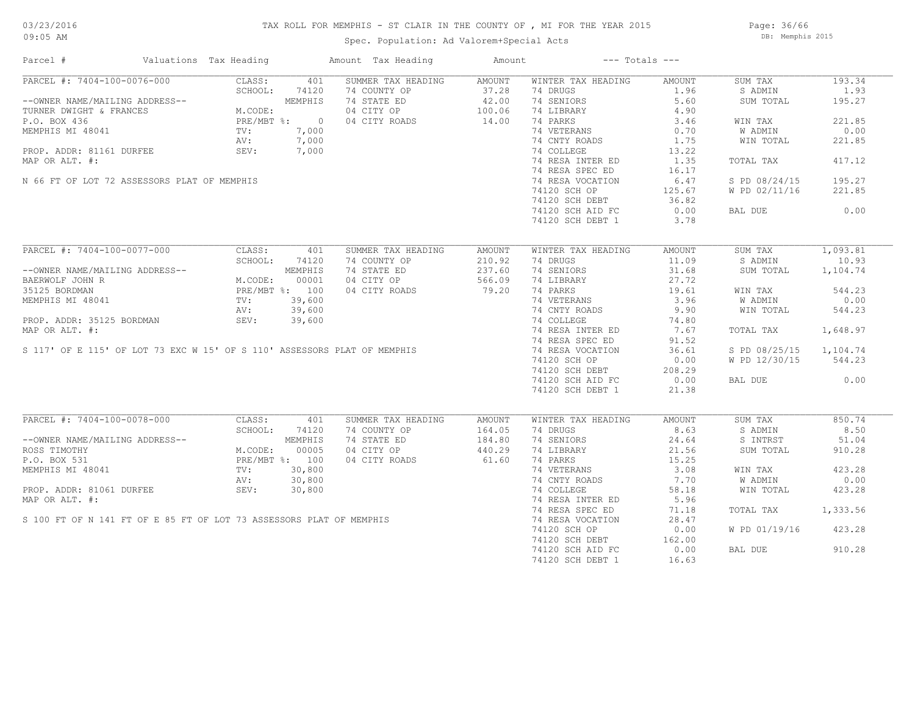#### TAX ROLL FOR MEMPHIS - ST CLAIR IN THE COUNTY OF , MI FOR THE YEAR 2015

Spec. Population: Ad Valorem+Special Acts

Page: 36/66 DB: Memphis 2015

| Parcel #                                                                                                                                                                                                                                           | Valuations Tax Heading |         |       | Amount Tax Heading                                                          | Amount             |                                    | $---$ Totals $---$ |               |          |
|----------------------------------------------------------------------------------------------------------------------------------------------------------------------------------------------------------------------------------------------------|------------------------|---------|-------|-----------------------------------------------------------------------------|--------------------|------------------------------------|--------------------|---------------|----------|
| PARCEL #: 7404-100-0076-000 CLASS: 401<br>-OWNER NAME/MAILING ADDRESS--<br>TURNER DWIGHT & FRANCES<br>P.O. BOX 436<br>MEMPHIS MI 48041 TV: 7,000<br>PRE/MBT %: 7,000<br>PRE. 10<br>NEMPHIS MI 48041 TV: 7,000                                      |                        |         |       | SUMMER TAX HEADING                                                          | AMOUNT             | WINTER TAX HEADING                 | AMOUNT             | SUM TAX       | 193.34   |
|                                                                                                                                                                                                                                                    |                        |         |       | 74 COUNTY OP                                                                |                    | 74 DRUGS                           | 1.96               | S ADMIN       | 1.93     |
|                                                                                                                                                                                                                                                    |                        |         |       | 74 STATE ED                                                                 | $37.28$<br>$42.00$ | 74 SENIORS                         | 5.60               | SUM TOTAL     | 195.27   |
|                                                                                                                                                                                                                                                    |                        |         |       | 04 CITY OP<br>04 CITY OP<br>04 CITY ROADS 14.00                             |                    | 74 LIBRARY                         | 4.90               |               |          |
|                                                                                                                                                                                                                                                    |                        |         |       |                                                                             |                    | 74 PARKS                           | 3.46               | WIN TAX       | 221.85   |
|                                                                                                                                                                                                                                                    |                        |         |       |                                                                             |                    | 74 VETERANS                        | 0.70               | W ADMIN       | 0.00     |
|                                                                                                                                                                                                                                                    |                        |         |       |                                                                             |                    | 74 CNTY ROADS                      | 1.75               | WIN TOTAL     | 221.85   |
| PROP. ADDR: 81161 DURFEE SEV:                                                                                                                                                                                                                      |                        |         | 7,000 |                                                                             |                    | 74 COLLEGE                         | 13.22              |               |          |
| MAP OR ALT. #:                                                                                                                                                                                                                                     |                        |         |       |                                                                             |                    | 74 RESA INTER ED                   | 1.35               | TOTAL TAX     | 417.12   |
|                                                                                                                                                                                                                                                    |                        |         |       |                                                                             |                    | 74 RESA SPEC ED                    | 16.17              |               |          |
| N 66 FT OF LOT 72 ASSESSORS PLAT OF MEMPHIS                                                                                                                                                                                                        |                        |         |       |                                                                             |                    | 74 RESA VOCATION                   | 6.47               | S PD 08/24/15 | 195.27   |
|                                                                                                                                                                                                                                                    |                        |         |       |                                                                             |                    | 74120 SCH OP                       | 125.67             | W PD 02/11/16 | 221.85   |
|                                                                                                                                                                                                                                                    |                        |         |       | $7,000$<br>$7,000$<br>$7,000$                                               |                    | 74120 SCH DEBT 36.82               |                    |               |          |
|                                                                                                                                                                                                                                                    |                        |         |       |                                                                             |                    |                                    |                    |               |          |
|                                                                                                                                                                                                                                                    |                        |         |       |                                                                             |                    | 74120 SCH AID FC                   | 0.00               | BAL DUE       | 0.00     |
|                                                                                                                                                                                                                                                    |                        |         |       |                                                                             |                    | 74120 SCH DEBT 1                   | 3.78               |               |          |
| PARCEL #: 7404-100-0077-000                                                                                                                                                                                                                        |                        | CLASS:  | 401   | SUMMER TAX HEADING                                                          | AMOUNT             | WINTER TAX HEADING                 | AMOUNT             | SUM TAX       | 1,093.81 |
|                                                                                                                                                                                                                                                    |                        | SCHOOL: | 74120 | 74 COUNTY OP                                                                | 210.92             | 74 DRUGS                           | 11.09              | S ADMIN       | 10.93    |
| --OWNER NAME/MAILING ADDRESS--<br>BAERWOLF JOHN R<br>35125 BORDMAN PRE/MBT %: 100<br>MEMPHIS MI 48041 PRE/MBT %: 100<br>MEMPHIS MI 48041 TV: 39,600<br>AV: 39,600                                                                                  |                        |         |       | 74 STATE ED                                                                 | 237.60             | 74 SENIORS                         | 31.68              | SUM TOTAL     | 1,104.74 |
|                                                                                                                                                                                                                                                    |                        |         |       | 04 CITY OP                                                                  | 566.09             | 74 LIBRARY                         | 27.72              |               |          |
|                                                                                                                                                                                                                                                    |                        |         |       |                                                                             | 566.09<br>79.20    |                                    |                    |               |          |
|                                                                                                                                                                                                                                                    |                        |         |       | 04 CITY ROADS                                                               |                    | 74 PARKS                           | 19.61              | WIN TAX       | 544.23   |
|                                                                                                                                                                                                                                                    |                        |         |       |                                                                             |                    | 74 VETERANS<br>74 CNTY ROADS       | 3.96               | W ADMIN       | 0.00     |
| MEMPHIS MI 48041<br>PROP. ADDR: 35125 BORDMAN<br>MAP OR ALT. #:<br>SEV: 39,600<br>MAP OR ALT. #:<br>SI17' OF E 115' OF LOT 73 EXC W 15' OF S 110' ASSESSORS PLAT OF MEMPHIS<br>T4 RESA INTER ED<br>74 RESA INTER ED<br>74 RESA VOCATION<br>74 RE   |                        |         |       |                                                                             |                    |                                    | 9.90               | WIN TOTAL     | 544.23   |
|                                                                                                                                                                                                                                                    |                        |         |       |                                                                             |                    |                                    | 74.80              |               |          |
|                                                                                                                                                                                                                                                    |                        |         |       |                                                                             |                    | 74 RESA INTER ED 7.67              |                    | TOTAL TAX     | 1,648.97 |
|                                                                                                                                                                                                                                                    |                        |         |       |                                                                             |                    |                                    | 91.52              |               |          |
|                                                                                                                                                                                                                                                    |                        |         |       |                                                                             |                    |                                    | 36.61              | S PD 08/25/15 | 1,104.74 |
|                                                                                                                                                                                                                                                    |                        |         |       |                                                                             |                    | 74120 SCH OP                       | 0.00               | W PD 12/30/15 | 544.23   |
|                                                                                                                                                                                                                                                    |                        |         |       |                                                                             |                    | 74120 SCH DEBT<br>74120 SCH AID FC | 208.29             |               |          |
|                                                                                                                                                                                                                                                    |                        |         |       |                                                                             |                    | 74120 SCH AID FC                   | 0.00               | BAL DUE       | 0.00     |
|                                                                                                                                                                                                                                                    |                        |         |       |                                                                             |                    | 74120 SCH DEBT 1                   | 21.38              |               |          |
|                                                                                                                                                                                                                                                    |                        |         |       |                                                                             |                    |                                    |                    |               |          |
| PARCEL #: 7404-100-0078-000                                                                                                                                                                                                                        |                        | CLASS:  | 401   | SUMMER TAX HEADING                                                          | AMOUNT             | WINTER TAX HEADING                 | AMOUNT             | SUM TAX       | 850.74   |
|                                                                                                                                                                                                                                                    |                        | SCHOOL: | 74120 | 74 COUNTY OP<br>74 COUNTY OP - 3<br>74 STATE ED 184.80<br>24 STEV OP 440.29 |                    | 74 DRUGS                           | 8.63               | S ADMIN       | 8.50     |
|                                                                                                                                                                                                                                                    |                        |         |       |                                                                             |                    | 74 SENIORS                         | 24.64              | S INTRST      | 51.04    |
| --OWNER NAME/MAILING ADDRESS--<br>ROSS TIMOTHY<br>P.O. BOX 531<br>MEMPHIS MI 48041<br>MEMPHIS MI 48041<br>PROP. ADDR: 81061 DURFEE<br>PROP. ADDR: 81061 DURFEE<br>SEV: 30,800<br>PROP. ADDR: 81061 DURFEE<br>SEV: 30,800<br>PROP. ADDR: 81061 DURF |                        |         |       |                                                                             |                    | 74 LIBRARY                         | 21.56              | SUM TOTAL     | 910.28   |
|                                                                                                                                                                                                                                                    |                        |         |       | 04 CITY ROADS                                                               | 61.60              | 74 PARKS                           | 15.25              |               |          |
|                                                                                                                                                                                                                                                    |                        |         |       |                                                                             |                    | 74 VETERANS                        | 3.08               | WIN TAX       | 423.28   |
|                                                                                                                                                                                                                                                    |                        |         |       |                                                                             |                    | 74 CNTY ROADS                      | 7.70               | W ADMIN       | 0.00     |
|                                                                                                                                                                                                                                                    |                        |         |       |                                                                             |                    | 74 COLLEGE                         | 58.18              | WIN TOTAL     | 423.28   |
|                                                                                                                                                                                                                                                    |                        |         |       |                                                                             |                    | 74 RESA INTER ED                   | 5.96               |               |          |
| MEMPHIS MI 48041<br>PROP. ADDR: 81061 DURFEE<br>MAP OR ALT. #:<br>S 100 FT OF N 141 FT OF E 85 FT OF LOT 73 ASSESSORS PLAT OF MEMPHIS                                                                                                              |                        |         |       |                                                                             |                    | 74 RESA SPEC ED                    | 71.18              | TOTAL TAX     | 1,333.56 |
|                                                                                                                                                                                                                                                    |                        |         |       |                                                                             |                    | 74 RESA VOCATION                   | 28.47              |               |          |
|                                                                                                                                                                                                                                                    |                        |         |       |                                                                             |                    | 74120 SCH OP                       | 0.00               | W PD 01/19/16 | 423.28   |
|                                                                                                                                                                                                                                                    |                        |         |       |                                                                             |                    | $74120$ SCH DEBT                   | 162.00             |               |          |
|                                                                                                                                                                                                                                                    |                        |         |       |                                                                             |                    | 74120 SCH AID FC                   | 0.00               | BAL DUE       | 910.28   |
|                                                                                                                                                                                                                                                    |                        |         |       |                                                                             |                    | 74120 SCH DEBT 1                   | 16.63              |               |          |
|                                                                                                                                                                                                                                                    |                        |         |       |                                                                             |                    |                                    |                    |               |          |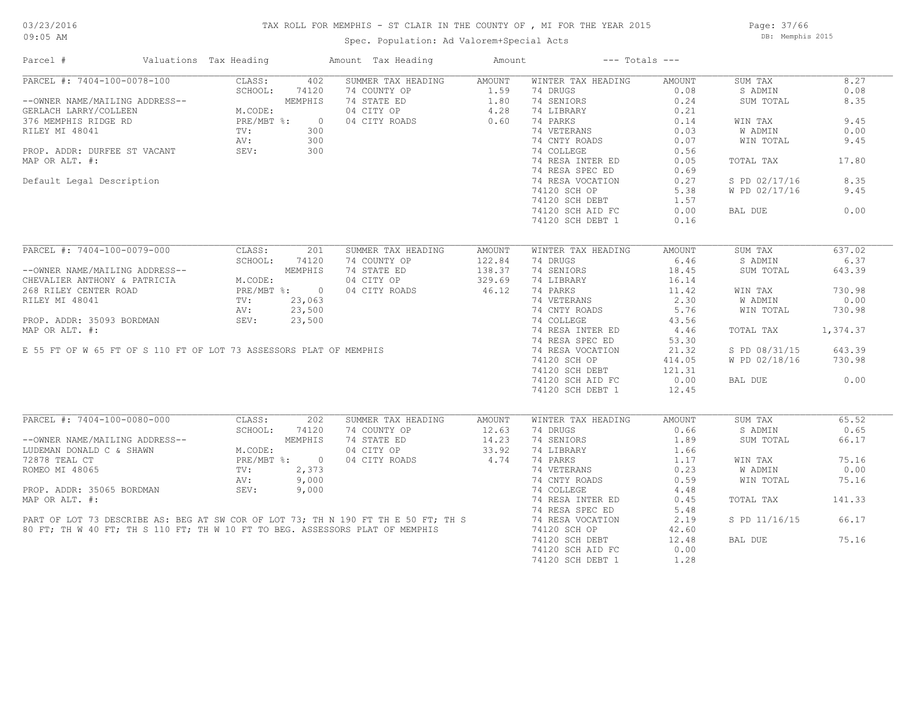### TAX ROLL FOR MEMPHIS - ST CLAIR IN THE COUNTY OF , MI FOR THE YEAR 2015

Spec. Population: Ad Valorem+Special Acts

Page: 37/66 DB: Memphis 2015

| Parcel #                                                           | Valuations Tax Heading |                                                 |                | Amount Tax Heading                                                                | Amount |                    | $---$ Totals $---$ |               |          |
|--------------------------------------------------------------------|------------------------|-------------------------------------------------|----------------|-----------------------------------------------------------------------------------|--------|--------------------|--------------------|---------------|----------|
| PARCEL #: 7404-100-0078-100                                        |                        | CLASS:                                          | 402            | SUMMER TAX HEADING                                                                | AMOUNT | WINTER TAX HEADING | AMOUNT             | SUM TAX       | 8.27     |
|                                                                    |                        | SCHOOL:                                         | 74120          | 74 COUNTY OP                                                                      | 1.59   | 74 DRUGS           | 0.08               | S ADMIN       | 0.08     |
| --OWNER NAME/MAILING ADDRESS--                                     |                        |                                                 | MEMPHIS        | 74 STATE ED                                                                       | 1.80   | 74 SENIORS         | 0.24               | SUM TOTAL     | 8.35     |
| GERLACH LARRY/COLLEEN                                              |                        | M.CODE:                                         |                | 04 CITY OP                                                                        | 4.28   | 74 LIBRARY         | 0.21               |               |          |
| 376 MEMPHIS RIDGE RD                                               |                        | $PRE/MBT$ %:                                    | $\overline{0}$ | 04 CITY ROADS                                                                     | 0.60   | 74 PARKS           | 0.14               | WIN TAX       | 9.45     |
| RILEY MI 48041                                                     |                        | TV:                                             | 300            |                                                                                   |        | 74 VETERANS        | 0.03               | W ADMIN       | 0.00     |
|                                                                    |                        | AV:                                             | 300            |                                                                                   |        | 74 CNTY ROADS      | 0.07               | WIN TOTAL     | 9.45     |
| PROP. ADDR: DURFEE ST VACANT                                       |                        | SEV:                                            | 300            |                                                                                   |        | 74 COLLEGE         | 0.56               |               |          |
| MAP OR ALT. #:                                                     |                        |                                                 |                |                                                                                   |        | 74 RESA INTER ED   | 0.05               | TOTAL TAX     | 17.80    |
|                                                                    |                        |                                                 |                |                                                                                   |        |                    |                    |               |          |
|                                                                    |                        |                                                 |                |                                                                                   |        | 74 RESA SPEC ED    | 0.69               |               |          |
| Default Legal Description                                          |                        |                                                 |                |                                                                                   |        | 74 RESA VOCATION   | 0.27               | S PD 02/17/16 | 8.35     |
|                                                                    |                        |                                                 |                |                                                                                   |        | 74120 SCH OP       | 5.38               | W PD 02/17/16 | 9.45     |
|                                                                    |                        |                                                 |                |                                                                                   |        | 74120 SCH DEBT     | 1.57               |               |          |
|                                                                    |                        |                                                 |                |                                                                                   |        | 74120 SCH AID FC   | 0.00               | BAL DUE       | 0.00     |
|                                                                    |                        |                                                 |                |                                                                                   |        | 74120 SCH DEBT 1   | 0.16               |               |          |
|                                                                    |                        |                                                 |                |                                                                                   |        |                    |                    |               |          |
| PARCEL #: 7404-100-0079-000                                        |                        | CLASS:                                          | 201            | SUMMER TAX HEADING                                                                | AMOUNT | WINTER TAX HEADING | AMOUNT             | SUM TAX       | 637.02   |
|                                                                    |                        | SCHOOL:                                         | 74120          | 74 COUNTY OP                                                                      | 122.84 | 74 DRUGS           | 6.46               | S ADMIN       | 6.37     |
| --OWNER NAME/MAILING ADDRESS--                                     |                        | M.CODE:<br>PRE/MBT %: 0<br>TV: 23,063<br>23,500 | MEMPHIS        | 74 STATE ED                                                                       | 138.37 | 74 SENIORS         | 18.45              | SUM TOTAL     | 643.39   |
| CHEVALIER ANTHONY & PATRICIA                                       |                        |                                                 |                | 04 CITY OP                                                                        | 329.69 | 74 LIBRARY         | 16.14              |               |          |
| 268 RILEY CENTER ROAD                                              |                        |                                                 |                | 04 CITY ROADS                                                                     | 46.12  | 74 PARKS           | 11.42              | WIN TAX       | 730.98   |
| RILEY MI 48041                                                     |                        |                                                 |                |                                                                                   |        | 74 VETERANS        | 2.30               | W ADMIN       | 0.00     |
|                                                                    |                        |                                                 |                |                                                                                   |        | 74 CNTY ROADS      | 5.76               | WIN TOTAL     | 730.98   |
| PROP. ADDR: 35093 BORDMAN                                          |                        | SEV:                                            |                |                                                                                   |        | 74 COLLEGE         |                    |               |          |
|                                                                    |                        |                                                 | 23,500         |                                                                                   |        |                    | 43.56              |               |          |
| MAP OR ALT. #:                                                     |                        |                                                 |                |                                                                                   |        | 74 RESA INTER ED   | 4.46               | TOTAL TAX     | 1,374.37 |
|                                                                    |                        |                                                 |                |                                                                                   |        | 74 RESA SPEC ED    | 53.30              |               |          |
| E 55 FT OF W 65 FT OF S 110 FT OF LOT 73 ASSESSORS PLAT OF MEMPHIS |                        |                                                 |                |                                                                                   |        | 74 RESA VOCATION   | 21.32              | S PD 08/31/15 | 643.39   |
|                                                                    |                        |                                                 |                |                                                                                   |        | 74120 SCH OP       | 414.05             | W PD 02/18/16 | 730.98   |
|                                                                    |                        |                                                 |                |                                                                                   |        | 74120 SCH DEBT     | 121.31             |               |          |
|                                                                    |                        |                                                 |                |                                                                                   |        | 74120 SCH AID FC   | 0.00               | BAL DUE       | 0.00     |
|                                                                    |                        |                                                 |                |                                                                                   |        | 74120 SCH DEBT 1   | 12.45              |               |          |
|                                                                    |                        |                                                 |                |                                                                                   |        |                    |                    |               |          |
| PARCEL #: 7404-100-0080-000                                        |                        | CLASS:                                          | 202            | SUMMER TAX HEADING                                                                | AMOUNT | WINTER TAX HEADING | AMOUNT             | SUM TAX       | 65.52    |
|                                                                    |                        | SCHOOL:                                         | 74120          | 74 COUNTY OP                                                                      | 12.63  | 74 DRUGS           | 0.66               | S ADMIN       | 0.65     |
| --OWNER NAME/MAILING ADDRESS--                                     |                        |                                                 | MEMPHIS        | 74 STATE ED                                                                       | 14.23  | 74 SENIORS         | 1.89               | SUM TOTAL     | 66.17    |
| LUDEMAN DONALD C & SHAWN                                           |                        | M.CODE:<br>PRE/MBT %: 0<br>2.373                |                | 04 CITY OP                                                                        | 33.92  | 74 LIBRARY         | 1.66               |               |          |
| 72878 TEAL CT                                                      |                        |                                                 |                | 04 CITY ROADS                                                                     | 4.74   | 74 PARKS           | 1.17               | WIN TAX       | 75.16    |
| ROMEO MI 48065                                                     |                        | TV:                                             | 2,373          |                                                                                   |        | 74 VETERANS        | 0.23               | W ADMIN       | 0.00     |
|                                                                    |                        | AV:                                             | 9,000          |                                                                                   |        | 74 CNTY ROADS      | 0.59               | WIN TOTAL     | 75.16    |
| PROP. ADDR: 35065 BORDMAN                                          |                        | SEV:                                            | 9,000          |                                                                                   |        | 74 COLLEGE         | 4.48               |               |          |
| MAP OR ALT. #:                                                     |                        |                                                 |                |                                                                                   |        | 74 RESA INTER ED   | 0.45               | TOTAL TAX     | 141.33   |
|                                                                    |                        |                                                 |                |                                                                                   |        | 74 RESA SPEC ED    | 5.48               |               |          |
|                                                                    |                        |                                                 |                |                                                                                   |        |                    |                    |               |          |
|                                                                    |                        |                                                 |                | PART OF LOT 73 DESCRIBE AS: BEG AT SW COR OF LOT 73; TH N 190 FT TH E 50 FT; TH S |        | 74 RESA VOCATION   | 2.19               | S PD 11/16/15 | 66.17    |
|                                                                    |                        |                                                 |                | 80 FT; TH W 40 FT; TH S 110 FT; TH W 10 FT TO BEG. ASSESSORS PLAT OF MEMPHIS      |        | 74120 SCH OP       | 42.60              |               |          |
|                                                                    |                        |                                                 |                |                                                                                   |        | 74120 SCH DEBT     | 12.48              | BAL DUE       | 75.16    |
|                                                                    |                        |                                                 |                |                                                                                   |        | 74120 SCH AID FC   | 0.00               |               |          |
|                                                                    |                        |                                                 |                |                                                                                   |        | 74120 SCH DEBT 1   | 1.28               |               |          |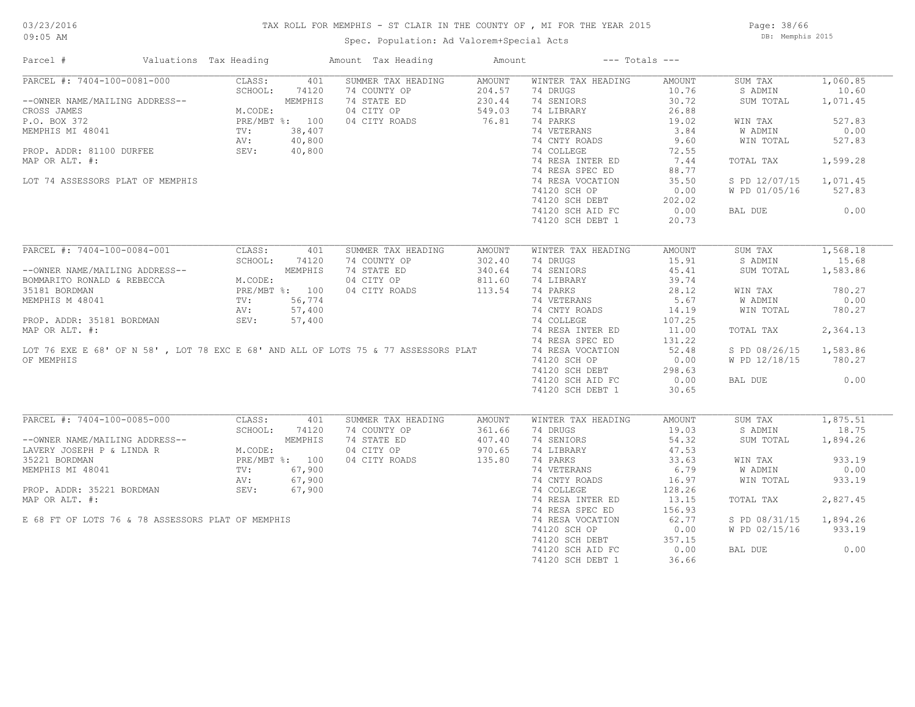#### TAX ROLL FOR MEMPHIS - ST CLAIR IN THE COUNTY OF , MI FOR THE YEAR 2015

Spec. Population: Ad Valorem+Special Acts

Page: 38/66 DB: Memphis 2015

| Parcel #                                                                                            | Valuations Tax Heading                  |                | Amount Tax Heading | Amount |                    | $---$ Totals $---$ |               |          |
|-----------------------------------------------------------------------------------------------------|-----------------------------------------|----------------|--------------------|--------|--------------------|--------------------|---------------|----------|
| PARCEL #: 7404-100-0081-000                                                                         | CLASS:                                  | 401            | SUMMER TAX HEADING | AMOUNT | WINTER TAX HEADING | AMOUNT             | SUM TAX       | 1,060.85 |
|                                                                                                     | SCHOOL:                                 | 74120          | 74 COUNTY OP       | 204.57 | 74 DRUGS           | 10.76              | S ADMIN       | 10.60    |
| --OWNER NAME/MAILING ADDRESS--                                                                      |                                         | MEMPHIS        | 74 STATE ED        | 230.44 | 74 SENIORS         | 30.72              | SUM TOTAL     | 1,071.45 |
| CROSS JAMES                                                                                         | M.CODE:                                 |                | 04 CITY OP         | 549.03 | 74 LIBRARY         | 26.88              |               |          |
| P.O. BOX 372                                                                                        |                                         | PRE/MBT %: 100 | 04 CITY ROADS      | 76.81  | 74 PARKS           | 19.02              | WIN TAX       | 527.83   |
| MEMPHIS MI 48041                                                                                    | TV:                                     | 38,407         |                    |        | 74 VETERANS        | 3.84               | W ADMIN       | 0.00     |
|                                                                                                     | AV:                                     | 40,800         |                    |        | 74 CNTY ROADS      | 9.60               | WIN TOTAL     | 527.83   |
| PROP. ADDR: 81100 DURFEE                                                                            | SEV:                                    | 40,800         |                    |        | 74 COLLEGE         | 72.55              |               |          |
| MAP OR ALT. #:                                                                                      |                                         |                |                    |        | 74 RESA INTER ED   | 7.44               | TOTAL TAX     | 1,599.28 |
|                                                                                                     |                                         |                |                    |        | 74 RESA SPEC ED    | 88.77              |               |          |
| LOT 74 ASSESSORS PLAT OF MEMPHIS                                                                    |                                         |                |                    |        | 74 RESA VOCATION   | 35.50              | S PD 12/07/15 | 1,071.45 |
|                                                                                                     |                                         |                |                    |        | 74120 SCH OP       | 0.00               | W PD 01/05/16 | 527.83   |
|                                                                                                     |                                         |                |                    |        |                    |                    |               |          |
|                                                                                                     |                                         |                |                    |        | 74120 SCH DEBT     | 202.02             |               |          |
|                                                                                                     |                                         |                |                    |        | 74120 SCH AID FC   | 0.00               | BAL DUE       | 0.00     |
|                                                                                                     |                                         |                |                    |        | 74120 SCH DEBT 1   | 20.73              |               |          |
| PARCEL #: 7404-100-0084-001                                                                         | CLASS:                                  | 401            | SUMMER TAX HEADING | AMOUNT | WINTER TAX HEADING | AMOUNT             | SUM TAX       | 1,568.18 |
|                                                                                                     | SCHOOL:                                 | 74120          | 74 COUNTY OP       | 302.40 | 74 DRUGS           | 15.91              | S ADMIN       | 15.68    |
|                                                                                                     |                                         |                |                    |        |                    |                    |               |          |
| --OWNER NAME/MAILING ADDRESS--                                                                      |                                         | MEMPHIS        | 74 STATE ED        | 340.64 | 74 SENIORS         | 45.41              | SUM TOTAL     | 1,583.86 |
| BOMMARITO RONALD & REBECCA                                                                          | M.CODE:<br>PRE/MBT %: 100<br>TV: 56,774 |                | 04 CITY OP         | 811.60 | 74 LIBRARY         | 39.74              |               |          |
| 35181 BORDMAN                                                                                       |                                         |                | 04 CITY ROADS      | 113.54 | 74 PARKS           | 28.12              | WIN TAX       | 780.27   |
| MEMPHIS M 48041                                                                                     |                                         |                |                    |        | 74 VETERANS        | 5.67               | W ADMIN       | 0.00     |
|                                                                                                     | AV:                                     | 57,400         |                    |        | 74 CNTY ROADS      | 14.19              | WIN TOTAL     | 780.27   |
| PROP. ADDR: 35181 BORDMAN                                                                           | SEV:                                    | 57,400         |                    |        | 74 COLLEGE         | 107.25             |               |          |
| MAP OR ALT. #:                                                                                      |                                         |                |                    |        | 74 RESA INTER ED   | 11.00              | TOTAL TAX     | 2,364.13 |
|                                                                                                     |                                         |                |                    |        | 74 RESA SPEC ED    | 131.22             |               |          |
| LOT 76 EXE E 68' OF N 58' , LOT 78 EXC E 68' AND ALL OF LOTS 75 & 77 ASSESSORS PLAT                 |                                         |                |                    |        | 74 RESA VOCATION   | 52.48              | S PD 08/26/15 | 1,583.86 |
| OF MEMPHIS                                                                                          |                                         |                |                    |        | 74120 SCH OP       | 0.00               | W PD 12/18/15 | 780.27   |
|                                                                                                     |                                         |                |                    |        | 74120 SCH DEBT     | 298.63             |               |          |
|                                                                                                     |                                         |                |                    |        | 74120 SCH AID FC   | 0.00               | BAL DUE       | 0.00     |
|                                                                                                     |                                         |                |                    |        | 74120 SCH DEBT 1   | 30.65              |               |          |
|                                                                                                     |                                         |                |                    |        |                    |                    |               |          |
| PARCEL #: 7404-100-0085-000                                                                         | CLASS:                                  | 401            | SUMMER TAX HEADING | AMOUNT | WINTER TAX HEADING | AMOUNT             | SUM TAX       | 1,875.51 |
|                                                                                                     | SCHOOL:                                 | 74120          | 74 COUNTY OP       | 361.66 | 74 DRUGS           | 19.03              | S ADMIN       | 18.75    |
|                                                                                                     |                                         |                | 74 STATE ED        | 407.40 | 74 SENIORS         | 54.32              | SUM TOTAL     | 1,894.26 |
| --OWNER NAME/MAILING ADDRESS--<br>LAVERY JOSEPH P & LINDA R M.CODE:<br>35221 BORDMAN PRE/MBT %: 100 |                                         |                | 04 CITY OP         | 970.65 | 74 LIBRARY         | 47.53              |               |          |
|                                                                                                     |                                         |                | 04 CITY ROADS      | 135.80 | 74 PARKS           | 33.63              | WIN TAX       | 933.19   |
| MEMPHIS MI 48041                                                                                    | TV:                                     | 67,900         |                    |        | 74 VETERANS        | 6.79               | W ADMIN       | 0.00     |
|                                                                                                     | AV:                                     | 67,900         |                    |        | 74 CNTY ROADS      | 16.97              | WIN TOTAL     | 933.19   |
| PROP. ADDR: 35221 BORDMAN                                                                           | SEV:                                    | 67,900         |                    |        | 74 COLLEGE         | 128.26             |               |          |
|                                                                                                     |                                         |                |                    |        |                    |                    |               |          |
| MAP OR ALT. #:                                                                                      |                                         |                |                    |        | 74 RESA INTER ED   | 13.15              | TOTAL TAX     | 2,827.45 |
|                                                                                                     |                                         |                |                    |        | 74 RESA SPEC ED    | 156.93             |               |          |
| E 68 FT OF LOTS 76 & 78 ASSESSORS PLAT OF MEMPHIS                                                   |                                         |                |                    |        | 74 RESA VOCATION   | 62.77              | S PD 08/31/15 | 1,894.26 |
|                                                                                                     |                                         |                |                    |        | 74120 SCH OP       | 0.00               | W PD 02/15/16 | 933.19   |
|                                                                                                     |                                         |                |                    |        | 74120 SCH DEBT     | 357.15             |               |          |
|                                                                                                     |                                         |                |                    |        | 74120 SCH AID FC   | 0.00               | BAL DUE       | 0.00     |
|                                                                                                     |                                         |                |                    |        | 74120 SCH DEBT 1   | 36.66              |               |          |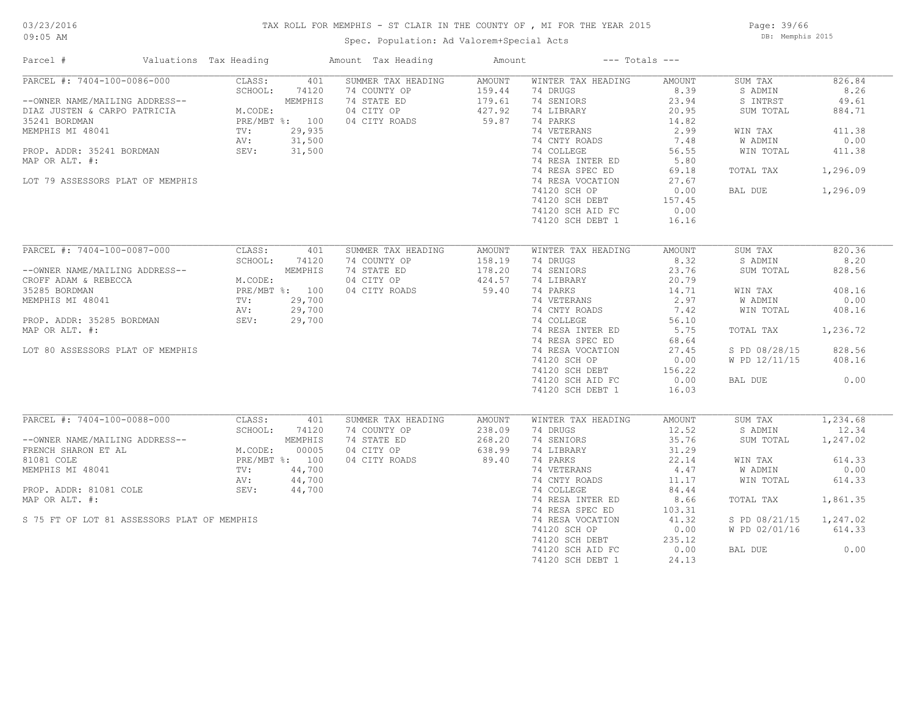#### TAX ROLL FOR MEMPHIS - ST CLAIR IN THE COUNTY OF , MI FOR THE YEAR 2015

Spec. Population: Ad Valorem+Special Acts

Page: 39/66 DB: Memphis 2015

| Parcel #                                                                                                                                                                                                              | Valuations Tax Heading                             |                                                                         | Amount Tax Heading                                                               | Amount                                        |                                                                                                                                                                                                                                                           | $---$ Totals $---$                                                                                                              |                                                                                                        |                                                                                       |
|-----------------------------------------------------------------------------------------------------------------------------------------------------------------------------------------------------------------------|----------------------------------------------------|-------------------------------------------------------------------------|----------------------------------------------------------------------------------|-----------------------------------------------|-----------------------------------------------------------------------------------------------------------------------------------------------------------------------------------------------------------------------------------------------------------|---------------------------------------------------------------------------------------------------------------------------------|--------------------------------------------------------------------------------------------------------|---------------------------------------------------------------------------------------|
| PARCEL #: 7404-100-0086-000<br>--OWNER NAME/MAILING ADDRESS--<br>DIAZ JUSTEN & CARPO PATRICIA<br>35241 BORDMAN<br>MEMPHIS MI 48041<br>PROP. ADDR: 35241 BORDMAN<br>MAP OR ALT. #:<br>LOT 79 ASSESSORS PLAT OF MEMPHIS | CLASS:<br>SCHOOL:<br>M.CODE:<br>TV:<br>AV:<br>SEV: | 401<br>74120<br>MEMPHIS<br>PRE/MBT %: 100<br>29,935<br>31,500<br>31,500 | SUMMER TAX HEADING<br>74 COUNTY OP<br>74 STATE ED<br>04 CITY OP<br>04 CITY ROADS | AMOUNT<br>159.44<br>179.61<br>427.92<br>59.87 | WINTER TAX HEADING<br>74 DRUGS<br>74 SENIORS<br>74 LIBRARY<br>74 PARKS<br>74 VETERANS<br>74 CNTY ROADS<br>74 COLLEGE<br>74 RESA INTER ED<br>74 RESA SPEC ED<br>74 RESA VOCATION<br>74120 SCH OP<br>74120 SCH DEBT<br>74120 SCH AID FC<br>74120 SCH DEBT 1 | AMOUNT<br>8.39<br>23.94<br>20.95<br>14.82<br>2.99<br>7.48<br>56.55<br>5.80<br>69.18<br>27.67<br>0.00<br>157.45<br>0.00<br>16.16 | SUM TAX<br>S ADMIN<br>S INTRST<br>SUM TOTAL<br>WIN TAX<br>W ADMIN<br>WIN TOTAL<br>TOTAL TAX<br>BAL DUE | 826.84<br>8.26<br>49.61<br>884.71<br>411.38<br>0.00<br>411.38<br>1,296.09<br>1,296.09 |
| PARCEL #: 7404-100-0087-000<br>--OWNER NAME/MAILING ADDRESS--                                                                                                                                                         | CLASS:<br>SCHOOL:                                  | 401<br>74120<br>MEMPHIS                                                 | SUMMER TAX HEADING<br>74 COUNTY OP<br>74 STATE ED                                | AMOUNT<br>158.19<br>178.20                    | WINTER TAX HEADING<br>74 DRUGS<br>74 SENIORS                                                                                                                                                                                                              | AMOUNT<br>8.32<br>23.76                                                                                                         | SUM TAX<br>S ADMIN<br>SUM TOTAL                                                                        | 820.36<br>8.20<br>828.56                                                              |
| CROFF ADAM & REBECCA<br>35285 BORDMAN<br>MEMPHIS MI 48041                                                                                                                                                             | M.CODE:<br>TV:                                     | PRE/MBT %: 100<br>29,700                                                | 04 CITY OP<br>04 CITY ROADS                                                      | 424.57<br>59.40                               | 74 LIBRARY<br>74 PARKS<br>74 VETERANS                                                                                                                                                                                                                     | 20.79<br>14.71<br>2.97                                                                                                          | WIN TAX<br>W ADMIN                                                                                     | 408.16<br>0.00                                                                        |
| PROP. ADDR: 35285 BORDMAN<br>MAP OR ALT. #:                                                                                                                                                                           | AV:<br>SEV:                                        | 29,700<br>29,700                                                        |                                                                                  |                                               | 74 CNTY ROADS<br>74 COLLEGE<br>74 RESA INTER ED                                                                                                                                                                                                           | 7.42<br>56.10<br>5.75                                                                                                           | WIN TOTAL<br>TOTAL TAX                                                                                 | 408.16<br>1,236.72                                                                    |
| LOT 80 ASSESSORS PLAT OF MEMPHIS                                                                                                                                                                                      |                                                    |                                                                         |                                                                                  |                                               | 74 RESA SPEC ED<br>74 RESA VOCATION                                                                                                                                                                                                                       | 68.64<br>27.45                                                                                                                  | S PD 08/28/15                                                                                          | 828.56                                                                                |
|                                                                                                                                                                                                                       |                                                    |                                                                         |                                                                                  |                                               | 74120 SCH OP<br>74120 SCH DEBT                                                                                                                                                                                                                            | 0.00<br>156.22                                                                                                                  | W PD 12/11/15                                                                                          | 408.16                                                                                |
|                                                                                                                                                                                                                       |                                                    |                                                                         |                                                                                  |                                               | 74120 SCH AID FC<br>74120 SCH DEBT 1                                                                                                                                                                                                                      | 0.00<br>16.03                                                                                                                   | BAL DUE                                                                                                | 0.00                                                                                  |
| PARCEL #: 7404-100-0088-000                                                                                                                                                                                           | CLASS:                                             | 401                                                                     | SUMMER TAX HEADING                                                               | AMOUNT                                        | WINTER TAX HEADING                                                                                                                                                                                                                                        | AMOUNT                                                                                                                          | SUM TAX                                                                                                | 1,234.68<br>12.34                                                                     |
| --OWNER NAME/MAILING ADDRESS--<br>FRENCH SHARON ET AL                                                                                                                                                                 | SCHOOL:<br>M.CODE:                                 | 74120<br>MEMPHIS<br>00005                                               | 74 COUNTY OP<br>74 STATE ED<br>04 CITY OP                                        | 238.09<br>268.20<br>638.99                    | 74 DRUGS<br>74 SENIORS<br>74 LIBRARY                                                                                                                                                                                                                      | 12.52<br>35.76<br>31.29                                                                                                         | S ADMIN<br>SUM TOTAL                                                                                   | 1,247.02                                                                              |
| 81081 COLE                                                                                                                                                                                                            |                                                    | PRE/MBT %: 100                                                          | 04 CITY ROADS                                                                    | 89.40                                         | 74 PARKS                                                                                                                                                                                                                                                  | 22.14                                                                                                                           | WIN TAX                                                                                                | 614.33                                                                                |
| MEMPHIS MI 48041                                                                                                                                                                                                      | TV:                                                | 44,700                                                                  |                                                                                  |                                               | 74 VETERANS                                                                                                                                                                                                                                               | 4.47                                                                                                                            | W ADMIN                                                                                                | 0.00                                                                                  |
| PROP. ADDR: 81081 COLE                                                                                                                                                                                                | AV:<br>SEV:                                        | 44,700<br>44,700                                                        |                                                                                  |                                               | 74 CNTY ROADS<br>74 COLLEGE                                                                                                                                                                                                                               | 11.17<br>84.44                                                                                                                  | WIN TOTAL                                                                                              | 614.33                                                                                |
| MAP OR ALT. #:                                                                                                                                                                                                        |                                                    |                                                                         |                                                                                  |                                               | 74 RESA INTER ED<br>74 RESA SPEC ED                                                                                                                                                                                                                       | 8.66<br>103.31                                                                                                                  | TOTAL TAX                                                                                              | 1,861.35                                                                              |
| S 75 FT OF LOT 81 ASSESSORS PLAT OF MEMPHIS                                                                                                                                                                           |                                                    |                                                                         |                                                                                  |                                               | 74 RESA VOCATION                                                                                                                                                                                                                                          | 41.32                                                                                                                           | S PD 08/21/15                                                                                          | 1,247.02                                                                              |
|                                                                                                                                                                                                                       |                                                    |                                                                         |                                                                                  |                                               | 74120 SCH OP<br>74120 SCH DEBT                                                                                                                                                                                                                            | 0.00<br>235.12                                                                                                                  | W PD 02/01/16                                                                                          | 614.33                                                                                |
|                                                                                                                                                                                                                       |                                                    |                                                                         |                                                                                  |                                               | 74120 SCH AID FC<br>74120 SCH DEBT 1                                                                                                                                                                                                                      | 0.00<br>24.13                                                                                                                   | BAL DUE                                                                                                | 0.00                                                                                  |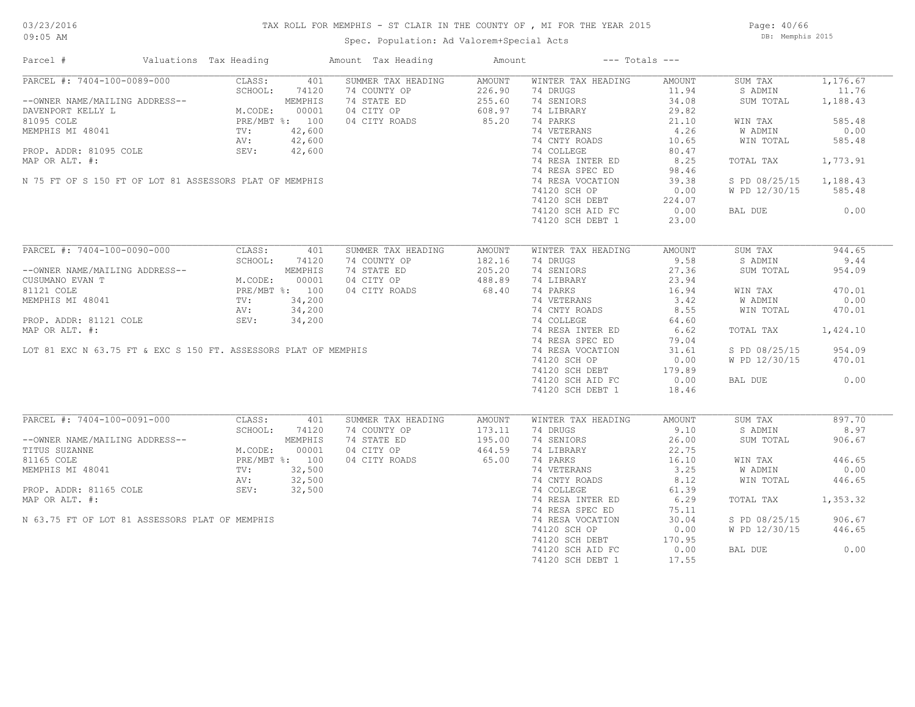Page: 40/66 DB: Memphis 2015

| Parcel #                                                        | Valuations Tax Heading                                                                                                                                                                                                                                                                                                                                                   |                | Amount Tax Heading | Amount          |                                    | $---$ Totals $---$ |               |                    |
|-----------------------------------------------------------------|--------------------------------------------------------------------------------------------------------------------------------------------------------------------------------------------------------------------------------------------------------------------------------------------------------------------------------------------------------------------------|----------------|--------------------|-----------------|------------------------------------|--------------------|---------------|--------------------|
| PARCEL #: 7404-100-0089-000                                     | CLASS:                                                                                                                                                                                                                                                                                                                                                                   | 401            | SUMMER TAX HEADING | AMOUNT          | WINTER TAX HEADING                 | AMOUNT             | SUM TAX       | 1,176.67           |
|                                                                 | SCHOOL:<br>$\begin{tabular}{ll} $\begin{tabular}{lcl} $\mathsf{G}$ \textbf{ADDRESS}--\\ & $\mathsf{M}\texttt{.CODE}:$ & $00001$ \\ & $\mathsf{PRE}/\mathsf{MBT}$ & $\$:$ & $100$ \\ & $\mathsf{P}\mathsf{RE}/\mathsf{MBT}$ & $\$:$ & $100$ \\ & $\mathsf{TV}:$ & $42,600$ \\ & $\mathsf{AV}:$ & $42,600$ \\ & $\mathsf{OPT}:$ & $42,600$ \\ \end{tabular} \end{tabular}$ | 74120          | 74 COUNTY OP       | 226.90          | 74 DRUGS                           | 11.94              | S ADMIN       | 11.76              |
| --OWNER NAME/MAILING ADDRESS--                                  |                                                                                                                                                                                                                                                                                                                                                                          |                | 74 STATE ED        | 255.60          | 74 SENIORS                         | 34.08              | SUM TOTAL     | 1,188.43           |
| DAVENPORT KELLY L                                               |                                                                                                                                                                                                                                                                                                                                                                          |                | 04 CITY OP         | 608.97<br>85.20 | 74 LIBRARY                         | 29.82              |               |                    |
| 81095 COLE                                                      |                                                                                                                                                                                                                                                                                                                                                                          |                | 04 CITY ROADS      |                 | 74 PARKS                           | 21.10              | WIN TAX       | 585.48             |
| MEMPHIS MI 48041                                                |                                                                                                                                                                                                                                                                                                                                                                          |                |                    |                 | 74 VETERANS                        | 4.26               | W ADMIN       | 0.00               |
|                                                                 |                                                                                                                                                                                                                                                                                                                                                                          |                |                    |                 | 74 CNTY ROADS                      | 10.65              | WIN TOTAL     | 585.48             |
| PROP. ADDR: 81095 COLE                                          | SEV:                                                                                                                                                                                                                                                                                                                                                                     | 42,600         |                    |                 | 74 COLLEGE                         | 80.47<br>8.25      |               | 1,773.91           |
| MAP OR ALT. #:                                                  |                                                                                                                                                                                                                                                                                                                                                                          |                |                    |                 | 74 RESA INTER ED                   |                    | TOTAL TAX     |                    |
| N 75 FT OF S 150 FT OF LOT 81 ASSESSORS PLAT OF MEMPHIS         |                                                                                                                                                                                                                                                                                                                                                                          |                |                    |                 | 74 RESA SPEC ED                    | 98.46              |               |                    |
|                                                                 |                                                                                                                                                                                                                                                                                                                                                                          |                |                    |                 | 74 RESA VOCATION                   | 39.38              | S PD 08/25/15 | 1,188.43<br>585.48 |
|                                                                 |                                                                                                                                                                                                                                                                                                                                                                          |                |                    |                 | 74120 SCH OP                       | 0.00<br>224.07     | W PD 12/30/15 |                    |
|                                                                 |                                                                                                                                                                                                                                                                                                                                                                          |                |                    |                 | 74120 SCH DEBT<br>74120 SCH AID FC | 0.00               | BAL DUE       | 0.00               |
|                                                                 |                                                                                                                                                                                                                                                                                                                                                                          |                |                    |                 | 74120 SCH DEBT 1                   | 23.00              |               |                    |
|                                                                 |                                                                                                                                                                                                                                                                                                                                                                          |                |                    |                 |                                    |                    |               |                    |
| PARCEL #: 7404-100-0090-000                                     | CLASS:                                                                                                                                                                                                                                                                                                                                                                   | 401            | SUMMER TAX HEADING | AMOUNT          | WINTER TAX HEADING                 | AMOUNT             | SUM TAX       | 944.65             |
|                                                                 | ADDRESS--<br>M.CODE: 00001<br>PRE/MBT %: 100<br>TV: 34,200<br>AV: 34,200<br>erv: 34,20                                                                                                                                                                                                                                                                                   |                | 74 COUNTY OP       | 182.16          | 74 DRUGS                           | 9.58               | S ADMIN       | 9.44               |
| --OWNER NAME/MAILING ADDRESS--                                  |                                                                                                                                                                                                                                                                                                                                                                          |                | 74 STATE ED        | 205.20          | 74 SENIORS                         | 27.36              | SUM TOTAL     | 954.09             |
| CUSUMANO EVAN T                                                 |                                                                                                                                                                                                                                                                                                                                                                          |                | 04 CITY OP         | 488.89          | 74 LIBRARY                         | 23.94              |               |                    |
| 81121 COLE                                                      |                                                                                                                                                                                                                                                                                                                                                                          |                | 04 CITY ROADS      | 68.40           | 74 PARKS                           | 16.94              | WIN TAX       | 470.01             |
| MEMPHIS MI 48041                                                |                                                                                                                                                                                                                                                                                                                                                                          |                |                    |                 | 74 VETERANS                        | 3.42               | W ADMIN       | 0.00               |
|                                                                 |                                                                                                                                                                                                                                                                                                                                                                          |                |                    |                 | 74 CNTY ROADS                      | 8.55               | WIN TOTAL     | 470.01             |
| PROP. ADDR: 81121 COLE                                          |                                                                                                                                                                                                                                                                                                                                                                          |                |                    |                 | 74 COLLEGE                         | 64.60              |               |                    |
| MAP OR ALT. #:                                                  |                                                                                                                                                                                                                                                                                                                                                                          |                |                    |                 | 74 RESA INTER ED                   | 6.62               | TOTAL TAX     | 1,424.10           |
|                                                                 |                                                                                                                                                                                                                                                                                                                                                                          |                |                    |                 | 74 RESA SPEC ED                    | 79.04              |               |                    |
| LOT 81 EXC N 63.75 FT & EXC S 150 FT. ASSESSORS PLAT OF MEMPHIS |                                                                                                                                                                                                                                                                                                                                                                          |                |                    |                 | 74 RESA VOCATION                   | 31.61              | S PD 08/25/15 | 954.09             |
|                                                                 |                                                                                                                                                                                                                                                                                                                                                                          |                |                    |                 | 74120 SCH OP                       | 0.00               | W PD 12/30/15 | 470.01             |
|                                                                 |                                                                                                                                                                                                                                                                                                                                                                          |                |                    |                 | 74120 SCH DEBT                     | 179.89             |               |                    |
|                                                                 |                                                                                                                                                                                                                                                                                                                                                                          |                |                    |                 | 74120 SCH AID FC                   | 0.00               | BAL DUE       | 0.00               |
|                                                                 |                                                                                                                                                                                                                                                                                                                                                                          |                |                    |                 | 74120 SCH DEBT 1                   | 18.46              |               |                    |
| PARCEL #: 7404-100-0091-000                                     | CLASS:                                                                                                                                                                                                                                                                                                                                                                   | 401            | SUMMER TAX HEADING | AMOUNT          | WINTER TAX HEADING                 | AMOUNT             | SUM TAX       | 897.70             |
|                                                                 | SCHOOL:                                                                                                                                                                                                                                                                                                                                                                  | 74120          | 74 COUNTY OP       | 173.11          | 74 DRUGS                           | 9.10               | S ADMIN       | 8.97               |
| --OWNER NAME/MAILING ADDRESS--                                  |                                                                                                                                                                                                                                                                                                                                                                          | MEMPHIS        | 74 STATE ED        | 195.00          | 74 SENIORS                         | 26.00              | SUM TOTAL     | 906.67             |
| TITUS SUZANNE                                                   | M.CODE:                                                                                                                                                                                                                                                                                                                                                                  | 00001          | 04 CITY OP         | 464.59          | 74 LIBRARY                         | 22.75              |               |                    |
| 81165 COLE                                                      |                                                                                                                                                                                                                                                                                                                                                                          | PRE/MBT %: 100 | 04 CITY ROADS      | 65.00           | 74 PARKS                           | 16.10              | WIN TAX       | 446.65             |
| MEMPHIS MI 48041                                                | TV:                                                                                                                                                                                                                                                                                                                                                                      | 32,500         |                    |                 | 74 VETERANS                        | 3.25               | W ADMIN       | 0.00               |
|                                                                 | AV:                                                                                                                                                                                                                                                                                                                                                                      | 32,500         |                    |                 | 74 CNTY ROADS                      | 8.12               | WIN TOTAL     | 446.65             |
| PROP. ADDR: 81165 COLE                                          | SEV:                                                                                                                                                                                                                                                                                                                                                                     | 32,500         |                    |                 | 74 COLLEGE                         | 61.39              |               |                    |
| MAP OR ALT. #:                                                  |                                                                                                                                                                                                                                                                                                                                                                          |                |                    |                 | 74 RESA INTER ED                   | 6.29               | TOTAL TAX     | 1,353.32           |
|                                                                 |                                                                                                                                                                                                                                                                                                                                                                          |                |                    |                 | 74 RESA SPEC ED                    | 75.11              |               |                    |
| N 63.75 FT OF LOT 81 ASSESSORS PLAT OF MEMPHIS                  |                                                                                                                                                                                                                                                                                                                                                                          |                |                    |                 | 74 RESA VOCATION                   | 30.04              | S PD 08/25/15 | 906.67             |
|                                                                 |                                                                                                                                                                                                                                                                                                                                                                          |                |                    |                 | 74120 SCH OP                       | 0.00               | W PD 12/30/15 | 446.65             |
|                                                                 |                                                                                                                                                                                                                                                                                                                                                                          |                |                    |                 | 74120 SCH DEBT                     | 170.95             |               |                    |
|                                                                 |                                                                                                                                                                                                                                                                                                                                                                          |                |                    |                 | 74120 SCH AID FC                   | 0.00               | BAL DUE       | 0.00               |
|                                                                 |                                                                                                                                                                                                                                                                                                                                                                          |                |                    |                 | 74120 SCH DEBT 1                   | 17.55              |               |                    |
|                                                                 |                                                                                                                                                                                                                                                                                                                                                                          |                |                    |                 |                                    |                    |               |                    |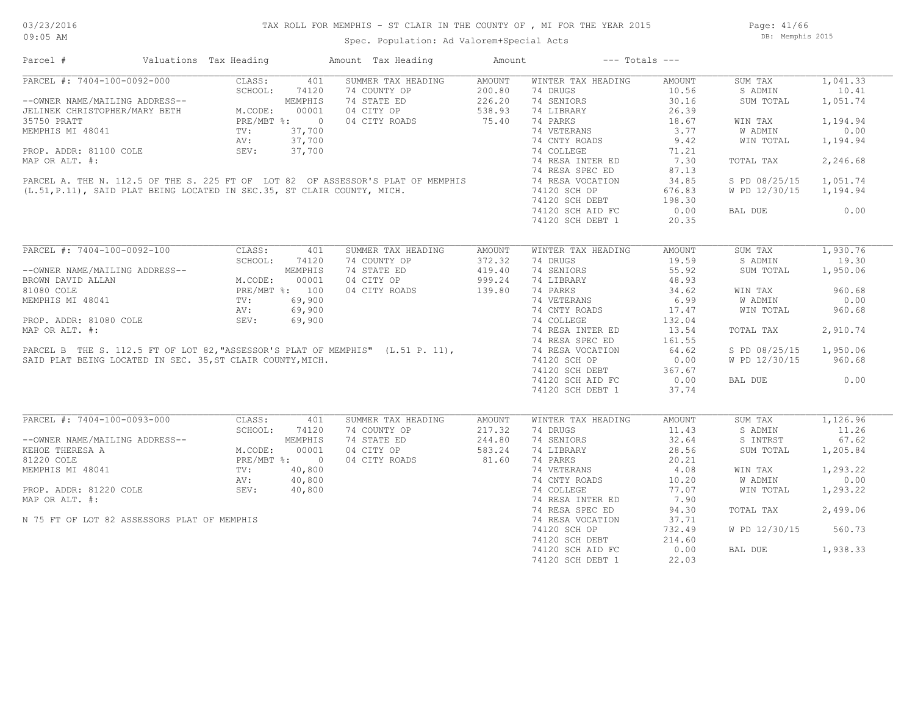Page: 41/66 DB: Memphis 2015

| Parcel #                                                                                                                                 | Valuations Tax Heading |                                                                             |         | Amount Tax Heading                                                                                                                                      | Amount        |                    | $---$ Totals $---$ |               |          |
|------------------------------------------------------------------------------------------------------------------------------------------|------------------------|-----------------------------------------------------------------------------|---------|---------------------------------------------------------------------------------------------------------------------------------------------------------|---------------|--------------------|--------------------|---------------|----------|
| PARCEL #: 7404-100-0092-000                                                                                                              |                        | CLASS:                                                                      | 401     | SUMMER TAX HEADING                                                                                                                                      | <b>AMOUNT</b> | WINTER TAX HEADING | AMOUNT             | SUM TAX       | 1,041.33 |
|                                                                                                                                          |                        | SCHOOL:                                                                     | 74120   | 74 COUNTY OP                                                                                                                                            | 200.80        | 74 DRUGS           | 10.56              | S ADMIN       | 10.41    |
|                                                                                                                                          |                        |                                                                             |         | 74 STATE ED                                                                                                                                             | 226.20        | 74 SENIORS         | 30.16              | SUM TOTAL     | 1,051.74 |
| --OWNER NAME/MAILING ADDRESS--<br>JELINEK CHRISTOPHER/MARY BETH M.CODE: 00001<br>35750 PRATT PRE/MBT %: 0<br>MEMPHIS MI 48041 TV: 37,700 |                        |                                                                             |         | 04 CITY OP                                                                                                                                              | 538.93        | 74 LIBRARY         | 26.39              |               |          |
|                                                                                                                                          |                        |                                                                             |         | 04 CITY ROADS                                                                                                                                           | 75.40         | 74 PARKS           | 18.67              | WIN TAX       | 1,194.94 |
|                                                                                                                                          |                        |                                                                             |         |                                                                                                                                                         |               | 74 VETERANS        | 3.77               | W ADMIN       | 0.00     |
|                                                                                                                                          |                        | AV:                                                                         | 37,700  |                                                                                                                                                         |               | 74 CNTY ROADS      | 9.42               | WIN TOTAL     | 1,194.94 |
| PROP. ADDR: 81100 COLE                                                                                                                   |                        | SEV:                                                                        | 37,700  |                                                                                                                                                         |               | 74 COLLEGE         | 71.21              |               |          |
| MAP OR ALT. #:                                                                                                                           |                        |                                                                             |         |                                                                                                                                                         |               | 74 RESA INTER ED   | 7.30               | TOTAL TAX     | 2,246.68 |
|                                                                                                                                          |                        |                                                                             |         |                                                                                                                                                         |               | 74 RESA SPEC ED    | 87.13              |               |          |
|                                                                                                                                          |                        |                                                                             |         | PARCEL A. THE N. 112.5 OF THE S. 225 FT OF LOT 82 OF ASSESSOR'S PLAT OF MEMPHIS (L.51, P.11), SAID PLAT BEING LOCATED IN SEC.35, ST CLAIR COUNTY, MICH. |               | 74 RESA VOCATION   | 34.85              | S PD 08/25/15 | 1,051.74 |
|                                                                                                                                          |                        |                                                                             |         |                                                                                                                                                         |               | 74120 SCH OP       | 676.83             | W PD 12/30/15 | 1,194.94 |
|                                                                                                                                          |                        |                                                                             |         |                                                                                                                                                         |               | 74120 SCH DEBT     | 198.30             |               |          |
|                                                                                                                                          |                        |                                                                             |         |                                                                                                                                                         |               | 74120 SCH AID FC   | 0.00               | BAL DUE       | 0.00     |
|                                                                                                                                          |                        |                                                                             |         |                                                                                                                                                         |               | 74120 SCH DEBT 1   | 20.35              |               |          |
|                                                                                                                                          |                        |                                                                             |         |                                                                                                                                                         |               |                    |                    |               |          |
| PARCEL #: 7404-100-0092-100                                                                                                              |                        | CLASS:                                                                      | 401     | SUMMER TAX HEADING                                                                                                                                      | AMOUNT        | WINTER TAX HEADING | AMOUNT             | SUM TAX       | 1,930.76 |
|                                                                                                                                          |                        | SCHOOL:                                                                     | 74120   | 74 COUNTY OP                                                                                                                                            | 372.32        | 74 DRUGS           | 19.59              | S ADMIN       | 19.30    |
| --OWNER NAME/MAILING ADDRESS--                                                                                                           |                        |                                                                             | MEMPHIS | 74 STATE ED                                                                                                                                             | 419.40        | 74 SENIORS         | 55.92              | SUM TOTAL     | 1,950.06 |
| BROWN DAVID ALLAN                                                                                                                        |                        | M.CODE: 000001<br>PRE/MBT %: 100<br>TV: 69,900<br>AV: 69,900<br>TTY: 69,900 |         | 04 CITY OP                                                                                                                                              | 999.24        | 74 LIBRARY         | 48.93              |               |          |
| 81080 COLE                                                                                                                               |                        |                                                                             |         | 04 CITY ROADS                                                                                                                                           | 139.80        | 74 PARKS           | 34.62              | WIN TAX       | 960.68   |
| MEMPHIS MI 48041                                                                                                                         |                        |                                                                             |         |                                                                                                                                                         |               | 74 VETERANS        | 6.99               | W ADMIN       | 0.00     |
|                                                                                                                                          |                        |                                                                             |         |                                                                                                                                                         |               | 74 CNTY ROADS      | 17.47              | WIN TOTAL     | 960.68   |
| PROP. ADDR: 81080 COLE                                                                                                                   |                        |                                                                             |         |                                                                                                                                                         |               | 74 COLLEGE         | 132.04             |               |          |
| MAP OR ALT. #:                                                                                                                           |                        |                                                                             |         |                                                                                                                                                         |               | 74 RESA INTER ED   | 13.54              | TOTAL TAX     | 2,910.74 |
|                                                                                                                                          |                        |                                                                             |         |                                                                                                                                                         |               |                    |                    |               |          |
|                                                                                                                                          |                        |                                                                             |         |                                                                                                                                                         |               | 74 RESA SPEC ED    | 161.55             |               |          |
|                                                                                                                                          |                        |                                                                             |         | PARCEL B THE S. 112.5 FT OF LOT 82, "ASSESSOR'S PLAT OF MEMPHIS" (L.51 P. 11),                                                                          |               | 74 RESA VOCATION   | 64.62              | S PD 08/25/15 | 1,950.06 |
| SAID PLAT BEING LOCATED IN SEC. 35, ST CLAIR COUNTY, MICH.                                                                               |                        |                                                                             |         |                                                                                                                                                         |               | 74120 SCH OP       | 0.00               | W PD 12/30/15 | 960.68   |
|                                                                                                                                          |                        |                                                                             |         |                                                                                                                                                         |               | 74120 SCH DEBT     | 367.67             |               |          |
|                                                                                                                                          |                        |                                                                             |         |                                                                                                                                                         |               | 74120 SCH AID FC   | 0.00               | BAL DUE       | 0.00     |
|                                                                                                                                          |                        |                                                                             |         |                                                                                                                                                         |               | 74120 SCH DEBT 1   | 37.74              |               |          |
| PARCEL #: 7404-100-0093-000                                                                                                              |                        | CLASS:                                                                      | 401     | SUMMER TAX HEADING                                                                                                                                      | AMOUNT        | WINTER TAX HEADING | AMOUNT             | SUM TAX       | 1,126.96 |
|                                                                                                                                          |                        | SCHOOL:                                                                     | 74120   | 74 COUNTY OP                                                                                                                                            | 217.32        | 74 DRUGS           | 11.43              | S ADMIN       | 11.26    |
| --OWNER NAME/MAILING ADDRESS--                                                                                                           |                        |                                                                             | MEMPHIS | 74 STATE ED                                                                                                                                             | 244.80        | 74 SENIORS         | 32.64              | S INTRST      | 67.62    |
| KEHOE THERESA A                                                                                                                          |                        |                                                                             |         | 04 CITY OP                                                                                                                                              | 583.24        | 74 LIBRARY         | 28.56              | SUM TOTAL     | 1,205.84 |
|                                                                                                                                          |                        | M.CODE: 00001<br>PRE/MBT %: 0                                               |         |                                                                                                                                                         | 81.60         |                    |                    |               |          |
| 81220 COLE                                                                                                                               |                        |                                                                             |         | 04 CITY ROADS                                                                                                                                           |               | 74 PARKS           | 20.21              |               |          |
| MEMPHIS MI 48041                                                                                                                         |                        | TV:                                                                         | 40,800  |                                                                                                                                                         |               | 74 VETERANS        | 4.08               | WIN TAX       | 1,293.22 |
|                                                                                                                                          |                        | AV:                                                                         | 40,800  |                                                                                                                                                         |               | 74 CNTY ROADS      | 10.20              | W ADMIN       | 0.00     |
| PROP. ADDR: 81220 COLE                                                                                                                   |                        | SEV:                                                                        | 40,800  |                                                                                                                                                         |               | 74 COLLEGE         | 77.07              | WIN TOTAL     | 1,293.22 |
| MAP OR ALT. #:                                                                                                                           |                        |                                                                             |         |                                                                                                                                                         |               | 74 RESA INTER ED   | 7.90               |               |          |
|                                                                                                                                          |                        |                                                                             |         |                                                                                                                                                         |               | 74 RESA SPEC ED    | 94.30              | TOTAL TAX     | 2,499.06 |
| N 75 FT OF LOT 82 ASSESSORS PLAT OF MEMPHIS                                                                                              |                        |                                                                             |         |                                                                                                                                                         |               | 74 RESA VOCATION   | 37.71              |               |          |
|                                                                                                                                          |                        |                                                                             |         |                                                                                                                                                         |               | 74120 SCH OP       | 732.49             | W PD 12/30/15 | 560.73   |
|                                                                                                                                          |                        |                                                                             |         |                                                                                                                                                         |               | 74120 SCH DEBT     | 214.60             |               |          |
|                                                                                                                                          |                        |                                                                             |         |                                                                                                                                                         |               | 74120 SCH AID FC   | 0.00               | BAL DUE       | 1,938.33 |
|                                                                                                                                          |                        |                                                                             |         |                                                                                                                                                         |               | 74120 SCH DEBT 1   | 22.03              |               |          |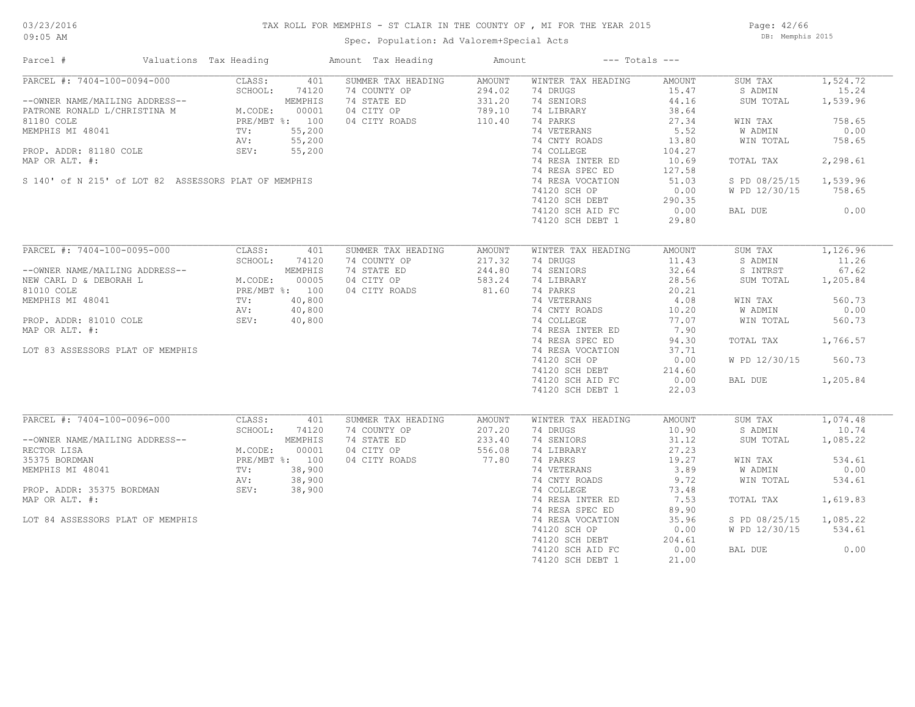### TAX ROLL FOR MEMPHIS - ST CLAIR IN THE COUNTY OF , MI FOR THE YEAR 2015

Spec. Population: Ad Valorem+Special Acts

Page: 42/66 DB: Memphis 2015

| Parcel #                                                                                                                                                                                                                            | Valuations Tax Heading                                                         |                                                                | Amount Tax Heading                                                               | Amount                                         |                                                                                                                                                                                                                                                           | $---$ Totals $---$                                                                                                                |                                                                                                                              |                                                                                                      |
|-------------------------------------------------------------------------------------------------------------------------------------------------------------------------------------------------------------------------------------|--------------------------------------------------------------------------------|----------------------------------------------------------------|----------------------------------------------------------------------------------|------------------------------------------------|-----------------------------------------------------------------------------------------------------------------------------------------------------------------------------------------------------------------------------------------------------------|-----------------------------------------------------------------------------------------------------------------------------------|------------------------------------------------------------------------------------------------------------------------------|------------------------------------------------------------------------------------------------------|
| PARCEL #: 7404-100-0094-000<br>--OWNER NAME/MAILING ADDRESS--<br>PATRONE RONALD L/CHRISTINA M<br>81180 COLE<br>MEMPHIS MI 48041<br>PROP. ADDR: 81180 COLE<br>MAP OR ALT. #:<br>S 140' of N 215' of LOT 82 ASSESSORS PLAT OF MEMPHIS | CLASS:<br>SCHOOL:<br>M. COD<br>M.CODE:<br>PRE/MBT %: 100<br>TV:<br>AV:<br>SEV: | 401<br>74120<br>MEMPHIS<br>00001<br>55,200<br>55,200<br>55,200 | SUMMER TAX HEADING<br>74 COUNTY OP<br>74 STATE ED<br>04 CITY OP<br>04 CITY ROADS | AMOUNT<br>294.02<br>331.20<br>789.10<br>110.40 | WINTER TAX HEADING<br>74 DRUGS<br>74 SENIORS<br>74 LIBRARY<br>74 PARKS<br>74 VETERANS<br>74 CNTY ROADS<br>74 COLLEGE<br>74 RESA INTER ED<br>74 RESA SPEC ED<br>74 RESA VOCATION                                                                           | AMOUNT<br>15.47<br>44.16<br>38.64<br>27.34<br>5.52<br>13.80<br>104.27<br>10.69<br>127.58<br>51.03                                 | SUM TAX<br>S ADMIN<br>SUM TOTAL<br>WIN TAX<br>W ADMIN<br>WIN TOTAL<br>TOTAL TAX<br>S PD 08/25/15                             | 1,524.72<br>15.24<br>1,539.96<br>758.65<br>0.00<br>758.65<br>2,298.61<br>1,539.96                    |
|                                                                                                                                                                                                                                     |                                                                                |                                                                |                                                                                  |                                                | 74120 SCH OP<br>74120 SCH DEBT<br>74120 SCH AID FC<br>74120 SCH DEBT 1                                                                                                                                                                                    | 0.00<br>290.35<br>0.00<br>29.80                                                                                                   | W PD 12/30/15<br>BAL DUE                                                                                                     | 758.65<br>0.00                                                                                       |
| PARCEL #: 7404-100-0095-000<br>--OWNER NAME/MAILING ADDRESS--<br>NEW CARL D & DEBORAH L<br>81010 COLE<br>MEMPHIS MI 48041<br>PROP. ADDR: 81010 COLE<br>MAP OR ALT. #:<br>LOT 83 ASSESSORS PLAT OF MEMPHIS                           | CLASS:<br>SCHOOL:<br>M.CODE: UUUUJ<br>PRE/MBT %: 100<br>$TV$ :<br>AV:<br>SEV:  | 401<br>74120<br>MEMPHIS<br>40,800<br>40,800<br>40,800          | SUMMER TAX HEADING<br>74 COUNTY OP<br>74 STATE ED<br>04 CITY OP<br>04 CITY ROADS | AMOUNT<br>217.32<br>244.80<br>583.24<br>81.60  | WINTER TAX HEADING<br>74 DRUGS<br>74 SENIORS<br>74 LIBRARY<br>74 PARKS<br>74 VETERANS<br>74 CNTY ROADS<br>74 COLLEGE<br>74 RESA INTER ED<br>74 RESA SPEC ED<br>74 RESA VOCATION<br>74120 SCH OP<br>74120 SCH DEBT<br>74120 SCH AID FC<br>74120 SCH DEBT 1 | AMOUNT<br>11.43<br>32.64<br>28.56<br>20.21<br>4.08<br>10.20<br>77.07<br>7.90<br>94.30<br>37.71<br>0.00<br>214.60<br>0.00<br>22.03 | SUM TAX<br>S ADMIN<br>S INTRST<br>SUM TOTAL<br>WIN TAX<br>W ADMIN<br>WIN TOTAL<br>TOTAL TAX<br>W PD 12/30/15<br>BAL DUE      | 1,126.96<br>11.26<br>67.62<br>1,205.84<br>560.73<br>0.00<br>560.73<br>1,766.57<br>560.73<br>1,205.84 |
| PARCEL #: 7404-100-0096-000<br>--OWNER NAME/MAILING ADDRESS--<br>RECTOR LISA<br>35375 BORDMAN<br>MEMPHIS MI 48041<br>PROP. ADDR: 35375 BORDMAN<br>MAP OR ALT. #:<br>LOT 84 ASSESSORS PLAT OF MEMPHIS                                | CLASS:<br>SCHOOL:<br>M.CODE:<br>PRE/MBT %: 100<br>TV:<br>AV:<br>SEV:           | 401<br>74120<br>MEMPHIS<br>00001<br>38,900<br>38,900<br>38,900 | SUMMER TAX HEADING<br>74 COUNTY OP<br>74 STATE ED<br>04 CITY OP<br>04 CITY ROADS | AMOUNT<br>207.20<br>233.40<br>556.08<br>77.80  | WINTER TAX HEADING<br>74 DRUGS<br>74 SENIORS<br>74 LIBRARY<br>74 PARKS<br>74 VETERANS<br>74 CNTY ROADS<br>74 COLLEGE<br>74 RESA INTER ED<br>74 RESA SPEC ED<br>74 RESA VOCATION<br>74120 SCH OP<br>74120 SCH DEBT<br>74120 SCH AID FC<br>74120 SCH DEBT 1 | AMOUNT<br>10.90<br>31.12<br>27.23<br>19.27<br>3.89<br>9.72<br>73.48<br>7.53<br>89.90<br>35.96<br>0.00<br>204.61<br>0.00<br>21.00  | SUM TAX<br>S ADMIN<br>SUM TOTAL<br>WIN TAX<br>W ADMIN<br>WIN TOTAL<br>TOTAL TAX<br>S PD 08/25/15<br>W PD 12/30/15<br>BAL DUE | 1,074.48<br>10.74<br>1,085.22<br>534.61<br>0.00<br>534.61<br>1,619.83<br>1,085.22<br>534.61<br>0.00  |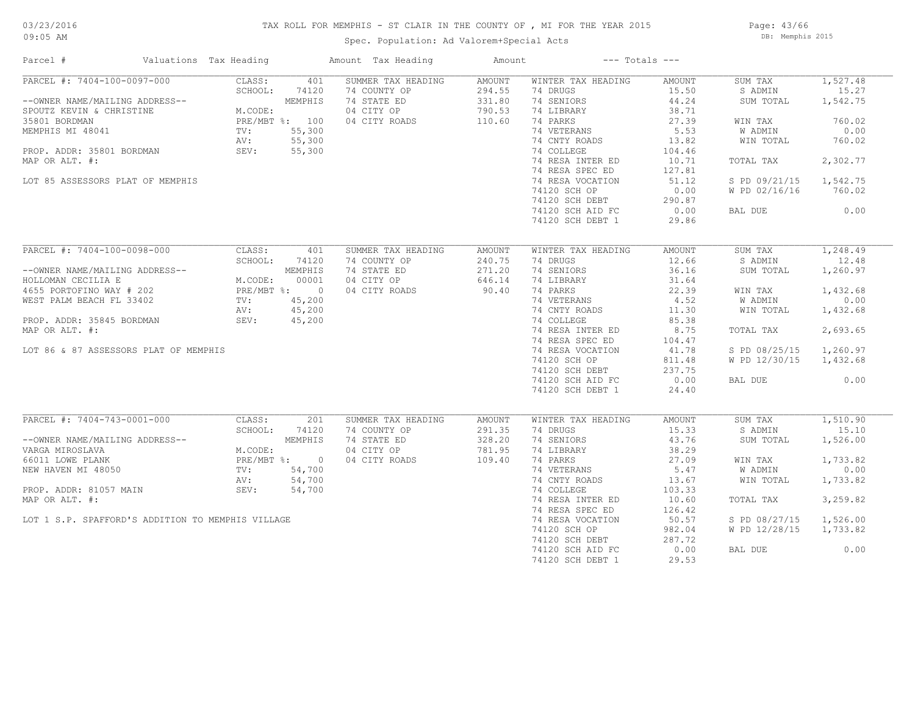### TAX ROLL FOR MEMPHIS - ST CLAIR IN THE COUNTY OF , MI FOR THE YEAR 2015

Spec. Population: Ad Valorem+Special Acts

Page: 43/66 DB: Memphis 2015

| Parcel #                                                                                                                                                                                                                            | Valuations Tax Heading                                       |                                                                                | Amount Tax Heading                                                               | Amount                                                |                                                                                                                                                                                                                                                           | $---$ Totals $---$                                                                                                                     |                                                                                                                              |                                                                                                           |
|-------------------------------------------------------------------------------------------------------------------------------------------------------------------------------------------------------------------------------------|--------------------------------------------------------------|--------------------------------------------------------------------------------|----------------------------------------------------------------------------------|-------------------------------------------------------|-----------------------------------------------------------------------------------------------------------------------------------------------------------------------------------------------------------------------------------------------------------|----------------------------------------------------------------------------------------------------------------------------------------|------------------------------------------------------------------------------------------------------------------------------|-----------------------------------------------------------------------------------------------------------|
| PARCEL #: 7404-100-0097-000<br>--OWNER NAME/MAILING ADDRESS--<br>SPOUTZ KEVIN & CHRISTINE<br>35801 BORDMAN<br>MEMPHIS MI 48041<br>PROP. ADDR: 35801 BORDMAN<br>MAP OR ALT. #:<br>LOT 85 ASSESSORS PLAT OF MEMPHIS                   | CLASS:<br>SCHOOL:<br>M.CODE:<br>TV:<br>AV:<br>SEV:           | 401<br>74120<br>MEMPHIS<br>PRE/MBT %: 100<br>55,300<br>55,300<br>55,300        | SUMMER TAX HEADING<br>74 COUNTY OP<br>74 STATE ED<br>04 CITY OP<br>04 CITY ROADS | <b>AMOUNT</b><br>294.55<br>331.80<br>790.53<br>110.60 | WINTER TAX HEADING<br>74 DRUGS<br>74 SENIORS<br>74 LIBRARY<br>74 PARKS<br>74 VETERANS<br>74 CNTY ROADS<br>74 COLLEGE<br>74 RESA INTER ED<br>74 RESA SPEC ED<br>74 RESA VOCATION<br>74120 SCH OP                                                           | AMOUNT<br>15.50<br>44.24<br>38.71<br>27.39<br>5.53<br>13.82<br>104.46<br>10.71<br>127.81<br>51.12<br>0.00                              | SUM TAX<br>S ADMIN<br>SUM TOTAL<br>WIN TAX<br>W ADMIN<br>WIN TOTAL<br>TOTAL TAX<br>S PD 09/21/15<br>W PD 02/16/16            | 1,527.48<br>15.27<br>1,542.75<br>760.02<br>0.00<br>760.02<br>2,302.77<br>1,542.75<br>760.02               |
|                                                                                                                                                                                                                                     |                                                              |                                                                                |                                                                                  |                                                       | 74120 SCH DEBT<br>74120 SCH AID FC<br>74120 SCH DEBT 1                                                                                                                                                                                                    | 290.87<br>0.00<br>29.86                                                                                                                | BAL DUE                                                                                                                      | 0.00                                                                                                      |
| PARCEL #: 7404-100-0098-000<br>--OWNER NAME/MAILING ADDRESS--<br>HOLLOMAN CECILIA E<br>4655 PORTOFINO WAY # 202<br>WEST PALM BEACH FL 33402<br>PROP. ADDR: 35845 BORDMAN<br>MAP OR ALT. #:<br>LOT 86 & 87 ASSESSORS PLAT OF MEMPHIS | CLASS:<br>SCHOOL:<br>M.CODE:<br>$\text{TV}$ :<br>AV:<br>SEV: | 401<br>74120<br>MEMPHIS<br>00001<br>PRE/MBT %: 0<br>45,200<br>45,200<br>45,200 | SUMMER TAX HEADING<br>74 COUNTY OP<br>74 STATE ED<br>04 CITY OP<br>04 CITY ROADS | AMOUNT<br>240.75<br>271.20<br>646.14<br>90.40         | WINTER TAX HEADING<br>74 DRUGS<br>74 SENIORS<br>74 LIBRARY<br>74 PARKS<br>74 VETERANS<br>74 CNTY ROADS<br>74 COLLEGE<br>74 RESA INTER ED<br>74 RESA SPEC ED<br>74 RESA VOCATION<br>74120 SCH OP<br>74120 SCH DEBT<br>74120 SCH AID FC<br>74120 SCH DEBT 1 | AMOUNT<br>12.66<br>36.16<br>31.64<br>22.39<br>4.52<br>11.30<br>85.38<br>8.75<br>104.47<br>41.78<br>811.48<br>237.75<br>0.00<br>24.40   | SUM TAX<br>S ADMIN<br>SUM TOTAL<br>WIN TAX<br>W ADMIN<br>WIN TOTAL<br>TOTAL TAX<br>S PD 08/25/15<br>W PD 12/30/15<br>BAL DUE | 1,248.49<br>12.48<br>1,260.97<br>1,432.68<br>0.00<br>1,432.68<br>2,693.65<br>1,260.97<br>1,432.68<br>0.00 |
| PARCEL #: 7404-743-0001-000<br>--OWNER NAME/MAILING ADDRESS--<br>VARGA MIROSLAVA<br>66011 LOWE PLANK<br>NEW HAVEN MI 48050<br>PROP. ADDR: 81057 MAIN<br>MAP OR ALT. #:<br>LOT 1 S.P. SPAFFORD'S ADDITION TO MEMPHIS VILLAGE         | CLASS:<br>SCHOOL:<br>M.CODE:<br>TV:<br>AV:<br>SEV:           | 201<br>74120<br>MEMPHIS<br>PRE/MBT %: 0<br>54,700<br>54,700<br>54,700          | SUMMER TAX HEADING<br>74 COUNTY OP<br>74 STATE ED<br>04 CITY OP<br>04 CITY ROADS | <b>AMOUNT</b><br>291.35<br>328.20<br>781.95<br>109.40 | WINTER TAX HEADING<br>74 DRUGS<br>74 SENIORS<br>74 LIBRARY<br>74 PARKS<br>74 VETERANS<br>74 CNTY ROADS<br>74 COLLEGE<br>74 RESA INTER ED<br>74 RESA SPEC ED<br>74 RESA VOCATION<br>74120 SCH OP<br>74120 SCH DEBT<br>74120 SCH AID FC<br>74120 SCH DEBT 1 | AMOUNT<br>15.33<br>43.76<br>38.29<br>27.09<br>5.47<br>13.67<br>103.33<br>10.60<br>126.42<br>50.57<br>982.04<br>287.72<br>0.00<br>29.53 | SUM TAX<br>S ADMIN<br>SUM TOTAL<br>WIN TAX<br>W ADMIN<br>WIN TOTAL<br>TOTAL TAX<br>S PD 08/27/15<br>W PD 12/28/15<br>BAL DUE | 1,510.90<br>15.10<br>1,526.00<br>1,733.82<br>0.00<br>1,733.82<br>3,259.82<br>1,526.00<br>1,733.82<br>0.00 |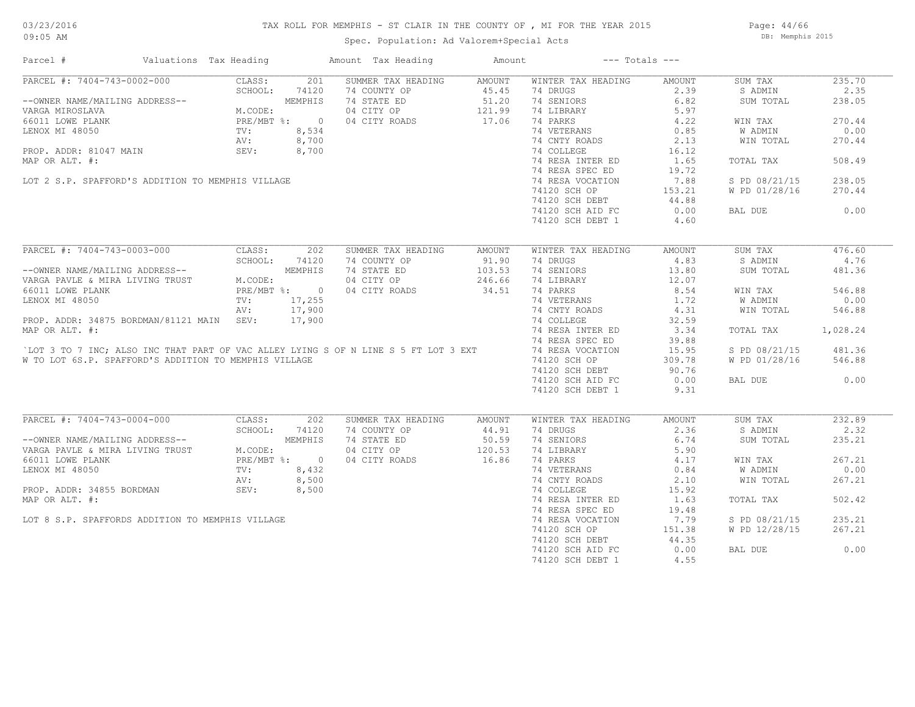#### TAX ROLL FOR MEMPHIS - ST CLAIR IN THE COUNTY OF , MI FOR THE YEAR 2015

Page: 44/66 DB: Memphis 2015

| PARCEL #: 7404-743-0002-000 CLASS: 201<br>--OWNER NAME/MAILING ADDRESS-- SCHOOL: 74120<br>VARGA MIROSLAVA M.CODE: MEMPHIS<br>66011 LOWE PLANK PRE/MBT %: 0<br>LENOX MI 48050 TV: 8,534<br>PROP. ADDR: 81047 MAIN SEV: 8,700<br>MAR.ORAIN S<br>SUMMER TAX HEADING<br>WINTER TAX HEADING<br>235.70<br>AMOUNT<br>AMOUNT<br>SUM TAX<br>74 COUNTY OP<br>45.45<br>74 DRUGS<br>2.39<br>2.35<br>S ADMIN<br>74 STATE ED<br>51.20<br>74 SENIORS<br>6.82<br>SUM TOTAL<br>238.05<br>04 CITY OP 121.99<br>04 CITY ROADS 17.06<br>74 LIBRARY<br>5.97<br>74 PARKS<br>04 CITY ROADS<br>4.22<br>270.44<br>WIN TAX<br>74 VETERANS 0.85<br>W ADMIN<br>0.00<br>$8,534$<br>$8,700$<br>$8,700$<br>74 CNTY ROADS<br>2.13<br>WIN TOTAL<br>270.44<br>74 COLLEGE<br>16.12<br>508.49<br>74 RESA INTER ED<br>1.65<br>TOTAL TAX<br>74 RESA SPEC ED<br>19.72<br>LOT 2 S.P. SPAFFORD'S ADDITION TO MEMPHIS VILLAGE<br>74 RESA VOCATION<br>7.88<br>S PD 08/21/15<br>238.05<br>W PD 01/28/16<br>270.44<br>74120 SCH OP<br>153.21<br>44.88<br>74120 SCH DEBT<br>0.00<br>0.00<br>74120 SCH AID FC<br>BAL DUE<br>74120 SCH DEBT 1<br>4.60<br>PARCEL #: 7404-743-0003-000<br>CLASS: 202<br>SUMMER TAX HEADING<br>WINTER TAX HEADING<br>SUM TAX<br>476.60<br>AMOUNT<br>AMOUNT<br>CLASS: 202<br>--OWNER NAME/MAILING ADDRESS--<br>VARGA PAVLE & MIRA LIVING TRUST<br>66011 LOWE PLANK<br>LENOX MI 48050<br>PRE/MBT %: 0<br>PRE/MBT %: 0<br>PRE/MBT %: 17,255<br>PROP. ADDR: 34875 BORDMAN/01101<br>91.90<br>4.83<br>4.76<br>74 COUNTY OP<br>74 DRUGS<br>S ADMIN<br>103.53<br>13.80<br>481.36<br>74 STATE ED<br>74 SENIORS<br>SUM TOTAL<br>04 CITY OP<br>246.66<br>74 LIBRARY<br>12.07<br>34.51<br>74 PARKS<br>04 CITY ROADS<br>8.54<br>546.88<br>WIN TAX<br>74 VETERANS<br>74 CNTY ROADS<br>1.72<br>W ADMIN<br>0.00<br>ENOX MI 48050<br>PROP. ADDR: 34875 BORDMAN/81121 MAIN SEV: 17,900<br>MAP OR ALT. #:<br>CLOT 3 TO 7 INC; ALSO INC THAT PART OF VAC ALLEY LYING S OF N LINE S 5 FT LOT 3 EXT<br>4.31<br>546.88<br>WIN TOTAL<br>74 COLLEGE<br>32.59<br>3.34<br>1,028.24<br>74 RESA INTER ED<br>TOTAL TAX<br>74 RESA SPEC ED<br>39.88<br>74 RESA VOCATION<br>15.95<br>S PD 08/21/15<br>481.36<br>74120 SCH OP<br>W TO LOT 6S.P. SPAFFORD'S ADDITION TO MEMPHIS VILLAGE<br>309.78<br>W PD 01/28/16<br>546.88<br>74120 SCH DEBT<br>90.76<br>0.00<br>74120 SCH AID FC<br>0.00<br>BAL DUE<br>74120 SCH DEBT 1<br>9.31<br>PARCEL #: 7404-743-0004-000<br>CLASS:<br>202<br>SUMMER TAX HEADING<br>WINTER TAX HEADING<br>SUM TAX<br>232.89<br>AMOUNT<br>AMOUNT<br>2.36<br>2.32<br>SCHOOL:<br>74120<br>74 COUNTY OP<br>44.91<br>74 DRUGS<br>S ADMIN<br>--OWNER NAME/MAILING ADDRESS--<br>VARGA PAVLE & MIRA LIVING TRUST M.CODE:<br>66011 LOWE PLANK PRE/MBT PRE/MBT<br>LENOX MI 48050 TV:<br>PROP. ADDR: 34855 BORDMAN SEV:<br>NATELY<br>74 STATE ED 50.59<br>MEMPHIS<br>74 SENIORS<br>6.74<br>SUM TOTAL<br>235.21<br>120.53<br>04 CITY OP<br>74 LIBRARY<br>5.90<br>16.86<br>04 CITY ROADS<br>74 PARKS<br>267.21<br>PRE/MBT %: 0<br>4.17<br>WIN TAX<br>0.00<br>74 VETERANS<br>0.84<br>W ADMIN<br>$8,432$<br>8,500<br>8,500<br>8,500<br>74 CNTY ROADS<br>2.10<br>267.21<br>WIN TOTAL<br>15.92<br>74 COLLEGE<br>502.42<br>MAP OR ALT. #:<br>74 RESA INTER ED<br>1.63<br>TOTAL TAX<br>74 RESA SPEC ED<br>19.48<br>LOT 8 S.P. SPAFFORDS ADDITION TO MEMPHIS VILLAGE<br>74 RESA VOCATION<br>7.79<br>S PD 08/21/15<br>235.21<br>74120 SCH OP<br>267.21<br>151.38<br>W PD 12/28/15<br>44.35<br>74120 SCH DEBT<br>0.00<br>74120 SCH AID FC<br>0.00<br>BAL DUE<br>74120 SCH DEBT 1<br>4.55 | Valuations Tax Heading<br>Parcel # | Amount Tax Heading | Amount | $---$ Totals $---$ |  |  |
|---------------------------------------------------------------------------------------------------------------------------------------------------------------------------------------------------------------------------------------------------------------------------------------------------------------------------------------------------------------------------------------------------------------------------------------------------------------------------------------------------------------------------------------------------------------------------------------------------------------------------------------------------------------------------------------------------------------------------------------------------------------------------------------------------------------------------------------------------------------------------------------------------------------------------------------------------------------------------------------------------------------------------------------------------------------------------------------------------------------------------------------------------------------------------------------------------------------------------------------------------------------------------------------------------------------------------------------------------------------------------------------------------------------------------------------------------------------------------------------------------------------------------------------------------------------------------------------------------------------------------------------------------------------------------------------------------------------------------------------------------------------------------------------------------------------------------------------------------------------------------------------------------------------------------------------------------------------------------------------------------------------------------------------------------------------------------------------------------------------------------------------------------------------------------------------------------------------------------------------------------------------------------------------------------------------------------------------------------------------------------------------------------------------------------------------------------------------------------------------------------------------------------------------------------------------------------------------------------------------------------------------------------------------------------------------------------------------------------------------------------------------------------------------------------------------------------------------------------------------------------------------------------------------------------------------------------------------------------------------------------------------------------------------------------------------------------------------------------------------------------------------------------------------------------------------------------------------------------------------------------------------------------------------------------------------------------------------------------------------------------------------------------------------------------------------------------------------------------------------------------------------------------------------|------------------------------------|--------------------|--------|--------------------|--|--|
|                                                                                                                                                                                                                                                                                                                                                                                                                                                                                                                                                                                                                                                                                                                                                                                                                                                                                                                                                                                                                                                                                                                                                                                                                                                                                                                                                                                                                                                                                                                                                                                                                                                                                                                                                                                                                                                                                                                                                                                                                                                                                                                                                                                                                                                                                                                                                                                                                                                                                                                                                                                                                                                                                                                                                                                                                                                                                                                                                                                                                                                                                                                                                                                                                                                                                                                                                                                                                                                                                                                                       |                                    |                    |        |                    |  |  |
|                                                                                                                                                                                                                                                                                                                                                                                                                                                                                                                                                                                                                                                                                                                                                                                                                                                                                                                                                                                                                                                                                                                                                                                                                                                                                                                                                                                                                                                                                                                                                                                                                                                                                                                                                                                                                                                                                                                                                                                                                                                                                                                                                                                                                                                                                                                                                                                                                                                                                                                                                                                                                                                                                                                                                                                                                                                                                                                                                                                                                                                                                                                                                                                                                                                                                                                                                                                                                                                                                                                                       |                                    |                    |        |                    |  |  |
|                                                                                                                                                                                                                                                                                                                                                                                                                                                                                                                                                                                                                                                                                                                                                                                                                                                                                                                                                                                                                                                                                                                                                                                                                                                                                                                                                                                                                                                                                                                                                                                                                                                                                                                                                                                                                                                                                                                                                                                                                                                                                                                                                                                                                                                                                                                                                                                                                                                                                                                                                                                                                                                                                                                                                                                                                                                                                                                                                                                                                                                                                                                                                                                                                                                                                                                                                                                                                                                                                                                                       |                                    |                    |        |                    |  |  |
|                                                                                                                                                                                                                                                                                                                                                                                                                                                                                                                                                                                                                                                                                                                                                                                                                                                                                                                                                                                                                                                                                                                                                                                                                                                                                                                                                                                                                                                                                                                                                                                                                                                                                                                                                                                                                                                                                                                                                                                                                                                                                                                                                                                                                                                                                                                                                                                                                                                                                                                                                                                                                                                                                                                                                                                                                                                                                                                                                                                                                                                                                                                                                                                                                                                                                                                                                                                                                                                                                                                                       |                                    |                    |        |                    |  |  |
|                                                                                                                                                                                                                                                                                                                                                                                                                                                                                                                                                                                                                                                                                                                                                                                                                                                                                                                                                                                                                                                                                                                                                                                                                                                                                                                                                                                                                                                                                                                                                                                                                                                                                                                                                                                                                                                                                                                                                                                                                                                                                                                                                                                                                                                                                                                                                                                                                                                                                                                                                                                                                                                                                                                                                                                                                                                                                                                                                                                                                                                                                                                                                                                                                                                                                                                                                                                                                                                                                                                                       |                                    |                    |        |                    |  |  |
|                                                                                                                                                                                                                                                                                                                                                                                                                                                                                                                                                                                                                                                                                                                                                                                                                                                                                                                                                                                                                                                                                                                                                                                                                                                                                                                                                                                                                                                                                                                                                                                                                                                                                                                                                                                                                                                                                                                                                                                                                                                                                                                                                                                                                                                                                                                                                                                                                                                                                                                                                                                                                                                                                                                                                                                                                                                                                                                                                                                                                                                                                                                                                                                                                                                                                                                                                                                                                                                                                                                                       |                                    |                    |        |                    |  |  |
|                                                                                                                                                                                                                                                                                                                                                                                                                                                                                                                                                                                                                                                                                                                                                                                                                                                                                                                                                                                                                                                                                                                                                                                                                                                                                                                                                                                                                                                                                                                                                                                                                                                                                                                                                                                                                                                                                                                                                                                                                                                                                                                                                                                                                                                                                                                                                                                                                                                                                                                                                                                                                                                                                                                                                                                                                                                                                                                                                                                                                                                                                                                                                                                                                                                                                                                                                                                                                                                                                                                                       |                                    |                    |        |                    |  |  |
|                                                                                                                                                                                                                                                                                                                                                                                                                                                                                                                                                                                                                                                                                                                                                                                                                                                                                                                                                                                                                                                                                                                                                                                                                                                                                                                                                                                                                                                                                                                                                                                                                                                                                                                                                                                                                                                                                                                                                                                                                                                                                                                                                                                                                                                                                                                                                                                                                                                                                                                                                                                                                                                                                                                                                                                                                                                                                                                                                                                                                                                                                                                                                                                                                                                                                                                                                                                                                                                                                                                                       |                                    |                    |        |                    |  |  |
|                                                                                                                                                                                                                                                                                                                                                                                                                                                                                                                                                                                                                                                                                                                                                                                                                                                                                                                                                                                                                                                                                                                                                                                                                                                                                                                                                                                                                                                                                                                                                                                                                                                                                                                                                                                                                                                                                                                                                                                                                                                                                                                                                                                                                                                                                                                                                                                                                                                                                                                                                                                                                                                                                                                                                                                                                                                                                                                                                                                                                                                                                                                                                                                                                                                                                                                                                                                                                                                                                                                                       | MAP OR ALT. #:                     |                    |        |                    |  |  |
|                                                                                                                                                                                                                                                                                                                                                                                                                                                                                                                                                                                                                                                                                                                                                                                                                                                                                                                                                                                                                                                                                                                                                                                                                                                                                                                                                                                                                                                                                                                                                                                                                                                                                                                                                                                                                                                                                                                                                                                                                                                                                                                                                                                                                                                                                                                                                                                                                                                                                                                                                                                                                                                                                                                                                                                                                                                                                                                                                                                                                                                                                                                                                                                                                                                                                                                                                                                                                                                                                                                                       |                                    |                    |        |                    |  |  |
|                                                                                                                                                                                                                                                                                                                                                                                                                                                                                                                                                                                                                                                                                                                                                                                                                                                                                                                                                                                                                                                                                                                                                                                                                                                                                                                                                                                                                                                                                                                                                                                                                                                                                                                                                                                                                                                                                                                                                                                                                                                                                                                                                                                                                                                                                                                                                                                                                                                                                                                                                                                                                                                                                                                                                                                                                                                                                                                                                                                                                                                                                                                                                                                                                                                                                                                                                                                                                                                                                                                                       |                                    |                    |        |                    |  |  |
|                                                                                                                                                                                                                                                                                                                                                                                                                                                                                                                                                                                                                                                                                                                                                                                                                                                                                                                                                                                                                                                                                                                                                                                                                                                                                                                                                                                                                                                                                                                                                                                                                                                                                                                                                                                                                                                                                                                                                                                                                                                                                                                                                                                                                                                                                                                                                                                                                                                                                                                                                                                                                                                                                                                                                                                                                                                                                                                                                                                                                                                                                                                                                                                                                                                                                                                                                                                                                                                                                                                                       |                                    |                    |        |                    |  |  |
|                                                                                                                                                                                                                                                                                                                                                                                                                                                                                                                                                                                                                                                                                                                                                                                                                                                                                                                                                                                                                                                                                                                                                                                                                                                                                                                                                                                                                                                                                                                                                                                                                                                                                                                                                                                                                                                                                                                                                                                                                                                                                                                                                                                                                                                                                                                                                                                                                                                                                                                                                                                                                                                                                                                                                                                                                                                                                                                                                                                                                                                                                                                                                                                                                                                                                                                                                                                                                                                                                                                                       |                                    |                    |        |                    |  |  |
|                                                                                                                                                                                                                                                                                                                                                                                                                                                                                                                                                                                                                                                                                                                                                                                                                                                                                                                                                                                                                                                                                                                                                                                                                                                                                                                                                                                                                                                                                                                                                                                                                                                                                                                                                                                                                                                                                                                                                                                                                                                                                                                                                                                                                                                                                                                                                                                                                                                                                                                                                                                                                                                                                                                                                                                                                                                                                                                                                                                                                                                                                                                                                                                                                                                                                                                                                                                                                                                                                                                                       |                                    |                    |        |                    |  |  |
|                                                                                                                                                                                                                                                                                                                                                                                                                                                                                                                                                                                                                                                                                                                                                                                                                                                                                                                                                                                                                                                                                                                                                                                                                                                                                                                                                                                                                                                                                                                                                                                                                                                                                                                                                                                                                                                                                                                                                                                                                                                                                                                                                                                                                                                                                                                                                                                                                                                                                                                                                                                                                                                                                                                                                                                                                                                                                                                                                                                                                                                                                                                                                                                                                                                                                                                                                                                                                                                                                                                                       |                                    |                    |        |                    |  |  |
|                                                                                                                                                                                                                                                                                                                                                                                                                                                                                                                                                                                                                                                                                                                                                                                                                                                                                                                                                                                                                                                                                                                                                                                                                                                                                                                                                                                                                                                                                                                                                                                                                                                                                                                                                                                                                                                                                                                                                                                                                                                                                                                                                                                                                                                                                                                                                                                                                                                                                                                                                                                                                                                                                                                                                                                                                                                                                                                                                                                                                                                                                                                                                                                                                                                                                                                                                                                                                                                                                                                                       |                                    |                    |        |                    |  |  |
|                                                                                                                                                                                                                                                                                                                                                                                                                                                                                                                                                                                                                                                                                                                                                                                                                                                                                                                                                                                                                                                                                                                                                                                                                                                                                                                                                                                                                                                                                                                                                                                                                                                                                                                                                                                                                                                                                                                                                                                                                                                                                                                                                                                                                                                                                                                                                                                                                                                                                                                                                                                                                                                                                                                                                                                                                                                                                                                                                                                                                                                                                                                                                                                                                                                                                                                                                                                                                                                                                                                                       |                                    |                    |        |                    |  |  |
|                                                                                                                                                                                                                                                                                                                                                                                                                                                                                                                                                                                                                                                                                                                                                                                                                                                                                                                                                                                                                                                                                                                                                                                                                                                                                                                                                                                                                                                                                                                                                                                                                                                                                                                                                                                                                                                                                                                                                                                                                                                                                                                                                                                                                                                                                                                                                                                                                                                                                                                                                                                                                                                                                                                                                                                                                                                                                                                                                                                                                                                                                                                                                                                                                                                                                                                                                                                                                                                                                                                                       |                                    |                    |        |                    |  |  |
|                                                                                                                                                                                                                                                                                                                                                                                                                                                                                                                                                                                                                                                                                                                                                                                                                                                                                                                                                                                                                                                                                                                                                                                                                                                                                                                                                                                                                                                                                                                                                                                                                                                                                                                                                                                                                                                                                                                                                                                                                                                                                                                                                                                                                                                                                                                                                                                                                                                                                                                                                                                                                                                                                                                                                                                                                                                                                                                                                                                                                                                                                                                                                                                                                                                                                                                                                                                                                                                                                                                                       |                                    |                    |        |                    |  |  |
|                                                                                                                                                                                                                                                                                                                                                                                                                                                                                                                                                                                                                                                                                                                                                                                                                                                                                                                                                                                                                                                                                                                                                                                                                                                                                                                                                                                                                                                                                                                                                                                                                                                                                                                                                                                                                                                                                                                                                                                                                                                                                                                                                                                                                                                                                                                                                                                                                                                                                                                                                                                                                                                                                                                                                                                                                                                                                                                                                                                                                                                                                                                                                                                                                                                                                                                                                                                                                                                                                                                                       |                                    |                    |        |                    |  |  |
|                                                                                                                                                                                                                                                                                                                                                                                                                                                                                                                                                                                                                                                                                                                                                                                                                                                                                                                                                                                                                                                                                                                                                                                                                                                                                                                                                                                                                                                                                                                                                                                                                                                                                                                                                                                                                                                                                                                                                                                                                                                                                                                                                                                                                                                                                                                                                                                                                                                                                                                                                                                                                                                                                                                                                                                                                                                                                                                                                                                                                                                                                                                                                                                                                                                                                                                                                                                                                                                                                                                                       |                                    |                    |        |                    |  |  |
|                                                                                                                                                                                                                                                                                                                                                                                                                                                                                                                                                                                                                                                                                                                                                                                                                                                                                                                                                                                                                                                                                                                                                                                                                                                                                                                                                                                                                                                                                                                                                                                                                                                                                                                                                                                                                                                                                                                                                                                                                                                                                                                                                                                                                                                                                                                                                                                                                                                                                                                                                                                                                                                                                                                                                                                                                                                                                                                                                                                                                                                                                                                                                                                                                                                                                                                                                                                                                                                                                                                                       |                                    |                    |        |                    |  |  |
|                                                                                                                                                                                                                                                                                                                                                                                                                                                                                                                                                                                                                                                                                                                                                                                                                                                                                                                                                                                                                                                                                                                                                                                                                                                                                                                                                                                                                                                                                                                                                                                                                                                                                                                                                                                                                                                                                                                                                                                                                                                                                                                                                                                                                                                                                                                                                                                                                                                                                                                                                                                                                                                                                                                                                                                                                                                                                                                                                                                                                                                                                                                                                                                                                                                                                                                                                                                                                                                                                                                                       |                                    |                    |        |                    |  |  |
|                                                                                                                                                                                                                                                                                                                                                                                                                                                                                                                                                                                                                                                                                                                                                                                                                                                                                                                                                                                                                                                                                                                                                                                                                                                                                                                                                                                                                                                                                                                                                                                                                                                                                                                                                                                                                                                                                                                                                                                                                                                                                                                                                                                                                                                                                                                                                                                                                                                                                                                                                                                                                                                                                                                                                                                                                                                                                                                                                                                                                                                                                                                                                                                                                                                                                                                                                                                                                                                                                                                                       |                                    |                    |        |                    |  |  |
|                                                                                                                                                                                                                                                                                                                                                                                                                                                                                                                                                                                                                                                                                                                                                                                                                                                                                                                                                                                                                                                                                                                                                                                                                                                                                                                                                                                                                                                                                                                                                                                                                                                                                                                                                                                                                                                                                                                                                                                                                                                                                                                                                                                                                                                                                                                                                                                                                                                                                                                                                                                                                                                                                                                                                                                                                                                                                                                                                                                                                                                                                                                                                                                                                                                                                                                                                                                                                                                                                                                                       |                                    |                    |        |                    |  |  |
|                                                                                                                                                                                                                                                                                                                                                                                                                                                                                                                                                                                                                                                                                                                                                                                                                                                                                                                                                                                                                                                                                                                                                                                                                                                                                                                                                                                                                                                                                                                                                                                                                                                                                                                                                                                                                                                                                                                                                                                                                                                                                                                                                                                                                                                                                                                                                                                                                                                                                                                                                                                                                                                                                                                                                                                                                                                                                                                                                                                                                                                                                                                                                                                                                                                                                                                                                                                                                                                                                                                                       |                                    |                    |        |                    |  |  |
|                                                                                                                                                                                                                                                                                                                                                                                                                                                                                                                                                                                                                                                                                                                                                                                                                                                                                                                                                                                                                                                                                                                                                                                                                                                                                                                                                                                                                                                                                                                                                                                                                                                                                                                                                                                                                                                                                                                                                                                                                                                                                                                                                                                                                                                                                                                                                                                                                                                                                                                                                                                                                                                                                                                                                                                                                                                                                                                                                                                                                                                                                                                                                                                                                                                                                                                                                                                                                                                                                                                                       |                                    |                    |        |                    |  |  |
|                                                                                                                                                                                                                                                                                                                                                                                                                                                                                                                                                                                                                                                                                                                                                                                                                                                                                                                                                                                                                                                                                                                                                                                                                                                                                                                                                                                                                                                                                                                                                                                                                                                                                                                                                                                                                                                                                                                                                                                                                                                                                                                                                                                                                                                                                                                                                                                                                                                                                                                                                                                                                                                                                                                                                                                                                                                                                                                                                                                                                                                                                                                                                                                                                                                                                                                                                                                                                                                                                                                                       |                                    |                    |        |                    |  |  |
|                                                                                                                                                                                                                                                                                                                                                                                                                                                                                                                                                                                                                                                                                                                                                                                                                                                                                                                                                                                                                                                                                                                                                                                                                                                                                                                                                                                                                                                                                                                                                                                                                                                                                                                                                                                                                                                                                                                                                                                                                                                                                                                                                                                                                                                                                                                                                                                                                                                                                                                                                                                                                                                                                                                                                                                                                                                                                                                                                                                                                                                                                                                                                                                                                                                                                                                                                                                                                                                                                                                                       |                                    |                    |        |                    |  |  |
|                                                                                                                                                                                                                                                                                                                                                                                                                                                                                                                                                                                                                                                                                                                                                                                                                                                                                                                                                                                                                                                                                                                                                                                                                                                                                                                                                                                                                                                                                                                                                                                                                                                                                                                                                                                                                                                                                                                                                                                                                                                                                                                                                                                                                                                                                                                                                                                                                                                                                                                                                                                                                                                                                                                                                                                                                                                                                                                                                                                                                                                                                                                                                                                                                                                                                                                                                                                                                                                                                                                                       |                                    |                    |        |                    |  |  |
|                                                                                                                                                                                                                                                                                                                                                                                                                                                                                                                                                                                                                                                                                                                                                                                                                                                                                                                                                                                                                                                                                                                                                                                                                                                                                                                                                                                                                                                                                                                                                                                                                                                                                                                                                                                                                                                                                                                                                                                                                                                                                                                                                                                                                                                                                                                                                                                                                                                                                                                                                                                                                                                                                                                                                                                                                                                                                                                                                                                                                                                                                                                                                                                                                                                                                                                                                                                                                                                                                                                                       |                                    |                    |        |                    |  |  |
|                                                                                                                                                                                                                                                                                                                                                                                                                                                                                                                                                                                                                                                                                                                                                                                                                                                                                                                                                                                                                                                                                                                                                                                                                                                                                                                                                                                                                                                                                                                                                                                                                                                                                                                                                                                                                                                                                                                                                                                                                                                                                                                                                                                                                                                                                                                                                                                                                                                                                                                                                                                                                                                                                                                                                                                                                                                                                                                                                                                                                                                                                                                                                                                                                                                                                                                                                                                                                                                                                                                                       |                                    |                    |        |                    |  |  |
|                                                                                                                                                                                                                                                                                                                                                                                                                                                                                                                                                                                                                                                                                                                                                                                                                                                                                                                                                                                                                                                                                                                                                                                                                                                                                                                                                                                                                                                                                                                                                                                                                                                                                                                                                                                                                                                                                                                                                                                                                                                                                                                                                                                                                                                                                                                                                                                                                                                                                                                                                                                                                                                                                                                                                                                                                                                                                                                                                                                                                                                                                                                                                                                                                                                                                                                                                                                                                                                                                                                                       |                                    |                    |        |                    |  |  |
|                                                                                                                                                                                                                                                                                                                                                                                                                                                                                                                                                                                                                                                                                                                                                                                                                                                                                                                                                                                                                                                                                                                                                                                                                                                                                                                                                                                                                                                                                                                                                                                                                                                                                                                                                                                                                                                                                                                                                                                                                                                                                                                                                                                                                                                                                                                                                                                                                                                                                                                                                                                                                                                                                                                                                                                                                                                                                                                                                                                                                                                                                                                                                                                                                                                                                                                                                                                                                                                                                                                                       |                                    |                    |        |                    |  |  |
|                                                                                                                                                                                                                                                                                                                                                                                                                                                                                                                                                                                                                                                                                                                                                                                                                                                                                                                                                                                                                                                                                                                                                                                                                                                                                                                                                                                                                                                                                                                                                                                                                                                                                                                                                                                                                                                                                                                                                                                                                                                                                                                                                                                                                                                                                                                                                                                                                                                                                                                                                                                                                                                                                                                                                                                                                                                                                                                                                                                                                                                                                                                                                                                                                                                                                                                                                                                                                                                                                                                                       |                                    |                    |        |                    |  |  |
|                                                                                                                                                                                                                                                                                                                                                                                                                                                                                                                                                                                                                                                                                                                                                                                                                                                                                                                                                                                                                                                                                                                                                                                                                                                                                                                                                                                                                                                                                                                                                                                                                                                                                                                                                                                                                                                                                                                                                                                                                                                                                                                                                                                                                                                                                                                                                                                                                                                                                                                                                                                                                                                                                                                                                                                                                                                                                                                                                                                                                                                                                                                                                                                                                                                                                                                                                                                                                                                                                                                                       |                                    |                    |        |                    |  |  |
|                                                                                                                                                                                                                                                                                                                                                                                                                                                                                                                                                                                                                                                                                                                                                                                                                                                                                                                                                                                                                                                                                                                                                                                                                                                                                                                                                                                                                                                                                                                                                                                                                                                                                                                                                                                                                                                                                                                                                                                                                                                                                                                                                                                                                                                                                                                                                                                                                                                                                                                                                                                                                                                                                                                                                                                                                                                                                                                                                                                                                                                                                                                                                                                                                                                                                                                                                                                                                                                                                                                                       |                                    |                    |        |                    |  |  |
|                                                                                                                                                                                                                                                                                                                                                                                                                                                                                                                                                                                                                                                                                                                                                                                                                                                                                                                                                                                                                                                                                                                                                                                                                                                                                                                                                                                                                                                                                                                                                                                                                                                                                                                                                                                                                                                                                                                                                                                                                                                                                                                                                                                                                                                                                                                                                                                                                                                                                                                                                                                                                                                                                                                                                                                                                                                                                                                                                                                                                                                                                                                                                                                                                                                                                                                                                                                                                                                                                                                                       |                                    |                    |        |                    |  |  |
|                                                                                                                                                                                                                                                                                                                                                                                                                                                                                                                                                                                                                                                                                                                                                                                                                                                                                                                                                                                                                                                                                                                                                                                                                                                                                                                                                                                                                                                                                                                                                                                                                                                                                                                                                                                                                                                                                                                                                                                                                                                                                                                                                                                                                                                                                                                                                                                                                                                                                                                                                                                                                                                                                                                                                                                                                                                                                                                                                                                                                                                                                                                                                                                                                                                                                                                                                                                                                                                                                                                                       |                                    |                    |        |                    |  |  |
|                                                                                                                                                                                                                                                                                                                                                                                                                                                                                                                                                                                                                                                                                                                                                                                                                                                                                                                                                                                                                                                                                                                                                                                                                                                                                                                                                                                                                                                                                                                                                                                                                                                                                                                                                                                                                                                                                                                                                                                                                                                                                                                                                                                                                                                                                                                                                                                                                                                                                                                                                                                                                                                                                                                                                                                                                                                                                                                                                                                                                                                                                                                                                                                                                                                                                                                                                                                                                                                                                                                                       |                                    |                    |        |                    |  |  |
|                                                                                                                                                                                                                                                                                                                                                                                                                                                                                                                                                                                                                                                                                                                                                                                                                                                                                                                                                                                                                                                                                                                                                                                                                                                                                                                                                                                                                                                                                                                                                                                                                                                                                                                                                                                                                                                                                                                                                                                                                                                                                                                                                                                                                                                                                                                                                                                                                                                                                                                                                                                                                                                                                                                                                                                                                                                                                                                                                                                                                                                                                                                                                                                                                                                                                                                                                                                                                                                                                                                                       |                                    |                    |        |                    |  |  |
|                                                                                                                                                                                                                                                                                                                                                                                                                                                                                                                                                                                                                                                                                                                                                                                                                                                                                                                                                                                                                                                                                                                                                                                                                                                                                                                                                                                                                                                                                                                                                                                                                                                                                                                                                                                                                                                                                                                                                                                                                                                                                                                                                                                                                                                                                                                                                                                                                                                                                                                                                                                                                                                                                                                                                                                                                                                                                                                                                                                                                                                                                                                                                                                                                                                                                                                                                                                                                                                                                                                                       |                                    |                    |        |                    |  |  |
|                                                                                                                                                                                                                                                                                                                                                                                                                                                                                                                                                                                                                                                                                                                                                                                                                                                                                                                                                                                                                                                                                                                                                                                                                                                                                                                                                                                                                                                                                                                                                                                                                                                                                                                                                                                                                                                                                                                                                                                                                                                                                                                                                                                                                                                                                                                                                                                                                                                                                                                                                                                                                                                                                                                                                                                                                                                                                                                                                                                                                                                                                                                                                                                                                                                                                                                                                                                                                                                                                                                                       |                                    |                    |        |                    |  |  |
|                                                                                                                                                                                                                                                                                                                                                                                                                                                                                                                                                                                                                                                                                                                                                                                                                                                                                                                                                                                                                                                                                                                                                                                                                                                                                                                                                                                                                                                                                                                                                                                                                                                                                                                                                                                                                                                                                                                                                                                                                                                                                                                                                                                                                                                                                                                                                                                                                                                                                                                                                                                                                                                                                                                                                                                                                                                                                                                                                                                                                                                                                                                                                                                                                                                                                                                                                                                                                                                                                                                                       |                                    |                    |        |                    |  |  |
|                                                                                                                                                                                                                                                                                                                                                                                                                                                                                                                                                                                                                                                                                                                                                                                                                                                                                                                                                                                                                                                                                                                                                                                                                                                                                                                                                                                                                                                                                                                                                                                                                                                                                                                                                                                                                                                                                                                                                                                                                                                                                                                                                                                                                                                                                                                                                                                                                                                                                                                                                                                                                                                                                                                                                                                                                                                                                                                                                                                                                                                                                                                                                                                                                                                                                                                                                                                                                                                                                                                                       |                                    |                    |        |                    |  |  |
|                                                                                                                                                                                                                                                                                                                                                                                                                                                                                                                                                                                                                                                                                                                                                                                                                                                                                                                                                                                                                                                                                                                                                                                                                                                                                                                                                                                                                                                                                                                                                                                                                                                                                                                                                                                                                                                                                                                                                                                                                                                                                                                                                                                                                                                                                                                                                                                                                                                                                                                                                                                                                                                                                                                                                                                                                                                                                                                                                                                                                                                                                                                                                                                                                                                                                                                                                                                                                                                                                                                                       |                                    |                    |        |                    |  |  |
|                                                                                                                                                                                                                                                                                                                                                                                                                                                                                                                                                                                                                                                                                                                                                                                                                                                                                                                                                                                                                                                                                                                                                                                                                                                                                                                                                                                                                                                                                                                                                                                                                                                                                                                                                                                                                                                                                                                                                                                                                                                                                                                                                                                                                                                                                                                                                                                                                                                                                                                                                                                                                                                                                                                                                                                                                                                                                                                                                                                                                                                                                                                                                                                                                                                                                                                                                                                                                                                                                                                                       |                                    |                    |        |                    |  |  |
|                                                                                                                                                                                                                                                                                                                                                                                                                                                                                                                                                                                                                                                                                                                                                                                                                                                                                                                                                                                                                                                                                                                                                                                                                                                                                                                                                                                                                                                                                                                                                                                                                                                                                                                                                                                                                                                                                                                                                                                                                                                                                                                                                                                                                                                                                                                                                                                                                                                                                                                                                                                                                                                                                                                                                                                                                                                                                                                                                                                                                                                                                                                                                                                                                                                                                                                                                                                                                                                                                                                                       |                                    |                    |        |                    |  |  |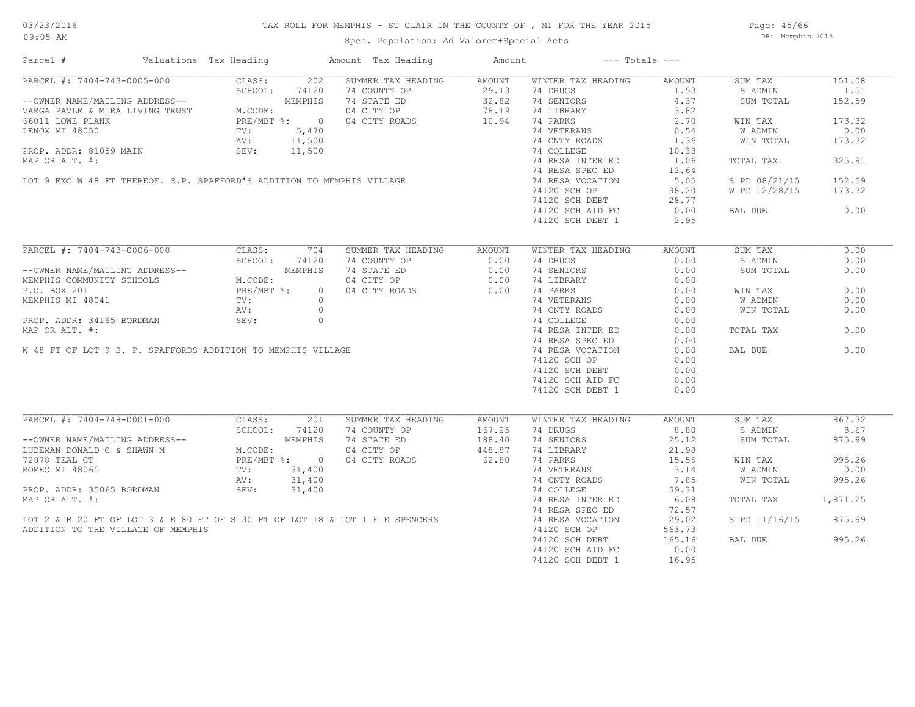#### TAX ROLL FOR MEMPHIS - ST CLAIR IN THE COUNTY OF , MI FOR THE YEAR 2015

Spec. Population: Ad Valorem+Special Acts Page: 45/66 DB: Memphis 2015

| Parcel #                                                                                                                                                  | Valuations Tax Heading |                                          |                | Amount Tax Heading                                                                                                                                                                                                                                                                                                                                                                                                       | Amount |                    | $---$ Totals $---$ |               |          |
|-----------------------------------------------------------------------------------------------------------------------------------------------------------|------------------------|------------------------------------------|----------------|--------------------------------------------------------------------------------------------------------------------------------------------------------------------------------------------------------------------------------------------------------------------------------------------------------------------------------------------------------------------------------------------------------------------------|--------|--------------------|--------------------|---------------|----------|
| PARCEL #: 7404-743-0005-000                                                                                                                               |                        | CLASS:                                   | 202            | SUMMER TAX HEADING                                                                                                                                                                                                                                                                                                                                                                                                       | AMOUNT | WINTER TAX HEADING | AMOUNT             | SUM TAX       | 151.08   |
|                                                                                                                                                           |                        | SCHOOL:                                  | 74120          | 74 COUNTY OP                                                                                                                                                                                                                                                                                                                                                                                                             | 29.13  | 74 DRUGS           | 1.53               | S ADMIN       | 1.51     |
| --OWNER NAME/MAILING ADDRESS--<br>VARGA PAVLE & MIRA LIVING TRUST M.CODE:<br>66011 LOWE PLANK CODE PRE/MBT %: 0<br>LENOX MI 48050 TV: 5,470<br>AV: 11,500 |                        |                                          |                | 74 STATE ED 32.82<br>04 CITY OP 78.19                                                                                                                                                                                                                                                                                                                                                                                    |        | 74 SENIORS         | 4.37               | SUM TOTAL     | 152.59   |
|                                                                                                                                                           |                        |                                          |                | 04 CITY OP                                                                                                                                                                                                                                                                                                                                                                                                               | 78.19  | 74 LIBRARY         | 3.82               |               |          |
|                                                                                                                                                           |                        |                                          |                | 04 CITY ROADS                                                                                                                                                                                                                                                                                                                                                                                                            | 10.94  | 74 PARKS           | 2.70               | WIN TAX       | 173.32   |
|                                                                                                                                                           |                        |                                          |                |                                                                                                                                                                                                                                                                                                                                                                                                                          |        | 74 VETERANS        | 0.54               | W ADMIN       | 0.00     |
|                                                                                                                                                           |                        |                                          |                |                                                                                                                                                                                                                                                                                                                                                                                                                          |        | 74 CNTY ROADS      | 1.36               | WIN TOTAL     | 173.32   |
|                                                                                                                                                           |                        |                                          |                |                                                                                                                                                                                                                                                                                                                                                                                                                          |        | 74 COLLEGE         | 10.33              |               |          |
|                                                                                                                                                           |                        |                                          |                |                                                                                                                                                                                                                                                                                                                                                                                                                          |        |                    |                    |               |          |
|                                                                                                                                                           |                        |                                          |                |                                                                                                                                                                                                                                                                                                                                                                                                                          |        | 74 RESA INTER ED   | 1.06               | TOTAL TAX     | 325.91   |
|                                                                                                                                                           |                        |                                          |                |                                                                                                                                                                                                                                                                                                                                                                                                                          |        | 74 RESA SPEC ED    | 12.64              |               |          |
|                                                                                                                                                           |                        |                                          |                |                                                                                                                                                                                                                                                                                                                                                                                                                          |        | 74 RESA VOCATION   | 5.05               | S PD 08/21/15 | 152.59   |
|                                                                                                                                                           |                        |                                          |                |                                                                                                                                                                                                                                                                                                                                                                                                                          |        | 74120 SCH OP       | 98.20              | W PD 12/28/15 | 173.32   |
|                                                                                                                                                           |                        |                                          |                |                                                                                                                                                                                                                                                                                                                                                                                                                          |        | 74120 SCH DEBT     | 28.77              |               |          |
|                                                                                                                                                           |                        |                                          |                |                                                                                                                                                                                                                                                                                                                                                                                                                          |        | 74120 SCH AID FC   | 0.00               | BAL DUE       | 0.00     |
|                                                                                                                                                           |                        |                                          |                |                                                                                                                                                                                                                                                                                                                                                                                                                          |        | 74120 SCH DEBT 1   | 2.95               |               |          |
|                                                                                                                                                           |                        |                                          |                | $\begin{minipage}[c]{0.9\linewidth} \begin{tabular}{lllllllllll} \multicolumn{2}{c }{\textbf{11,500}} & \multicolumn{2}{c }{\textbf{12,500}} & \multicolumn{2}{c }{\textbf{13,500}} & \multicolumn{2}{c }{\textbf{14,500}} & \multicolumn{2}{c }{\textbf{15,500}} & \multicolumn{2}{c }{\textbf{16,500}} & \multicolumn{2}{c }{\textbf{17,500}} & \multicolumn{2}{c }{\textbf{18,500}} & \multicolumn{2}{c }{\textbf{19$ |        |                    |                    |               |          |
| PARCEL #: 7404-743-0006-000                                                                                                                               |                        | CLASS:                                   | 704            | SUMMER TAX HEADING                                                                                                                                                                                                                                                                                                                                                                                                       | AMOUNT | WINTER TAX HEADING | AMOUNT             | SUM TAX       | 0.00     |
|                                                                                                                                                           |                        | SCHOOL:                                  | 74120          | 74 COUNTY OP                                                                                                                                                                                                                                                                                                                                                                                                             | 0.00   | 74 DRUGS           | 0.00               | S ADMIN       | 0.00     |
| --OWNER NAME/MAILING ADDRESS--<br>MEMPHIS COMMUNITY SCHOOLS<br>P.O. BOX 201 PRE/MBT %:<br>MEMPHIS MT 48041 TV:<br>MEMPHIS MT 48041 TV:                    |                        |                                          | MEMPHIS        | 74 STATE ED                                                                                                                                                                                                                                                                                                                                                                                                              | 0.00   | 74 SENIORS         | 0.00               | SUM TOTAL     | 0.00     |
|                                                                                                                                                           |                        |                                          |                | 04 CITY OP                                                                                                                                                                                                                                                                                                                                                                                                               | 0.00   | 74 LIBRARY         | 0.00               |               |          |
|                                                                                                                                                           |                        |                                          | $\overline{0}$ | 04 CITY ROADS                                                                                                                                                                                                                                                                                                                                                                                                            | 0.00   | 74 PARKS           | 0.00               | WIN TAX       | 0.00     |
|                                                                                                                                                           |                        |                                          | $\bigcirc$     |                                                                                                                                                                                                                                                                                                                                                                                                                          |        | 74 VETERANS        | 0.00               | W ADMIN       | 0.00     |
|                                                                                                                                                           |                        |                                          |                | PROP. ADDR: 34165 BORDMAN<br>MAP OR ALT. #:<br>W 48 FT OF LOT 9 S. P. SPAFFORDS ADDITION TO MEMPHIS VILLAGE                                                                                                                                                                                                                                                                                                              |        |                    |                    |               |          |
|                                                                                                                                                           |                        |                                          |                |                                                                                                                                                                                                                                                                                                                                                                                                                          |        | 74 CNTY ROADS      | 0.00               | WIN TOTAL     | 0.00     |
|                                                                                                                                                           |                        |                                          |                |                                                                                                                                                                                                                                                                                                                                                                                                                          |        | 74 COLLEGE         | 0.00               |               |          |
|                                                                                                                                                           |                        |                                          |                |                                                                                                                                                                                                                                                                                                                                                                                                                          |        | 74 RESA INTER ED   | 0.00               | TOTAL TAX     | 0.00     |
|                                                                                                                                                           |                        |                                          |                |                                                                                                                                                                                                                                                                                                                                                                                                                          |        | 74 RESA SPEC ED    | 0.00               |               |          |
|                                                                                                                                                           |                        |                                          |                |                                                                                                                                                                                                                                                                                                                                                                                                                          |        | 74 RESA VOCATION   | 0.00               | BAL DUE       | 0.00     |
|                                                                                                                                                           |                        |                                          |                |                                                                                                                                                                                                                                                                                                                                                                                                                          |        | 74120 SCH OP       | 0.00               |               |          |
|                                                                                                                                                           |                        |                                          |                |                                                                                                                                                                                                                                                                                                                                                                                                                          |        | 74120 SCH DEBT     | 0.00               |               |          |
|                                                                                                                                                           |                        |                                          |                |                                                                                                                                                                                                                                                                                                                                                                                                                          |        | 74120 SCH AID FC   | 0.00               |               |          |
|                                                                                                                                                           |                        |                                          |                |                                                                                                                                                                                                                                                                                                                                                                                                                          |        | 74120 SCH DEBT 1   | 0.00               |               |          |
|                                                                                                                                                           |                        |                                          |                |                                                                                                                                                                                                                                                                                                                                                                                                                          |        |                    |                    |               |          |
| PARCEL #: 7404-748-0001-000                                                                                                                               |                        | CLASS:                                   | 201            | SUMMER TAX HEADING                                                                                                                                                                                                                                                                                                                                                                                                       | AMOUNT | WINTER TAX HEADING | AMOUNT             | SUM TAX       | 867.32   |
|                                                                                                                                                           |                        |                                          | SCHOOL: 74120  | 74 COUNTY OP                                                                                                                                                                                                                                                                                                                                                                                                             | 167.25 | 74 DRUGS           | 8.80               | S ADMIN       | 8.67     |
|                                                                                                                                                           |                        |                                          | MEMPHIS        | 74 STATE ED                                                                                                                                                                                                                                                                                                                                                                                                              | 188.40 | 74 SENIORS         | 25.12              | SUM TOTAL     | 875.99   |
| --OWNER NAME/MAILING ADDRESS--<br>LUDEMAN DONALD C & SHAWN M                                                                                              |                        | M.CODE:                                  |                | 04 CITY OP                                                                                                                                                                                                                                                                                                                                                                                                               | 448.87 | 74 LIBRARY         |                    |               |          |
|                                                                                                                                                           |                        |                                          |                |                                                                                                                                                                                                                                                                                                                                                                                                                          |        |                    | 21.98              |               |          |
| 72878 TEAL CT                                                                                                                                             |                        | PRE/MBT %: 0<br>TV: 31,400<br>AV: 31.400 |                | 04 CITY ROADS                                                                                                                                                                                                                                                                                                                                                                                                            | 62.80  | 74 PARKS           | 15.55              | WIN TAX       | 995.26   |
|                                                                                                                                                           |                        |                                          |                |                                                                                                                                                                                                                                                                                                                                                                                                                          |        | 74 VETERANS        | 3.14               | W ADMIN       | 0.00     |
|                                                                                                                                                           |                        |                                          |                |                                                                                                                                                                                                                                                                                                                                                                                                                          |        | 74 CNTY ROADS      | 7.85               | WIN TOTAL     | 995.26   |
|                                                                                                                                                           |                        |                                          |                | PROP. ADDR: 35065 BORDMAN<br>MAP OR ALT. #:<br>LOT 2 & E 20 FT OF LOT 3 & E 80 FT OF S 30 FT OF LOT 18 & LOT 1 F E SPENCERS<br>ADDITION TO THE VILLAGE OF MEMPHIS                                                                                                                                                                                                                                                        |        | 74 COLLEGE         | 59.31              |               |          |
|                                                                                                                                                           |                        |                                          |                |                                                                                                                                                                                                                                                                                                                                                                                                                          |        | 74 RESA INTER ED   | 6.08               | TOTAL TAX     | 1,871.25 |
|                                                                                                                                                           |                        |                                          |                |                                                                                                                                                                                                                                                                                                                                                                                                                          |        | 74 RESA SPEC ED    | 72.57              |               |          |
|                                                                                                                                                           |                        |                                          |                |                                                                                                                                                                                                                                                                                                                                                                                                                          |        | 74 RESA VOCATION   | 29.02              | S PD 11/16/15 | 875.99   |
|                                                                                                                                                           |                        |                                          |                |                                                                                                                                                                                                                                                                                                                                                                                                                          |        | 74120 SCH OP       | 563.73             |               |          |
|                                                                                                                                                           |                        |                                          |                |                                                                                                                                                                                                                                                                                                                                                                                                                          |        | 74120 SCH DEBT     | 165.16             | BAL DUE       | 995.26   |
|                                                                                                                                                           |                        |                                          |                |                                                                                                                                                                                                                                                                                                                                                                                                                          |        |                    | 0.00               |               |          |
|                                                                                                                                                           |                        |                                          |                |                                                                                                                                                                                                                                                                                                                                                                                                                          |        | 74120 SCH AID FC   |                    |               |          |
|                                                                                                                                                           |                        |                                          |                |                                                                                                                                                                                                                                                                                                                                                                                                                          |        | 74120 SCH DEBT 1   | 16.95              |               |          |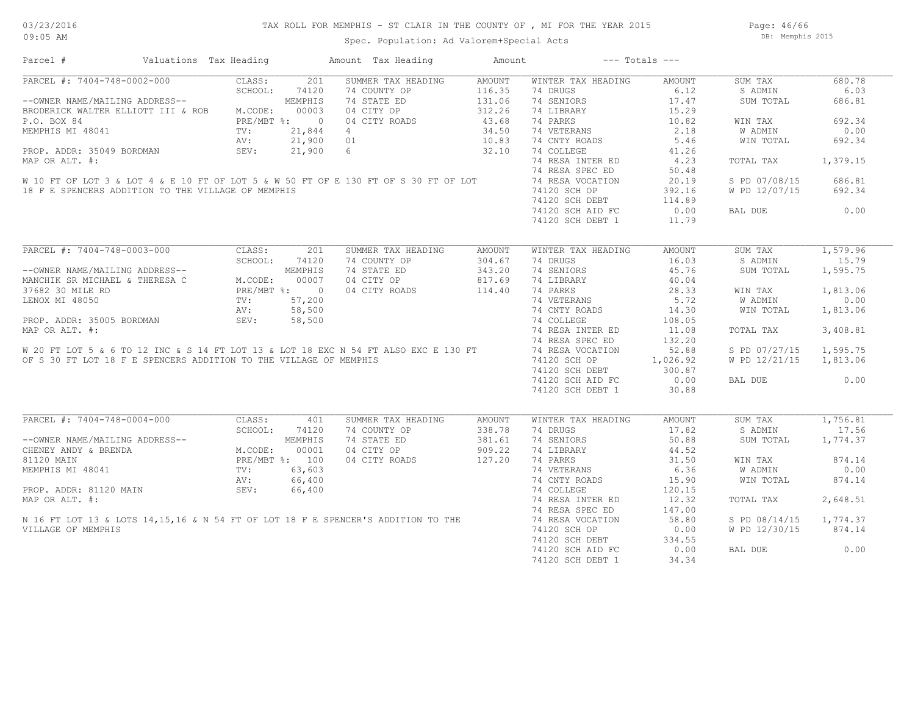Page: 46/66 DB: Memphis 2015

| Parcel #                                                                                                                                                                                                                                                            | Valuations Tax Heading                          |         |              | Amount Tax Heading | Amount |                    | $---$ Totals $---$ |               |          |
|---------------------------------------------------------------------------------------------------------------------------------------------------------------------------------------------------------------------------------------------------------------------|-------------------------------------------------|---------|--------------|--------------------|--------|--------------------|--------------------|---------------|----------|
| PARCEL #: 7404-748-0002-000                                                                                                                                                                                                                                         |                                                 | CLASS:  | 201          | SUMMER TAX HEADING | AMOUNT | WINTER TAX HEADING | AMOUNT             | SUM TAX       | 680.78   |
|                                                                                                                                                                                                                                                                     |                                                 | SCHOOL: | 74120        | 74 COUNTY OP       | 116.35 | 74 DRUGS           | 6.12               | S ADMIN       | 6.03     |
| --OWNER NAME/MAILING ADDRESS--                                                                                                                                                                                                                                      |                                                 |         | MEMPHIS      | 74 STATE ED        | 131.06 | 74 SENIORS         | 17.47              | SUM TOTAL     | 686.81   |
| BRODERICK WALTER ELLIOTT III & ROB                                                                                                                                                                                                                                  |                                                 | M.CODE: | 00003        | 04 CITY OP         | 312.26 | 74 LIBRARY         | 15.29              |               |          |
| P.O. BOX 84                                                                                                                                                                                                                                                         |                                                 |         | PRE/MBT %: 0 | 04 CITY ROADS      | 43.68  | 74 PARKS           | 10.82              | WIN TAX       | 692.34   |
| MEMPHIS MI 48041                                                                                                                                                                                                                                                    |                                                 | TV:     | 21,844       | $\overline{4}$     | 34.50  | 74 VETERANS        | 2.18               | W ADMIN       | 0.00     |
|                                                                                                                                                                                                                                                                     |                                                 | AV:     | 21,900       | 01                 | 10.83  | 74 CNTY ROADS      | 5.46               | WIN TOTAL     | 692.34   |
| PROP. ADDR: 35049 BORDMAN                                                                                                                                                                                                                                           |                                                 | SEV:    | 21,900       | 6 <sup>1</sup>     | 32.10  | 74 COLLEGE         | 41.26              |               |          |
| MAP OR ALT. #:                                                                                                                                                                                                                                                      |                                                 |         |              |                    |        | 74 RESA INTER ED   | 4.23               | TOTAL TAX     | 1,379.15 |
|                                                                                                                                                                                                                                                                     |                                                 |         |              |                    |        | 74 RESA SPEC ED    | 50.48              |               |          |
| W 10 FT OF LOT 3 & LOT 4 & E 10 FT OF LOT 5 & W 50 FT OF E 130 FT OF S 30 FT OF LOT                                                                                                                                                                                 |                                                 |         |              |                    |        | 74 RESA VOCATION   | 20.19              | S PD 07/08/15 | 686.81   |
| 18 F E SPENCERS ADDITION TO THE VILLAGE OF MEMPHIS                                                                                                                                                                                                                  |                                                 |         |              |                    |        | 74120 SCH OP       | 392.16             | W PD 12/07/15 | 692.34   |
|                                                                                                                                                                                                                                                                     |                                                 |         |              |                    |        |                    |                    |               |          |
|                                                                                                                                                                                                                                                                     |                                                 |         |              |                    |        | 74120 SCH DEBT     | 114.89             |               |          |
|                                                                                                                                                                                                                                                                     |                                                 |         |              |                    |        | 74120 SCH AID FC   | 0.00               | BAL DUE       | 0.00     |
|                                                                                                                                                                                                                                                                     |                                                 |         |              |                    |        | 74120 SCH DEBT 1   | 11.79              |               |          |
|                                                                                                                                                                                                                                                                     |                                                 |         |              |                    |        |                    |                    |               |          |
| PARCEL #: 7404-748-0003-000                                                                                                                                                                                                                                         |                                                 | CLASS:  | 201          | SUMMER TAX HEADING | AMOUNT | WINTER TAX HEADING | AMOUNT             | SUM TAX       | 1,579.96 |
|                                                                                                                                                                                                                                                                     |                                                 | SCHOOL: | 74120        | 74 COUNTY OP       | 304.67 | 74 DRUGS           | 16.03              | S ADMIN       | 15.79    |
| --OWNER NAME/MAILING ADDRESS--                                                                                                                                                                                                                                      |                                                 |         | MEMPHIS      | 74 STATE ED        | 343.20 | 74 SENIORS         | 45.76              | SUM TOTAL     | 1,595.75 |
| MANCHIK SR MICHAEL & THERESA C                                                                                                                                                                                                                                      |                                                 | M.CODE: | 00007        | 04 CITY OP         | 817.69 | 74 LIBRARY         | 40.04              |               |          |
| 37682 30 MILE RD                                                                                                                                                                                                                                                    | DRESS--<br>ERESA C M.COI<br>PRE/I<br>TV:<br>NV: |         | PRE/MBT %: 0 | 04 CITY ROADS      | 114.40 | 74 PARKS           | 28.33              | WIN TAX       | 1,813.06 |
| LENOX MI 48050                                                                                                                                                                                                                                                      |                                                 |         | 57,200       |                    |        | 74 VETERANS        | 5.72               | W ADMIN       | 0.00     |
|                                                                                                                                                                                                                                                                     |                                                 | AV:     | 58,500       |                    |        | 74 CNTY ROADS      | 14.30              | WIN TOTAL     | 1,813.06 |
| MAP OR ALT. #:<br>W 20 FT LOT 5 & 6 TO 12 INC & S 14 FT LOT 13 & LOT 18 EXC N 54 FT ALSO EXC E 130 FT<br>OF S 30 FT LOT 18 F E SPENCERS ADDITION TO THE VILLAGE OF MEMPHIS                                                                                          |                                                 |         |              |                    |        | 74 COLLEGE         | 108.05             |               |          |
|                                                                                                                                                                                                                                                                     |                                                 |         |              |                    |        |                    |                    |               |          |
|                                                                                                                                                                                                                                                                     |                                                 |         |              |                    |        | 74 RESA INTER ED   | 11.08              | TOTAL TAX     | 3,408.81 |
|                                                                                                                                                                                                                                                                     |                                                 |         |              |                    |        | 74 RESA SPEC ED    | 132.20             |               |          |
|                                                                                                                                                                                                                                                                     |                                                 |         |              |                    |        | 74 RESA VOCATION   | 52.88              | S PD 07/27/15 | 1,595.75 |
|                                                                                                                                                                                                                                                                     |                                                 |         |              |                    |        | 74120 SCH OP       | 1,026.92           | W PD 12/21/15 | 1,813.06 |
|                                                                                                                                                                                                                                                                     |                                                 |         |              |                    |        | 74120 SCH DEBT     | 300.87             |               |          |
|                                                                                                                                                                                                                                                                     |                                                 |         |              |                    |        | 74120 SCH AID FC   | 0.00               | BAL DUE       | 0.00     |
|                                                                                                                                                                                                                                                                     |                                                 |         |              |                    |        | 74120 SCH DEBT 1   | 30.88              |               |          |
|                                                                                                                                                                                                                                                                     |                                                 |         |              |                    |        |                    |                    |               |          |
| CLASS:<br>SCHOOL: 74.<br>MEMPH1<br>MEMPH1<br>MEMPH1S MI 48041<br>PROP. ADDR: 81120 MAIN<br>POR ALT. #:<br>SEV:<br>POR ALT. #:<br>SEV:<br>POR ALT. #:<br>PROP. POR ALT. #:<br>POR ALT. #:<br>SEV:<br>POR ALT. #:<br>SEV:<br>POR MEMPH2<br>POR ALT. #:<br>SEV:<br>POR |                                                 |         |              | SUMMER TAX HEADING | AMOUNT | WINTER TAX HEADING | AMOUNT             | SUM TAX       | 1,756.81 |
|                                                                                                                                                                                                                                                                     |                                                 |         |              | 74 COUNTY OP       | 338.78 | 74 DRUGS           | 17.82              | S ADMIN       | 17.56    |
|                                                                                                                                                                                                                                                                     |                                                 |         |              | 74 STATE ED        | 381.61 | 74 SENIORS         | 50.88              | SUM TOTAL     | 1,774.37 |
|                                                                                                                                                                                                                                                                     |                                                 |         |              | 04 CITY OP         | 909.22 | 74 LIBRARY         | 44.52              |               |          |
|                                                                                                                                                                                                                                                                     |                                                 |         |              | 04 CITY ROADS      | 127.20 | 74 PARKS           | 31.50              | WIN TAX       | 874.14   |
|                                                                                                                                                                                                                                                                     |                                                 |         |              |                    |        | 74 VETERANS        | 6.36               | W ADMIN       | 0.00     |
|                                                                                                                                                                                                                                                                     |                                                 |         |              |                    |        | 74 CNTY ROADS      | 15.90              | WIN TOTAL     | 874.14   |
|                                                                                                                                                                                                                                                                     |                                                 |         |              |                    |        | 74 COLLEGE         | 120.15             |               |          |
| MEMPHIS MI 48041<br>PROP. ADDR: 81120 MAIN<br>MAP OR ALT. #:<br>N 16 FT LOT 13 & LOTS 14,15,16 & N 54 FT OF LOT 18 F E SPENCER'S ADDITION TO THE                                                                                                                    |                                                 |         |              |                    |        | 74 RESA INTER ED   | 12.32              | TOTAL TAX     | 2,648.51 |
|                                                                                                                                                                                                                                                                     |                                                 |         |              |                    |        |                    |                    |               |          |
|                                                                                                                                                                                                                                                                     |                                                 |         |              |                    |        | 74 RESA SPEC ED    | 147.00             |               |          |
|                                                                                                                                                                                                                                                                     |                                                 |         |              |                    |        | 74 RESA VOCATION   | 58.80              | S PD 08/14/15 | 1,774.37 |
|                                                                                                                                                                                                                                                                     |                                                 |         |              |                    |        | 74120 SCH OP       | 0.00               | W PD 12/30/15 | 874.14   |
|                                                                                                                                                                                                                                                                     |                                                 |         |              |                    |        | 74120 SCH DEBT     | 334.55             |               |          |
|                                                                                                                                                                                                                                                                     |                                                 |         |              |                    |        | 74120 SCH AID FC   | 0.00               | BAL DUE       | 0.00     |
|                                                                                                                                                                                                                                                                     |                                                 |         |              |                    |        | 74120 SCH DEBT 1   | 34.34              |               |          |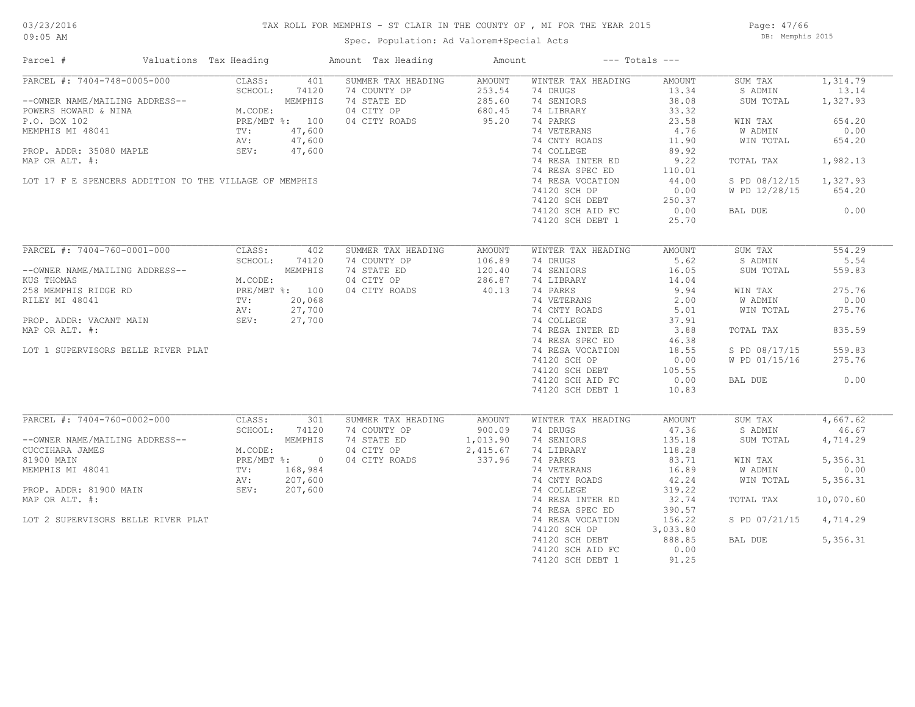# TAX ROLL FOR MEMPHIS - ST CLAIR IN THE COUNTY OF , MI FOR THE YEAR 2015 Spec. Population: Ad Valorem+Special Acts

Page: 47/66 DB: Memphis 2015

| Parcel #                                                                                                                                                                                                                                           | Valuations Tax Heading |         |        | Amount Tax Heading | Amount             |                              | $---$ Totals $---$ |                        |           |
|----------------------------------------------------------------------------------------------------------------------------------------------------------------------------------------------------------------------------------------------------|------------------------|---------|--------|--------------------|--------------------|------------------------------|--------------------|------------------------|-----------|
| PARCEL #: 7404-748-0005-000                                                                                                                                                                                                                        |                        | CLASS:  | 401    | SUMMER TAX HEADING | AMOUNT             | WINTER TAX HEADING           | AMOUNT             | SUM TAX                | 1,314.79  |
|                                                                                                                                                                                                                                                    |                        | SCHOOL: | 74120  | 74 COUNTY OP       | 253.54             | 74 DRUGS                     | 13.34              | S ADMIN                | 13.14     |
| --OWNER NAME/MAILING ADDRESS--<br>POWERS HOWARD & NINA<br>P.O. BOX 102<br>MEMPHIS MI 48041<br>MEMPHIS MI 48041<br>P.O. BOX 102<br>MEMPHIS MI 48041<br>P.CODE:<br>P.O. BOX 102<br>PRE/MBT %: 100<br>AV: 47,600                                      |                        |         |        | 74 STATE ED        | 285.60             | 74 SENIORS                   | 38.08              | SUM TOTAL              | 1,327.93  |
|                                                                                                                                                                                                                                                    |                        |         |        | 04 CITY OP         | 680.45             | 74 LIBRARY                   | 33.32              |                        |           |
|                                                                                                                                                                                                                                                    |                        |         |        | 04 CITY ROADS      | 95.20              | 74 PARKS                     | 23.58              | WIN TAX                | 654.20    |
|                                                                                                                                                                                                                                                    |                        |         |        |                    |                    | 74 VETERANS                  | 4.76               | W ADMIN                | 0.00      |
|                                                                                                                                                                                                                                                    |                        |         |        |                    |                    | 74 CNTY ROADS                | 11.90              | WIN TOTAL              | 654.20    |
| PROP. ADDR: 35080 MAPLE SEV:                                                                                                                                                                                                                       |                        |         | 47,600 |                    |                    | 74 COLLEGE                   | 89.92              |                        |           |
|                                                                                                                                                                                                                                                    |                        |         |        |                    |                    |                              |                    |                        |           |
| MAP OR ALT. #:                                                                                                                                                                                                                                     |                        |         |        |                    |                    | 74 RESA INTER ED             | 9.22               | TOTAL TAX              | 1,982.13  |
|                                                                                                                                                                                                                                                    |                        |         |        |                    |                    | 74 RESA SPEC ED              | 110.01             |                        |           |
| LOT 17 F E SPENCERS ADDITION TO THE VILLAGE OF MEMPHIS                                                                                                                                                                                             |                        |         |        |                    |                    | 74 RESA VOCATION             | 44.00              | S PD 08/12/15 1,327.93 |           |
|                                                                                                                                                                                                                                                    |                        |         |        |                    |                    | 74120 SCH OP                 | 0.00               | W PD 12/28/15          | 654.20    |
|                                                                                                                                                                                                                                                    |                        |         |        |                    |                    | 74120 SCH DEBT               | 250.37             |                        |           |
|                                                                                                                                                                                                                                                    |                        |         |        |                    |                    | 74120 SCH AID FC             | 0.00               | BAL DUE                | 0.00      |
|                                                                                                                                                                                                                                                    |                        |         |        |                    |                    | 74120 SCH DEBT 1             | 25.70              |                        |           |
|                                                                                                                                                                                                                                                    |                        |         |        |                    |                    |                              |                    |                        |           |
| PARCEL #: 7404-760-0001-000                                                                                                                                                                                                                        |                        | CLASS:  | 402    | SUMMER TAX HEADING | AMOUNT             | WINTER TAX HEADING           | AMOUNT             | SUM TAX                | 554.29    |
|                                                                                                                                                                                                                                                    |                        | SCHOOL: | 74120  | 74 COUNTY OP       | 106.89             | 74 DRUGS                     | 5.62               | S ADMIN                | 5.54      |
|                                                                                                                                                                                                                                                    |                        |         |        | 74 STATE ED        | 120.40             | 74 SENIORS                   | 16.05              | SUM TOTAL              | 559.83    |
|                                                                                                                                                                                                                                                    |                        |         |        | 04 CITY OP         | 286.87             | 74 LIBRARY                   | 14.04              |                        |           |
|                                                                                                                                                                                                                                                    |                        |         |        | 04 CITY ROADS      | 40.13              | 74 PARKS                     | 9.94               | WIN TAX                | 275.76    |
|                                                                                                                                                                                                                                                    |                        |         |        |                    |                    |                              | 2.00               | W ADMIN                | 0.00      |
|                                                                                                                                                                                                                                                    |                        |         |        |                    |                    | 74 VETERANS<br>74 CNTY ROADS | 5.01               | WIN TOTAL              | 275.76    |
|                                                                                                                                                                                                                                                    |                        |         |        |                    |                    | 74 COLLEGE                   | 37.91              |                        |           |
| --OWNER NAME/MAILING ADDRESS--<br>KUS THOMAS<br>258 MEMPHIS RIDGE RD<br>258 MEMPHIS RIDGE RD<br>27,700<br>RILEY MI 48041<br>PROP. ADDR: VACANT MAIN<br>PROP. ADDR: VACANT MAIN<br>PROP. ADDR: VACANT MAIN<br>PROP. ADDR: VACANT MAIN<br>PROP. ADDR |                        |         |        |                    |                    |                              |                    |                        |           |
| MAP OR ALT. #:                                                                                                                                                                                                                                     |                        |         |        |                    |                    | 74 RESA INTER ED             | 3.88               | TOTAL TAX              | 835.59    |
|                                                                                                                                                                                                                                                    |                        |         |        |                    |                    | 74 RESA SPEC ED              | 46.38              |                        |           |
| LOT 1 SUPERVISORS BELLE RIVER PLAT                                                                                                                                                                                                                 |                        |         |        |                    |                    | 74 RESA VOCATION             | 18.55              | S PD 08/17/15          | 559.83    |
|                                                                                                                                                                                                                                                    |                        |         |        |                    |                    | 74120 SCH OP                 | 0.00               | W PD 01/15/16          | 275.76    |
|                                                                                                                                                                                                                                                    |                        |         |        |                    |                    | 74120 SCH DEBT               | 105.55             |                        |           |
|                                                                                                                                                                                                                                                    |                        |         |        |                    |                    | 74120 SCH AID FC             | 0.00               | BAL DUE                | 0.00      |
|                                                                                                                                                                                                                                                    |                        |         |        |                    |                    | 74120 SCH DEBT 1             | 10.83              |                        |           |
|                                                                                                                                                                                                                                                    |                        |         |        |                    |                    |                              |                    |                        |           |
| PARCEL #: 7404-760-0002-000                                                                                                                                                                                                                        |                        | CLASS:  | 301    | SUMMER TAX HEADING | AMOUNT             | WINTER TAX HEADING           | AMOUNT             | SUM TAX                | 4,667.62  |
|                                                                                                                                                                                                                                                    |                        | SCHOOL: | 74120  | 74 COUNTY OP       | 900.09             | 74 DRUGS                     | 47.36              | S ADMIN                | 46.67     |
|                                                                                                                                                                                                                                                    |                        |         |        | 74 STATE ED        | 1,013.90           | 74 SENIORS                   | 135.18             | SUM TOTAL              | 4,714.29  |
|                                                                                                                                                                                                                                                    |                        |         |        | 04 CITY OP         |                    | 74 LIBRARY                   | 118.28             |                        |           |
|                                                                                                                                                                                                                                                    |                        |         |        | 04 CITY ROADS      | 2,415.67<br>337.96 | 74 PARKS                     | 83.71              | WIN TAX                | 5,356.31  |
|                                                                                                                                                                                                                                                    |                        |         |        |                    |                    | 74 VETERANS                  | 16.89              | W ADMIN                | 0.00      |
|                                                                                                                                                                                                                                                    |                        |         |        |                    |                    | 74 CNTY ROADS                | 42.24              | WIN TOTAL              | 5,356.31  |
| --OWNER NAME/MAILING ADDRESS--<br>CUCCIHARA JAMES<br>81900 MAIN PRE/MBT %: 0<br>MEMPHIS MI 48041 PRE/MBT %: 0<br>PROP. ADDR: 81900 MAIN AV: 207,600<br>PROP. ADDR: 81900 MAIN SEV: 207,600                                                         |                        |         |        |                    |                    | 74 COLLEGE                   | 319.22             |                        |           |
| MAP OR ALT. #:                                                                                                                                                                                                                                     |                        |         |        |                    |                    | 74 RESA INTER ED             | 32.74              | TOTAL TAX              | 10,070.60 |
|                                                                                                                                                                                                                                                    |                        |         |        |                    |                    | 74 RESA SPEC ED              | 390.57             |                        |           |
|                                                                                                                                                                                                                                                    |                        |         |        |                    |                    |                              |                    |                        |           |
| LOT 2 SUPERVISORS BELLE RIVER PLAT                                                                                                                                                                                                                 |                        |         |        |                    |                    | 74 RESA VOCATION             | 156.22             | S PD 07/21/15          | 4,714.29  |
|                                                                                                                                                                                                                                                    |                        |         |        |                    |                    | 74120 SCH OP 3,033.80        |                    |                        |           |
|                                                                                                                                                                                                                                                    |                        |         |        |                    |                    | 74120 SCH DEBT               | 888.85             | BAL DUE                | 5,356.31  |
|                                                                                                                                                                                                                                                    |                        |         |        |                    |                    | 74120 SCH AID FC             | 0.00               |                        |           |
|                                                                                                                                                                                                                                                    |                        |         |        |                    |                    | 74120 SCH DEBT 1             | 91.25              |                        |           |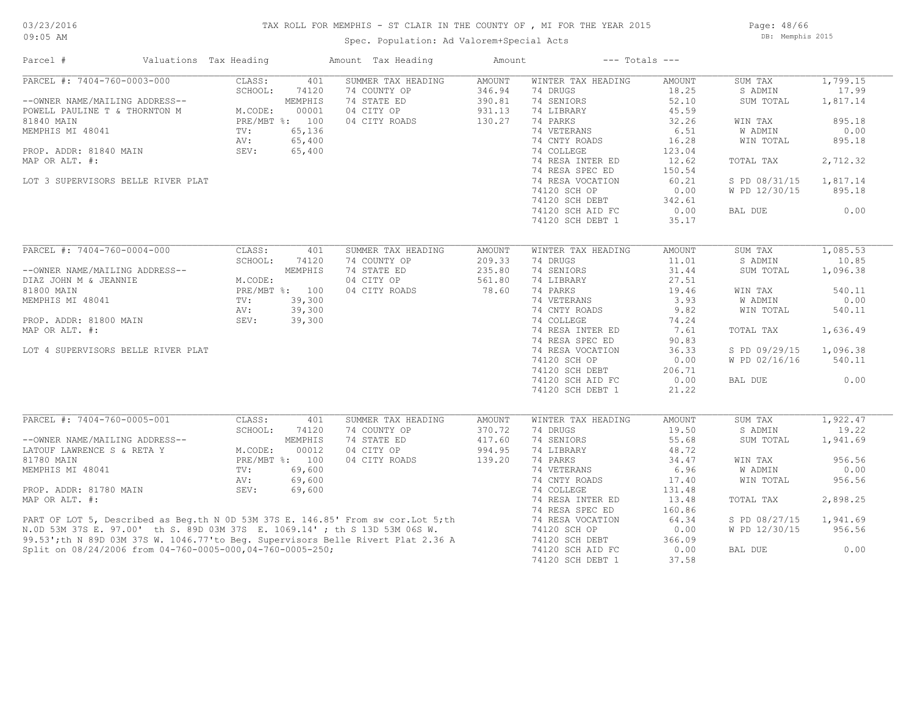#### TAX ROLL FOR MEMPHIS - ST CLAIR IN THE COUNTY OF , MI FOR THE YEAR 2015

Spec. Population: Ad Valorem+Special Acts

Page: 48/66 DB: Memphis 2015

| Parcel #                                                                                                                                                                                                           | Valuations Tax Heading                             |                                                                                  | Amount Tax Heading                                                               | Amount                                                |                                                                                                                                                                                                                                                           | $---$ Totals $---$                                                                                                                   |                                                                                                                              |                                                                                                     |
|--------------------------------------------------------------------------------------------------------------------------------------------------------------------------------------------------------------------|----------------------------------------------------|----------------------------------------------------------------------------------|----------------------------------------------------------------------------------|-------------------------------------------------------|-----------------------------------------------------------------------------------------------------------------------------------------------------------------------------------------------------------------------------------------------------------|--------------------------------------------------------------------------------------------------------------------------------------|------------------------------------------------------------------------------------------------------------------------------|-----------------------------------------------------------------------------------------------------|
| PARCEL #: 7404-760-0003-000<br>--OWNER NAME/MAILING ADDRESS--<br>POWELL PAULINE T & THORNTON M<br>81840 MAIN<br>MEMPHIS MI 48041<br>PROP. ADDR: 81840 MAIN<br>MAP OR ALT. #:<br>LOT 3 SUPERVISORS BELLE RIVER PLAT | CLASS:<br>SCHOOL:<br>M.CODE:<br>TV:<br>AV:<br>SEV: | 401<br>74120<br>MEMPHIS<br>00001<br>PRE/MBT %: 100<br>65,136<br>65,400<br>65,400 | SUMMER TAX HEADING<br>74 COUNTY OP<br>74 STATE ED<br>04 CITY OP<br>04 CITY ROADS | <b>AMOUNT</b><br>346.94<br>390.81<br>931.13<br>130.27 | WINTER TAX HEADING<br>74 DRUGS<br>74 SENIORS<br>74 LIBRARY<br>74 PARKS<br>74 VETERANS<br>74 CNTY ROADS<br>74 COLLEGE<br>74 RESA INTER ED<br>74 RESA SPEC ED<br>74 RESA VOCATION<br>74120 SCH OP<br>74120 SCH DEBT<br>74120 SCH AID FC<br>74120 SCH DEBT 1 | AMOUNT<br>18.25<br>52.10<br>45.59<br>32.26<br>6.51<br>16.28<br>123.04<br>12.62<br>150.54<br>60.21<br>0.00<br>342.61<br>0.00<br>35.17 | SUM TAX<br>S ADMIN<br>SUM TOTAL<br>WIN TAX<br>W ADMIN<br>WIN TOTAL<br>TOTAL TAX<br>S PD 08/31/15<br>W PD 12/30/15<br>BAL DUE | 1,799.15<br>17.99<br>1,817.14<br>895.18<br>0.00<br>895.18<br>2,712.32<br>1,817.14<br>895.18<br>0.00 |
| PARCEL #: 7404-760-0004-000                                                                                                                                                                                        | CLASS:                                             | 401                                                                              | SUMMER TAX HEADING                                                               | AMOUNT                                                | WINTER TAX HEADING                                                                                                                                                                                                                                        | AMOUNT                                                                                                                               | SUM TAX                                                                                                                      | 1,085.53                                                                                            |
| --OWNER NAME/MAILING ADDRESS--<br>DIAZ JOHN M & JEANNIE                                                                                                                                                            | SCHOOL:<br>M.CODE:                                 | 74120<br>MEMPHIS                                                                 | 74 COUNTY OP<br>74 STATE ED<br>04 CITY OP                                        | 209.33<br>235.80<br>561.80                            | 74 DRUGS<br>74 SENIORS<br>74 LIBRARY                                                                                                                                                                                                                      | 11.01<br>31.44<br>27.51                                                                                                              | S ADMIN<br>SUM TOTAL                                                                                                         | 10.85<br>1,096.38                                                                                   |
| 81800 MAIN                                                                                                                                                                                                         |                                                    | PRE/MBT %: 100                                                                   | 04 CITY ROADS                                                                    | 78.60                                                 | 74 PARKS                                                                                                                                                                                                                                                  | 19.46                                                                                                                                | WIN TAX                                                                                                                      | 540.11                                                                                              |
| MEMPHIS MI 48041                                                                                                                                                                                                   | TV:                                                | 39,300                                                                           |                                                                                  |                                                       | 74 VETERANS                                                                                                                                                                                                                                               | 3.93                                                                                                                                 | <b>W ADMIN</b>                                                                                                               | 0.00                                                                                                |
|                                                                                                                                                                                                                    | AV:                                                | 39,300                                                                           |                                                                                  |                                                       | 74 CNTY ROADS                                                                                                                                                                                                                                             | 9.82                                                                                                                                 | WIN TOTAL                                                                                                                    | 540.11                                                                                              |
| PROP. ADDR: 81800 MAIN                                                                                                                                                                                             | SEV:                                               | 39,300                                                                           |                                                                                  |                                                       | 74 COLLEGE                                                                                                                                                                                                                                                | 74.24                                                                                                                                |                                                                                                                              |                                                                                                     |
| MAP OR ALT. #:                                                                                                                                                                                                     |                                                    |                                                                                  |                                                                                  |                                                       | 74 RESA INTER ED                                                                                                                                                                                                                                          | 7.61                                                                                                                                 | TOTAL TAX                                                                                                                    | 1,636.49                                                                                            |
|                                                                                                                                                                                                                    |                                                    |                                                                                  |                                                                                  |                                                       | 74 RESA SPEC ED                                                                                                                                                                                                                                           | 90.83                                                                                                                                |                                                                                                                              |                                                                                                     |
| LOT 4 SUPERVISORS BELLE RIVER PLAT                                                                                                                                                                                 |                                                    |                                                                                  |                                                                                  |                                                       | 74 RESA VOCATION                                                                                                                                                                                                                                          | 36.33                                                                                                                                | S PD 09/29/15                                                                                                                | 1,096.38                                                                                            |
|                                                                                                                                                                                                                    |                                                    |                                                                                  |                                                                                  |                                                       | 74120 SCH OP                                                                                                                                                                                                                                              | 0.00                                                                                                                                 | W PD 02/16/16                                                                                                                | 540.11                                                                                              |
|                                                                                                                                                                                                                    |                                                    |                                                                                  |                                                                                  |                                                       | 74120 SCH DEBT                                                                                                                                                                                                                                            | 206.71                                                                                                                               |                                                                                                                              |                                                                                                     |
|                                                                                                                                                                                                                    |                                                    |                                                                                  |                                                                                  |                                                       | 74120 SCH AID FC                                                                                                                                                                                                                                          | 0.00                                                                                                                                 | BAL DUE                                                                                                                      | 0.00                                                                                                |
|                                                                                                                                                                                                                    |                                                    |                                                                                  |                                                                                  |                                                       | 74120 SCH DEBT 1                                                                                                                                                                                                                                          | 21.22                                                                                                                                |                                                                                                                              |                                                                                                     |
| PARCEL #: 7404-760-0005-001                                                                                                                                                                                        | CLASS:                                             | 401                                                                              | SUMMER TAX HEADING                                                               | AMOUNT                                                | WINTER TAX HEADING                                                                                                                                                                                                                                        | AMOUNT                                                                                                                               | SUM TAX                                                                                                                      | 1,922.47                                                                                            |
|                                                                                                                                                                                                                    | SCHOOL:                                            | 74120                                                                            | 74 COUNTY OP                                                                     | 370.72                                                | 74 DRUGS                                                                                                                                                                                                                                                  | 19.50                                                                                                                                | S ADMIN                                                                                                                      | 19.22                                                                                               |
| --OWNER NAME/MAILING ADDRESS--                                                                                                                                                                                     |                                                    | MEMPHIS                                                                          | 74 STATE ED                                                                      | 417.60                                                | 74 SENIORS                                                                                                                                                                                                                                                | 55.68                                                                                                                                | SUM TOTAL                                                                                                                    | 1,941.69                                                                                            |
| LATOUF LAWRENCE S & RETA Y                                                                                                                                                                                         | M.CODE:                                            | 00012                                                                            | 04 CITY OP                                                                       | 994.95                                                | 74 LIBRARY                                                                                                                                                                                                                                                | 48.72                                                                                                                                |                                                                                                                              |                                                                                                     |
| 81780 MAIN                                                                                                                                                                                                         |                                                    | PRE/MBT %: 100                                                                   | 04 CITY ROADS                                                                    | 139.20                                                | 74 PARKS                                                                                                                                                                                                                                                  | 34.47                                                                                                                                | WIN TAX                                                                                                                      | 956.56                                                                                              |
| MEMPHIS MI 48041                                                                                                                                                                                                   | TV:                                                | 69,600                                                                           |                                                                                  |                                                       | 74 VETERANS                                                                                                                                                                                                                                               | 6.96                                                                                                                                 | W ADMIN                                                                                                                      | 0.00                                                                                                |
|                                                                                                                                                                                                                    | AV:                                                | 69,600                                                                           |                                                                                  |                                                       | 74 CNTY ROADS                                                                                                                                                                                                                                             | 17.40                                                                                                                                | WIN TOTAL                                                                                                                    | 956.56                                                                                              |
| PROP. ADDR: 81780 MAIN                                                                                                                                                                                             | SEV:                                               | 69,600                                                                           |                                                                                  |                                                       | 74 COLLEGE                                                                                                                                                                                                                                                | 131.48                                                                                                                               |                                                                                                                              |                                                                                                     |
| MAP OR ALT. #:                                                                                                                                                                                                     |                                                    |                                                                                  |                                                                                  |                                                       | 74 RESA INTER ED                                                                                                                                                                                                                                          | 13.48                                                                                                                                | TOTAL TAX                                                                                                                    | 2,898.25                                                                                            |
|                                                                                                                                                                                                                    |                                                    |                                                                                  |                                                                                  |                                                       | 74 RESA SPEC ED                                                                                                                                                                                                                                           | 160.86                                                                                                                               |                                                                                                                              |                                                                                                     |
| PART OF LOT 5, Described as Beg.th N 0D 53M 37S E. 146.85' From sw cor. Lot 5; th<br>N.OD 53M 37S E. 97.00' th S. 89D 03M 37S E. 1069.14' ; th S 13D 53M 06S W.                                                    |                                                    |                                                                                  |                                                                                  |                                                       | 74 RESA VOCATION                                                                                                                                                                                                                                          | 64.34                                                                                                                                | S PD 08/27/15                                                                                                                | 1,941.69                                                                                            |
|                                                                                                                                                                                                                    |                                                    |                                                                                  |                                                                                  |                                                       | 74120 SCH OP                                                                                                                                                                                                                                              | 0.00                                                                                                                                 | W PD 12/30/15                                                                                                                | 956.56                                                                                              |
| 99.53';th N 89D 03M 37S W. 1046.77'to Beq. Supervisors Belle Rivert Plat 2.36 A                                                                                                                                    |                                                    |                                                                                  |                                                                                  |                                                       | 74120 SCH DEBT                                                                                                                                                                                                                                            | 366.09                                                                                                                               |                                                                                                                              |                                                                                                     |
| Split on 08/24/2006 from 04-760-0005-000,04-760-0005-250;                                                                                                                                                          |                                                    |                                                                                  |                                                                                  |                                                       | 74120 SCH AID FC                                                                                                                                                                                                                                          | 0.00                                                                                                                                 | BAL DUE                                                                                                                      | 0.00                                                                                                |
|                                                                                                                                                                                                                    |                                                    |                                                                                  |                                                                                  |                                                       | 74120 SCH DEBT 1                                                                                                                                                                                                                                          | 37.58                                                                                                                                |                                                                                                                              |                                                                                                     |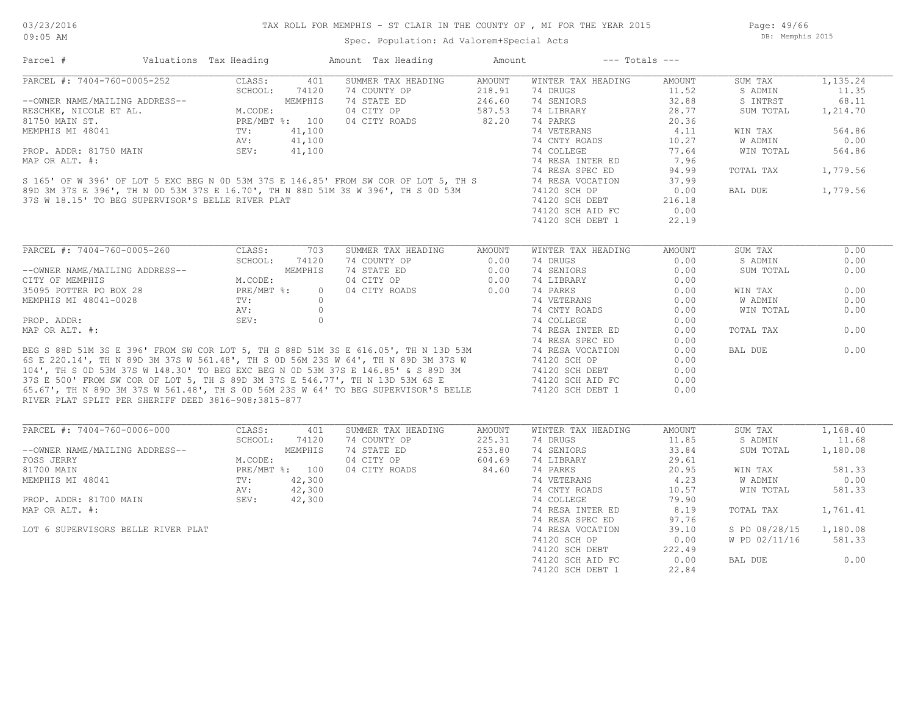Page: 49/66 DB: Memphis 2015

| Parcel #                                                                                                                                                                                                                             | Valuations Tax Heading |          | Amount Tax Heading               | Amount | $---$ Totals $---$ |               |               |          |
|--------------------------------------------------------------------------------------------------------------------------------------------------------------------------------------------------------------------------------------|------------------------|----------|----------------------------------|--------|--------------------|---------------|---------------|----------|
| PARCEL #: 7404-760-0005-252                                                                                                                                                                                                          | CLASS:                 | 401      | SUMMER TAX HEADING               | AMOUNT | WINTER TAX HEADING | AMOUNT        | SUM TAX       | 1,135.24 |
|                                                                                                                                                                                                                                      | SCHOOL:                | 74120    | 74 COUNTY OP                     | 218.91 | 74 DRUGS           | 11.52         | S ADMIN       | 11.35    |
| --OWNER NAME/MAILING ADDRESS--<br>RESCHKE, NICOLE ET AL. M.CODE:<br>81750 MAIN ST. PRE/MBT %: 100<br>MEMPHIS MI 48041 TV: 41,100<br>PROP. ADDR: 81750 MAIN SEV: 41,100<br>PROP. ADDR: 81750 MAIN SEV: 41,100                         |                        |          | 74 STATE ED                      | 246.60 | 74 SENIORS         | 32.88         | S INTRST      | 68.11    |
|                                                                                                                                                                                                                                      |                        |          | 04 CITY OP                       | 587.53 | 74 LIBRARY         | 28.77         | SUM TOTAL     | 1,214.70 |
|                                                                                                                                                                                                                                      |                        |          | 04 CITY ROADS                    | 82.20  | 74 PARKS           | 20.36         |               |          |
|                                                                                                                                                                                                                                      |                        |          |                                  |        | 74 VETERANS        | 4.11          | WIN TAX       | 564.86   |
|                                                                                                                                                                                                                                      |                        |          |                                  |        | 74 CNTY ROADS      | 10.27         | W ADMIN       | 0.00     |
|                                                                                                                                                                                                                                      |                        |          |                                  |        | 74 COLLEGE         | 77.64         | WIN TOTAL     | 564.86   |
| MAP OR ALT. #:                                                                                                                                                                                                                       |                        |          |                                  |        | 74 RESA INTER ED   | 7.96          |               |          |
|                                                                                                                                                                                                                                      |                        |          |                                  |        | 74 RESA SPEC ED    | 94.99         | TOTAL TAX     | 1,779.56 |
| S 165' OF W 396' OF LOT 5 EXC BEG N 0D 53M 37S E 146.85' FROM SW COR OF LOT 5, TH S<br>89D 3M 37S E 396', TH N 0D 53M 37S E 16.70', TH N 88D 51M 3S W 396', TH S 0D 53M 74 RESA VOCATION<br>37S W 18.15' TO BEG SUPERVISOR'S BELLE R |                        |          |                                  |        |                    | 37.99         |               |          |
|                                                                                                                                                                                                                                      |                        |          |                                  |        |                    |               |               |          |
|                                                                                                                                                                                                                                      |                        |          |                                  |        |                    | 0.00          | BAL DUE       | 1,779.56 |
| 37S W 18.15' TO BEG SUPERVISOR'S BELLE RIVER PLAT                                                                                                                                                                                    |                        |          |                                  |        | 74120 SCH DEBT     | 216.18        |               |          |
|                                                                                                                                                                                                                                      |                        |          |                                  |        | 74120 SCH AID FC   | 0.00          |               |          |
|                                                                                                                                                                                                                                      |                        |          |                                  |        | 74120 SCH DEBT 1   | 22.19         |               |          |
|                                                                                                                                                                                                                                      |                        |          |                                  |        |                    |               |               |          |
| PARCEL #: 7404-760-0005-260                                                                                                                                                                                                          | CLASS:                 | 703      | SUMMER TAX HEADING               | AMOUNT | WINTER TAX HEADING | <b>AMOUNT</b> | SUM TAX       | 0.00     |
|                                                                                                                                                                                                                                      | SCHOOL:                | 74120    | 74 COUNTY OP                     | 0.00   | 74 DRUGS           | 0.00          | S ADMIN       | 0.00     |
| --OWNER NAME/MAILING ADDRESS--<br>CITY OF MEMPHIS<br>35095 POTTER PO BOX 28<br>MEMPHIS MI 48041-0028<br>TV:<br>TV:                                                                                                                   |                        | MEMPHIS  | 74 STATE ED<br>04 CITY OP        | 0.00   | 74 SENIORS         | 0.00          | SUM TOTAL     | 0.00     |
|                                                                                                                                                                                                                                      |                        |          |                                  | 0.00   | 74 LIBRARY         | 0.00          |               |          |
|                                                                                                                                                                                                                                      |                        | $\Omega$ | 04 CITY ROADS                    | 0.00   | 74 PARKS           | 0.00          | WIN TAX       | 0.00     |
|                                                                                                                                                                                                                                      |                        | $\circ$  |                                  |        | 74 VETERANS        | 0.00          | W ADMIN       | 0.00     |
|                                                                                                                                                                                                                                      | AV:                    | $\circ$  |                                  |        | 74 CNTY ROADS      | 0.00          | WIN TOTAL     | 0.00     |
| PROP. ADDR:                                                                                                                                                                                                                          | SEV:                   | $\circ$  |                                  |        | 74 COLLEGE         | 0.00          |               |          |
| MAP OR ALT. #:                                                                                                                                                                                                                       |                        |          |                                  |        | 74 RESA INTER ED   | 0.00          | TOTAL TAX     | 0.00     |
|                                                                                                                                                                                                                                      |                        |          |                                  |        | 74 RESA SPEC ED    | 0.00          |               |          |
|                                                                                                                                                                                                                                      |                        |          |                                  |        |                    | 0.00          | BAL DUE       | 0.00     |
|                                                                                                                                                                                                                                      |                        |          |                                  |        |                    | 0.00          |               |          |
|                                                                                                                                                                                                                                      |                        |          |                                  |        |                    | 0.00          |               |          |
|                                                                                                                                                                                                                                      |                        |          |                                  |        |                    | 0.00          |               |          |
| BEG S 88D 51M 3S E 396' FROM SW COR LOT 5, TH S 88D 51M 3S E 616.05', TH N 13D 53M 44 RESA VOCATION<br>6S E 220.14', TH N 89D 3M 37S W 561.48', TH S 0D 56M 23S W 64', TH N 89D 3M 37S W 741 RESA VOCATION<br>104', TH S 0D 53M 37   |                        |          |                                  |        |                    | 0.00          |               |          |
| RIVER PLAT SPLIT PER SHERIFF DEED 3816-908;3815-877                                                                                                                                                                                  |                        |          |                                  |        |                    |               |               |          |
|                                                                                                                                                                                                                                      |                        |          |                                  |        |                    |               |               |          |
| PARCEL #: 7404-760-0006-000                                                                                                                                                                                                          | CLASS:                 | 401      | SUMMER TAX HEADING               | AMOUNT | WINTER TAX HEADING | AMOUNT        | SUM TAX       | 1,168.40 |
|                                                                                                                                                                                                                                      | SCHOOL:                | 74120    | 74 COUNTY OP                     | 225.31 | 74 DRUGS           | 11.85         | S ADMIN       | 11.68    |
| --OWNER NAME/MAILING ADDRESS--                                                                                                                                                                                                       |                        | MEMPHIS  | 74 STATE ED                      | 253.80 | 74 SENIORS         | 33.84         | SUM TOTAL     | 1,180.08 |
| FOSS JERRY M.CODE:<br>81700 MAIN PRE/MBT %: 100<br>MEMPHIS MI 48041 TV: 42,300<br>PROP. ADDR: 81700 MAIN SEV: 42,300                                                                                                                 |                        |          | 04 CITY OP                       | 604.69 | 74 LIBRARY         | 29.61         |               |          |
|                                                                                                                                                                                                                                      |                        |          | 04 CITY ROADS                    | 84.60  | 74 PARKS           | 20.95         | WIN TAX       | 581.33   |
|                                                                                                                                                                                                                                      |                        |          |                                  |        | 74 VETERANS        | 4.23          | W ADMIN       | 0.00     |
|                                                                                                                                                                                                                                      |                        |          |                                  |        | 74 CNTY ROADS      | 10.57         | WIN TOTAL     | 581.33   |
|                                                                                                                                                                                                                                      |                        |          |                                  |        | 74 COLLEGE         | 79.90         |               |          |
| MAP OR ALT. #:                                                                                                                                                                                                                       |                        |          | $42,300$<br>$42,300$<br>$42,300$ |        | 74 RESA INTER ED   | 8.19          | TOTAL TAX     | 1,761.41 |
|                                                                                                                                                                                                                                      |                        |          |                                  |        | 74 RESA SPEC ED    | 97.76         |               |          |
| LOT 6 SUPERVISORS BELLE RIVER PLAT                                                                                                                                                                                                   |                        |          |                                  |        | 74 RESA VOCATION   | 39.10         | S PD 08/28/15 | 1,180.08 |
|                                                                                                                                                                                                                                      |                        |          |                                  |        | 74120 SCH OP       | 0.00          | W PD 02/11/16 | 581.33   |
|                                                                                                                                                                                                                                      |                        |          |                                  |        | 74120 SCH DEBT     | 222.49        |               |          |
|                                                                                                                                                                                                                                      |                        |          |                                  |        | 74120 SCH AID FC   | 0.00          | BAL DUE       | 0.00     |
|                                                                                                                                                                                                                                      |                        |          |                                  |        | 74120 SCH DEBT 1   | 22.84         |               |          |
|                                                                                                                                                                                                                                      |                        |          |                                  |        |                    |               |               |          |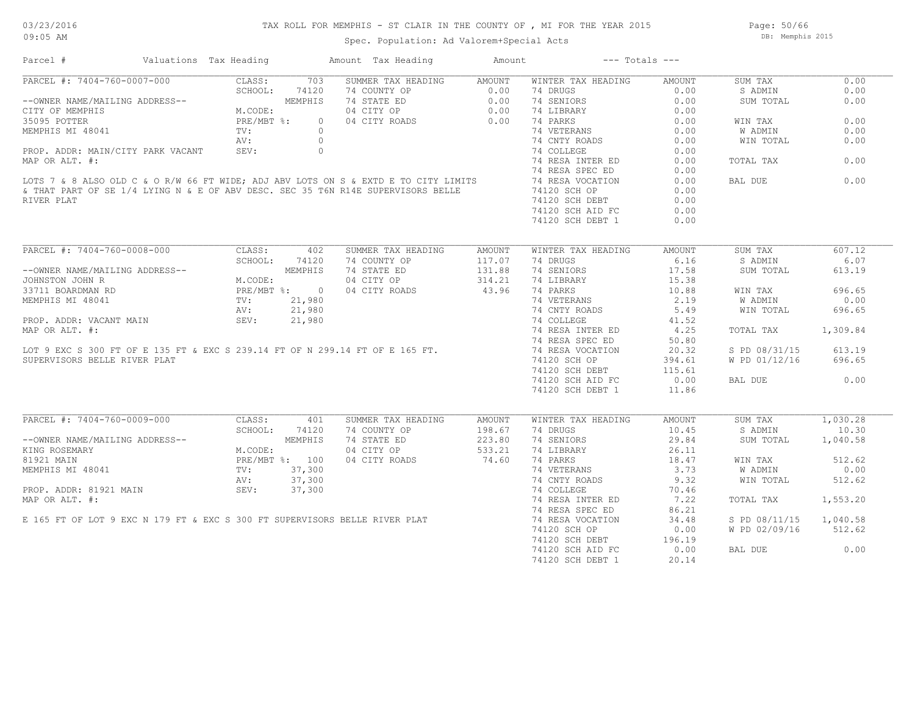### TAX ROLL FOR MEMPHIS - ST CLAIR IN THE COUNTY OF , MI FOR THE YEAR 2015

Spec. Population: Ad Valorem+Special Acts

Page: 50/66 DB: Memphis 2015

| Parcel #                                                                                                                                                                                                                                           | Valuations Tax Heading |                | Amount Tax Heading                                                                                 | Amount                     | $---$ Totals $---$                                      |                              |                |          |
|----------------------------------------------------------------------------------------------------------------------------------------------------------------------------------------------------------------------------------------------------|------------------------|----------------|----------------------------------------------------------------------------------------------------|----------------------------|---------------------------------------------------------|------------------------------|----------------|----------|
| PARCEL #: 7404-760-0007-000 CLASS:<br>--OWNER NAME/MAILING ADDRESS--<br>CITY OF MEMPHIS M.CODE:<br>35095 POTTER PRE/MBT %:<br>MEMPHIS MI 48041 TV:<br>AV:                                                                                          |                        | 703            | SUMMER TAX HEADING                                                                                 | AMOUNT                     | WINTER TAX HEADING                                      | AMOUNT                       | SUM TAX        | 0.00     |
|                                                                                                                                                                                                                                                    |                        | 74120          | 74 COUNTY OF 0.00<br>74 STATE ED 0.00<br>74 STATE ED 0.00<br>04 CITY OP 0.00<br>04 CITY ROADS 0.00 |                            | 74 DRUGS                                                | 0.00                         | S ADMIN        | 0.00     |
|                                                                                                                                                                                                                                                    |                        | MEMPHIS        |                                                                                                    |                            | 74 SENIORS                                              | 0.00                         | SUM TOTAL      | 0.00     |
|                                                                                                                                                                                                                                                    |                        |                |                                                                                                    |                            | 74 LIBRARY                                              | 0.00                         |                |          |
|                                                                                                                                                                                                                                                    |                        | $\overline{0}$ |                                                                                                    |                            | 74 PARKS                                                | 0.00                         | WIN TAX        | 0.00     |
|                                                                                                                                                                                                                                                    |                        |                |                                                                                                    |                            |                                                         |                              | W ADMIN        | 0.00     |
|                                                                                                                                                                                                                                                    |                        |                |                                                                                                    |                            | 74 PARKS 0.00<br>74 VETERANS 0.00<br>74 CNTY ROADS 0.00 |                              | WIN TOTAL      | 0.00     |
|                                                                                                                                                                                                                                                    |                        |                |                                                                                                    |                            | 74 COLLEGE                                              | 0.00                         |                |          |
|                                                                                                                                                                                                                                                    |                        |                |                                                                                                    |                            | 74 RESA INTER ED                                        | 0.00                         | TOTAL TAX      | 0.00     |
| MEMPHIS MI 48041<br>PROP. ADDR: MAIN/CITY PARK VACANT<br>MAP OR ALT. #:<br>LOTS 7 & 8 ALSO OLD C & O R/W 66 FT WIDE; ADJ ABV LOTS ON S & EXTD E TO CITY LIMITS<br>SETHAT PART OF SE 1/4 LYING N & E OF ABV DESC. SEC 35 T6N R14E SUPER             |                        |                |                                                                                                    |                            | 74 RESA SPEC ED                                         | 0.00                         |                |          |
|                                                                                                                                                                                                                                                    |                        |                |                                                                                                    |                            | 74 RESA VOCATION                                        |                              | BAL DUE        | 0.00     |
|                                                                                                                                                                                                                                                    |                        |                |                                                                                                    |                            |                                                         | 0.00                         |                |          |
|                                                                                                                                                                                                                                                    |                        |                |                                                                                                    |                            | 74120 SCH OP                                            | 0.00                         |                |          |
| RIVER PLAT                                                                                                                                                                                                                                         |                        |                |                                                                                                    |                            | 74120 SCH DEBT                                          | 0.00                         |                |          |
|                                                                                                                                                                                                                                                    |                        |                |                                                                                                    |                            | 74120 SCH AID FC                                        | 0.00                         |                |          |
|                                                                                                                                                                                                                                                    |                        |                |                                                                                                    |                            | 74120 SCH DEBT 1                                        | 0.00                         |                |          |
|                                                                                                                                                                                                                                                    |                        |                |                                                                                                    |                            |                                                         |                              |                |          |
| PARCEL #: 7404-760-0008-000                                                                                                                                                                                                                        |                        | CLASS: 402     | SUMMER TAX HEADING                                                                                 | AMOUNT                     | WINTER TAX HEADING                                      | AMOUNT                       | SUM TAX        | 607.12   |
|                                                                                                                                                                                                                                                    |                        | SCHOOL: 74120  | 74 COUNTY OP                                                                                       | 117.07<br>117.07<br>131.88 | 74 DRUGS                                                | 6.16                         | S ADMIN        | 6.07     |
|                                                                                                                                                                                                                                                    |                        |                | 74 STATE ED                                                                                        |                            | 74 SENIORS                                              | 17.58                        | SUM TOTAL      | 613.19   |
| --OWNER NAME/MAILING ADDRESS--<br>JOHNSTON JOHN R<br>33711 BOARDMAN RD<br>MEMPHIS MI 48041<br>MEMPHIS MI 48041<br>PROP. ADDR: VACANT MAIN<br>PROP. ADDR: VACANT MAIN<br>PROP. ADDR: VACANT MAIN<br>PROP. ADDR: VACANT MAIN<br>SEV: 21,980<br>PROP. |                        |                | 04 CITY OP                                                                                         | 314.21                     | 74 LIBRARY                                              | 15.38                        |                |          |
|                                                                                                                                                                                                                                                    |                        |                | 04 CITY ROADS                                                                                      | 314.21<br>43.96            | 74 PARKS                                                | 10.88                        | WIN TAX        | 696.65   |
|                                                                                                                                                                                                                                                    |                        |                |                                                                                                    |                            |                                                         |                              | <b>W ADMIN</b> | 0.00     |
| MEMPHIS MI 48041<br>MEMPHIS MI 48041<br>PROP. ADDR: VACANT MAIN MIN SEV: 21,980<br>MAP OR ALT. #: 21,980<br>MAP OR ALT. #: 74 RESA INTER ED<br>MAP OR ALT. #: 74 RESA INTER ED<br>TOT 9 EXC S 300 FT OF E 135 FT & EXC S 239.14 FT OF N 29         |                        |                |                                                                                                    |                            | 74 VETERANS 2.19<br>74 CNTY ROADS 5.49                  |                              | WIN TOTAL      | 696.65   |
|                                                                                                                                                                                                                                                    |                        |                |                                                                                                    |                            |                                                         | 41.52                        |                |          |
|                                                                                                                                                                                                                                                    |                        |                |                                                                                                    |                            | 74 RESA INTER ED 4.25                                   |                              | TOTAL TAX      | 1,309.84 |
|                                                                                                                                                                                                                                                    |                        |                |                                                                                                    |                            |                                                         | 50.80                        |                |          |
|                                                                                                                                                                                                                                                    |                        |                |                                                                                                    |                            |                                                         | 20.32                        | S PD 08/31/15  | 613.19   |
|                                                                                                                                                                                                                                                    |                        |                |                                                                                                    |                            |                                                         |                              |                |          |
| SUPERVISORS BELLE RIVER PLAT                                                                                                                                                                                                                       |                        |                |                                                                                                    |                            | 74120 SCH OP                                            | 394.61                       | W PD 01/12/16  | 696.65   |
|                                                                                                                                                                                                                                                    |                        |                |                                                                                                    |                            | 74120 SCH DEBT<br>74120 SCH AID FC                      | 115.61                       |                |          |
|                                                                                                                                                                                                                                                    |                        |                |                                                                                                    |                            | 74120 SCH AID FC                                        | 0.00                         | BAL DUE        | 0.00     |
|                                                                                                                                                                                                                                                    |                        |                |                                                                                                    |                            | 74120 SCH DEBT 1                                        | 11.86                        |                |          |
|                                                                                                                                                                                                                                                    |                        |                |                                                                                                    |                            |                                                         |                              |                |          |
| PARCEL #: 7404-760-0009-000                                                                                                                                                                                                                        | CLASS:                 | 401            | SUMMER TAX HEADING                                                                                 | AMOUNT                     | WINTER TAX HEADING                                      | AMOUNT                       | SUM TAX        | 1,030.28 |
|                                                                                                                                                                                                                                                    | SCHOOL:                | 74120          | 74 COUNTY OP 198.67<br>74 STATE ED 223.80<br>04 CITY OP 533.21                                     |                            | 74 DRUGS                                                | 10.45                        | S ADMIN        | 10.30    |
|                                                                                                                                                                                                                                                    |                        |                |                                                                                                    |                            | 74 SENIORS                                              | 29.84                        | SUM TOTAL      | 1,040.58 |
| --OWNER NAME/MAILING ADDRESS--<br>KING ROSEMARY M.CODE: MEMPHIS<br>81921 MAIN MEMPHIS MI 48041 PV: 37,300<br>PROP. ADDR: 81921 MAIN SEV: 37,300<br>PROP. ADDR: 81921 MAIN SEV: 37,300                                                              |                        |                |                                                                                                    |                            | 74 LIBRARY                                              | 26.11<br>$\frac{16.7}{3.73}$ |                |          |
|                                                                                                                                                                                                                                                    |                        |                | 04 CITY ROADS                                                                                      | 74.60                      | 74 PARKS                                                |                              | WIN TAX        | 512.62   |
|                                                                                                                                                                                                                                                    |                        |                |                                                                                                    |                            |                                                         |                              | W ADMIN        | 0.00     |
|                                                                                                                                                                                                                                                    |                        |                |                                                                                                    |                            | 74 CNTY ROADS                                           | 9.32                         | WIN TOTAL      | 512.62   |
|                                                                                                                                                                                                                                                    |                        |                |                                                                                                    |                            |                                                         | 70.46                        |                |          |
|                                                                                                                                                                                                                                                    |                        |                |                                                                                                    |                            |                                                         | 7.22                         | TOTAL TAX      | 1,553.20 |
|                                                                                                                                                                                                                                                    |                        |                |                                                                                                    |                            |                                                         | 86.21                        |                |          |
|                                                                                                                                                                                                                                                    |                        |                |                                                                                                    |                            |                                                         | 34.48                        | S PD 08/11/15  | 1,040.58 |
| FORD ADDR: 81921 MAIN AV: 37, 300<br>MAP OR ALT. #: 37, 300<br>MAP OR ALT. #: 37, 300<br>E 165 FT OF LOT 9 EXC N 179 FT & EXC S 300 FT SUPERVISORS BELLE RIVER PLAT THE SAME COLLEGE<br>FIGS TT OF LOT 9 EXC N 179 FT & EXC S 300 FT S             |                        |                |                                                                                                    |                            |                                                         | 0.00                         | W PD 02/09/16  | 512.62   |
|                                                                                                                                                                                                                                                    |                        |                |                                                                                                    |                            | 74120 SCH DEBT                                          | 196.19                       |                |          |
|                                                                                                                                                                                                                                                    |                        |                |                                                                                                    |                            |                                                         |                              | BAL DUE        | 0.00     |
|                                                                                                                                                                                                                                                    |                        |                |                                                                                                    |                            | 74120 SCH AID FC                                        | 0.00                         |                |          |
|                                                                                                                                                                                                                                                    |                        |                |                                                                                                    |                            | 74120 SCH DEBT 1                                        | 20.14                        |                |          |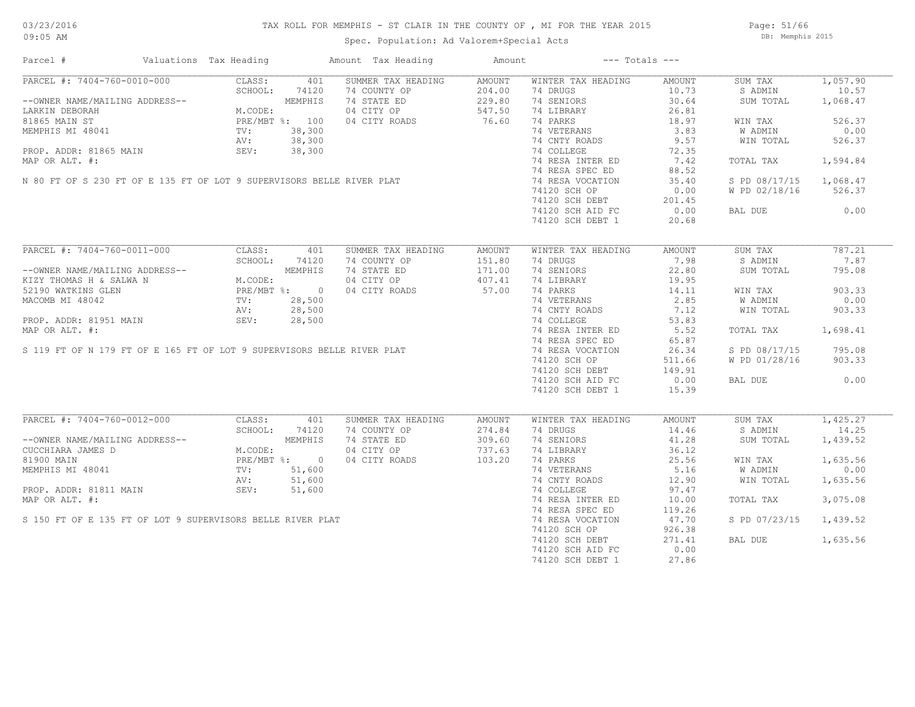# 03/23/2016

#### TAX ROLL FOR MEMPHIS - ST CLAIR IN THE COUNTY OF , MI FOR THE YEAR 2015

09:05 AM

#### Spec. Population: Ad Valorem+Special Acts

Page: 51/66 DB: Memphis 2015

| Parcel #                                                                                                                              | Valuations Tax Heading                                                         |                | Amount Tax Heading | Amount        |                    | $---$ Totals $---$ |               |          |
|---------------------------------------------------------------------------------------------------------------------------------------|--------------------------------------------------------------------------------|----------------|--------------------|---------------|--------------------|--------------------|---------------|----------|
| PARCEL #: 7404-760-0010-000                                                                                                           | CLASS:                                                                         | 401            | SUMMER TAX HEADING | AMOUNT        | WINTER TAX HEADING | AMOUNT             | SUM TAX       | 1,057.90 |
|                                                                                                                                       | SCHOOL:                                                                        | 74120          | 74 COUNTY OP       | 204.00        | 74 DRUGS           | 10.73              | S ADMIN       | 10.57    |
| --OWNER NAME/MAILING ADDRESS--                                                                                                        |                                                                                | MEMPHIS        | 74 STATE ED        | 229.80        | 74 SENIORS         | 30.64              | SUM TOTAL     | 1,068.47 |
| LARKIN DEBORAH                                                                                                                        | M.CODE:                                                                        |                | 04 CITY OP         | 547.50        | 74 LIBRARY         | 26.81              |               |          |
| 81865 MAIN ST                                                                                                                         |                                                                                | PRE/MBT %: 100 | 04 CITY ROADS      | 76.60         | 74 PARKS           | 18.97              | WIN TAX       | 526.37   |
| MEMPHIS MI 48041                                                                                                                      | TV:                                                                            | 38,300         |                    |               | 74 VETERANS        | 3.83               | W ADMIN       | 0.00     |
|                                                                                                                                       | AV:                                                                            | 38,300         |                    |               | 74 CNTY ROADS      | 9.57               | WIN TOTAL     | 526.37   |
|                                                                                                                                       |                                                                                |                |                    |               |                    |                    |               |          |
| PROP. ADDR: 81865 MAIN                                                                                                                | SEV:                                                                           | 38,300         |                    |               | 74 COLLEGE         | 72.35              |               |          |
|                                                                                                                                       |                                                                                |                |                    |               | 74 RESA INTER ED   | 7.42               | TOTAL TAX     | 1,594.84 |
|                                                                                                                                       |                                                                                |                |                    |               | 74 RESA SPEC ED    | 88.52              |               |          |
| MAP OR ALT. #:<br>N 80 FT OF S 230 FT OF E 135 FT OF LOT 9 SUPERVISORS BELLE RIVER PLAT                                               |                                                                                |                |                    |               | 74 RESA VOCATION   | 35.40              | S PD 08/17/15 | 1,068.47 |
|                                                                                                                                       |                                                                                |                |                    |               | 74120 SCH OP       | 0.00               | W PD 02/18/16 | 526.37   |
|                                                                                                                                       |                                                                                |                |                    |               | 74120 SCH DEBT     | 201.45             |               |          |
|                                                                                                                                       |                                                                                |                |                    |               | 74120 SCH AID FC   | 0.00               | BAL DUE       | 0.00     |
|                                                                                                                                       |                                                                                |                |                    |               | 74120 SCH DEBT 1   | 20.68              |               |          |
|                                                                                                                                       |                                                                                |                |                    |               |                    |                    |               |          |
| PARCEL #: 7404-760-0011-000                                                                                                           | CLASS:<br>SCHOOL: 741.<br>MEMPHI.<br>M.CODE: PRE/MBT %: 0<br>TV: 28.500<br>AV: | 401            | SUMMER TAX HEADING | AMOUNT        | WINTER TAX HEADING | AMOUNT             | SUM TAX       | 787.21   |
|                                                                                                                                       |                                                                                |                | 74 COUNTY OP       | 151.80        | 74 DRUGS           | 7.98               | S ADMIN       | 7.87     |
| --OWNER NAME/MAILING ADDRESS--                                                                                                        |                                                                                |                | 74 STATE ED        | 171.00        | 74 SENIORS         | 22.80              | SUM TOTAL     | 795.08   |
| KIZY THOMAS H & SALWA N                                                                                                               |                                                                                |                | 04 CITY OP         | 407.41        | 74 LIBRARY         | 19.95              |               |          |
| 52190 WATKINS GLEN                                                                                                                    |                                                                                |                | 04 CITY ROADS      | 57.00         | 74 PARKS           | 14.11              | WIN TAX       | 903.33   |
| MACOMB MI 48042                                                                                                                       |                                                                                |                |                    |               | 74 VETERANS        | 2.85               | W ADMIN       | 0.00     |
|                                                                                                                                       |                                                                                |                |                    |               | 74 CNTY ROADS      | 7.12               | WIN TOTAL     | 903.33   |
|                                                                                                                                       |                                                                                |                |                    |               |                    |                    |               |          |
|                                                                                                                                       |                                                                                |                |                    |               | 74 COLLEGE         | 53.83              |               |          |
|                                                                                                                                       |                                                                                |                |                    |               | 74 RESA INTER ED   | 5.52               | TOTAL TAX     | 1,698.41 |
| MACOMB MI 48042<br>PROP. ADDR: 81951 MAIN<br>MAP OR ALT. #:<br>S 119 FT OF N 179 FT OF E 165 FT OF LOT 9 SUPERVISORS BELLE RIVER PLAT |                                                                                |                |                    |               | 74 RESA SPEC ED    | 65.87              |               |          |
|                                                                                                                                       |                                                                                |                |                    |               | 74 RESA VOCATION   | 26.34              | S PD 08/17/15 | 795.08   |
|                                                                                                                                       |                                                                                |                |                    |               | 74120 SCH OP       | 511.66             | W PD 01/28/16 | 903.33   |
|                                                                                                                                       |                                                                                |                |                    |               | 74120 SCH DEBT     | 149.91             |               |          |
|                                                                                                                                       |                                                                                |                |                    |               | 74120 SCH AID FC   | 0.00               | BAL DUE       | 0.00     |
|                                                                                                                                       |                                                                                |                |                    |               | 74120 SCH DEBT 1   | 15.39              |               |          |
|                                                                                                                                       |                                                                                |                |                    |               |                    |                    |               |          |
| PARCEL #: 7404-760-0012-000                                                                                                           | CLASS:                                                                         | 401            | SUMMER TAX HEADING | <b>AMOUNT</b> | WINTER TAX HEADING | AMOUNT             | SUM TAX       | 1,425.27 |
|                                                                                                                                       | SCHOOL:                                                                        | 74120          | 74 COUNTY OP       | 274.84        | 74 DRUGS           | 14.46              | S ADMIN       | 14.25    |
| --OWNER NAME/MAILING ADDRESS--                                                                                                        |                                                                                | MEMPHIS        | 74 STATE ED        | 309.60        | 74 SENIORS         | 41.28              | SUM TOTAL     | 1,439.52 |
| CUCCHIARA JAMES D                                                                                                                     | M.CODE:                                                                        |                | 04 CITY OP         | 737.63        | 74 LIBRARY         | 36.12              |               |          |
| 81900 MAIN                                                                                                                            |                                                                                | PRE/MBT %: 0   | 04 CITY ROADS      | 103.20        | 74 PARKS           | 25.56              | WIN TAX       | 1,635.56 |
| MEMPHIS MI 48041                                                                                                                      | TV:                                                                            | 51,600         |                    |               | 74 VETERANS        | 5.16               | W ADMIN       | 0.00     |
|                                                                                                                                       |                                                                                |                |                    |               | 74 CNTY ROADS      | 12.90              | WIN TOTAL     | 1,635.56 |
|                                                                                                                                       |                                                                                |                |                    |               | 74 COLLEGE         | 97.47              |               |          |
| NEMPHIS MI 48041<br>PROP. ADDR: 81811 MAIN<br>MAP OR ALT. #:<br>S 150 FT OF E 135 FT OF LOT 9 SUPERVISORS BELLE RIVER PLAT            |                                                                                |                |                    |               | 74 RESA INTER ED   | 10.00              | TOTAL TAX     | 3,075.08 |
|                                                                                                                                       |                                                                                |                |                    |               | 74 RESA SPEC ED    | 119.26             |               |          |
|                                                                                                                                       |                                                                                |                |                    |               |                    |                    |               |          |
|                                                                                                                                       |                                                                                |                |                    |               | 74 RESA VOCATION   | 47.70              | S PD 07/23/15 | 1,439.52 |
|                                                                                                                                       |                                                                                |                |                    |               | 74120 SCH OP       | 926.38             |               |          |
|                                                                                                                                       |                                                                                |                |                    |               | 74120 SCH DEBT     | 271.41             | BAL DUE       | 1,635.56 |
|                                                                                                                                       |                                                                                |                |                    |               | 74120 SCH AID FC   | 0.00               |               |          |
|                                                                                                                                       |                                                                                |                |                    |               | 74120 SCH DEBT 1   | 27.86              |               |          |
|                                                                                                                                       |                                                                                |                |                    |               |                    |                    |               |          |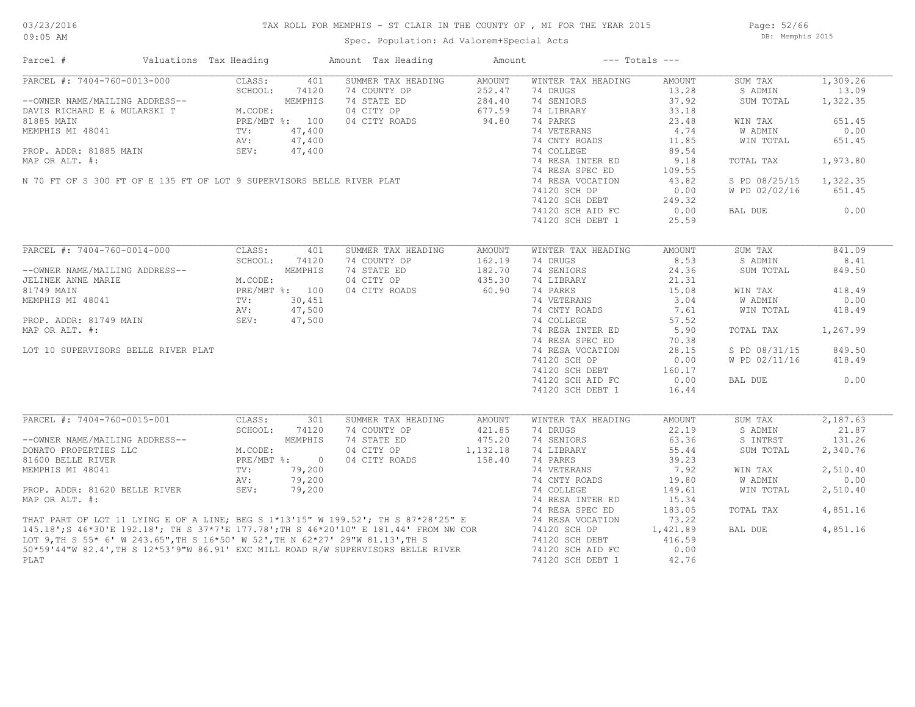### TAX ROLL FOR MEMPHIS - ST CLAIR IN THE COUNTY OF , MI FOR THE YEAR 2015

Spec. Population: Ad Valorem+Special Acts

Page: 52/66 DB: Memphis 2015

| Parcel #<br>Valuations Tax Heading                                                                                                                                                                                                   |                             | Amount Tax Heading | Amount   |                    | $---$ Totals $---$ |               |          |
|--------------------------------------------------------------------------------------------------------------------------------------------------------------------------------------------------------------------------------------|-----------------------------|--------------------|----------|--------------------|--------------------|---------------|----------|
| PARCEL #: 7404-760-0013-000                                                                                                                                                                                                          | CLASS:<br>401               | SUMMER TAX HEADING | AMOUNT   | WINTER TAX HEADING | AMOUNT             | SUM TAX       | 1,309.26 |
|                                                                                                                                                                                                                                      | SCHOOL:<br>74120            | 74 COUNTY OP       | 252.47   | 74 DRUGS           | 13.28              | S ADMIN       | 13.09    |
| --OWNER NAME/MAILING ADDRESS--                                                                                                                                                                                                       | MEMPHIS                     | 74 STATE ED        | 284.40   | 74 SENIORS         | 37.92              | SUM TOTAL     | 1,322.35 |
| DAVIS RICHARD E & MULARSKI T                                                                                                                                                                                                         | M.CODE:                     | 04 CITY OP         | 677.59   | 74 LIBRARY         | 33.18              |               |          |
| 81885 MAIN                                                                                                                                                                                                                           | PRE/MBT %: 100              | 04 CITY ROADS      | 94.80    | 74 PARKS           | 23.48              | WIN TAX       | 651.45   |
| MEMPHIS MI 48041                                                                                                                                                                                                                     | 47,400<br>TV:               |                    |          | 74 VETERANS        | 4.74               | W ADMIN       | 0.00     |
|                                                                                                                                                                                                                                      | 47,400<br>AV:               |                    |          | 74 CNTY ROADS      | 11.85              | WIN TOTAL     | 651.45   |
| PROP. ADDR: 81885 MAIN                                                                                                                                                                                                               | SEV:<br>47,400              |                    |          | 74 COLLEGE         | 89.54              |               |          |
| MAP OR ALT. #:                                                                                                                                                                                                                       |                             |                    |          | 74 RESA INTER ED   | 9.18               | TOTAL TAX     | 1,973.80 |
|                                                                                                                                                                                                                                      |                             |                    |          | 74 RESA SPEC ED    | 109.55             |               |          |
| N 70 FT OF S 300 FT OF E 135 FT OF LOT 9 SUPERVISORS BELLE RIVER PLAT                                                                                                                                                                |                             |                    |          | 74 RESA VOCATION   | 43.82              | S PD 08/25/15 | 1,322.35 |
|                                                                                                                                                                                                                                      |                             |                    |          | 74120 SCH OP       | 0.00               | W PD 02/02/16 | 651.45   |
|                                                                                                                                                                                                                                      |                             |                    |          | 74120 SCH DEBT     | 249.32             |               |          |
|                                                                                                                                                                                                                                      |                             |                    |          |                    | 0.00               |               | 0.00     |
|                                                                                                                                                                                                                                      |                             |                    |          | 74120 SCH AID FC   |                    | BAL DUE       |          |
|                                                                                                                                                                                                                                      |                             |                    |          | 74120 SCH DEBT 1   | 25.59              |               |          |
| PARCEL #: 7404-760-0014-000                                                                                                                                                                                                          | CLASS:<br>401               | SUMMER TAX HEADING | AMOUNT   | WINTER TAX HEADING | AMOUNT             | SUM TAX       | 841.09   |
|                                                                                                                                                                                                                                      | SCHOOL:<br>74120            | 74 COUNTY OP       | 162.19   | 74 DRUGS           | 8.53               | S ADMIN       | 8.41     |
| --OWNER NAME/MAILING ADDRESS--                                                                                                                                                                                                       | MEMPHIS                     | 74 STATE ED        | 182.70   | 74 SENIORS         | 24.36              | SUM TOTAL     | 849.50   |
|                                                                                                                                                                                                                                      | M.CODE:                     | 04 CITY OP         | 435.30   | 74 LIBRARY         | 21.31              |               |          |
| JELINEK ANNE MARIE                                                                                                                                                                                                                   |                             |                    |          |                    |                    |               |          |
| 81749 MAIN                                                                                                                                                                                                                           | PRE/MBT %: 100              | 04 CITY ROADS      | 60.90    | 74 PARKS           | 15.08              | WIN TAX       | 418.49   |
| MEMPHIS MI 48041                                                                                                                                                                                                                     | 30,451<br>TV:               |                    |          | 74 VETERANS        | 3.04               | W ADMIN       | 0.00     |
|                                                                                                                                                                                                                                      | 47,500<br>AV:               |                    |          | 74 CNTY ROADS      | 7.61               | WIN TOTAL     | 418.49   |
| PROP. ADDR: 81749 MAIN                                                                                                                                                                                                               | SEV:<br>47,500              |                    |          | 74 COLLEGE         | 57.52              |               |          |
| MAP OR ALT. #:                                                                                                                                                                                                                       |                             |                    |          | 74 RESA INTER ED   | 5.90               | TOTAL TAX     | 1,267.99 |
|                                                                                                                                                                                                                                      |                             |                    |          | 74 RESA SPEC ED    | 70.38              |               |          |
| LOT 10 SUPERVISORS BELLE RIVER PLAT                                                                                                                                                                                                  |                             |                    |          | 74 RESA VOCATION   | 28.15              | S PD 08/31/15 | 849.50   |
|                                                                                                                                                                                                                                      |                             |                    |          | 74120 SCH OP       | 0.00               | W PD 02/11/16 | 418.49   |
|                                                                                                                                                                                                                                      |                             |                    |          | 74120 SCH DEBT     | 160.17             |               |          |
|                                                                                                                                                                                                                                      |                             |                    |          | 74120 SCH AID FC   | 0.00               | BAL DUE       | 0.00     |
|                                                                                                                                                                                                                                      |                             |                    |          |                    |                    |               |          |
|                                                                                                                                                                                                                                      |                             |                    |          | 74120 SCH DEBT 1   | 16.44              |               |          |
| PARCEL #: 7404-760-0015-001                                                                                                                                                                                                          | CLASS:<br>301               | SUMMER TAX HEADING | AMOUNT   | WINTER TAX HEADING | AMOUNT             | SUM TAX       | 2,187.63 |
|                                                                                                                                                                                                                                      | SCHOOL:<br>74120            | 74 COUNTY OP       | 421.85   | 74 DRUGS           | 22.19              | S ADMIN       | 21.87    |
| --OWNER NAME/MAILING ADDRESS--                                                                                                                                                                                                       | MEMPHIS                     | 74 STATE ED        | 475.20   | 74 SENIORS         | 63.36              | S INTRST      | 131.26   |
| DONATO PROPERTIES LLC                                                                                                                                                                                                                | M.CODE:                     | 04 CITY OP         | 1,132.18 | 74 LIBRARY         | 55.44              | SUM TOTAL     | 2,340.76 |
| 81600 BELLE RIVER                                                                                                                                                                                                                    | $PRE/MBT$ $\frac{1}{6}$ : 0 | 04 CITY ROADS      | 158.40   | 74 PARKS           | 39.23              |               |          |
|                                                                                                                                                                                                                                      |                             |                    |          |                    |                    |               |          |
| MEMPHIS MI 48041                                                                                                                                                                                                                     | TV:<br>79,200               |                    |          | 74 VETERANS        | 7.92               | WIN TAX       | 2,510.40 |
|                                                                                                                                                                                                                                      | 79,200<br>AV:               |                    |          | 74 CNTY ROADS      | 19.80              | W ADMIN       | 0.00     |
| PROP. ADDR: 81620 BELLE RIVER                                                                                                                                                                                                        | SEV:<br>79,200              |                    |          | 74 COLLEGE         | 149.61             | WIN TOTAL     | 2,510.40 |
| MAP OR ALT. #:                                                                                                                                                                                                                       |                             |                    |          | 74 RESA INTER ED   | 15.34              |               |          |
|                                                                                                                                                                                                                                      |                             |                    |          | 74 RESA SPEC ED    | 183.05             | TOTAL TAX     | 4,851.16 |
|                                                                                                                                                                                                                                      |                             |                    |          | 74 RESA VOCATION   | 73.22              |               |          |
| THAT PART OF LOT 11 LYING E OF A LINE; BEG S 1*13'15" W 199.52'; TH S 87*28'25" E<br>145.18'; S 46*30'E 192.18'; TH S 37*7'E 177.78';TH S 46*20'10" E 181.44' FROM NW COR<br>LOT 9,TH S 55* 6' W 243.65",TH S 16*50' W 52',TH N 62*2 |                             |                    |          | 74120 SCH OP       | 1,421.89           | BAL DUE       | 4,851.16 |
|                                                                                                                                                                                                                                      |                             |                    |          | 74120 SCH DEBT     | 416.59             |               |          |
| 50*59'44"W 82.4', TH S 12*53'9"W 86.91' EXC MILL ROAD R/W SUPERVISORS BELLE RIVER                                                                                                                                                    |                             |                    |          | 74120 SCH AID FC   | 0.00               |               |          |
| PLAT                                                                                                                                                                                                                                 |                             |                    |          | 74120 SCH DEBT 1   | 42.76              |               |          |
|                                                                                                                                                                                                                                      |                             |                    |          |                    |                    |               |          |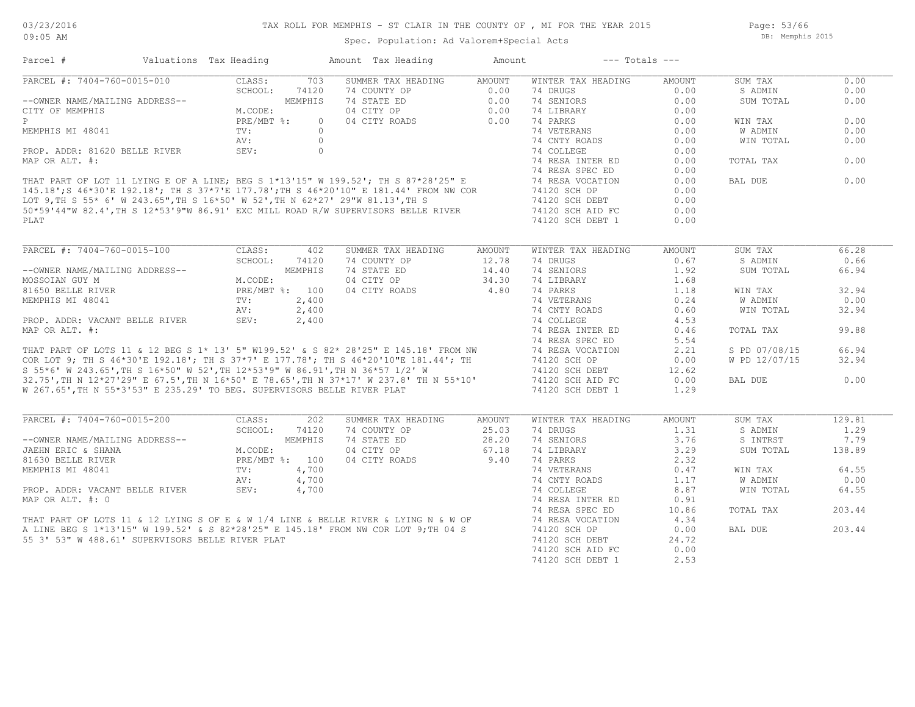Spec. Population: Ad Valorem+Special Acts

Page: 53/66 DB: Memphis 2015

| CLASS:<br>703<br>SUMMER TAX HEADING<br>AMOUNT<br>WINTER TAX HEADING<br>0.00<br>AMOUNT<br>SUM TAX<br>74120<br>74 COUNTY OP<br>$0.00$<br>$0.00$<br>74 DRUGS<br>0.00<br>S ADMIN<br>0.00<br>--OWNER NAME/MAILING ADDRESS--<br>CITY OF MEMPHIS MEMORESS-- M.CODE:<br>PRE/MBT %:<br>MEMPHIS<br>74 STATE ED<br>74 SENIORS<br>0.00<br>SUM TOTAL<br>0.00<br>$\begin{array}{c} 0.00 \\ 0.00 \\ 0.00 \end{array}$<br>04 CITY OP<br>74 LIBRARY<br>0.00<br>0.00<br>04 CITY ROADS<br>74 PARKS<br>0.00<br>$\circ$<br>WIN TAX<br>TV:<br>74 VETERANS<br>0.00<br>0.00<br>$\bigcirc$<br>W ADMIN<br>$\circ$<br>74 CNTY ROADS<br>0.00<br>AV:<br>0.00<br>WIN TOTAL<br>PROP. ADDR: 81620 BELLE RIVER SEV:<br>$\circ$<br>74 COLLEGE<br>0.00<br>74 RESA INTER ED<br>0.00<br>0.00<br>TOTAL TAX<br>74 RESA SPEC ED<br>0.00<br>THAT PART OF LOT 11 LYING E OF A LINE; BEG S 1*13'15" W 199.52'; TH S 87*28'25" E<br>145.18';S 46*30'E 192.18'; TH S 37*7'E 177.78';TH S 46*20'10" E 181.44' FROM NW COR<br>LOT 9,TH S 55* 6' W 243.65",TH S 16*50' W 52',TH N 62*27<br>0.00<br>74 RESA VOCATION<br>BAL DUE<br>0.00<br>74120 SCH OP<br>0.00<br>74120 SCH DEBT<br>0.00<br>0.00<br>74120 SCH AID FC<br>74120 SCH DEBT 1<br>0.00<br>PLAT<br>PARCEL #: 7404-760-0015-100<br>CLASS:<br>SUMMER TAX HEADING<br>WINTER TAX HEADING<br>SUM TAX<br>402<br>AMOUNT<br>AMOUNT<br>66.28<br>SCHOOL:<br>74120<br>74 COUNTY OP<br>$12.78$<br>$14.40$<br>74 DRUGS<br>0.67<br>S ADMIN<br>0.66<br>74 SENIORS<br>--OWNER NAME/MAILING ADDRESS--<br>MOSSOIAN GUY M<br>81650 BELLE RIVER<br>81650 BELLE RIVER<br>PRE/MBT %: 100<br>MEMPHIS MI 48041<br>PROP. ADDR: VACANT BELLE RIVER<br>MOROP. AT MALLE RIVER<br>MAR OP ALM (AV: 2,400<br>MAR OP ALM (AV: 2,400<br>74 STATE ED<br>1.92<br>SUM TOTAL<br>66.94<br>04 CITY OP<br>$34.30$<br>34.80<br>74 LIBRARY<br>1.68<br>74 PARKS<br>32.94<br>04 CITY ROADS<br>1.18<br>WIN TAX<br>W ADMIN<br>0.00<br>81650 BELLE RIVER<br>MEMPHIS MI 48041<br>TV: 2,400<br>PROP. ADDR: VACANT BELLE RIVER<br>MAP OR ALT. #: 2,400<br>PROP. ADDR: VACANT BELLE RIVER<br>MAP OR ALT. #: 74 RESA INTER ED<br>THAT PART OF LOTS 11 & 12 BEG S 1* 13' 5" W199.52' & S<br>0.24<br>0.60<br>WIN TOTAL<br>32.94<br>4.53<br>99.88<br>0.46<br>TOTAL TAX<br>5.54<br>66.94<br>2.21<br>S PD 07/08/15<br>W PD 12/07/15<br>0.00<br>32.94<br>74120 SCH DEBT<br>12.62<br>0.00<br>0.00<br>BAL DUE<br>W 267.65', TH N 55*3'53" E 235.29' TO BEG. SUPERVISORS BELLE RIVER PLAT<br>74120 SCH DEBT 1<br>1.29<br>PARCEL #: 7404-760-0015-200<br>129.81<br>CLASS:<br>202<br>SUMMER TAX HEADING<br>WINTER TAX HEADING<br>SUM TAX<br>AMOUNT<br>AMOUNT<br>SCHOOL:<br>74 COUNTY OP<br>25.03<br>74 DRUGS<br>1.31<br>S ADMIN<br>1.29<br>74120<br>28.20<br>MEMPHIS<br>74 STATE ED<br>74 SENIORS<br>3.76<br>S INTRST<br>7.79<br>--OWNER NAME/MAILING ADDRESS--<br>JAEHN ERIC & SHANA<br>M.CODE:<br>04 CITY OP<br>67.18<br>74 LIBRARY<br>3.29<br>SUM TOTAL<br>138.89<br>04 CITY ROADS 9.40<br>PRE/MBT %: 100<br>74 PARKS<br>2.32<br>81630 BELLE RIVER<br>64.55<br>0.47<br>WIN TAX<br>MEMPHIS MI 48041<br>MEMPHIS MI 48041<br>PROP. ADDR: VACANT BELLE RIVER<br>MAP OR ALT. #: 0<br>THAT PART OF LOTS 11 & 12 LYING S OF E & W 1/4 LINE & BELLE RIVER & LYING N & W OF<br>THAT PART OF LOTS 11 & 12 LYING S OF E & W 1/4 LINE<br>74 CNTY ROADS<br>0.00<br>1.17<br>W ADMIN<br>8.87<br>WIN TOTAL<br>64.55<br>0.91<br>10.86<br>TOTAL TAX<br>203.44<br>4.34<br>0.00<br>BAL DUE<br>203.44<br>74120 SCH DEBT<br>55 3' 53" W 488.61' SUPERVISORS BELLE RIVER PLAT<br>24.72<br>74120 SCH AID FC<br>0.00<br>74120 SCH DEBT 1<br>2.53 | Parcel #                    | Valuations Tax Heading |  | Amount Tax Heading | Amount | $---$ Totals $---$ |  |  |
|----------------------------------------------------------------------------------------------------------------------------------------------------------------------------------------------------------------------------------------------------------------------------------------------------------------------------------------------------------------------------------------------------------------------------------------------------------------------------------------------------------------------------------------------------------------------------------------------------------------------------------------------------------------------------------------------------------------------------------------------------------------------------------------------------------------------------------------------------------------------------------------------------------------------------------------------------------------------------------------------------------------------------------------------------------------------------------------------------------------------------------------------------------------------------------------------------------------------------------------------------------------------------------------------------------------------------------------------------------------------------------------------------------------------------------------------------------------------------------------------------------------------------------------------------------------------------------------------------------------------------------------------------------------------------------------------------------------------------------------------------------------------------------------------------------------------------------------------------------------------------------------------------------------------------------------------------------------------------------------------------------------------------------------------------------------------------------------------------------------------------------------------------------------------------------------------------------------------------------------------------------------------------------------------------------------------------------------------------------------------------------------------------------------------------------------------------------------------------------------------------------------------------------------------------------------------------------------------------------------------------------------------------------------------------------------------------------------------------------------------------------------------------------------------------------------------------------------------------------------------------------------------------------------------------------------------------------------------------------------------------------------------------------------------------------------------------------------------------------------------------------------------------------------------------------------------------------------------------------------------------------------------------------------------------------------------------------------------------------------------------------------------------------------------------------------------------------------------------------------------------------------------------------------------------------------------|-----------------------------|------------------------|--|--------------------|--------|--------------------|--|--|
|                                                                                                                                                                                                                                                                                                                                                                                                                                                                                                                                                                                                                                                                                                                                                                                                                                                                                                                                                                                                                                                                                                                                                                                                                                                                                                                                                                                                                                                                                                                                                                                                                                                                                                                                                                                                                                                                                                                                                                                                                                                                                                                                                                                                                                                                                                                                                                                                                                                                                                                                                                                                                                                                                                                                                                                                                                                                                                                                                                                                                                                                                                                                                                                                                                                                                                                                                                                                                                                                                                                                                                      | PARCEL #: 7404-760-0015-010 |                        |  |                    |        |                    |  |  |
|                                                                                                                                                                                                                                                                                                                                                                                                                                                                                                                                                                                                                                                                                                                                                                                                                                                                                                                                                                                                                                                                                                                                                                                                                                                                                                                                                                                                                                                                                                                                                                                                                                                                                                                                                                                                                                                                                                                                                                                                                                                                                                                                                                                                                                                                                                                                                                                                                                                                                                                                                                                                                                                                                                                                                                                                                                                                                                                                                                                                                                                                                                                                                                                                                                                                                                                                                                                                                                                                                                                                                                      |                             |                        |  |                    |        |                    |  |  |
|                                                                                                                                                                                                                                                                                                                                                                                                                                                                                                                                                                                                                                                                                                                                                                                                                                                                                                                                                                                                                                                                                                                                                                                                                                                                                                                                                                                                                                                                                                                                                                                                                                                                                                                                                                                                                                                                                                                                                                                                                                                                                                                                                                                                                                                                                                                                                                                                                                                                                                                                                                                                                                                                                                                                                                                                                                                                                                                                                                                                                                                                                                                                                                                                                                                                                                                                                                                                                                                                                                                                                                      |                             |                        |  |                    |        |                    |  |  |
|                                                                                                                                                                                                                                                                                                                                                                                                                                                                                                                                                                                                                                                                                                                                                                                                                                                                                                                                                                                                                                                                                                                                                                                                                                                                                                                                                                                                                                                                                                                                                                                                                                                                                                                                                                                                                                                                                                                                                                                                                                                                                                                                                                                                                                                                                                                                                                                                                                                                                                                                                                                                                                                                                                                                                                                                                                                                                                                                                                                                                                                                                                                                                                                                                                                                                                                                                                                                                                                                                                                                                                      |                             |                        |  |                    |        |                    |  |  |
|                                                                                                                                                                                                                                                                                                                                                                                                                                                                                                                                                                                                                                                                                                                                                                                                                                                                                                                                                                                                                                                                                                                                                                                                                                                                                                                                                                                                                                                                                                                                                                                                                                                                                                                                                                                                                                                                                                                                                                                                                                                                                                                                                                                                                                                                                                                                                                                                                                                                                                                                                                                                                                                                                                                                                                                                                                                                                                                                                                                                                                                                                                                                                                                                                                                                                                                                                                                                                                                                                                                                                                      |                             |                        |  |                    |        |                    |  |  |
|                                                                                                                                                                                                                                                                                                                                                                                                                                                                                                                                                                                                                                                                                                                                                                                                                                                                                                                                                                                                                                                                                                                                                                                                                                                                                                                                                                                                                                                                                                                                                                                                                                                                                                                                                                                                                                                                                                                                                                                                                                                                                                                                                                                                                                                                                                                                                                                                                                                                                                                                                                                                                                                                                                                                                                                                                                                                                                                                                                                                                                                                                                                                                                                                                                                                                                                                                                                                                                                                                                                                                                      | MEMPHIS MI 48041            |                        |  |                    |        |                    |  |  |
|                                                                                                                                                                                                                                                                                                                                                                                                                                                                                                                                                                                                                                                                                                                                                                                                                                                                                                                                                                                                                                                                                                                                                                                                                                                                                                                                                                                                                                                                                                                                                                                                                                                                                                                                                                                                                                                                                                                                                                                                                                                                                                                                                                                                                                                                                                                                                                                                                                                                                                                                                                                                                                                                                                                                                                                                                                                                                                                                                                                                                                                                                                                                                                                                                                                                                                                                                                                                                                                                                                                                                                      |                             |                        |  |                    |        |                    |  |  |
|                                                                                                                                                                                                                                                                                                                                                                                                                                                                                                                                                                                                                                                                                                                                                                                                                                                                                                                                                                                                                                                                                                                                                                                                                                                                                                                                                                                                                                                                                                                                                                                                                                                                                                                                                                                                                                                                                                                                                                                                                                                                                                                                                                                                                                                                                                                                                                                                                                                                                                                                                                                                                                                                                                                                                                                                                                                                                                                                                                                                                                                                                                                                                                                                                                                                                                                                                                                                                                                                                                                                                                      |                             |                        |  |                    |        |                    |  |  |
|                                                                                                                                                                                                                                                                                                                                                                                                                                                                                                                                                                                                                                                                                                                                                                                                                                                                                                                                                                                                                                                                                                                                                                                                                                                                                                                                                                                                                                                                                                                                                                                                                                                                                                                                                                                                                                                                                                                                                                                                                                                                                                                                                                                                                                                                                                                                                                                                                                                                                                                                                                                                                                                                                                                                                                                                                                                                                                                                                                                                                                                                                                                                                                                                                                                                                                                                                                                                                                                                                                                                                                      | MAP OR ALT. #:              |                        |  |                    |        |                    |  |  |
|                                                                                                                                                                                                                                                                                                                                                                                                                                                                                                                                                                                                                                                                                                                                                                                                                                                                                                                                                                                                                                                                                                                                                                                                                                                                                                                                                                                                                                                                                                                                                                                                                                                                                                                                                                                                                                                                                                                                                                                                                                                                                                                                                                                                                                                                                                                                                                                                                                                                                                                                                                                                                                                                                                                                                                                                                                                                                                                                                                                                                                                                                                                                                                                                                                                                                                                                                                                                                                                                                                                                                                      |                             |                        |  |                    |        |                    |  |  |
|                                                                                                                                                                                                                                                                                                                                                                                                                                                                                                                                                                                                                                                                                                                                                                                                                                                                                                                                                                                                                                                                                                                                                                                                                                                                                                                                                                                                                                                                                                                                                                                                                                                                                                                                                                                                                                                                                                                                                                                                                                                                                                                                                                                                                                                                                                                                                                                                                                                                                                                                                                                                                                                                                                                                                                                                                                                                                                                                                                                                                                                                                                                                                                                                                                                                                                                                                                                                                                                                                                                                                                      |                             |                        |  |                    |        |                    |  |  |
|                                                                                                                                                                                                                                                                                                                                                                                                                                                                                                                                                                                                                                                                                                                                                                                                                                                                                                                                                                                                                                                                                                                                                                                                                                                                                                                                                                                                                                                                                                                                                                                                                                                                                                                                                                                                                                                                                                                                                                                                                                                                                                                                                                                                                                                                                                                                                                                                                                                                                                                                                                                                                                                                                                                                                                                                                                                                                                                                                                                                                                                                                                                                                                                                                                                                                                                                                                                                                                                                                                                                                                      |                             |                        |  |                    |        |                    |  |  |
|                                                                                                                                                                                                                                                                                                                                                                                                                                                                                                                                                                                                                                                                                                                                                                                                                                                                                                                                                                                                                                                                                                                                                                                                                                                                                                                                                                                                                                                                                                                                                                                                                                                                                                                                                                                                                                                                                                                                                                                                                                                                                                                                                                                                                                                                                                                                                                                                                                                                                                                                                                                                                                                                                                                                                                                                                                                                                                                                                                                                                                                                                                                                                                                                                                                                                                                                                                                                                                                                                                                                                                      |                             |                        |  |                    |        |                    |  |  |
|                                                                                                                                                                                                                                                                                                                                                                                                                                                                                                                                                                                                                                                                                                                                                                                                                                                                                                                                                                                                                                                                                                                                                                                                                                                                                                                                                                                                                                                                                                                                                                                                                                                                                                                                                                                                                                                                                                                                                                                                                                                                                                                                                                                                                                                                                                                                                                                                                                                                                                                                                                                                                                                                                                                                                                                                                                                                                                                                                                                                                                                                                                                                                                                                                                                                                                                                                                                                                                                                                                                                                                      |                             |                        |  |                    |        |                    |  |  |
|                                                                                                                                                                                                                                                                                                                                                                                                                                                                                                                                                                                                                                                                                                                                                                                                                                                                                                                                                                                                                                                                                                                                                                                                                                                                                                                                                                                                                                                                                                                                                                                                                                                                                                                                                                                                                                                                                                                                                                                                                                                                                                                                                                                                                                                                                                                                                                                                                                                                                                                                                                                                                                                                                                                                                                                                                                                                                                                                                                                                                                                                                                                                                                                                                                                                                                                                                                                                                                                                                                                                                                      |                             |                        |  |                    |        |                    |  |  |
|                                                                                                                                                                                                                                                                                                                                                                                                                                                                                                                                                                                                                                                                                                                                                                                                                                                                                                                                                                                                                                                                                                                                                                                                                                                                                                                                                                                                                                                                                                                                                                                                                                                                                                                                                                                                                                                                                                                                                                                                                                                                                                                                                                                                                                                                                                                                                                                                                                                                                                                                                                                                                                                                                                                                                                                                                                                                                                                                                                                                                                                                                                                                                                                                                                                                                                                                                                                                                                                                                                                                                                      |                             |                        |  |                    |        |                    |  |  |
|                                                                                                                                                                                                                                                                                                                                                                                                                                                                                                                                                                                                                                                                                                                                                                                                                                                                                                                                                                                                                                                                                                                                                                                                                                                                                                                                                                                                                                                                                                                                                                                                                                                                                                                                                                                                                                                                                                                                                                                                                                                                                                                                                                                                                                                                                                                                                                                                                                                                                                                                                                                                                                                                                                                                                                                                                                                                                                                                                                                                                                                                                                                                                                                                                                                                                                                                                                                                                                                                                                                                                                      |                             |                        |  |                    |        |                    |  |  |
|                                                                                                                                                                                                                                                                                                                                                                                                                                                                                                                                                                                                                                                                                                                                                                                                                                                                                                                                                                                                                                                                                                                                                                                                                                                                                                                                                                                                                                                                                                                                                                                                                                                                                                                                                                                                                                                                                                                                                                                                                                                                                                                                                                                                                                                                                                                                                                                                                                                                                                                                                                                                                                                                                                                                                                                                                                                                                                                                                                                                                                                                                                                                                                                                                                                                                                                                                                                                                                                                                                                                                                      |                             |                        |  |                    |        |                    |  |  |
|                                                                                                                                                                                                                                                                                                                                                                                                                                                                                                                                                                                                                                                                                                                                                                                                                                                                                                                                                                                                                                                                                                                                                                                                                                                                                                                                                                                                                                                                                                                                                                                                                                                                                                                                                                                                                                                                                                                                                                                                                                                                                                                                                                                                                                                                                                                                                                                                                                                                                                                                                                                                                                                                                                                                                                                                                                                                                                                                                                                                                                                                                                                                                                                                                                                                                                                                                                                                                                                                                                                                                                      |                             |                        |  |                    |        |                    |  |  |
|                                                                                                                                                                                                                                                                                                                                                                                                                                                                                                                                                                                                                                                                                                                                                                                                                                                                                                                                                                                                                                                                                                                                                                                                                                                                                                                                                                                                                                                                                                                                                                                                                                                                                                                                                                                                                                                                                                                                                                                                                                                                                                                                                                                                                                                                                                                                                                                                                                                                                                                                                                                                                                                                                                                                                                                                                                                                                                                                                                                                                                                                                                                                                                                                                                                                                                                                                                                                                                                                                                                                                                      |                             |                        |  |                    |        |                    |  |  |
|                                                                                                                                                                                                                                                                                                                                                                                                                                                                                                                                                                                                                                                                                                                                                                                                                                                                                                                                                                                                                                                                                                                                                                                                                                                                                                                                                                                                                                                                                                                                                                                                                                                                                                                                                                                                                                                                                                                                                                                                                                                                                                                                                                                                                                                                                                                                                                                                                                                                                                                                                                                                                                                                                                                                                                                                                                                                                                                                                                                                                                                                                                                                                                                                                                                                                                                                                                                                                                                                                                                                                                      |                             |                        |  |                    |        |                    |  |  |
|                                                                                                                                                                                                                                                                                                                                                                                                                                                                                                                                                                                                                                                                                                                                                                                                                                                                                                                                                                                                                                                                                                                                                                                                                                                                                                                                                                                                                                                                                                                                                                                                                                                                                                                                                                                                                                                                                                                                                                                                                                                                                                                                                                                                                                                                                                                                                                                                                                                                                                                                                                                                                                                                                                                                                                                                                                                                                                                                                                                                                                                                                                                                                                                                                                                                                                                                                                                                                                                                                                                                                                      |                             |                        |  |                    |        |                    |  |  |
|                                                                                                                                                                                                                                                                                                                                                                                                                                                                                                                                                                                                                                                                                                                                                                                                                                                                                                                                                                                                                                                                                                                                                                                                                                                                                                                                                                                                                                                                                                                                                                                                                                                                                                                                                                                                                                                                                                                                                                                                                                                                                                                                                                                                                                                                                                                                                                                                                                                                                                                                                                                                                                                                                                                                                                                                                                                                                                                                                                                                                                                                                                                                                                                                                                                                                                                                                                                                                                                                                                                                                                      |                             |                        |  |                    |        |                    |  |  |
|                                                                                                                                                                                                                                                                                                                                                                                                                                                                                                                                                                                                                                                                                                                                                                                                                                                                                                                                                                                                                                                                                                                                                                                                                                                                                                                                                                                                                                                                                                                                                                                                                                                                                                                                                                                                                                                                                                                                                                                                                                                                                                                                                                                                                                                                                                                                                                                                                                                                                                                                                                                                                                                                                                                                                                                                                                                                                                                                                                                                                                                                                                                                                                                                                                                                                                                                                                                                                                                                                                                                                                      |                             |                        |  |                    |        |                    |  |  |
|                                                                                                                                                                                                                                                                                                                                                                                                                                                                                                                                                                                                                                                                                                                                                                                                                                                                                                                                                                                                                                                                                                                                                                                                                                                                                                                                                                                                                                                                                                                                                                                                                                                                                                                                                                                                                                                                                                                                                                                                                                                                                                                                                                                                                                                                                                                                                                                                                                                                                                                                                                                                                                                                                                                                                                                                                                                                                                                                                                                                                                                                                                                                                                                                                                                                                                                                                                                                                                                                                                                                                                      |                             |                        |  |                    |        |                    |  |  |
|                                                                                                                                                                                                                                                                                                                                                                                                                                                                                                                                                                                                                                                                                                                                                                                                                                                                                                                                                                                                                                                                                                                                                                                                                                                                                                                                                                                                                                                                                                                                                                                                                                                                                                                                                                                                                                                                                                                                                                                                                                                                                                                                                                                                                                                                                                                                                                                                                                                                                                                                                                                                                                                                                                                                                                                                                                                                                                                                                                                                                                                                                                                                                                                                                                                                                                                                                                                                                                                                                                                                                                      |                             |                        |  |                    |        |                    |  |  |
|                                                                                                                                                                                                                                                                                                                                                                                                                                                                                                                                                                                                                                                                                                                                                                                                                                                                                                                                                                                                                                                                                                                                                                                                                                                                                                                                                                                                                                                                                                                                                                                                                                                                                                                                                                                                                                                                                                                                                                                                                                                                                                                                                                                                                                                                                                                                                                                                                                                                                                                                                                                                                                                                                                                                                                                                                                                                                                                                                                                                                                                                                                                                                                                                                                                                                                                                                                                                                                                                                                                                                                      |                             |                        |  |                    |        |                    |  |  |
|                                                                                                                                                                                                                                                                                                                                                                                                                                                                                                                                                                                                                                                                                                                                                                                                                                                                                                                                                                                                                                                                                                                                                                                                                                                                                                                                                                                                                                                                                                                                                                                                                                                                                                                                                                                                                                                                                                                                                                                                                                                                                                                                                                                                                                                                                                                                                                                                                                                                                                                                                                                                                                                                                                                                                                                                                                                                                                                                                                                                                                                                                                                                                                                                                                                                                                                                                                                                                                                                                                                                                                      |                             |                        |  |                    |        |                    |  |  |
|                                                                                                                                                                                                                                                                                                                                                                                                                                                                                                                                                                                                                                                                                                                                                                                                                                                                                                                                                                                                                                                                                                                                                                                                                                                                                                                                                                                                                                                                                                                                                                                                                                                                                                                                                                                                                                                                                                                                                                                                                                                                                                                                                                                                                                                                                                                                                                                                                                                                                                                                                                                                                                                                                                                                                                                                                                                                                                                                                                                                                                                                                                                                                                                                                                                                                                                                                                                                                                                                                                                                                                      |                             |                        |  |                    |        |                    |  |  |
|                                                                                                                                                                                                                                                                                                                                                                                                                                                                                                                                                                                                                                                                                                                                                                                                                                                                                                                                                                                                                                                                                                                                                                                                                                                                                                                                                                                                                                                                                                                                                                                                                                                                                                                                                                                                                                                                                                                                                                                                                                                                                                                                                                                                                                                                                                                                                                                                                                                                                                                                                                                                                                                                                                                                                                                                                                                                                                                                                                                                                                                                                                                                                                                                                                                                                                                                                                                                                                                                                                                                                                      |                             |                        |  |                    |        |                    |  |  |
|                                                                                                                                                                                                                                                                                                                                                                                                                                                                                                                                                                                                                                                                                                                                                                                                                                                                                                                                                                                                                                                                                                                                                                                                                                                                                                                                                                                                                                                                                                                                                                                                                                                                                                                                                                                                                                                                                                                                                                                                                                                                                                                                                                                                                                                                                                                                                                                                                                                                                                                                                                                                                                                                                                                                                                                                                                                                                                                                                                                                                                                                                                                                                                                                                                                                                                                                                                                                                                                                                                                                                                      |                             |                        |  |                    |        |                    |  |  |
|                                                                                                                                                                                                                                                                                                                                                                                                                                                                                                                                                                                                                                                                                                                                                                                                                                                                                                                                                                                                                                                                                                                                                                                                                                                                                                                                                                                                                                                                                                                                                                                                                                                                                                                                                                                                                                                                                                                                                                                                                                                                                                                                                                                                                                                                                                                                                                                                                                                                                                                                                                                                                                                                                                                                                                                                                                                                                                                                                                                                                                                                                                                                                                                                                                                                                                                                                                                                                                                                                                                                                                      |                             |                        |  |                    |        |                    |  |  |
|                                                                                                                                                                                                                                                                                                                                                                                                                                                                                                                                                                                                                                                                                                                                                                                                                                                                                                                                                                                                                                                                                                                                                                                                                                                                                                                                                                                                                                                                                                                                                                                                                                                                                                                                                                                                                                                                                                                                                                                                                                                                                                                                                                                                                                                                                                                                                                                                                                                                                                                                                                                                                                                                                                                                                                                                                                                                                                                                                                                                                                                                                                                                                                                                                                                                                                                                                                                                                                                                                                                                                                      |                             |                        |  |                    |        |                    |  |  |
|                                                                                                                                                                                                                                                                                                                                                                                                                                                                                                                                                                                                                                                                                                                                                                                                                                                                                                                                                                                                                                                                                                                                                                                                                                                                                                                                                                                                                                                                                                                                                                                                                                                                                                                                                                                                                                                                                                                                                                                                                                                                                                                                                                                                                                                                                                                                                                                                                                                                                                                                                                                                                                                                                                                                                                                                                                                                                                                                                                                                                                                                                                                                                                                                                                                                                                                                                                                                                                                                                                                                                                      |                             |                        |  |                    |        |                    |  |  |
|                                                                                                                                                                                                                                                                                                                                                                                                                                                                                                                                                                                                                                                                                                                                                                                                                                                                                                                                                                                                                                                                                                                                                                                                                                                                                                                                                                                                                                                                                                                                                                                                                                                                                                                                                                                                                                                                                                                                                                                                                                                                                                                                                                                                                                                                                                                                                                                                                                                                                                                                                                                                                                                                                                                                                                                                                                                                                                                                                                                                                                                                                                                                                                                                                                                                                                                                                                                                                                                                                                                                                                      |                             |                        |  |                    |        |                    |  |  |
|                                                                                                                                                                                                                                                                                                                                                                                                                                                                                                                                                                                                                                                                                                                                                                                                                                                                                                                                                                                                                                                                                                                                                                                                                                                                                                                                                                                                                                                                                                                                                                                                                                                                                                                                                                                                                                                                                                                                                                                                                                                                                                                                                                                                                                                                                                                                                                                                                                                                                                                                                                                                                                                                                                                                                                                                                                                                                                                                                                                                                                                                                                                                                                                                                                                                                                                                                                                                                                                                                                                                                                      |                             |                        |  |                    |        |                    |  |  |
|                                                                                                                                                                                                                                                                                                                                                                                                                                                                                                                                                                                                                                                                                                                                                                                                                                                                                                                                                                                                                                                                                                                                                                                                                                                                                                                                                                                                                                                                                                                                                                                                                                                                                                                                                                                                                                                                                                                                                                                                                                                                                                                                                                                                                                                                                                                                                                                                                                                                                                                                                                                                                                                                                                                                                                                                                                                                                                                                                                                                                                                                                                                                                                                                                                                                                                                                                                                                                                                                                                                                                                      |                             |                        |  |                    |        |                    |  |  |
|                                                                                                                                                                                                                                                                                                                                                                                                                                                                                                                                                                                                                                                                                                                                                                                                                                                                                                                                                                                                                                                                                                                                                                                                                                                                                                                                                                                                                                                                                                                                                                                                                                                                                                                                                                                                                                                                                                                                                                                                                                                                                                                                                                                                                                                                                                                                                                                                                                                                                                                                                                                                                                                                                                                                                                                                                                                                                                                                                                                                                                                                                                                                                                                                                                                                                                                                                                                                                                                                                                                                                                      |                             |                        |  |                    |        |                    |  |  |
|                                                                                                                                                                                                                                                                                                                                                                                                                                                                                                                                                                                                                                                                                                                                                                                                                                                                                                                                                                                                                                                                                                                                                                                                                                                                                                                                                                                                                                                                                                                                                                                                                                                                                                                                                                                                                                                                                                                                                                                                                                                                                                                                                                                                                                                                                                                                                                                                                                                                                                                                                                                                                                                                                                                                                                                                                                                                                                                                                                                                                                                                                                                                                                                                                                                                                                                                                                                                                                                                                                                                                                      |                             |                        |  |                    |        |                    |  |  |
|                                                                                                                                                                                                                                                                                                                                                                                                                                                                                                                                                                                                                                                                                                                                                                                                                                                                                                                                                                                                                                                                                                                                                                                                                                                                                                                                                                                                                                                                                                                                                                                                                                                                                                                                                                                                                                                                                                                                                                                                                                                                                                                                                                                                                                                                                                                                                                                                                                                                                                                                                                                                                                                                                                                                                                                                                                                                                                                                                                                                                                                                                                                                                                                                                                                                                                                                                                                                                                                                                                                                                                      |                             |                        |  |                    |        |                    |  |  |
|                                                                                                                                                                                                                                                                                                                                                                                                                                                                                                                                                                                                                                                                                                                                                                                                                                                                                                                                                                                                                                                                                                                                                                                                                                                                                                                                                                                                                                                                                                                                                                                                                                                                                                                                                                                                                                                                                                                                                                                                                                                                                                                                                                                                                                                                                                                                                                                                                                                                                                                                                                                                                                                                                                                                                                                                                                                                                                                                                                                                                                                                                                                                                                                                                                                                                                                                                                                                                                                                                                                                                                      |                             |                        |  |                    |        |                    |  |  |
|                                                                                                                                                                                                                                                                                                                                                                                                                                                                                                                                                                                                                                                                                                                                                                                                                                                                                                                                                                                                                                                                                                                                                                                                                                                                                                                                                                                                                                                                                                                                                                                                                                                                                                                                                                                                                                                                                                                                                                                                                                                                                                                                                                                                                                                                                                                                                                                                                                                                                                                                                                                                                                                                                                                                                                                                                                                                                                                                                                                                                                                                                                                                                                                                                                                                                                                                                                                                                                                                                                                                                                      |                             |                        |  |                    |        |                    |  |  |
|                                                                                                                                                                                                                                                                                                                                                                                                                                                                                                                                                                                                                                                                                                                                                                                                                                                                                                                                                                                                                                                                                                                                                                                                                                                                                                                                                                                                                                                                                                                                                                                                                                                                                                                                                                                                                                                                                                                                                                                                                                                                                                                                                                                                                                                                                                                                                                                                                                                                                                                                                                                                                                                                                                                                                                                                                                                                                                                                                                                                                                                                                                                                                                                                                                                                                                                                                                                                                                                                                                                                                                      |                             |                        |  |                    |        |                    |  |  |
|                                                                                                                                                                                                                                                                                                                                                                                                                                                                                                                                                                                                                                                                                                                                                                                                                                                                                                                                                                                                                                                                                                                                                                                                                                                                                                                                                                                                                                                                                                                                                                                                                                                                                                                                                                                                                                                                                                                                                                                                                                                                                                                                                                                                                                                                                                                                                                                                                                                                                                                                                                                                                                                                                                                                                                                                                                                                                                                                                                                                                                                                                                                                                                                                                                                                                                                                                                                                                                                                                                                                                                      |                             |                        |  |                    |        |                    |  |  |
|                                                                                                                                                                                                                                                                                                                                                                                                                                                                                                                                                                                                                                                                                                                                                                                                                                                                                                                                                                                                                                                                                                                                                                                                                                                                                                                                                                                                                                                                                                                                                                                                                                                                                                                                                                                                                                                                                                                                                                                                                                                                                                                                                                                                                                                                                                                                                                                                                                                                                                                                                                                                                                                                                                                                                                                                                                                                                                                                                                                                                                                                                                                                                                                                                                                                                                                                                                                                                                                                                                                                                                      |                             |                        |  |                    |        |                    |  |  |
|                                                                                                                                                                                                                                                                                                                                                                                                                                                                                                                                                                                                                                                                                                                                                                                                                                                                                                                                                                                                                                                                                                                                                                                                                                                                                                                                                                                                                                                                                                                                                                                                                                                                                                                                                                                                                                                                                                                                                                                                                                                                                                                                                                                                                                                                                                                                                                                                                                                                                                                                                                                                                                                                                                                                                                                                                                                                                                                                                                                                                                                                                                                                                                                                                                                                                                                                                                                                                                                                                                                                                                      |                             |                        |  |                    |        |                    |  |  |
|                                                                                                                                                                                                                                                                                                                                                                                                                                                                                                                                                                                                                                                                                                                                                                                                                                                                                                                                                                                                                                                                                                                                                                                                                                                                                                                                                                                                                                                                                                                                                                                                                                                                                                                                                                                                                                                                                                                                                                                                                                                                                                                                                                                                                                                                                                                                                                                                                                                                                                                                                                                                                                                                                                                                                                                                                                                                                                                                                                                                                                                                                                                                                                                                                                                                                                                                                                                                                                                                                                                                                                      |                             |                        |  |                    |        |                    |  |  |
|                                                                                                                                                                                                                                                                                                                                                                                                                                                                                                                                                                                                                                                                                                                                                                                                                                                                                                                                                                                                                                                                                                                                                                                                                                                                                                                                                                                                                                                                                                                                                                                                                                                                                                                                                                                                                                                                                                                                                                                                                                                                                                                                                                                                                                                                                                                                                                                                                                                                                                                                                                                                                                                                                                                                                                                                                                                                                                                                                                                                                                                                                                                                                                                                                                                                                                                                                                                                                                                                                                                                                                      |                             |                        |  |                    |        |                    |  |  |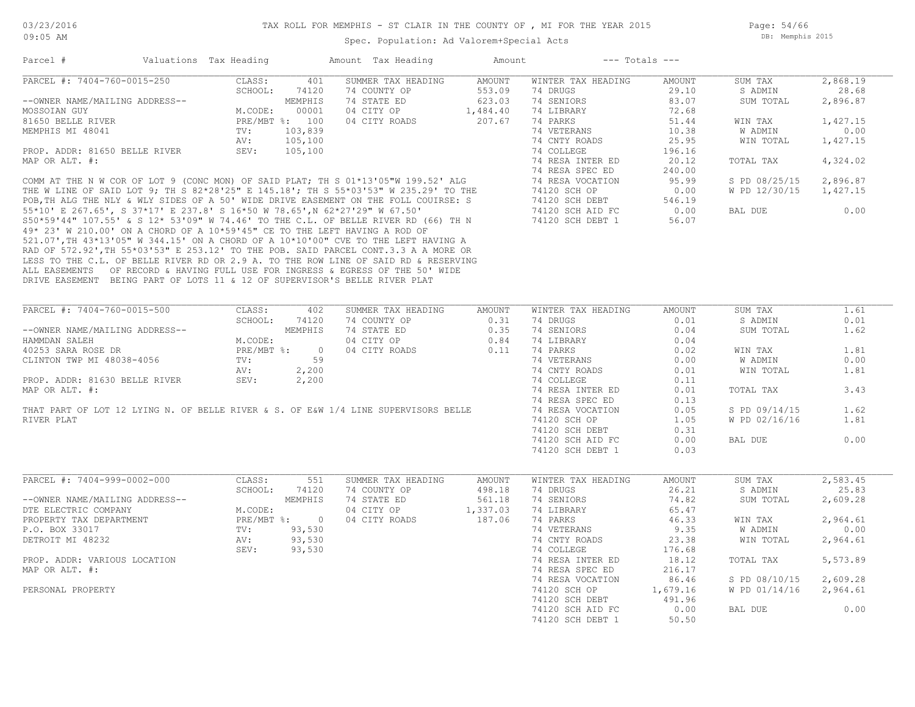Page: 54/66 DB: Memphis 2015

| Parcel #                                                                   | Valuations Tax Heading |                |              | Amount Tax Heading                                                                                                                                                                                                                    | Amount                 |                    | $---$ Totals $---$ |               |          |
|----------------------------------------------------------------------------|------------------------|----------------|--------------|---------------------------------------------------------------------------------------------------------------------------------------------------------------------------------------------------------------------------------------|------------------------|--------------------|--------------------|---------------|----------|
| PARCEL #: 7404-760-0015-250                                                |                        | CLASS:         | 401          | SUMMER TAX HEADING                                                                                                                                                                                                                    | AMOUNT                 | WINTER TAX HEADING | AMOUNT             | SUM TAX       | 2,868.19 |
|                                                                            |                        | SCHOOL:        | 74120        | 74 COUNTY OP                                                                                                                                                                                                                          | 553.09                 | 74 DRUGS           | 29.10              | S ADMIN       | 28.68    |
| --OWNER NAME/MAILING ADDRESS--                                             |                        |                | MEMPHIS      | 74 STATE ED                                                                                                                                                                                                                           | 623.03                 | 74 SENIORS         | 83.07              | SUM TOTAL     | 2,896.87 |
| MOSSOIAN GUY                                                               |                        | M.CODE:        | 00001        | 04 CITY OP                                                                                                                                                                                                                            | 1,484.40               | 74 LIBRARY         | 72.68              |               |          |
| 81650 BELLE RIVER                                                          |                        | PRE/MBT %: 100 |              | 04 CITY ROADS                                                                                                                                                                                                                         | 207.67                 | 74 PARKS           | 51.44              | WIN TAX       | 1,427.15 |
| MEMPHIS MI 48041                                                           |                        | TV:            | 103,839      |                                                                                                                                                                                                                                       |                        | 74 VETERANS        | 10.38              | W ADMIN       | 0.00     |
|                                                                            |                        | AV:            | 105,100      |                                                                                                                                                                                                                                       |                        | 74 CNTY ROADS      | 25.95              | WIN TOTAL     | 1,427.15 |
|                                                                            |                        |                |              |                                                                                                                                                                                                                                       |                        |                    | 196.16             |               |          |
|                                                                            |                        |                |              |                                                                                                                                                                                                                                       |                        |                    |                    |               |          |
|                                                                            |                        |                |              | PROP. ADDR: 81650 BELLE RIVER<br>MAP OR ALT. #:<br>COMM AT THE N W COR OF LOT 9 (CONC MON) OF SAID PLAT; TH S 01*13'05"W 199.52' ALG<br>THE W LINE OF SAID LOT 9; TH S 82*28'25" E 145.18'; TH S 55*03'53" W 235.29' TO THE<br>POR.TH |                        |                    | 20.12              | TOTAL TAX     | 4,324.02 |
|                                                                            |                        |                |              |                                                                                                                                                                                                                                       |                        |                    | 240.00             |               |          |
|                                                                            |                        |                |              |                                                                                                                                                                                                                                       |                        |                    | 95.99              | S PD 08/25/15 | 2,896.87 |
|                                                                            |                        |                |              |                                                                                                                                                                                                                                       |                        |                    | 0.00               | W PD 12/30/15 | 1,427.15 |
|                                                                            |                        |                |              |                                                                                                                                                                                                                                       |                        |                    | 546.19             |               |          |
|                                                                            |                        |                |              |                                                                                                                                                                                                                                       |                        |                    | 0.00               | BAL DUE       | 0.00     |
|                                                                            |                        |                |              |                                                                                                                                                                                                                                       |                        |                    | 56.07              |               |          |
| 49* 23' W 210.00' ON A CHORD OF A 10*59'45" CE TO THE LEFT HAVING A ROD OF |                        |                |              |                                                                                                                                                                                                                                       |                        |                    |                    |               |          |
|                                                                            |                        |                |              | 521.07', TH 43*13'05" W 344.15' ON A CHORD OF A 10*10'00" CVE TO THE LEFT HAVING A                                                                                                                                                    |                        |                    |                    |               |          |
|                                                                            |                        |                |              | RAD OF 572.92', TH 55*03'53" E 253.12' TO THE POB. SAID PARCEL CONT.3.3 A A MORE OR                                                                                                                                                   |                        |                    |                    |               |          |
|                                                                            |                        |                |              | LESS TO THE C.L. OF BELLE RIVER RD OR 2.9 A. TO THE ROW LINE OF SAID RD & RESERVING                                                                                                                                                   |                        |                    |                    |               |          |
|                                                                            |                        |                |              | ALL EASEMENTS OF RECORD & HAVING FULL USE FOR INGRESS & EGRESS OF THE 50' WIDE                                                                                                                                                        |                        |                    |                    |               |          |
| DRIVE EASEMENT BEING PART OF LOTS 11 & 12 OF SUPERVISOR'S BELLE RIVER PLAT |                        |                |              |                                                                                                                                                                                                                                       |                        |                    |                    |               |          |
|                                                                            |                        |                |              |                                                                                                                                                                                                                                       |                        |                    |                    |               |          |
| PARCEL #: 7404-760-0015-500                                                |                        | CLASS:         |              |                                                                                                                                                                                                                                       |                        | WINTER TAX HEADING |                    | SUM TAX       | 1.61     |
|                                                                            |                        |                | 402          | SUMMER TAX HEADING                                                                                                                                                                                                                    | AMOUNT                 |                    | AMOUNT             |               |          |
|                                                                            |                        | SCHOOL:        | 74120        | 74 COUNTY OP                                                                                                                                                                                                                          | 0.31                   | 74 DRUGS           | 0.01               | S ADMIN       | 0.01     |
| --OWNER NAME/MAILING ADDRESS--                                             |                        |                | MEMPHIS      | 74 STATE ED                                                                                                                                                                                                                           | 0.35<br>$0.35$<br>0.84 | 74 SENIORS         | 0.04               | SUM TOTAL     | 1.62     |
| HAMMDAN SALEH                                                              |                        | M.CODE:        |              | 04 CITY OP                                                                                                                                                                                                                            |                        | 74 LIBRARY         | 0.04               |               |          |
| 40253 SARA ROSE DR                                                         |                        |                | PRE/MBT %: 0 | 04 CITY ROADS                                                                                                                                                                                                                         | 0.11                   | 74 PARKS           | 0.02               | WIN TAX       | 1.81     |
| CLINTON TWP MI 48038-4056                                                  |                        | TV:            | 59           |                                                                                                                                                                                                                                       |                        | 74 VETERANS        | 0.00               | W ADMIN       | 0.00     |
|                                                                            |                        | AV:            | 2,200        |                                                                                                                                                                                                                                       |                        | 74 CNTY ROADS      | 0.01               | WIN TOTAL     | 1.81     |
| PROP. ADDR: 81630 BELLE RIVER                                              |                        | SEV:           | 2,200        |                                                                                                                                                                                                                                       |                        | 74 COLLEGE         | 0.11               |               |          |
| MAP OR ALT. #:                                                             |                        |                |              |                                                                                                                                                                                                                                       |                        | 74 RESA INTER ED   | 0.01               | TOTAL TAX     | 3.43     |
|                                                                            |                        |                |              |                                                                                                                                                                                                                                       |                        | 74 RESA SPEC ED    | 0.13               |               |          |
|                                                                            |                        |                |              | THAT PART OF LOT 12 LYING N. OF BELLE RIVER & S. OF E&W 1/4 LINE SUPERVISORS BELLE                                                                                                                                                    |                        | 74 RESA VOCATION   | 0.05               | S PD 09/14/15 | 1.62     |
| RIVER PLAT                                                                 |                        |                |              |                                                                                                                                                                                                                                       |                        | 74120 SCH OP       | 1.05               | W PD 02/16/16 | 1.81     |
|                                                                            |                        |                |              |                                                                                                                                                                                                                                       |                        | 74120 SCH DEBT     | 0.31               |               |          |
|                                                                            |                        |                |              |                                                                                                                                                                                                                                       |                        | 74120 SCH AID FC   | 0.00               | BAL DUE       | 0.00     |
|                                                                            |                        |                |              |                                                                                                                                                                                                                                       |                        | 74120 SCH DEBT 1   | 0.03               |               |          |
|                                                                            |                        |                |              |                                                                                                                                                                                                                                       |                        |                    |                    |               |          |
|                                                                            |                        |                |              |                                                                                                                                                                                                                                       |                        |                    |                    |               |          |
| PARCEL #: 7404-999-0002-000                                                |                        | CLASS:         | 551          | SUMMER TAX HEADING                                                                                                                                                                                                                    | AMOUNT                 | WINTER TAX HEADING | AMOUNT             | SUM TAX       | 2,583.45 |
|                                                                            |                        | SCHOOL:        | 74120        | 74 COUNTY OP                                                                                                                                                                                                                          | 498.18                 | 74 DRUGS           | 26.21              | S ADMIN       | 25.83    |
| --OWNER NAME/MAILING ADDRESS--                                             |                        |                | MEMPHIS      | 74 STATE ED                                                                                                                                                                                                                           | 561.18                 | 74 SENIORS         | 74.82              | SUM TOTAL     | 2,609.28 |
| DTE ELECTRIC COMPANY                                                       |                        | M.CODE:        |              | 04 CITY OP                                                                                                                                                                                                                            | 1,337.03               | 74 LIBRARY         | 65.47              |               |          |
| PROPERTY TAX DEPARTMENT                                                    |                        |                | PRE/MBT %: 0 | 04 CITY ROADS                                                                                                                                                                                                                         | 187.06                 | 74 PARKS           | 46.33              | WIN TAX       | 2,964.61 |
| P.O. BOX 33017                                                             |                        | TV:            | 93,530       |                                                                                                                                                                                                                                       |                        | 74 VETERANS        | 9.35               | W ADMIN       | 0.00     |
| DETROIT MI 48232                                                           |                        | AV:            | 93,530       |                                                                                                                                                                                                                                       |                        | 74 CNTY ROADS      | 23.38              | WIN TOTAL     | 2,964.61 |
|                                                                            |                        | SEV:           | 93,530       |                                                                                                                                                                                                                                       |                        | 74 COLLEGE         | 176.68             |               |          |
| PROP. ADDR: VARIOUS LOCATION                                               |                        |                |              |                                                                                                                                                                                                                                       |                        | 74 RESA INTER ED   | 18.12              | TOTAL TAX     | 5,573.89 |
| MAP OR ALT. #:                                                             |                        |                |              |                                                                                                                                                                                                                                       |                        | 74 RESA SPEC ED    | 216.17             |               |          |
|                                                                            |                        |                |              |                                                                                                                                                                                                                                       |                        | 74 RESA VOCATION   | 86.46              | S PD 08/10/15 | 2,609.28 |
| PERSONAL PROPERTY                                                          |                        |                |              |                                                                                                                                                                                                                                       |                        | 74120 SCH OP       | 1,679.16           | W PD 01/14/16 | 2,964.61 |
|                                                                            |                        |                |              |                                                                                                                                                                                                                                       |                        | 74120 SCH DEBT     | 491.96             |               |          |
|                                                                            |                        |                |              |                                                                                                                                                                                                                                       |                        | 74120 SCH AID FC   | 0.00               | BAL DUE       | 0.00     |
|                                                                            |                        |                |              |                                                                                                                                                                                                                                       |                        | 74120 SCH DEBT 1   | 50.50              |               |          |
|                                                                            |                        |                |              |                                                                                                                                                                                                                                       |                        |                    |                    |               |          |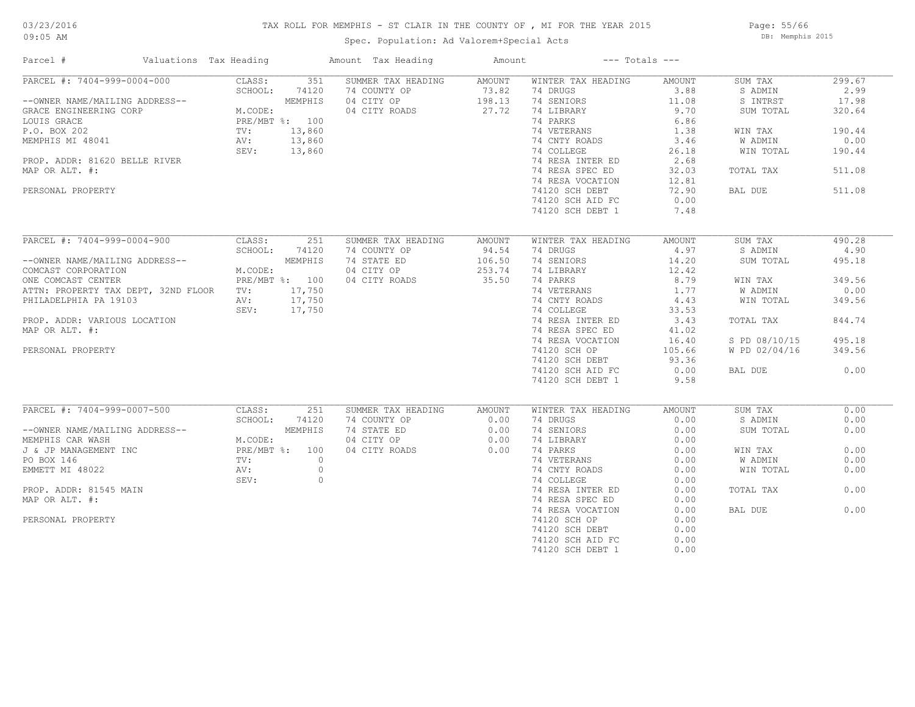## 03/23/2016

#### 09:05 AM

#### TAX ROLL FOR MEMPHIS - ST CLAIR IN THE COUNTY OF , MI FOR THE YEAR 2015

Spec. Population: Ad Valorem+Special Acts

Page: 55/66 DB: Memphis 2015

| Valuations Tax Heading<br>Parcel #      |                  | Amount Tax Heading | Amount        | $---$ Totals $---$ |               |               |        |
|-----------------------------------------|------------------|--------------------|---------------|--------------------|---------------|---------------|--------|
| PARCEL #: 7404-999-0004-000             | 351<br>CLASS:    | SUMMER TAX HEADING | <b>AMOUNT</b> | WINTER TAX HEADING | AMOUNT        | SUM TAX       | 299.67 |
|                                         | SCHOOL:<br>74120 | 74 COUNTY OP       | 73.82         | 74 DRUGS           | 3.88          | S ADMIN       | 2.99   |
| --OWNER NAME/MAILING ADDRESS--          | MEMPHIS          | 04 CITY OP         | 198.13        | 74 SENIORS         | 11.08         | S INTRST      | 17.98  |
| GRACE ENGINEERING CORP                  | M.CODE:          | 04 CITY ROADS      | 27.72         | 74 LIBRARY         | 9.70          | SUM TOTAL     | 320.64 |
| LOUIS GRACE                             | PRE/MBT %: 100   |                    |               | 74 PARKS           | 6.86          |               |        |
| P.O. BOX 202                            | TV:<br>13,860    |                    |               | 74 VETERANS        | 1.38          | WIN TAX       | 190.44 |
| MEMPHIS MI 48041                        | AV:<br>13,860    |                    |               | 74 CNTY ROADS      | 3.46          | W ADMIN       | 0.00   |
|                                         | SEV:<br>13,860   |                    |               | 74 COLLEGE         | 26.18         | WIN TOTAL     | 190.44 |
| PROP. ADDR: 81620 BELLE RIVER           |                  |                    |               | 74 RESA INTER ED   | 2.68          |               |        |
| MAP OR ALT. #:                          |                  |                    |               | 74 RESA SPEC ED    | 32.03         | TOTAL TAX     | 511.08 |
|                                         |                  |                    |               | 74 RESA VOCATION   | 12.81         |               |        |
| PERSONAL PROPERTY                       |                  |                    |               | 74120 SCH DEBT     | 72.90         | BAL DUE       | 511.08 |
|                                         |                  |                    |               |                    |               |               |        |
|                                         |                  |                    |               | 74120 SCH AID FC   | 0.00          |               |        |
|                                         |                  |                    |               | 74120 SCH DEBT 1   | 7.48          |               |        |
| PARCEL #: 7404-999-0004-900             | CLASS:<br>251    | SUMMER TAX HEADING | <b>AMOUNT</b> | WINTER TAX HEADING | <b>AMOUNT</b> | SUM TAX       | 490.28 |
|                                         | SCHOOL:<br>74120 | 74 COUNTY OP       | 94.54         | 74 DRUGS           | 4.97          | S ADMIN       | 4.90   |
| --OWNER NAME/MAILING ADDRESS--          | MEMPHIS          | 74 STATE ED        | 106.50        | 74 SENIORS         | 14.20         | SUM TOTAL     | 495.18 |
|                                         | M.CODE:          | 04 CITY OP         | 253.74        |                    | 12.42         |               |        |
| COMCAST CORPORATION                     |                  |                    |               | 74 LIBRARY         |               |               |        |
| ONE COMCAST CENTER                      | PRE/MBT %: 100   | 04 CITY ROADS      | 35.50         | 74 PARKS           | 8.79          | WIN TAX       | 349.56 |
| ATTN: PROPERTY TAX DEPT, 32ND FLOOR TV: | 17,750           |                    |               | 74 VETERANS        | 1.77          | W ADMIN       | 0.00   |
| PHILADELPHIA PA 19103                   | AV:<br>17,750    |                    |               | 74 CNTY ROADS      | 4.43          | WIN TOTAL     | 349.56 |
|                                         | 17,750<br>SEV:   |                    |               | 74 COLLEGE         | 33.53         |               |        |
| PROP. ADDR: VARIOUS LOCATION            |                  |                    |               | 74 RESA INTER ED   | 3.43          | TOTAL TAX     | 844.74 |
| MAP OR ALT. #:                          |                  |                    |               | 74 RESA SPEC ED    | 41.02         |               |        |
|                                         |                  |                    |               | 74 RESA VOCATION   | 16.40         | S PD 08/10/15 | 495.18 |
| PERSONAL PROPERTY                       |                  |                    |               | 74120 SCH OP       | 105.66        | W PD 02/04/16 | 349.56 |
|                                         |                  |                    |               | 74120 SCH DEBT     | 93.36         |               |        |
|                                         |                  |                    |               | 74120 SCH AID FC   | 0.00          | BAL DUE       | 0.00   |
|                                         |                  |                    |               | 74120 SCH DEBT 1   | 9.58          |               |        |
|                                         |                  |                    |               |                    |               |               |        |
| PARCEL #: 7404-999-0007-500             | CLASS:<br>251    | SUMMER TAX HEADING | AMOUNT        | WINTER TAX HEADING | <b>AMOUNT</b> | SUM TAX       | 0.00   |
|                                         | SCHOOL:<br>74120 | 74 COUNTY OP       | 0.00          | 74 DRUGS           | 0.00          | S ADMIN       | 0.00   |
| --OWNER NAME/MAILING ADDRESS--          | MEMPHIS          | 74 STATE ED        | 0.00          | 74 SENIORS         | 0.00          | SUM TOTAL     | 0.00   |
| MEMPHIS CAR WASH                        | M.CODE:          | 04 CITY OP         | 0.00          | 74 LIBRARY         | 0.00          |               |        |
| J & JP MANAGEMENT INC                   | PRE/MBT %: 100   | 04 CITY ROADS      | 0.00          | 74 PARKS           | 0.00          | WIN TAX       | 0.00   |
| PO BOX 146                              | TV:<br>$\circ$   |                    |               | 74 VETERANS        | 0.00          | W ADMIN       | 0.00   |
| EMMETT MI 48022                         | $\circ$<br>AV:   |                    |               | 74 CNTY ROADS      | 0.00          | WIN TOTAL     | 0.00   |
|                                         | $\circ$<br>SEV:  |                    |               | 74 COLLEGE         | 0.00          |               |        |
| PROP. ADDR: 81545 MAIN                  |                  |                    |               | 74 RESA INTER ED   | 0.00          | TOTAL TAX     | 0.00   |
| MAP OR ALT. #:                          |                  |                    |               | 74 RESA SPEC ED    | 0.00          |               |        |
|                                         |                  |                    |               | 74 RESA VOCATION   | 0.00          | BAL DUE       | 0.00   |
| PERSONAL PROPERTY                       |                  |                    |               | 74120 SCH OP       | 0.00          |               |        |
|                                         |                  |                    |               | 74120 SCH DEBT     | 0.00          |               |        |
|                                         |                  |                    |               | 74120 SCH AID FC   | 0.00          |               |        |
|                                         |                  |                    |               | 74120 SCH DEBT 1   | 0.00          |               |        |
|                                         |                  |                    |               |                    |               |               |        |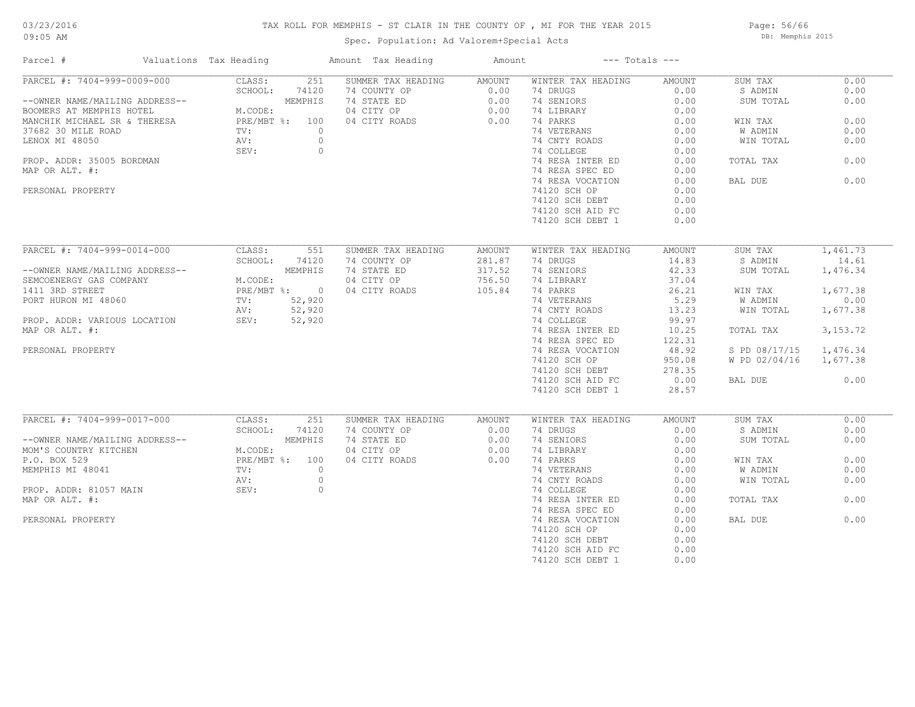# 03/23/2016

#### TAX ROLL FOR MEMPHIS - ST CLAIR IN THE COUNTY OF , MI FOR THE YEAR 2015

09:05 AM

### Spec. Population: Ad Valorem+Special Acts

Page: 56/66 DB: Memphis 2015

| PARCEL #: 7404-999-0009-000<br>CLASS:<br>251<br>SUMMER TAX HEADING<br>WINTER TAX HEADING<br>SUM TAX<br>0.00<br>AMOUNT<br>AMOUNT<br>SCHOOL:<br>74120<br>74 COUNTY OP<br>0.00<br>74 DRUGS<br>0.00<br>S ADMIN<br>0.00<br>MEMPHIS<br>74 STATE ED<br>0.00<br>74 SENIORS<br>0.00<br>0.00<br>--OWNER NAME/MAILING ADDRESS--<br>SUM TOTAL<br>BOOMERS AT MEMPHIS HOTEL<br>M.CODE:<br>04 CITY OP<br>0.00<br>74 LIBRARY<br>0.00<br>0.00<br>74 PARKS<br>0.00<br>0.00<br>MANCHIK MICHAEL SR & THERESA<br>PRE/MBT %: 100<br>04 CITY ROADS<br>WIN TAX<br>74 VETERANS<br>W ADMIN<br>0.00<br>TV:<br>$\circ$<br>0.00<br>74 CNTY ROADS<br>$\circ$<br>0.00<br>WIN TOTAL<br>0.00<br>AV:<br>$\circ$<br>74 COLLEGE<br>0.00<br>SEV:<br>74 RESA INTER ED<br>0.00<br>PROP. ADDR: 35005 BORDMAN<br>0.00<br>TOTAL TAX<br>74 RESA SPEC ED<br>0.00<br>0.00<br>74 RESA VOCATION<br>0.00<br>BAL DUE<br>PERSONAL PROPERTY<br>74120 SCH OP<br>0.00<br>74120 SCH DEBT<br>0.00<br>74120 SCH AID FC<br>0.00<br>74120 SCH DEBT 1<br>0.00<br>1,461.73<br>PARCEL #: 7404-999-0014-000<br>551<br>CLASS:<br>SUMMER TAX HEADING<br>AMOUNT<br>WINTER TAX HEADING<br>AMOUNT<br>SUM TAX<br>SCHOOL:<br>74 COUNTY OP<br>281.87<br>74 DRUGS<br>14.83<br>S ADMIN<br>14.61<br>74120<br>MEMPHIS<br>74 STATE ED<br>317.52<br>74 SENIORS<br>42.33<br>SUM TOTAL<br>1,476.34<br>--OWNER NAME/MAILING ADDRESS--<br>756.50<br>SEMCOENERGY GAS COMPANY<br>M.CODE:<br>04 CITY OP<br>74 LIBRARY<br>37.04<br>105.84<br>PRE/MBT %: 0<br>04 CITY ROADS<br>74 PARKS<br>26.21<br>1,677.38<br>1411 3RD STREET<br>WIN TAX<br>52,920<br>74 VETERANS<br>5.29<br>W ADMIN<br>0.00<br>PORT HURON MI 48060<br>TV:<br>52,920<br>74 CNTY ROADS<br>13.23<br>WIN TOTAL<br>1,677.38<br>AV:<br>52,920<br>74 COLLEGE<br>99.97<br>PROP. ADDR: VARIOUS LOCATION<br>SEV:<br>MAP OR ALT. #:<br>74 RESA INTER ED<br>10.25<br>3, 153. 72<br>TOTAL TAX<br>74 RESA SPEC ED<br>122.31<br>PERSONAL PROPERTY<br>74 RESA VOCATION<br>48.92<br>S PD 08/17/15<br>1,476.34<br>74120 SCH OP<br>W PD 02/04/16<br>950.08<br>1,677.38<br>278.35<br>74120 SCH DEBT<br>74120 SCH AID FC<br>0.00<br>BAL DUE<br>0.00<br>28.57<br>74120 SCH DEBT 1<br>PARCEL #: 7404-999-0017-000<br>0.00<br>CLASS:<br>251<br>SUMMER TAX HEADING<br>WINTER TAX HEADING<br>SUM TAX<br>AMOUNT<br>AMOUNT<br>SCHOOL:<br>74 COUNTY OP<br>74 DRUGS<br>74120<br>0.00<br>0.00<br>S ADMIN<br>0.00<br>MEMPHIS<br>74 STATE ED<br>0.00<br>74 SENIORS<br>0.00<br>0.00<br>--OWNER NAME/MAILING ADDRESS--<br>SUM TOTAL<br>M.CODE:<br>MOM'S COUNTRY KITCHEN<br>04 CITY OP<br>0.00<br>74 LIBRARY<br>0.00<br>P.O. BOX 529<br>PRE/MBT %: 100<br>04 CITY ROADS<br>0.00<br>74 PARKS<br>0.00<br>0.00<br>WIN TAX<br>0.00<br>MEMPHIS MI 48041<br>TV:<br>$\circ$<br>74 VETERANS<br>0.00<br>W ADMIN<br>74 CNTY ROADS<br>WIN TOTAL<br>0.00<br>AV:<br>$\circ$<br>0.00<br>$\circ$<br>PROP. ADDR: 81057 MAIN<br>SEV:<br>74 COLLEGE<br>0.00<br>0.00<br>MAP OR ALT. #:<br>74 RESA INTER ED<br>0.00<br>TOTAL TAX<br>74 RESA SPEC ED<br>0.00<br>0.00<br>74 RESA VOCATION<br>0.00<br>BAL DUE<br>74120 SCH OP<br>0.00<br>74120 SCH DEBT<br>0.00<br>74120 SCH AID FC<br>0.00 | Parcel #           | Valuations Tax Heading | Amount Tax Heading | Amount |                  | $---$ Totals $---$ |  |
|----------------------------------------------------------------------------------------------------------------------------------------------------------------------------------------------------------------------------------------------------------------------------------------------------------------------------------------------------------------------------------------------------------------------------------------------------------------------------------------------------------------------------------------------------------------------------------------------------------------------------------------------------------------------------------------------------------------------------------------------------------------------------------------------------------------------------------------------------------------------------------------------------------------------------------------------------------------------------------------------------------------------------------------------------------------------------------------------------------------------------------------------------------------------------------------------------------------------------------------------------------------------------------------------------------------------------------------------------------------------------------------------------------------------------------------------------------------------------------------------------------------------------------------------------------------------------------------------------------------------------------------------------------------------------------------------------------------------------------------------------------------------------------------------------------------------------------------------------------------------------------------------------------------------------------------------------------------------------------------------------------------------------------------------------------------------------------------------------------------------------------------------------------------------------------------------------------------------------------------------------------------------------------------------------------------------------------------------------------------------------------------------------------------------------------------------------------------------------------------------------------------------------------------------------------------------------------------------------------------------------------------------------------------------------------------------------------------------------------------------------------------------------------------------------------------------------------------------------------------------------------------------------------------------------------------------------------------------------------------------------------------------------------------------------------------------------------------------------------------|--------------------|------------------------|--------------------|--------|------------------|--------------------|--|
|                                                                                                                                                                                                                                                                                                                                                                                                                                                                                                                                                                                                                                                                                                                                                                                                                                                                                                                                                                                                                                                                                                                                                                                                                                                                                                                                                                                                                                                                                                                                                                                                                                                                                                                                                                                                                                                                                                                                                                                                                                                                                                                                                                                                                                                                                                                                                                                                                                                                                                                                                                                                                                                                                                                                                                                                                                                                                                                                                                                                                                                                                                                |                    |                        |                    |        |                  |                    |  |
|                                                                                                                                                                                                                                                                                                                                                                                                                                                                                                                                                                                                                                                                                                                                                                                                                                                                                                                                                                                                                                                                                                                                                                                                                                                                                                                                                                                                                                                                                                                                                                                                                                                                                                                                                                                                                                                                                                                                                                                                                                                                                                                                                                                                                                                                                                                                                                                                                                                                                                                                                                                                                                                                                                                                                                                                                                                                                                                                                                                                                                                                                                                |                    |                        |                    |        |                  |                    |  |
|                                                                                                                                                                                                                                                                                                                                                                                                                                                                                                                                                                                                                                                                                                                                                                                                                                                                                                                                                                                                                                                                                                                                                                                                                                                                                                                                                                                                                                                                                                                                                                                                                                                                                                                                                                                                                                                                                                                                                                                                                                                                                                                                                                                                                                                                                                                                                                                                                                                                                                                                                                                                                                                                                                                                                                                                                                                                                                                                                                                                                                                                                                                |                    |                        |                    |        |                  |                    |  |
|                                                                                                                                                                                                                                                                                                                                                                                                                                                                                                                                                                                                                                                                                                                                                                                                                                                                                                                                                                                                                                                                                                                                                                                                                                                                                                                                                                                                                                                                                                                                                                                                                                                                                                                                                                                                                                                                                                                                                                                                                                                                                                                                                                                                                                                                                                                                                                                                                                                                                                                                                                                                                                                                                                                                                                                                                                                                                                                                                                                                                                                                                                                |                    |                        |                    |        |                  |                    |  |
|                                                                                                                                                                                                                                                                                                                                                                                                                                                                                                                                                                                                                                                                                                                                                                                                                                                                                                                                                                                                                                                                                                                                                                                                                                                                                                                                                                                                                                                                                                                                                                                                                                                                                                                                                                                                                                                                                                                                                                                                                                                                                                                                                                                                                                                                                                                                                                                                                                                                                                                                                                                                                                                                                                                                                                                                                                                                                                                                                                                                                                                                                                                |                    |                        |                    |        |                  |                    |  |
|                                                                                                                                                                                                                                                                                                                                                                                                                                                                                                                                                                                                                                                                                                                                                                                                                                                                                                                                                                                                                                                                                                                                                                                                                                                                                                                                                                                                                                                                                                                                                                                                                                                                                                                                                                                                                                                                                                                                                                                                                                                                                                                                                                                                                                                                                                                                                                                                                                                                                                                                                                                                                                                                                                                                                                                                                                                                                                                                                                                                                                                                                                                | 37682 30 MILE ROAD |                        |                    |        |                  |                    |  |
|                                                                                                                                                                                                                                                                                                                                                                                                                                                                                                                                                                                                                                                                                                                                                                                                                                                                                                                                                                                                                                                                                                                                                                                                                                                                                                                                                                                                                                                                                                                                                                                                                                                                                                                                                                                                                                                                                                                                                                                                                                                                                                                                                                                                                                                                                                                                                                                                                                                                                                                                                                                                                                                                                                                                                                                                                                                                                                                                                                                                                                                                                                                | LENOX MI 48050     |                        |                    |        |                  |                    |  |
|                                                                                                                                                                                                                                                                                                                                                                                                                                                                                                                                                                                                                                                                                                                                                                                                                                                                                                                                                                                                                                                                                                                                                                                                                                                                                                                                                                                                                                                                                                                                                                                                                                                                                                                                                                                                                                                                                                                                                                                                                                                                                                                                                                                                                                                                                                                                                                                                                                                                                                                                                                                                                                                                                                                                                                                                                                                                                                                                                                                                                                                                                                                |                    |                        |                    |        |                  |                    |  |
|                                                                                                                                                                                                                                                                                                                                                                                                                                                                                                                                                                                                                                                                                                                                                                                                                                                                                                                                                                                                                                                                                                                                                                                                                                                                                                                                                                                                                                                                                                                                                                                                                                                                                                                                                                                                                                                                                                                                                                                                                                                                                                                                                                                                                                                                                                                                                                                                                                                                                                                                                                                                                                                                                                                                                                                                                                                                                                                                                                                                                                                                                                                |                    |                        |                    |        |                  |                    |  |
|                                                                                                                                                                                                                                                                                                                                                                                                                                                                                                                                                                                                                                                                                                                                                                                                                                                                                                                                                                                                                                                                                                                                                                                                                                                                                                                                                                                                                                                                                                                                                                                                                                                                                                                                                                                                                                                                                                                                                                                                                                                                                                                                                                                                                                                                                                                                                                                                                                                                                                                                                                                                                                                                                                                                                                                                                                                                                                                                                                                                                                                                                                                | MAP OR ALT. #:     |                        |                    |        |                  |                    |  |
|                                                                                                                                                                                                                                                                                                                                                                                                                                                                                                                                                                                                                                                                                                                                                                                                                                                                                                                                                                                                                                                                                                                                                                                                                                                                                                                                                                                                                                                                                                                                                                                                                                                                                                                                                                                                                                                                                                                                                                                                                                                                                                                                                                                                                                                                                                                                                                                                                                                                                                                                                                                                                                                                                                                                                                                                                                                                                                                                                                                                                                                                                                                |                    |                        |                    |        |                  |                    |  |
|                                                                                                                                                                                                                                                                                                                                                                                                                                                                                                                                                                                                                                                                                                                                                                                                                                                                                                                                                                                                                                                                                                                                                                                                                                                                                                                                                                                                                                                                                                                                                                                                                                                                                                                                                                                                                                                                                                                                                                                                                                                                                                                                                                                                                                                                                                                                                                                                                                                                                                                                                                                                                                                                                                                                                                                                                                                                                                                                                                                                                                                                                                                |                    |                        |                    |        |                  |                    |  |
|                                                                                                                                                                                                                                                                                                                                                                                                                                                                                                                                                                                                                                                                                                                                                                                                                                                                                                                                                                                                                                                                                                                                                                                                                                                                                                                                                                                                                                                                                                                                                                                                                                                                                                                                                                                                                                                                                                                                                                                                                                                                                                                                                                                                                                                                                                                                                                                                                                                                                                                                                                                                                                                                                                                                                                                                                                                                                                                                                                                                                                                                                                                |                    |                        |                    |        |                  |                    |  |
|                                                                                                                                                                                                                                                                                                                                                                                                                                                                                                                                                                                                                                                                                                                                                                                                                                                                                                                                                                                                                                                                                                                                                                                                                                                                                                                                                                                                                                                                                                                                                                                                                                                                                                                                                                                                                                                                                                                                                                                                                                                                                                                                                                                                                                                                                                                                                                                                                                                                                                                                                                                                                                                                                                                                                                                                                                                                                                                                                                                                                                                                                                                |                    |                        |                    |        |                  |                    |  |
|                                                                                                                                                                                                                                                                                                                                                                                                                                                                                                                                                                                                                                                                                                                                                                                                                                                                                                                                                                                                                                                                                                                                                                                                                                                                                                                                                                                                                                                                                                                                                                                                                                                                                                                                                                                                                                                                                                                                                                                                                                                                                                                                                                                                                                                                                                                                                                                                                                                                                                                                                                                                                                                                                                                                                                                                                                                                                                                                                                                                                                                                                                                |                    |                        |                    |        |                  |                    |  |
|                                                                                                                                                                                                                                                                                                                                                                                                                                                                                                                                                                                                                                                                                                                                                                                                                                                                                                                                                                                                                                                                                                                                                                                                                                                                                                                                                                                                                                                                                                                                                                                                                                                                                                                                                                                                                                                                                                                                                                                                                                                                                                                                                                                                                                                                                                                                                                                                                                                                                                                                                                                                                                                                                                                                                                                                                                                                                                                                                                                                                                                                                                                |                    |                        |                    |        |                  |                    |  |
|                                                                                                                                                                                                                                                                                                                                                                                                                                                                                                                                                                                                                                                                                                                                                                                                                                                                                                                                                                                                                                                                                                                                                                                                                                                                                                                                                                                                                                                                                                                                                                                                                                                                                                                                                                                                                                                                                                                                                                                                                                                                                                                                                                                                                                                                                                                                                                                                                                                                                                                                                                                                                                                                                                                                                                                                                                                                                                                                                                                                                                                                                                                |                    |                        |                    |        |                  |                    |  |
|                                                                                                                                                                                                                                                                                                                                                                                                                                                                                                                                                                                                                                                                                                                                                                                                                                                                                                                                                                                                                                                                                                                                                                                                                                                                                                                                                                                                                                                                                                                                                                                                                                                                                                                                                                                                                                                                                                                                                                                                                                                                                                                                                                                                                                                                                                                                                                                                                                                                                                                                                                                                                                                                                                                                                                                                                                                                                                                                                                                                                                                                                                                |                    |                        |                    |        |                  |                    |  |
|                                                                                                                                                                                                                                                                                                                                                                                                                                                                                                                                                                                                                                                                                                                                                                                                                                                                                                                                                                                                                                                                                                                                                                                                                                                                                                                                                                                                                                                                                                                                                                                                                                                                                                                                                                                                                                                                                                                                                                                                                                                                                                                                                                                                                                                                                                                                                                                                                                                                                                                                                                                                                                                                                                                                                                                                                                                                                                                                                                                                                                                                                                                |                    |                        |                    |        |                  |                    |  |
|                                                                                                                                                                                                                                                                                                                                                                                                                                                                                                                                                                                                                                                                                                                                                                                                                                                                                                                                                                                                                                                                                                                                                                                                                                                                                                                                                                                                                                                                                                                                                                                                                                                                                                                                                                                                                                                                                                                                                                                                                                                                                                                                                                                                                                                                                                                                                                                                                                                                                                                                                                                                                                                                                                                                                                                                                                                                                                                                                                                                                                                                                                                |                    |                        |                    |        |                  |                    |  |
|                                                                                                                                                                                                                                                                                                                                                                                                                                                                                                                                                                                                                                                                                                                                                                                                                                                                                                                                                                                                                                                                                                                                                                                                                                                                                                                                                                                                                                                                                                                                                                                                                                                                                                                                                                                                                                                                                                                                                                                                                                                                                                                                                                                                                                                                                                                                                                                                                                                                                                                                                                                                                                                                                                                                                                                                                                                                                                                                                                                                                                                                                                                |                    |                        |                    |        |                  |                    |  |
|                                                                                                                                                                                                                                                                                                                                                                                                                                                                                                                                                                                                                                                                                                                                                                                                                                                                                                                                                                                                                                                                                                                                                                                                                                                                                                                                                                                                                                                                                                                                                                                                                                                                                                                                                                                                                                                                                                                                                                                                                                                                                                                                                                                                                                                                                                                                                                                                                                                                                                                                                                                                                                                                                                                                                                                                                                                                                                                                                                                                                                                                                                                |                    |                        |                    |        |                  |                    |  |
|                                                                                                                                                                                                                                                                                                                                                                                                                                                                                                                                                                                                                                                                                                                                                                                                                                                                                                                                                                                                                                                                                                                                                                                                                                                                                                                                                                                                                                                                                                                                                                                                                                                                                                                                                                                                                                                                                                                                                                                                                                                                                                                                                                                                                                                                                                                                                                                                                                                                                                                                                                                                                                                                                                                                                                                                                                                                                                                                                                                                                                                                                                                |                    |                        |                    |        |                  |                    |  |
|                                                                                                                                                                                                                                                                                                                                                                                                                                                                                                                                                                                                                                                                                                                                                                                                                                                                                                                                                                                                                                                                                                                                                                                                                                                                                                                                                                                                                                                                                                                                                                                                                                                                                                                                                                                                                                                                                                                                                                                                                                                                                                                                                                                                                                                                                                                                                                                                                                                                                                                                                                                                                                                                                                                                                                                                                                                                                                                                                                                                                                                                                                                |                    |                        |                    |        |                  |                    |  |
|                                                                                                                                                                                                                                                                                                                                                                                                                                                                                                                                                                                                                                                                                                                                                                                                                                                                                                                                                                                                                                                                                                                                                                                                                                                                                                                                                                                                                                                                                                                                                                                                                                                                                                                                                                                                                                                                                                                                                                                                                                                                                                                                                                                                                                                                                                                                                                                                                                                                                                                                                                                                                                                                                                                                                                                                                                                                                                                                                                                                                                                                                                                |                    |                        |                    |        |                  |                    |  |
|                                                                                                                                                                                                                                                                                                                                                                                                                                                                                                                                                                                                                                                                                                                                                                                                                                                                                                                                                                                                                                                                                                                                                                                                                                                                                                                                                                                                                                                                                                                                                                                                                                                                                                                                                                                                                                                                                                                                                                                                                                                                                                                                                                                                                                                                                                                                                                                                                                                                                                                                                                                                                                                                                                                                                                                                                                                                                                                                                                                                                                                                                                                |                    |                        |                    |        |                  |                    |  |
|                                                                                                                                                                                                                                                                                                                                                                                                                                                                                                                                                                                                                                                                                                                                                                                                                                                                                                                                                                                                                                                                                                                                                                                                                                                                                                                                                                                                                                                                                                                                                                                                                                                                                                                                                                                                                                                                                                                                                                                                                                                                                                                                                                                                                                                                                                                                                                                                                                                                                                                                                                                                                                                                                                                                                                                                                                                                                                                                                                                                                                                                                                                |                    |                        |                    |        |                  |                    |  |
|                                                                                                                                                                                                                                                                                                                                                                                                                                                                                                                                                                                                                                                                                                                                                                                                                                                                                                                                                                                                                                                                                                                                                                                                                                                                                                                                                                                                                                                                                                                                                                                                                                                                                                                                                                                                                                                                                                                                                                                                                                                                                                                                                                                                                                                                                                                                                                                                                                                                                                                                                                                                                                                                                                                                                                                                                                                                                                                                                                                                                                                                                                                |                    |                        |                    |        |                  |                    |  |
|                                                                                                                                                                                                                                                                                                                                                                                                                                                                                                                                                                                                                                                                                                                                                                                                                                                                                                                                                                                                                                                                                                                                                                                                                                                                                                                                                                                                                                                                                                                                                                                                                                                                                                                                                                                                                                                                                                                                                                                                                                                                                                                                                                                                                                                                                                                                                                                                                                                                                                                                                                                                                                                                                                                                                                                                                                                                                                                                                                                                                                                                                                                |                    |                        |                    |        |                  |                    |  |
|                                                                                                                                                                                                                                                                                                                                                                                                                                                                                                                                                                                                                                                                                                                                                                                                                                                                                                                                                                                                                                                                                                                                                                                                                                                                                                                                                                                                                                                                                                                                                                                                                                                                                                                                                                                                                                                                                                                                                                                                                                                                                                                                                                                                                                                                                                                                                                                                                                                                                                                                                                                                                                                                                                                                                                                                                                                                                                                                                                                                                                                                                                                |                    |                        |                    |        |                  |                    |  |
|                                                                                                                                                                                                                                                                                                                                                                                                                                                                                                                                                                                                                                                                                                                                                                                                                                                                                                                                                                                                                                                                                                                                                                                                                                                                                                                                                                                                                                                                                                                                                                                                                                                                                                                                                                                                                                                                                                                                                                                                                                                                                                                                                                                                                                                                                                                                                                                                                                                                                                                                                                                                                                                                                                                                                                                                                                                                                                                                                                                                                                                                                                                |                    |                        |                    |        |                  |                    |  |
|                                                                                                                                                                                                                                                                                                                                                                                                                                                                                                                                                                                                                                                                                                                                                                                                                                                                                                                                                                                                                                                                                                                                                                                                                                                                                                                                                                                                                                                                                                                                                                                                                                                                                                                                                                                                                                                                                                                                                                                                                                                                                                                                                                                                                                                                                                                                                                                                                                                                                                                                                                                                                                                                                                                                                                                                                                                                                                                                                                                                                                                                                                                |                    |                        |                    |        |                  |                    |  |
|                                                                                                                                                                                                                                                                                                                                                                                                                                                                                                                                                                                                                                                                                                                                                                                                                                                                                                                                                                                                                                                                                                                                                                                                                                                                                                                                                                                                                                                                                                                                                                                                                                                                                                                                                                                                                                                                                                                                                                                                                                                                                                                                                                                                                                                                                                                                                                                                                                                                                                                                                                                                                                                                                                                                                                                                                                                                                                                                                                                                                                                                                                                |                    |                        |                    |        |                  |                    |  |
|                                                                                                                                                                                                                                                                                                                                                                                                                                                                                                                                                                                                                                                                                                                                                                                                                                                                                                                                                                                                                                                                                                                                                                                                                                                                                                                                                                                                                                                                                                                                                                                                                                                                                                                                                                                                                                                                                                                                                                                                                                                                                                                                                                                                                                                                                                                                                                                                                                                                                                                                                                                                                                                                                                                                                                                                                                                                                                                                                                                                                                                                                                                |                    |                        |                    |        |                  |                    |  |
|                                                                                                                                                                                                                                                                                                                                                                                                                                                                                                                                                                                                                                                                                                                                                                                                                                                                                                                                                                                                                                                                                                                                                                                                                                                                                                                                                                                                                                                                                                                                                                                                                                                                                                                                                                                                                                                                                                                                                                                                                                                                                                                                                                                                                                                                                                                                                                                                                                                                                                                                                                                                                                                                                                                                                                                                                                                                                                                                                                                                                                                                                                                |                    |                        |                    |        |                  |                    |  |
|                                                                                                                                                                                                                                                                                                                                                                                                                                                                                                                                                                                                                                                                                                                                                                                                                                                                                                                                                                                                                                                                                                                                                                                                                                                                                                                                                                                                                                                                                                                                                                                                                                                                                                                                                                                                                                                                                                                                                                                                                                                                                                                                                                                                                                                                                                                                                                                                                                                                                                                                                                                                                                                                                                                                                                                                                                                                                                                                                                                                                                                                                                                |                    |                        |                    |        |                  |                    |  |
|                                                                                                                                                                                                                                                                                                                                                                                                                                                                                                                                                                                                                                                                                                                                                                                                                                                                                                                                                                                                                                                                                                                                                                                                                                                                                                                                                                                                                                                                                                                                                                                                                                                                                                                                                                                                                                                                                                                                                                                                                                                                                                                                                                                                                                                                                                                                                                                                                                                                                                                                                                                                                                                                                                                                                                                                                                                                                                                                                                                                                                                                                                                |                    |                        |                    |        |                  |                    |  |
|                                                                                                                                                                                                                                                                                                                                                                                                                                                                                                                                                                                                                                                                                                                                                                                                                                                                                                                                                                                                                                                                                                                                                                                                                                                                                                                                                                                                                                                                                                                                                                                                                                                                                                                                                                                                                                                                                                                                                                                                                                                                                                                                                                                                                                                                                                                                                                                                                                                                                                                                                                                                                                                                                                                                                                                                                                                                                                                                                                                                                                                                                                                |                    |                        |                    |        |                  |                    |  |
|                                                                                                                                                                                                                                                                                                                                                                                                                                                                                                                                                                                                                                                                                                                                                                                                                                                                                                                                                                                                                                                                                                                                                                                                                                                                                                                                                                                                                                                                                                                                                                                                                                                                                                                                                                                                                                                                                                                                                                                                                                                                                                                                                                                                                                                                                                                                                                                                                                                                                                                                                                                                                                                                                                                                                                                                                                                                                                                                                                                                                                                                                                                |                    |                        |                    |        |                  |                    |  |
|                                                                                                                                                                                                                                                                                                                                                                                                                                                                                                                                                                                                                                                                                                                                                                                                                                                                                                                                                                                                                                                                                                                                                                                                                                                                                                                                                                                                                                                                                                                                                                                                                                                                                                                                                                                                                                                                                                                                                                                                                                                                                                                                                                                                                                                                                                                                                                                                                                                                                                                                                                                                                                                                                                                                                                                                                                                                                                                                                                                                                                                                                                                |                    |                        |                    |        |                  |                    |  |
|                                                                                                                                                                                                                                                                                                                                                                                                                                                                                                                                                                                                                                                                                                                                                                                                                                                                                                                                                                                                                                                                                                                                                                                                                                                                                                                                                                                                                                                                                                                                                                                                                                                                                                                                                                                                                                                                                                                                                                                                                                                                                                                                                                                                                                                                                                                                                                                                                                                                                                                                                                                                                                                                                                                                                                                                                                                                                                                                                                                                                                                                                                                |                    |                        |                    |        |                  |                    |  |
|                                                                                                                                                                                                                                                                                                                                                                                                                                                                                                                                                                                                                                                                                                                                                                                                                                                                                                                                                                                                                                                                                                                                                                                                                                                                                                                                                                                                                                                                                                                                                                                                                                                                                                                                                                                                                                                                                                                                                                                                                                                                                                                                                                                                                                                                                                                                                                                                                                                                                                                                                                                                                                                                                                                                                                                                                                                                                                                                                                                                                                                                                                                |                    |                        |                    |        |                  |                    |  |
|                                                                                                                                                                                                                                                                                                                                                                                                                                                                                                                                                                                                                                                                                                                                                                                                                                                                                                                                                                                                                                                                                                                                                                                                                                                                                                                                                                                                                                                                                                                                                                                                                                                                                                                                                                                                                                                                                                                                                                                                                                                                                                                                                                                                                                                                                                                                                                                                                                                                                                                                                                                                                                                                                                                                                                                                                                                                                                                                                                                                                                                                                                                |                    |                        |                    |        |                  |                    |  |
|                                                                                                                                                                                                                                                                                                                                                                                                                                                                                                                                                                                                                                                                                                                                                                                                                                                                                                                                                                                                                                                                                                                                                                                                                                                                                                                                                                                                                                                                                                                                                                                                                                                                                                                                                                                                                                                                                                                                                                                                                                                                                                                                                                                                                                                                                                                                                                                                                                                                                                                                                                                                                                                                                                                                                                                                                                                                                                                                                                                                                                                                                                                | PERSONAL PROPERTY  |                        |                    |        |                  |                    |  |
|                                                                                                                                                                                                                                                                                                                                                                                                                                                                                                                                                                                                                                                                                                                                                                                                                                                                                                                                                                                                                                                                                                                                                                                                                                                                                                                                                                                                                                                                                                                                                                                                                                                                                                                                                                                                                                                                                                                                                                                                                                                                                                                                                                                                                                                                                                                                                                                                                                                                                                                                                                                                                                                                                                                                                                                                                                                                                                                                                                                                                                                                                                                |                    |                        |                    |        |                  |                    |  |
|                                                                                                                                                                                                                                                                                                                                                                                                                                                                                                                                                                                                                                                                                                                                                                                                                                                                                                                                                                                                                                                                                                                                                                                                                                                                                                                                                                                                                                                                                                                                                                                                                                                                                                                                                                                                                                                                                                                                                                                                                                                                                                                                                                                                                                                                                                                                                                                                                                                                                                                                                                                                                                                                                                                                                                                                                                                                                                                                                                                                                                                                                                                |                    |                        |                    |        |                  |                    |  |
|                                                                                                                                                                                                                                                                                                                                                                                                                                                                                                                                                                                                                                                                                                                                                                                                                                                                                                                                                                                                                                                                                                                                                                                                                                                                                                                                                                                                                                                                                                                                                                                                                                                                                                                                                                                                                                                                                                                                                                                                                                                                                                                                                                                                                                                                                                                                                                                                                                                                                                                                                                                                                                                                                                                                                                                                                                                                                                                                                                                                                                                                                                                |                    |                        |                    |        |                  |                    |  |
|                                                                                                                                                                                                                                                                                                                                                                                                                                                                                                                                                                                                                                                                                                                                                                                                                                                                                                                                                                                                                                                                                                                                                                                                                                                                                                                                                                                                                                                                                                                                                                                                                                                                                                                                                                                                                                                                                                                                                                                                                                                                                                                                                                                                                                                                                                                                                                                                                                                                                                                                                                                                                                                                                                                                                                                                                                                                                                                                                                                                                                                                                                                |                    |                        |                    |        | 74120 SCH DEBT 1 | 0.00               |  |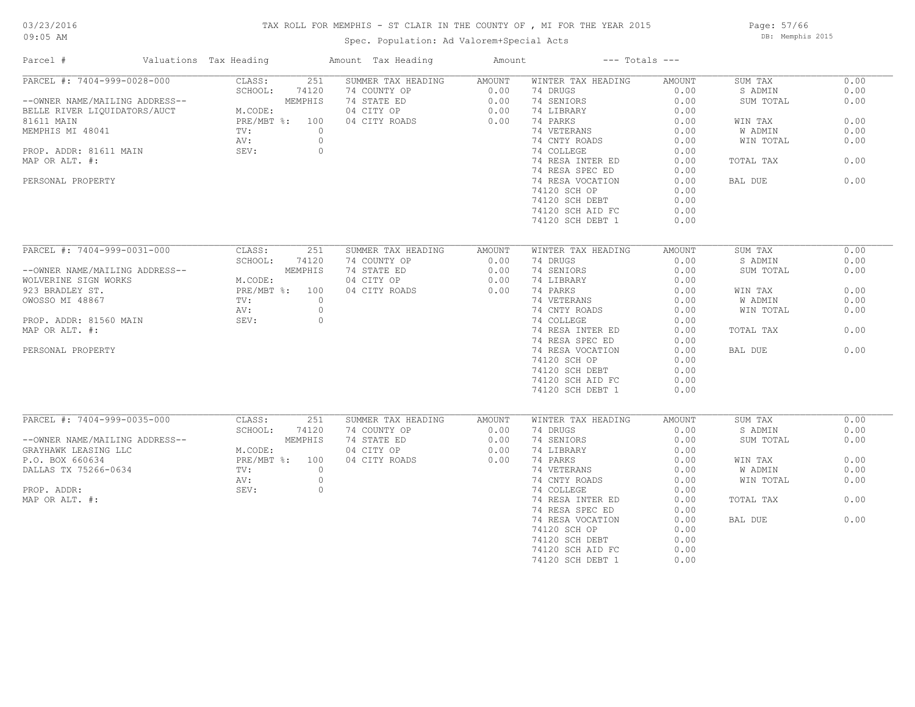#### TAX ROLL FOR MEMPHIS - ST CLAIR IN THE COUNTY OF , MI FOR THE YEAR 2015

Spec. Population: Ad Valorem+Special Acts

Page: 57/66 DB: Memphis 2015

| Parcel #                       | Valuations Tax Heading | Amount Tax Heading | Amount | $---$ Totals $---$ |        |           |      |
|--------------------------------|------------------------|--------------------|--------|--------------------|--------|-----------|------|
| PARCEL #: 7404-999-0028-000    | 251<br>CLASS:          | SUMMER TAX HEADING | AMOUNT | WINTER TAX HEADING | AMOUNT | SUM TAX   | 0.00 |
|                                | SCHOOL:<br>74120       | 74 COUNTY OP       | 0.00   | 74 DRUGS           | 0.00   | S ADMIN   | 0.00 |
| --OWNER NAME/MAILING ADDRESS-- | MEMPHIS                | 74 STATE ED        | 0.00   | 74 SENIORS         | 0.00   | SUM TOTAL | 0.00 |
| BELLE RIVER LIQUIDATORS/AUCT   | M.CODE:                | 04 CITY OP         | 0.00   | 74 LIBRARY         | 0.00   |           |      |
| 81611 MAIN                     | PRE/MBT %: 100         | 04 CITY ROADS      | 0.00   | 74 PARKS           | 0.00   | WIN TAX   | 0.00 |
| MEMPHIS MI 48041               | $\circ$<br>TV:         |                    |        | 74 VETERANS        | 0.00   | W ADMIN   | 0.00 |
|                                | $\circ$<br>AV:         |                    |        | 74 CNTY ROADS      | 0.00   | WIN TOTAL | 0.00 |
| PROP. ADDR: 81611 MAIN         | $\circ$<br>SEV:        |                    |        | 74 COLLEGE         | 0.00   |           |      |
| MAP OR ALT. #:                 |                        |                    |        | 74 RESA INTER ED   | 0.00   | TOTAL TAX | 0.00 |
|                                |                        |                    |        | 74 RESA SPEC ED    | 0.00   |           |      |
| PERSONAL PROPERTY              |                        |                    |        | 74 RESA VOCATION   | 0.00   | BAL DUE   | 0.00 |
|                                |                        |                    |        | 74120 SCH OP       | 0.00   |           |      |
|                                |                        |                    |        | 74120 SCH DEBT     | 0.00   |           |      |
|                                |                        |                    |        |                    |        |           |      |
|                                |                        |                    |        | 74120 SCH AID FC   | 0.00   |           |      |
|                                |                        |                    |        | 74120 SCH DEBT 1   | 0.00   |           |      |
|                                |                        |                    |        |                    |        |           |      |
| PARCEL #: 7404-999-0031-000    | CLASS:<br>251          | SUMMER TAX HEADING | AMOUNT | WINTER TAX HEADING | AMOUNT | SUM TAX   | 0.00 |
|                                | SCHOOL:<br>74120       | 74 COUNTY OP       | 0.00   | 74 DRUGS           | 0.00   | S ADMIN   | 0.00 |
| --OWNER NAME/MAILING ADDRESS-- | MEMPHIS                | 74 STATE ED        | 0.00   | 74 SENIORS         | 0.00   | SUM TOTAL | 0.00 |
| WOLVERINE SIGN WORKS           | M.CODE:                | 04 CITY OP         | 0.00   | 74 LIBRARY         | 0.00   |           |      |
| 923 BRADLEY ST.                | PRE/MBT %: 100         | 04 CITY ROADS      | 0.00   | 74 PARKS           | 0.00   | WIN TAX   | 0.00 |
| OWOSSO MI 48867                | TV:<br>$\circ$         |                    |        | 74 VETERANS        | 0.00   | W ADMIN   | 0.00 |
|                                | $\circ$<br>AV:         |                    |        | 74 CNTY ROADS      | 0.00   | WIN TOTAL | 0.00 |
| PROP. ADDR: 81560 MAIN         | $\circ$<br>SEV:        |                    |        | 74 COLLEGE         | 0.00   |           |      |
| MAP OR ALT. #:                 |                        |                    |        | 74 RESA INTER ED   | 0.00   | TOTAL TAX | 0.00 |
|                                |                        |                    |        | 74 RESA SPEC ED    | 0.00   |           |      |
| PERSONAL PROPERTY              |                        |                    |        | 74 RESA VOCATION   | 0.00   | BAL DUE   | 0.00 |
|                                |                        |                    |        | 74120 SCH OP       | 0.00   |           |      |
|                                |                        |                    |        | 74120 SCH DEBT     | 0.00   |           |      |
|                                |                        |                    |        | 74120 SCH AID FC   | 0.00   |           |      |
|                                |                        |                    |        | 74120 SCH DEBT 1   | 0.00   |           |      |
|                                |                        |                    |        |                    |        |           |      |
| PARCEL #: 7404-999-0035-000    | CLASS:<br>251          | SUMMER TAX HEADING | AMOUNT | WINTER TAX HEADING | AMOUNT | SUM TAX   | 0.00 |
|                                | SCHOOL:<br>74120       | 74 COUNTY OP       | 0.00   | 74 DRUGS           | 0.00   | S ADMIN   | 0.00 |
| --OWNER NAME/MAILING ADDRESS-- | MEMPHIS                | 74 STATE ED        | 0.00   | 74 SENIORS         | 0.00   | SUM TOTAL | 0.00 |
| GRAYHAWK LEASING LLC           | M.CODE:                | 04 CITY OP         | 0.00   | 74 LIBRARY         | 0.00   |           |      |
| P.O. BOX 660634                | PRE/MBT %: 100         | 04 CITY ROADS      | 0.00   | 74 PARKS           | 0.00   | WIN TAX   | 0.00 |
| DALLAS TX 75266-0634           | TV:<br>$\circ$         |                    |        | 74 VETERANS        | 0.00   | W ADMIN   | 0.00 |
|                                |                        |                    |        |                    |        |           |      |
|                                | AV:<br>$\circ$         |                    |        | 74 CNTY ROADS      | 0.00   | WIN TOTAL | 0.00 |
| PROP. ADDR:                    | $\circ$<br>SEV:        |                    |        | 74 COLLEGE         | 0.00   |           |      |
| MAP OR ALT. #:                 |                        |                    |        | 74 RESA INTER ED   | 0.00   | TOTAL TAX | 0.00 |
|                                |                        |                    |        | 74 RESA SPEC ED    | 0.00   |           |      |
|                                |                        |                    |        | 74 RESA VOCATION   | 0.00   | BAL DUE   | 0.00 |
|                                |                        |                    |        | 74120 SCH OP       | 0.00   |           |      |
|                                |                        |                    |        | 74120 SCH DEBT     | 0.00   |           |      |
|                                |                        |                    |        | 74120 SCH AID FC   | 0.00   |           |      |
|                                |                        |                    |        | 74120 SCH DEBT 1   | 0.00   |           |      |
|                                |                        |                    |        |                    |        |           |      |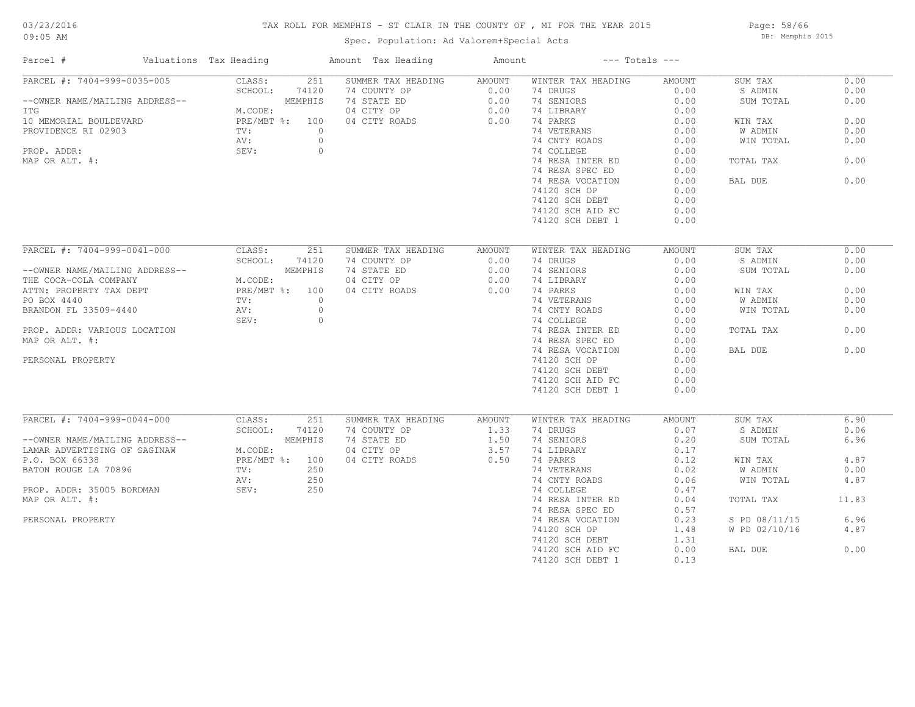# 03/23/2016

#### TAX ROLL FOR MEMPHIS - ST CLAIR IN THE COUNTY OF , MI FOR THE YEAR 2015

09:05 AM

### Spec. Population: Ad Valorem+Special Acts

Page: 58/66 DB: Memphis 2015

| Parcel #                       | Valuations Tax Heading    |         | Amount Tax Heading | Amount |                    | $---$ Totals $---$ |               |       |
|--------------------------------|---------------------------|---------|--------------------|--------|--------------------|--------------------|---------------|-------|
| PARCEL #: 7404-999-0035-005    | CLASS:                    | 251     | SUMMER TAX HEADING | AMOUNT | WINTER TAX HEADING | AMOUNT             | SUM TAX       | 0.00  |
|                                | SCHOOL:                   | 74120   | 74 COUNTY OP       | 0.00   | 74 DRUGS           | 0.00               | S ADMIN       | 0.00  |
| --OWNER NAME/MAILING ADDRESS-- |                           | MEMPHIS | 74 STATE ED        | 0.00   | 74 SENIORS         | 0.00               | SUM TOTAL     | 0.00  |
| ITG                            | M.CODE:                   |         | 04 CITY OP         | 0.00   | 74 LIBRARY         | 0.00               |               |       |
| 10 MEMORIAL BOULDEVARD         | PRE/MBT %: 100            |         | 04 CITY ROADS      | 0.00   | 74 PARKS           | 0.00               | WIN TAX       | 0.00  |
| PROVIDENCE RI 02903            | TV:                       | $\circ$ |                    |        | 74 VETERANS        | 0.00               | W ADMIN       | 0.00  |
|                                | AV:                       | $\circ$ |                    |        | 74 CNTY ROADS      | 0.00               | WIN TOTAL     | 0.00  |
| PROP. ADDR:                    | SEV:                      | $\circ$ |                    |        | 74 COLLEGE         | 0.00               |               |       |
| MAP OR ALT. #:                 |                           |         |                    |        | 74 RESA INTER ED   | 0.00               | TOTAL TAX     | 0.00  |
|                                |                           |         |                    |        | 74 RESA SPEC ED    | 0.00               |               |       |
|                                |                           |         |                    |        | 74 RESA VOCATION   | 0.00               | BAL DUE       | 0.00  |
|                                |                           |         |                    |        | 74120 SCH OP       | 0.00               |               |       |
|                                |                           |         |                    |        | 74120 SCH DEBT     | 0.00               |               |       |
|                                |                           |         |                    |        | 74120 SCH AID FC   | 0.00               |               |       |
|                                |                           |         |                    |        |                    |                    |               |       |
|                                |                           |         |                    |        | 74120 SCH DEBT 1   | 0.00               |               |       |
| PARCEL #: 7404-999-0041-000    | CLASS:                    | 251     | SUMMER TAX HEADING | AMOUNT | WINTER TAX HEADING | AMOUNT             | SUM TAX       | 0.00  |
|                                | SCHOOL:                   | 74120   | 74 COUNTY OP       | 0.00   | 74 DRUGS           | 0.00               | S ADMIN       | 0.00  |
| --OWNER NAME/MAILING ADDRESS-- |                           | MEMPHIS |                    | 0.00   |                    | 0.00               |               | 0.00  |
|                                |                           |         | 74 STATE ED        |        | 74 SENIORS         |                    | SUM TOTAL     |       |
| THE COCA-COLA COMPANY          | M.CODE:<br>PRE/MBT %: 100 |         | 04 CITY OP         | 0.00   | 74 LIBRARY         | 0.00               |               |       |
| ATTN: PROPERTY TAX DEPT        |                           |         | 04 CITY ROADS      | 0.00   | 74 PARKS           | 0.00               | WIN TAX       | 0.00  |
| BRANDON FL 33509-4440          | TV:                       | $\circ$ |                    |        | 74 VETERANS        | 0.00               | W ADMIN       | 0.00  |
|                                | AV:                       | $\circ$ |                    |        | 74 CNTY ROADS      | 0.00               | WIN TOTAL     | 0.00  |
|                                | SEV:                      | $\circ$ |                    |        | 74 COLLEGE         | 0.00               |               |       |
| PROP. ADDR: VARIOUS LOCATION   |                           |         |                    |        | 74 RESA INTER ED   | 0.00               | TOTAL TAX     | 0.00  |
| MAP OR ALT. #:                 |                           |         |                    |        | 74 RESA SPEC ED    | 0.00               |               |       |
|                                |                           |         |                    |        | 74 RESA VOCATION   | 0.00               | BAL DUE       | 0.00  |
| PERSONAL PROPERTY              |                           |         |                    |        | 74120 SCH OP       | 0.00               |               |       |
|                                |                           |         |                    |        | 74120 SCH DEBT     | 0.00               |               |       |
|                                |                           |         |                    |        | 74120 SCH AID FC   | 0.00               |               |       |
|                                |                           |         |                    |        | 74120 SCH DEBT 1   | 0.00               |               |       |
|                                |                           |         |                    |        |                    |                    |               |       |
| PARCEL #: 7404-999-0044-000    | CLASS:                    | 251     | SUMMER TAX HEADING | AMOUNT | WINTER TAX HEADING | AMOUNT             | SUM TAX       | 6.90  |
|                                | SCHOOL:                   | 74120   | 74 COUNTY OP       | 1.33   | 74 DRUGS           | 0.07               | S ADMIN       | 0.06  |
| --OWNER NAME/MAILING ADDRESS-- |                           | MEMPHIS | 74 STATE ED        | 1.50   | 74 SENIORS         | 0.20               | SUM TOTAL     | 6.96  |
| LAMAR ADVERTISING OF SAGINAW   | M.CODE:                   |         | 04 CITY OP         | 3.57   | 74 LIBRARY         | 0.17               |               |       |
| P.O. BOX 66338                 | PRE/MBT %: 100            |         | 04 CITY ROADS      | 0.50   | 74 PARKS           | 0.12               | WIN TAX       | 4.87  |
| BATON ROUGE LA 70896           | $\text{TV}$ :             | 250     |                    |        | 74 VETERANS        | 0.02               | W ADMIN       | 0.00  |
|                                | AV:                       | 250     |                    |        | 74 CNTY ROADS      | 0.06               | WIN TOTAL     | 4.87  |
|                                | SEV:                      | 250     |                    |        |                    | 0.47               |               |       |
| PROP. ADDR: 35005 BORDMAN      |                           |         |                    |        | 74 COLLEGE         |                    |               |       |
| MAP OR ALT. #:                 |                           |         |                    |        | 74 RESA INTER ED   | 0.04               | TOTAL TAX     | 11.83 |
|                                |                           |         |                    |        | 74 RESA SPEC ED    | 0.57               |               |       |
| PERSONAL PROPERTY              |                           |         |                    |        | 74 RESA VOCATION   | 0.23               | S PD 08/11/15 | 6.96  |
|                                |                           |         |                    |        | 74120 SCH OP       | 1.48               | W PD 02/10/16 | 4.87  |
|                                |                           |         |                    |        | 74120 SCH DEBT     | 1.31               |               |       |
|                                |                           |         |                    |        | 74120 SCH AID FC   | 0.00               | BAL DUE       | 0.00  |
|                                |                           |         |                    |        | 74120 SCH DEBT 1   | 0.13               |               |       |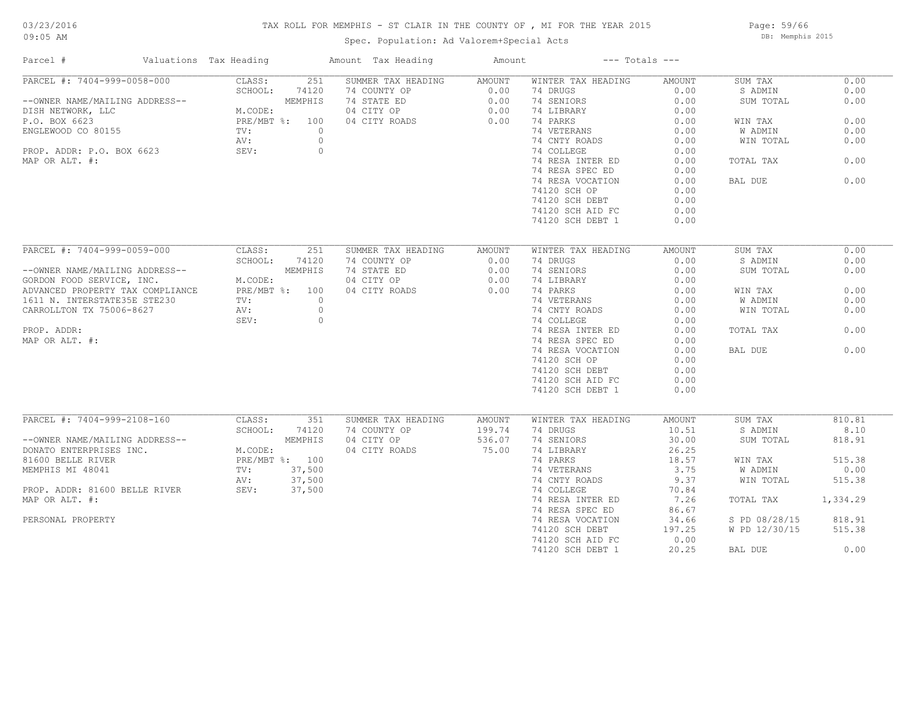#### TAX ROLL FOR MEMPHIS - ST CLAIR IN THE COUNTY OF , MI FOR THE YEAR 2015

Spec. Population: Ad Valorem+Special Acts

Page: 59/66 DB: Memphis 2015

| Parcel #                         | Valuations Tax Heading | Amount Tax Heading        | Amount |                    | $---$ Totals $---$ |               |          |
|----------------------------------|------------------------|---------------------------|--------|--------------------|--------------------|---------------|----------|
| PARCEL #: 7404-999-0058-000      | CLASS:                 | 251<br>SUMMER TAX HEADING | AMOUNT | WINTER TAX HEADING | AMOUNT             | SUM TAX       | 0.00     |
|                                  | SCHOOL:<br>74120       | 74 COUNTY OP              | 0.00   | 74 DRUGS           | 0.00               | S ADMIN       | 0.00     |
| --OWNER NAME/MAILING ADDRESS--   | MEMPHIS                | 74 STATE ED               | 0.00   | 74 SENIORS         | 0.00               | SUM TOTAL     | 0.00     |
| DISH NETWORK, LLC                | M.CODE:                | 04 CITY OP                | 0.00   | 74 LIBRARY         | 0.00               |               |          |
| P.O. BOX 6623                    | PRE/MBT %: 100         | 04 CITY ROADS             | 0.00   | 74 PARKS           | 0.00               | WIN TAX       | 0.00     |
| ENGLEWOOD CO 80155               | TV:                    | $\circ$                   |        | 74 VETERANS        | 0.00               | W ADMIN       | 0.00     |
|                                  | AV:                    | $\circ$                   |        | 74 CNTY ROADS      | 0.00               | WIN TOTAL     | 0.00     |
| PROP. ADDR: P.O. BOX 6623        | SEV:                   | $\circ$                   |        | 74 COLLEGE         | 0.00               |               |          |
| MAP OR ALT. #:                   |                        |                           |        | 74 RESA INTER ED   | 0.00               | TOTAL TAX     | 0.00     |
|                                  |                        |                           |        | 74 RESA SPEC ED    | 0.00               |               |          |
|                                  |                        |                           |        | 74 RESA VOCATION   | 0.00               | BAL DUE       | 0.00     |
|                                  |                        |                           |        | 74120 SCH OP       | 0.00               |               |          |
|                                  |                        |                           |        | 74120 SCH DEBT     | 0.00               |               |          |
|                                  |                        |                           |        | 74120 SCH AID FC   | 0.00               |               |          |
|                                  |                        |                           |        | 74120 SCH DEBT 1   | 0.00               |               |          |
|                                  |                        |                           |        |                    |                    |               |          |
| PARCEL #: 7404-999-0059-000      | CLASS:<br>251          | SUMMER TAX HEADING        | AMOUNT | WINTER TAX HEADING | AMOUNT             | SUM TAX       | 0.00     |
|                                  | SCHOOL:<br>74120       | 74 COUNTY OP              | 0.00   | 74 DRUGS           | 0.00               | S ADMIN       | 0.00     |
| --OWNER NAME/MAILING ADDRESS--   | MEMPHIS                | 74 STATE ED               | 0.00   | 74 SENIORS         | 0.00               | SUM TOTAL     | 0.00     |
| GORDON FOOD SERVICE, INC.        | M.CODE:                | 04 CITY OP                | 0.00   | 74 LIBRARY         | 0.00               |               |          |
|                                  |                        |                           |        |                    |                    |               | 0.00     |
| ADVANCED PROPERTY TAX COMPLIANCE | PRE/MBT %: 100         | 04 CITY ROADS             | 0.00   | 74 PARKS           | 0.00               | WIN TAX       |          |
| 1611 N. INTERSTATE35E STE230     | TV:                    | $\circ$                   |        | 74 VETERANS        | 0.00               | W ADMIN       | 0.00     |
| CARROLLTON TX 75006-8627         | AV:                    | $\overline{0}$            |        | 74 CNTY ROADS      | 0.00               | WIN TOTAL     | 0.00     |
|                                  | SEV:                   | $\circ$                   |        | 74 COLLEGE         | 0.00               |               |          |
| PROP. ADDR:                      |                        |                           |        | 74 RESA INTER ED   | 0.00               | TOTAL TAX     | 0.00     |
| MAP OR ALT. #:                   |                        |                           |        | 74 RESA SPEC ED    | 0.00               |               |          |
|                                  |                        |                           |        | 74 RESA VOCATION   | 0.00               | BAL DUE       | 0.00     |
|                                  |                        |                           |        | 74120 SCH OP       | 0.00               |               |          |
|                                  |                        |                           |        | 74120 SCH DEBT     | 0.00               |               |          |
|                                  |                        |                           |        | 74120 SCH AID FC   | 0.00               |               |          |
|                                  |                        |                           |        | 74120 SCH DEBT 1   | 0.00               |               |          |
|                                  |                        |                           |        |                    |                    |               |          |
| PARCEL #: 7404-999-2108-160      | CLASS:<br>351          | SUMMER TAX HEADING        | AMOUNT | WINTER TAX HEADING | AMOUNT             | SUM TAX       | 810.81   |
|                                  | SCHOOL:<br>74120       | 74 COUNTY OP              | 199.74 | 74 DRUGS           | 10.51              | S ADMIN       | 8.10     |
| --OWNER NAME/MAILING ADDRESS--   | MEMPHIS                | 04 CITY OP                | 536.07 | 74 SENIORS         | 30.00              | SUM TOTAL     | 818.91   |
| DONATO ENTERPRISES INC.          | M.CODE:                | 04 CITY ROADS             | 75.00  | 74 LIBRARY         | 26.25              |               |          |
| 81600 BELLE RIVER                | PRE/MBT %: 100         |                           |        | 74 PARKS           | 18.57              | WIN TAX       | 515.38   |
| MEMPHIS MI 48041                 | 37,500<br>TV:          |                           |        | 74 VETERANS        | 3.75               | W ADMIN       | 0.00     |
|                                  | 37,500<br>AV:          |                           |        | 74 CNTY ROADS      | 9.37               | WIN TOTAL     | 515.38   |
| PROP. ADDR: 81600 BELLE RIVER    | SEV:<br>37,500         |                           |        | 74 COLLEGE         | 70.84              |               |          |
| MAP OR ALT. #:                   |                        |                           |        | 74 RESA INTER ED   | 7.26               | TOTAL TAX     | 1,334.29 |
|                                  |                        |                           |        | 74 RESA SPEC ED    | 86.67              |               |          |
| PERSONAL PROPERTY                |                        |                           |        | 74 RESA VOCATION   | 34.66              | S PD 08/28/15 | 818.91   |
|                                  |                        |                           |        | 74120 SCH DEBT     | 197.25             | W PD 12/30/15 | 515.38   |
|                                  |                        |                           |        | 74120 SCH AID FC   | 0.00               |               |          |
|                                  |                        |                           |        | 74120 SCH DEBT 1   | 20.25              | BAL DUE       | 0.00     |
|                                  |                        |                           |        |                    |                    |               |          |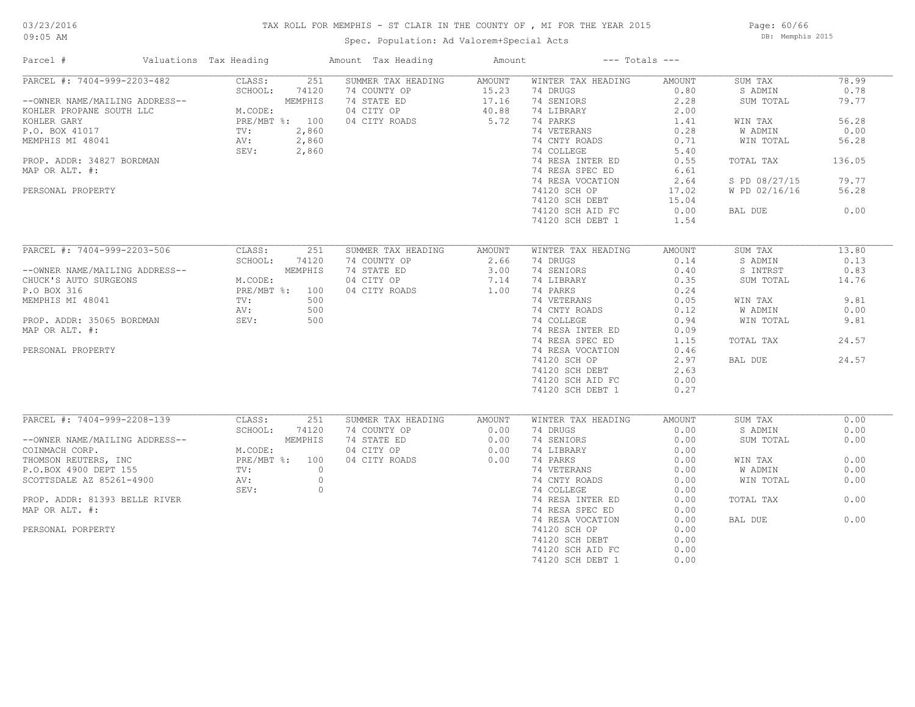# 03/23/2016

#### TAX ROLL FOR MEMPHIS - ST CLAIR IN THE COUNTY OF , MI FOR THE YEAR 2015

09:05 AM

### Spec. Population: Ad Valorem+Special Acts

Page: 60/66 DB: Memphis 2015

| Parcel #                                                                                                                                                                                                                             | Valuations Tax Heading                                               |                                                          | Amount Tax Heading                                                               | Amount                                    |                                                                                                                                                                                                                                                           | $---$ Totals $---$                                                                                                       |                                                                                                                              |                                                                                      |
|--------------------------------------------------------------------------------------------------------------------------------------------------------------------------------------------------------------------------------------|----------------------------------------------------------------------|----------------------------------------------------------|----------------------------------------------------------------------------------|-------------------------------------------|-----------------------------------------------------------------------------------------------------------------------------------------------------------------------------------------------------------------------------------------------------------|--------------------------------------------------------------------------------------------------------------------------|------------------------------------------------------------------------------------------------------------------------------|--------------------------------------------------------------------------------------|
| PARCEL #: 7404-999-2203-482<br>--OWNER NAME/MAILING ADDRESS--<br>KOHLER PROPANE SOUTH LLC<br>KOHLER GARY<br>P.O. BOX 41017<br>MEMPHIS MI 48041<br>PROP. ADDR: 34827 BORDMAN<br>MAP OR ALT. #:<br>PERSONAL PROPERTY                   | CLASS:<br>SCHOOL:<br>M.CODE:<br>PRE/MBT %: 100<br>TV:<br>AV:<br>SEV: | 251<br>74120<br>MEMPHIS<br>2,860<br>2,860<br>2,860       | SUMMER TAX HEADING<br>74 COUNTY OP<br>74 STATE ED<br>04 CITY OP<br>04 CITY ROADS | AMOUNT<br>15.23<br>17.16<br>40.88<br>5.72 | WINTER TAX HEADING<br>74 DRUGS<br>74 SENIORS<br>74 LIBRARY<br>74 PARKS<br>74 VETERANS<br>74 CNTY ROADS<br>74 COLLEGE<br>74 RESA INTER ED<br>74 RESA SPEC ED<br>74 RESA VOCATION<br>74120 SCH OP<br>74120 SCH DEBT<br>74120 SCH AID FC<br>74120 SCH DEBT 1 | AMOUNT<br>0.80<br>2.28<br>2.00<br>1.41<br>0.28<br>0.71<br>5.40<br>0.55<br>6.61<br>2.64<br>17.02<br>15.04<br>0.00<br>1.54 | SUM TAX<br>S ADMIN<br>SUM TOTAL<br>WIN TAX<br>W ADMIN<br>WIN TOTAL<br>TOTAL TAX<br>S PD 08/27/15<br>W PD 02/16/16<br>BAL DUE | 78.99<br>0.78<br>79.77<br>56.28<br>0.00<br>56.28<br>136.05<br>79.77<br>56.28<br>0.00 |
|                                                                                                                                                                                                                                      |                                                                      |                                                          |                                                                                  |                                           |                                                                                                                                                                                                                                                           |                                                                                                                          |                                                                                                                              |                                                                                      |
| PARCEL #: 7404-999-2203-506<br>--OWNER NAME/MAILING ADDRESS--<br>CHUCK'S AUTO SURGEONS<br>P.O BOX 316<br>MEMPHIS MI 48041<br>PROP. ADDR: 35065 BORDMAN<br>MAP OR ALT. #:<br>PERSONAL PROPERTY                                        | CLASS:<br>SCHOOL:<br>M.CODE:<br>PRE/MBT %: 100<br>TV:<br>AV:<br>SEV: | 251<br>74120<br>MEMPHIS<br>500<br>500<br>500             | SUMMER TAX HEADING<br>74 COUNTY OP<br>74 STATE ED<br>04 CITY OP<br>04 CITY ROADS | AMOUNT<br>2.66<br>3.00<br>7.14<br>1.00    | WINTER TAX HEADING<br>74 DRUGS<br>74 SENIORS<br>74 LIBRARY<br>74 PARKS<br>74 VETERANS<br>74 CNTY ROADS<br>74 COLLEGE<br>74 RESA INTER ED<br>74 RESA SPEC ED<br>74 RESA VOCATION<br>74120 SCH OP<br>74120 SCH DEBT<br>74120 SCH AID FC<br>74120 SCH DEBT 1 | AMOUNT<br>0.14<br>0.40<br>0.35<br>0.24<br>0.05<br>0.12<br>0.94<br>0.09<br>1.15<br>0.46<br>2.97<br>2.63<br>0.00<br>0.27   | SUM TAX<br>S ADMIN<br>S INTRST<br>SUM TOTAL<br>WIN TAX<br>W ADMIN<br>WIN TOTAL<br>TOTAL TAX<br>BAL DUE                       | 13.80<br>0.13<br>0.83<br>14.76<br>9.81<br>0.00<br>9.81<br>24.57<br>24.57             |
| PARCEL #: 7404-999-2208-139<br>--OWNER NAME/MAILING ADDRESS--<br>COINMACH CORP.<br>THOMSON REUTERS, INC<br>P.O.BOX 4900 DEPT 155<br>SCOTTSDALE AZ 85261-4900<br>PROP. ADDR: 81393 BELLE RIVER<br>MAP OR ALT. #:<br>PERSONAL PORPERTY | CLASS:<br>SCHOOL:<br>M.CODE:<br>PRE/MBT %: 100<br>TV:<br>AV:<br>SEV: | 251<br>74120<br>MEMPHIS<br>$\circ$<br>$\circ$<br>$\circ$ | SUMMER TAX HEADING<br>74 COUNTY OP<br>74 STATE ED<br>04 CITY OP<br>04 CITY ROADS | AMOUNT<br>0.00<br>0.00<br>0.00<br>0.00    | WINTER TAX HEADING<br>74 DRUGS<br>74 SENIORS<br>74 LIBRARY<br>74 PARKS<br>74 VETERANS<br>74 CNTY ROADS<br>74 COLLEGE<br>74 RESA INTER ED<br>74 RESA SPEC ED<br>74 RESA VOCATION<br>74120 SCH OP<br>74120 SCH DEBT<br>74120 SCH AID FC<br>74120 SCH DEBT 1 | AMOUNT<br>0.00<br>0.00<br>0.00<br>0.00<br>0.00<br>0.00<br>0.00<br>0.00<br>0.00<br>0.00<br>0.00<br>0.00<br>0.00<br>0.00   | SUM TAX<br>S ADMIN<br>SUM TOTAL<br>WIN TAX<br>W ADMIN<br>WIN TOTAL<br>TOTAL TAX<br>BAL DUE                                   | 0.00<br>0.00<br>0.00<br>0.00<br>0.00<br>0.00<br>0.00<br>0.00                         |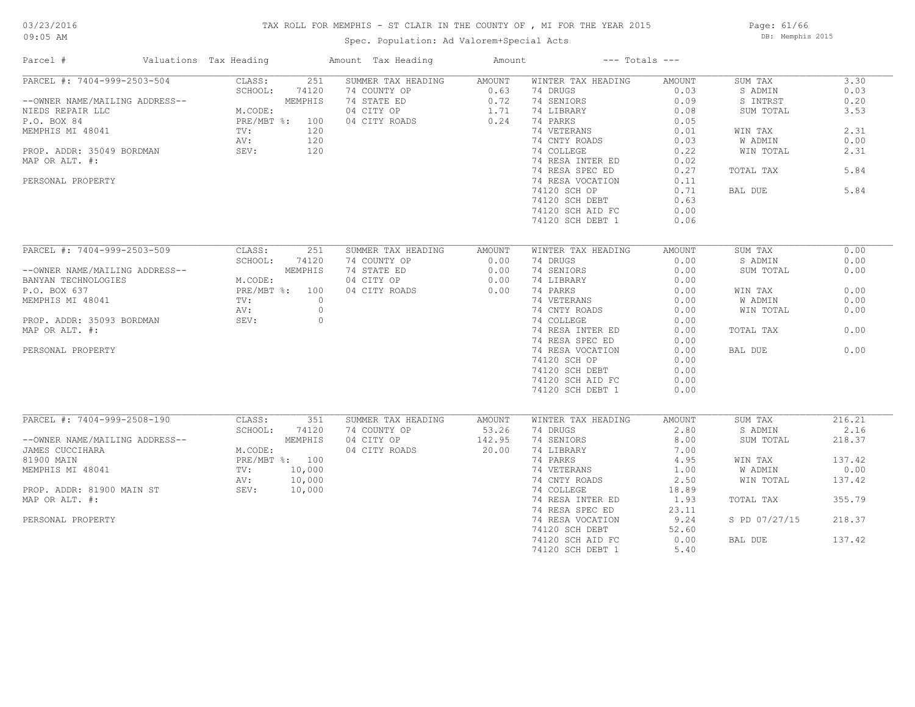# 03/23/2016

#### TAX ROLL FOR MEMPHIS - ST CLAIR IN THE COUNTY OF , MI FOR THE YEAR 2015

09:05 AM

### Spec. Population: Ad Valorem+Special Acts

Page: 61/66 DB: Memphis 2015

| Parcel #                       | Valuations Tax Heading | Amount Tax Heading | Amount | $---$ Totals $---$ |        |               |        |
|--------------------------------|------------------------|--------------------|--------|--------------------|--------|---------------|--------|
| PARCEL #: 7404-999-2503-504    | 251<br>CLASS:          | SUMMER TAX HEADING | AMOUNT | WINTER TAX HEADING | AMOUNT | SUM TAX       | 3.30   |
|                                | SCHOOL:<br>74120       | 74 COUNTY OP       | 0.63   | 74 DRUGS           | 0.03   | S ADMIN       | 0.03   |
| --OWNER NAME/MAILING ADDRESS-- | MEMPHIS                | 74 STATE ED        | 0.72   | 74 SENIORS         | 0.09   | S INTRST      | 0.20   |
| NIEDS REPAIR LLC               | M.CODE:                | 04 CITY OP         | 1.71   | 74 LIBRARY         | 0.08   | SUM TOTAL     | 3.53   |
| P.O. BOX 84                    | PRE/MBT %: 100         | 04 CITY ROADS      | 0.24   | 74 PARKS           | 0.05   |               |        |
| MEMPHIS MI 48041               | 120<br>TV:             |                    |        | 74 VETERANS        | 0.01   | WIN TAX       | 2.31   |
|                                | 120<br>AV:             |                    |        | 74 CNTY ROADS      | 0.03   | W ADMIN       | 0.00   |
| PROP. ADDR: 35049 BORDMAN      | 120<br>SEV:            |                    |        | 74 COLLEGE         | 0.22   | WIN TOTAL     | 2.31   |
| MAP OR ALT. #:                 |                        |                    |        | 74 RESA INTER ED   | 0.02   |               |        |
|                                |                        |                    |        | 74 RESA SPEC ED    | 0.27   | TOTAL TAX     | 5.84   |
| PERSONAL PROPERTY              |                        |                    |        | 74 RESA VOCATION   | 0.11   |               |        |
|                                |                        |                    |        | 74120 SCH OP       | 0.71   | BAL DUE       | 5.84   |
|                                |                        |                    |        | 74120 SCH DEBT     | 0.63   |               |        |
|                                |                        |                    |        |                    |        |               |        |
|                                |                        |                    |        | 74120 SCH AID FC   | 0.00   |               |        |
|                                |                        |                    |        | 74120 SCH DEBT 1   | 0.06   |               |        |
|                                |                        |                    |        |                    |        |               |        |
| PARCEL #: 7404-999-2503-509    | CLASS:<br>251          | SUMMER TAX HEADING | AMOUNT | WINTER TAX HEADING | AMOUNT | SUM TAX       | 0.00   |
|                                | SCHOOL:<br>74120       | 74 COUNTY OP       | 0.00   | 74 DRUGS           | 0.00   | S ADMIN       | 0.00   |
| --OWNER NAME/MAILING ADDRESS-- | MEMPHIS                | 74 STATE ED        | 0.00   | 74 SENIORS         | 0.00   | SUM TOTAL     | 0.00   |
| BANYAN TECHNOLOGIES            | M.CODE:                | 04 CITY OP         | 0.00   | 74 LIBRARY         | 0.00   |               |        |
| P.O. BOX 637                   | PRE/MBT %: 100         | 04 CITY ROADS      | 0.00   | 74 PARKS           | 0.00   | WIN TAX       | 0.00   |
| MEMPHIS MI 48041               | TV:<br>$\circ$         |                    |        | 74 VETERANS        | 0.00   | W ADMIN       | 0.00   |
|                                | AV:<br>$\circ$         |                    |        | 74 CNTY ROADS      | 0.00   | WIN TOTAL     | 0.00   |
| PROP. ADDR: 35093 BORDMAN      | $\circ$<br>SEV:        |                    |        | 74 COLLEGE         | 0.00   |               |        |
| MAP OR ALT. #:                 |                        |                    |        | 74 RESA INTER ED   | 0.00   | TOTAL TAX     | 0.00   |
|                                |                        |                    |        | 74 RESA SPEC ED    | 0.00   |               |        |
| PERSONAL PROPERTY              |                        |                    |        |                    | 0.00   | BAL DUE       | 0.00   |
|                                |                        |                    |        | 74 RESA VOCATION   |        |               |        |
|                                |                        |                    |        | 74120 SCH OP       | 0.00   |               |        |
|                                |                        |                    |        | 74120 SCH DEBT     | 0.00   |               |        |
|                                |                        |                    |        | 74120 SCH AID FC   | 0.00   |               |        |
|                                |                        |                    |        | 74120 SCH DEBT 1   | 0.00   |               |        |
|                                |                        |                    |        |                    |        |               |        |
| PARCEL #: 7404-999-2508-190    | CLASS:<br>351          | SUMMER TAX HEADING | AMOUNT | WINTER TAX HEADING | AMOUNT | SUM TAX       | 216.21 |
|                                | SCHOOL:<br>74120       | 74 COUNTY OP       | 53.26  | 74 DRUGS           | 2.80   | S ADMIN       | 2.16   |
| --OWNER NAME/MAILING ADDRESS-- | MEMPHIS                | 04 CITY OP         | 142.95 | 74 SENIORS         | 8.00   | SUM TOTAL     | 218.37 |
| JAMES CUCCIHARA                | M.CODE:                | 04 CITY ROADS      | 20.00  | 74 LIBRARY         | 7.00   |               |        |
| 81900 MAIN                     | PRE/MBT %: 100         |                    |        | 74 PARKS           | 4.95   | WIN TAX       | 137.42 |
| MEMPHIS MI 48041               | 10,000<br>TV:          |                    |        | 74 VETERANS        | 1.00   | W ADMIN       | 0.00   |
|                                | AV:<br>10,000          |                    |        | 74 CNTY ROADS      | 2.50   | WIN TOTAL     | 137.42 |
| PROP. ADDR: 81900 MAIN ST      | SEV:<br>10,000         |                    |        | 74 COLLEGE         | 18.89  |               |        |
| MAP OR ALT. #:                 |                        |                    |        | 74 RESA INTER ED   | 1.93   | TOTAL TAX     | 355.79 |
|                                |                        |                    |        | 74 RESA SPEC ED    | 23.11  |               |        |
| PERSONAL PROPERTY              |                        |                    |        | 74 RESA VOCATION   | 9.24   | S PD 07/27/15 | 218.37 |
|                                |                        |                    |        | 74120 SCH DEBT     | 52.60  |               |        |
|                                |                        |                    |        | 74120 SCH AID FC   | 0.00   | BAL DUE       | 137.42 |
|                                |                        |                    |        | 74120 SCH DEBT 1   | 5.40   |               |        |
|                                |                        |                    |        |                    |        |               |        |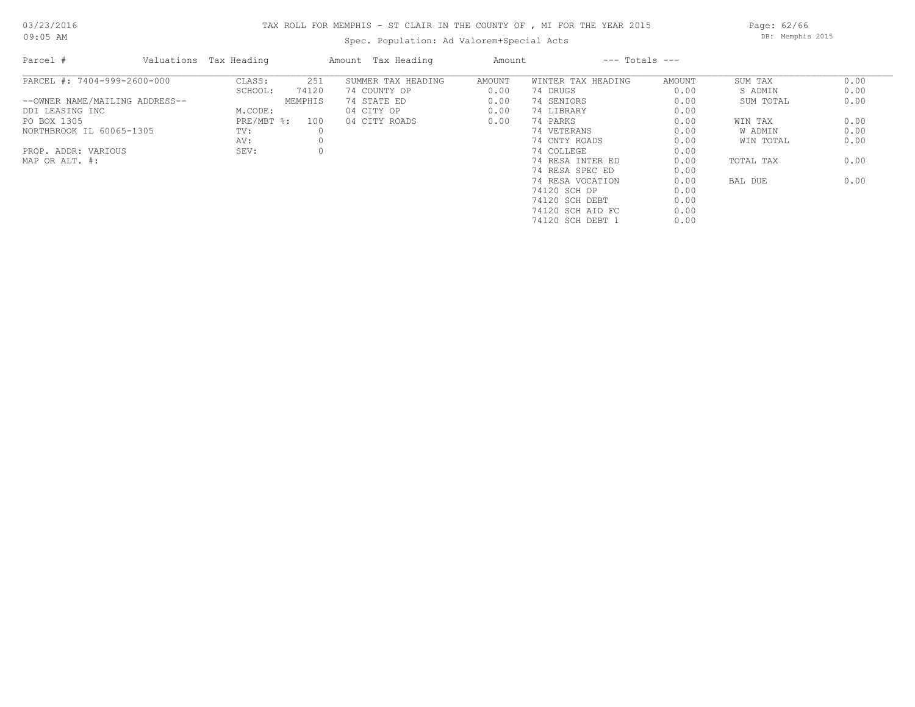# TAX ROLL FOR MEMPHIS - ST CLAIR IN THE COUNTY OF , MI FOR THE YEAR 2015 Spec. Population: Ad Valorem+Special Acts

Page: 62/66 DB: Memphis 2015

| Parcel #                       | Valuations Tax Heading |          | Amount Tax Heading | Amount | $---$ Totals $---$ |        |           |      |
|--------------------------------|------------------------|----------|--------------------|--------|--------------------|--------|-----------|------|
| PARCEL #: 7404-999-2600-000    | CLASS:                 | 251      | SUMMER TAX HEADING | AMOUNT | WINTER TAX HEADING | AMOUNT | SUM TAX   | 0.00 |
|                                | SCHOOL:                | 74120    | 74 COUNTY OP       | 0.00   | 74 DRUGS           | 0.00   | S ADMIN   | 0.00 |
| --OWNER NAME/MAILING ADDRESS-- |                        | MEMPHIS  | 74 STATE ED        | 0.00   | 74 SENIORS         | 0.00   | SUM TOTAL | 0.00 |
| DDI LEASING INC                | M.CODE:                |          | 04 CITY OP         | 0.00   | 74 LIBRARY         | 0.00   |           |      |
| PO BOX 1305                    | PRE/MBT %:             | 100      | 04 CITY ROADS      | 0.00   | 74 PARKS           | 0.00   | WIN TAX   | 0.00 |
| NORTHBROOK IL 60065-1305       | TV:                    | $\Omega$ |                    |        | 74 VETERANS        | 0.00   | W ADMIN   | 0.00 |
|                                | AV:                    |          |                    |        | 74 CNTY ROADS      | 0.00   | WIN TOTAL | 0.00 |
| PROP. ADDR: VARIOUS            | SEV:                   |          |                    |        | 74 COLLEGE         | 0.00   |           |      |
| MAP OR ALT. #:                 |                        |          |                    |        | 74 RESA INTER ED   | 0.00   | TOTAL TAX | 0.00 |
|                                |                        |          |                    |        | 74 RESA SPEC ED    | 0.00   |           |      |
|                                |                        |          |                    |        | 74 RESA VOCATION   | 0.00   | BAL DUE   | 0.00 |
|                                |                        |          |                    |        | 74120 SCH OP       | 0.00   |           |      |
|                                |                        |          |                    |        | 74120 SCH DEBT     | 0.00   |           |      |
|                                |                        |          |                    |        | 74120 SCH AID FC   | 0.00   |           |      |

74120 SCH DEBT 1 0.00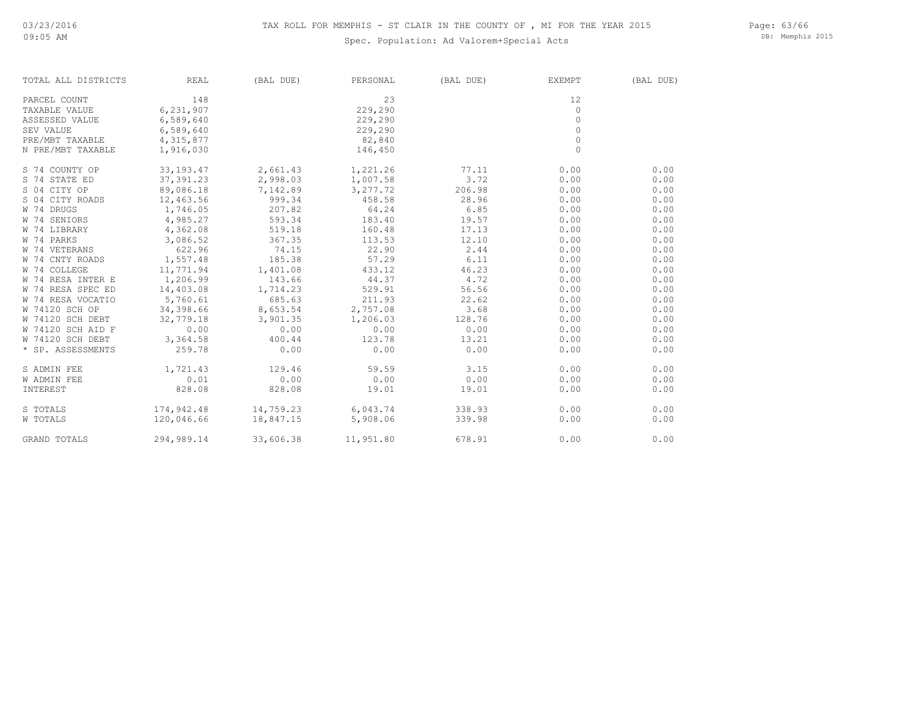#### Spec. Population: Ad Valorem+Special Acts

Page: 63/66 DB: Memphis 2015

| TOTAL ALL DISTRICTS | REAL        | (BAL DUE) | PERSONAL                          | (BAL DUE) | EXEMPT   | (BAL DUE) |
|---------------------|-------------|-----------|-----------------------------------|-----------|----------|-----------|
| PARCEL COUNT        | 148         |           | 23                                |           | 12       |           |
| TAXABLE VALUE       | 6,231,907   |           | 229,290                           |           | $\circ$  |           |
| ASSESSED VALUE      | 6,589,640   |           | 229,290                           |           | $\Omega$ |           |
| SEV VALUE           | 6,589,640   |           | 229,290                           |           | $\Omega$ |           |
| PRE/MBT TAXABLE     | 4,315,877   |           | 82,840                            |           | $\Omega$ |           |
| N PRE/MBT TAXABLE   | 1,916,030   |           | 146,450                           |           | $\circ$  |           |
| S 74 COUNTY OP      | 33, 193. 47 | 2,661.43  | 1,221.26                          | 77.11     | 0.00     | 0.00      |
| S 74 STATE ED       | 37,391.23   | 2,998.03  | 1,007.58                          | 3.72      | 0.00     | 0.00      |
| S 04 CITY OP        | 89,086.18   | 7,142.89  | 3,277.72                          | 206.98    | 0.00     | 0.00      |
| S 04 CITY ROADS     | 12,463.56   | 999.34    | 458.58                            | 28.96     | 0.00     | 0.00      |
| W 74 DRUGS          | 1,746.05    | 207.82    | 64.24                             | 6.85      | 0.00     | 0.00      |
| W 74 SENIORS        | 4,985.27    | 593.34    | 183.40                            | 19.57     | 0.00     | 0.00      |
| W 74 LIBRARY        | 4,362.08    | 519.18    | 160.48                            | 17.13     | 0.00     | 0.00      |
| W 74 PARKS          | 3,086.52    | 367.35    | 113.53                            | 12.10     | 0.00     | 0.00      |
| W 74 VETERANS       | 622.96      | 74.15     | 22.90                             | 2.44      | 0.00     | 0.00      |
| W 74 CNTY ROADS     | 1,557.48    | 185.38    | 57.29                             | 6.11      | 0.00     | 0.00      |
| W 74 COLLEGE        | 11,771.94   | 1,401.08  | 433.12                            | 46.23     | 0.00     | 0.00      |
| W 74 RESA INTER E   | 1,206.99    | 143.66    | 44.37                             | 4.72      | 0.00     | 0.00      |
| W 74 RESA SPEC ED   | 14,403.08   | 1,714.23  | 529.91                            | 56.56     | 0.00     | 0.00      |
| W 74 RESA VOCATIO   | 5,760.61    | 685.63    | 211.93                            | 22.62     | 0.00     | 0.00      |
| W 74120 SCH OP      | 34,398.66   | 8,653.54  | 2,757.08                          | 3.68      | 0.00     | 0.00      |
| W 74120 SCH DEBT    | 32,779.18   | 3,901.35  | 1,206.03                          | 128.76    | 0.00     | 0.00      |
| W 74120 SCH AID F   | 0.00        | 0.00      | 0.00                              | 0.00      | 0.00     | 0.00      |
| W 74120 SCH DEBT    | 3,364.58    | 400.44    | 123.78                            | 13.21     | 0.00     | 0.00      |
| * SP. ASSESSMENTS   | 259.78      | 0.00      | 0.00                              | 0.00      | 0.00     | 0.00      |
| S ADMIN FEE         | 1,721.43    | 129.46    | 59.59                             | 3.15      | 0.00     | 0.00      |
| W ADMIN FEE         | 0.01        | 0.00      | 0.00                              | 0.00      | 0.00     | 0.00      |
| INTEREST            | 828.08      | 828.08    | 19.01                             | 19.01     | 0.00     | 0.00      |
| S TOTALS            |             |           | $174,942.48$ $14,759.23$ 6,043.74 | 338.93    | 0.00     | 0.00      |
| W TOTALS            | 120,046.66  | 18,847.15 | 5,908.06                          | 339.98    | 0.00     | 0.00      |
| GRAND TOTALS        | 294,989.14  | 33,606.38 | 11,951.80                         | 678.91    | 0.00     | 0.00      |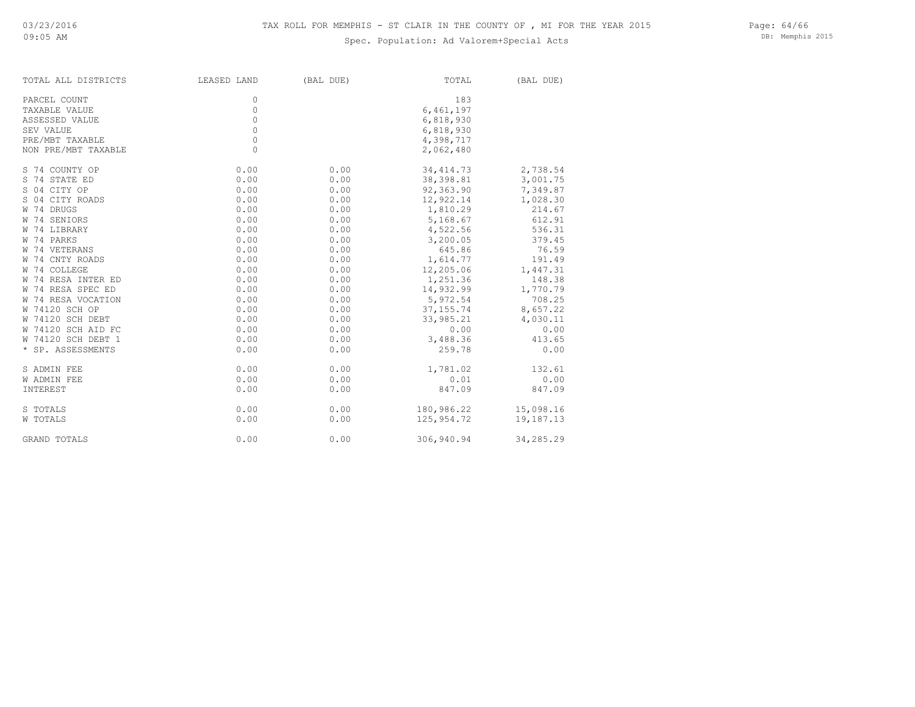### Spec. Population: Ad Valorem+Special Acts

Page: 64/66 DB: Memphis 2015

| TOTAL ALL DISTRICTS | LEASED LAND | (BAL DUE) | TOTAL      | (BAL DUE) |
|---------------------|-------------|-----------|------------|-----------|
| PARCEL COUNT        | 0           |           | 183        |           |
| TAXABLE VALUE       | $\mathbb O$ |           | 6,461,197  |           |
| ASSESSED VALUE      | $\mathbb O$ |           | 6,818,930  |           |
| SEV VALUE           | $\mathbb O$ |           | 6,818,930  |           |
| PRE/MBT TAXABLE     | $\mathbb O$ |           | 4,398,717  |           |
| NON PRE/MBT TAXABLE | $\circ$     |           | 2,062,480  |           |
|                     |             |           |            |           |
| S 74 COUNTY OP      | 0.00        | 0.00      | 34, 414.73 | 2,738.54  |
| S 74 STATE ED       | 0.00        | 0.00      | 38,398.81  | 3,001.75  |
| S 04 CITY OP        | 0.00        | 0.00      | 92,363.90  | 7,349.87  |
| S 04 CITY ROADS     | 0.00        | 0.00      | 12,922.14  | 1,028.30  |
| W 74 DRUGS          | 0.00        | 0.00      | 1,810.29   | 214.67    |
| W 74 SENIORS        | 0.00        | 0.00      | 5,168.67   | 612.91    |
| W 74 LIBRARY        | 0.00        | 0.00      | 4,522.56   | 536.31    |
| W 74 PARKS          | 0.00        | 0.00      | 3,200.05   | 379.45    |
| W 74 VETERANS       | 0.00        | 0.00      | 645.86     | 76.59     |
| W 74 CNTY ROADS     | 0.00        | 0.00      | 1,614.77   | 191.49    |
| W 74 COLLEGE        | 0.00        | 0.00      | 12,205.06  | 1,447.31  |
| W 74 RESA INTER ED  | 0.00        | 0.00      | 1,251.36   | 148.38    |
| W 74 RESA SPEC ED   | 0.00        | 0.00      | 14,932.99  | 1,770.79  |
| W 74 RESA VOCATION  | 0.00        | 0.00      | 5,972.54   | 708.25    |
| W 74120 SCH OP      | 0.00        | 0.00      | 37, 155.74 | 8,657.22  |
| W 74120 SCH DEBT    | 0.00        | 0.00      | 33,985.21  | 4,030.11  |
| W 74120 SCH AID FC  | 0.00        | 0.00      | 0.00       | 0.00      |
| W 74120 SCH DEBT 1  | 0.00        | 0.00      | 3,488.36   | 413.65    |
| * SP. ASSESSMENTS   | 0.00        | 0.00      | 259.78     | 0.00      |
| S ADMIN FEE         | 0.00        | 0.00      | 1,781.02   | 132.61    |
| <b>W ADMIN FEE</b>  | 0.00        | 0.00      | 0.01       | 0.00      |
| INTEREST            | 0.00        | 0.00      | 847.09     | 847.09    |
| S TOTALS            | 0.00        | 0.00      | 180,986.22 | 15,098.16 |
| W TOTALS            | 0.00        | 0.00      | 125,954.72 | 19,187.13 |
|                     |             |           |            |           |
| GRAND TOTALS        | 0.00        | 0.00      | 306,940.94 | 34,285.29 |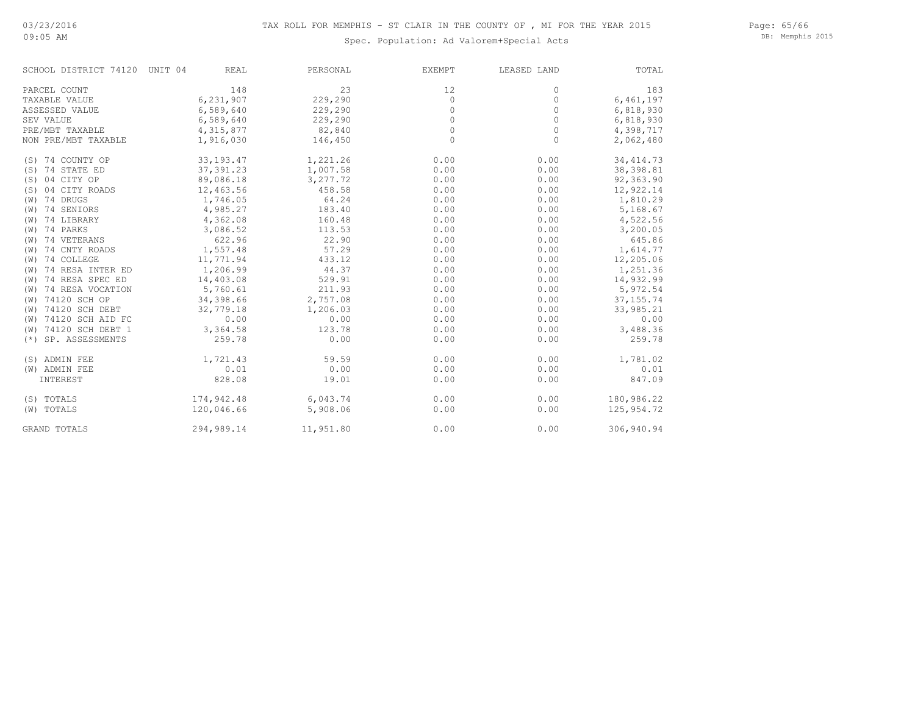09:05 AM

#### Spec. Population: Ad Valorem+Special Acts

Page: 65/66 DB: Memphis 2015

| SCHOOL DISTRICT 74120 UNIT 04 | REAL        | PERSONAL  | <b>EXEMPT</b> | LEASED LAND | TOTAL      |
|-------------------------------|-------------|-----------|---------------|-------------|------------|
| PARCEL COUNT                  | 148         | 23        | 12            | 0           | 183        |
| TAXABLE VALUE                 | 6,231,907   | 229,290   | $\circ$       | 0           | 6,461,197  |
| ASSESSED VALUE                | 6,589,640   | 229,290   | $\circ$       | 0           | 6,818,930  |
| SEV VALUE                     | 6,589,640   | 229,290   | 0             | 0           | 6,818,930  |
| PRE/MBT TAXABLE               | 4,315,877   | 82,840    | 0             | 0           | 4,398,717  |
| NON PRE/MBT TAXABLE           | 1,916,030   | 146,450   | $\Omega$      | $\Omega$    | 2,062,480  |
| (S) 74 COUNTY OP              | 33, 193. 47 | 1,221.26  | 0.00          | 0.00        | 34, 414.73 |
| (S) 74 STATE ED               | 37,391.23   | 1,007.58  | 0.00          | 0.00        | 38, 398.81 |
| 04 CITY OP<br>(S)             | 89,086.18   | 3,277.72  | 0.00          | 0.00        | 92,363.90  |
| 04 CITY ROADS<br>(S)          | 12,463.56   | 458.58    | 0.00          | 0.00        | 12,922.14  |
| (W) 74 DRUGS                  | 1,746.05    | 64.24     | 0.00          | 0.00        | 1,810.29   |
| $(W)$ 74 SENIORS              | 4,985.27    | 183.40    | 0.00          | 0.00        | 5,168.67   |
| (W) 74 LIBRARY                | 4,362.08    | 160.48    | 0.00          | 0.00        | 4,522.56   |
| (W) 74 PARKS                  | 3,086.52    | 113.53    | 0.00          | 0.00        | 3,200.05   |
| (W) 74 VETERANS               | 622.96      | 22.90     | 0.00          | 0.00        | 645.86     |
| 74 CNTY ROADS<br>(W)          | 1,557.48    | 57.29     | 0.00          | 0.00        | 1,614.77   |
| 74 COLLEGE<br>(W)             | 11,771.94   | 433.12    | 0.00          | 0.00        | 12,205.06  |
| 74 RESA INTER ED<br>(W)       | 1,206.99    | 44.37     | 0.00          | 0.00        | 1,251.36   |
| 74 RESA SPEC ED<br>(W)        | 14,403.08   | 529.91    | 0.00          | 0.00        | 14,932.99  |
| (W) 74 RESA VOCATION          | 5,760.61    | 211.93    | 0.00          | 0.00        | 5,972.54   |
| (W) 74120 SCH OP              | 34,398.66   | 2,757.08  | 0.00          | 0.00        | 37, 155.74 |
| (W) 74120 SCH DEBT            | 32,779.18   | 1,206.03  | 0.00          | 0.00        | 33,985.21  |
| (W) 74120 SCH AID FC          | 0.00        | 0.00      | 0.00          | 0.00        | 0.00       |
| (W) 74120 SCH DEBT 1          | 3,364.58    | 123.78    | 0.00          | 0.00        | 3,488.36   |
| (*) SP. ASSESSMENTS           | 259.78      | 0.00      | 0.00          | 0.00        | 259.78     |
| (S) ADMIN FEE                 | 1,721.43    | 59.59     | 0.00          | 0.00        | 1,781.02   |
| (W) ADMIN FEE                 | 0.01        | 0.00      | 0.00          | 0.00        | 0.01       |
| INTEREST                      | 828.08      | 19.01     | 0.00          | 0.00        | 847.09     |
| (S) TOTALS                    | 174,942.48  | 6,043.74  | 0.00          | 0.00        | 180,986.22 |
| (W) TOTALS                    | 120,046.66  | 5,908.06  | 0.00          | 0.00        | 125,954.72 |
| GRAND TOTALS                  | 294,989.14  | 11,951.80 | 0.00          | 0.00        | 306,940.94 |